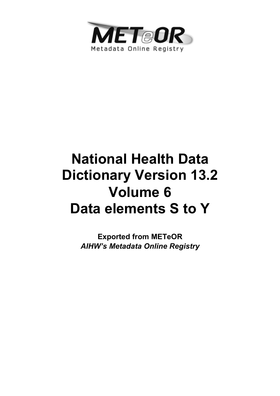

# **National Health Data Dictionary Version 13.2 Volume 6 Data elements S to Y**

**Exported from METeOR**  *AIHW's Metadata Online Registry*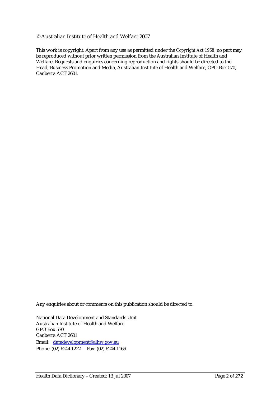#### © Australian Institute of Health and Welfare 2007

This work is copyright. Apart from any use as permitted under the *Copyright Act 1968*, no part may be reproduced without prior written permission from the Australian Institute of Health and Welfare. Requests and enquiries concerning reproduction and rights should be directed to the Head, Business Promotion and Media, Australian Institute of Health and Welfare, GPO Box 570, Canberra ACT 2601.

Any enquiries about or comments on this publication should be directed to:

National Data Development and Standards Unit Australian Institute of Health and Welfare GPO Box 570 Canberra ACT 2601 Email: datadevelopment@aihw.gov.au Phone: (02) 6244 1222 Fax: (02) 6244 1166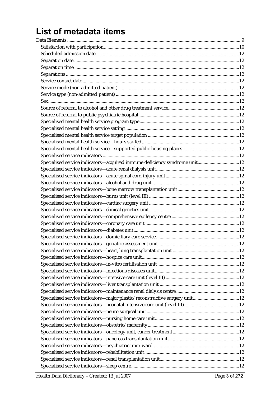# List of metadata items

| Specialised service indicators—major plastic/reconstructive surgery unit12 |  |
|----------------------------------------------------------------------------|--|
|                                                                            |  |
|                                                                            |  |
|                                                                            |  |
|                                                                            |  |
|                                                                            |  |
|                                                                            |  |
|                                                                            |  |
|                                                                            |  |
|                                                                            |  |
|                                                                            |  |
|                                                                            |  |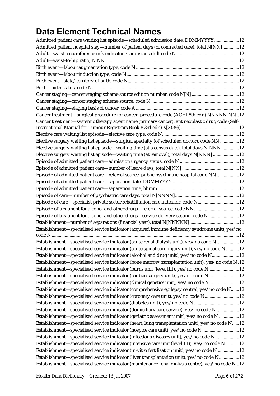## **Data Element Technical Names**

| Admitted patient care waiting list episode-scheduled admission date, DDMMYYYY 12                  |  |
|---------------------------------------------------------------------------------------------------|--|
| Admitted patient hospital stay—number of patient days (of contracted care), total N[NN]12         |  |
|                                                                                                   |  |
|                                                                                                   |  |
|                                                                                                   |  |
|                                                                                                   |  |
|                                                                                                   |  |
|                                                                                                   |  |
|                                                                                                   |  |
|                                                                                                   |  |
|                                                                                                   |  |
| Cancer treatment-surgical procedure for cancer, procedure code (ACHI 5th edn) NNNNN-NN12          |  |
| Cancer treatment—systemic therapy agent name (primary cancer), antineoplastic drug code (Self-    |  |
|                                                                                                   |  |
| Elective surgery waiting list episode—surgical specialty (of scheduled doctor), code NN 12        |  |
| Elective surgery waiting list episode—waiting time (at a census date), total days N[NNN]12        |  |
| Elective surgery waiting list episode—waiting time (at removal), total days N[NNN] 12             |  |
|                                                                                                   |  |
|                                                                                                   |  |
| Episode of admitted patient care—referral source, public psychiatric hospital code NN 12          |  |
|                                                                                                   |  |
|                                                                                                   |  |
|                                                                                                   |  |
| Episode of care-specialist private sector rehabilitation care indicator, code N12                 |  |
| Episode of treatment for alcohol and other drugs-referral source, code NN12                       |  |
| Episode of treatment for alcohol and other drugs-service delivery setting, code N 12              |  |
|                                                                                                   |  |
| Establishment-specialised service indicator (acquired immune deficiency syndrome unit), yes/no    |  |
|                                                                                                   |  |
| Establishment—specialised service indicator (acute renal dialysis unit), yes/no code N12          |  |
| Establishment-specialised service indicator (acute spinal cord injury unit), yes/no code N 12     |  |
| Establishment—specialised service indicator (alcohol and drug unit), yes/no code N12              |  |
| Establishment—specialised service indicator (bone marrow transplantation unit), yes/no code N.12  |  |
| Establishment—specialised service indicator (burns unit (level III)), yes/no code N12             |  |
| Establishment-specialised service indicator (cardiac surgery unit), yes/no code N12               |  |
| Establishment—specialised service indicator (clinical genetics unit), yes/no code N12             |  |
| Establishment—specialised service indicator (comprehensive epilepsy centre), yes/no code N12      |  |
| Establishment-specialised service indicator (coronary care unit), yes/no code N12                 |  |
| Establishment-specialised service indicator (diabetes unit), yes/no code N 12                     |  |
| Establishment—specialised service indicator (domiciliary care service), yes/no code N 12          |  |
| Establishment—specialised service indicator (geriatric assessment unit), yes/no code N 12         |  |
| Establishment-specialised service indicator (heart, lung transplantation unit), yes/no code N12   |  |
| Establishment-specialised service indicator (hospice care unit), yes/no code N 12                 |  |
| Establishment-specialised service indicator (infectious diseases unit), yes/no code N 12          |  |
| Establishment-specialised service indicator (intensive care unit (level III)), yes/no code N12    |  |
| Establishment-specialised service indicator (in-vitro fertilisation unit), yes/no code N 12       |  |
| Establishment—specialised service indicator (liver transplantation unit), yes/no code N12         |  |
| Establishment-specialised service indicator (maintenance renal dialysis centre), yes/no code N.12 |  |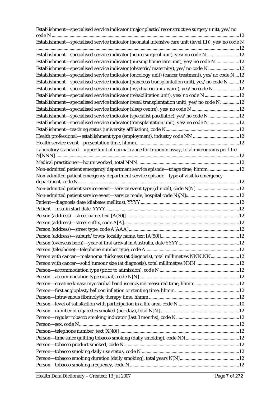| Establishment—specialised service indicator (major plastic/reconstructive surgery unit), yes/no       |     |
|-------------------------------------------------------------------------------------------------------|-----|
| Establishment-specialised service indicator (neonatal intensive care unit (level III)), yes/no code N |     |
| Establishment-specialised service indicator (neuro surgical unit), yes/no code N 12                   |     |
| Establishment-specialised service indicator (nursing home care unit), yes/no code N12                 |     |
| Establishment-specialised service indicator (obstetric/maternity), yes/no code N 12                   |     |
| Establishment-specialised service indicator (oncology unit) (cancer treatment), yes/no code N12       |     |
| Establishment—specialised service indicator (pancreas transplantation unit), yes/no code N 12         |     |
| Establishment—specialised service indicator (psychiatric unit/ward), yes/no code N12                  |     |
| Establishment-specialised service indicator (rehabilitation unit), yes/no code N 12                   |     |
| Establishment—specialised service indicator (renal transplantation unit), yes/no code N12             |     |
|                                                                                                       |     |
| Establishment-specialised service indicator (specialist paediatric), yes/no code N 12                 |     |
| Establishment—specialised service indicator (transplantation unit), yes/no code N12                   |     |
|                                                                                                       |     |
|                                                                                                       |     |
|                                                                                                       |     |
| Laboratory standard—upper limit of normal range for troponin assay, total micrograms per litre        |     |
|                                                                                                       |     |
| Non-admitted patient emergency department service episode-triage time, hhmm 12                        |     |
| Non-admitted patient emergency department service episode-type of visit to emergency                  |     |
|                                                                                                       |     |
| Non-admitted patient service event-service event type (clinical), code N[N] 12                        |     |
|                                                                                                       |     |
|                                                                                                       |     |
|                                                                                                       |     |
|                                                                                                       |     |
|                                                                                                       |     |
|                                                                                                       |     |
|                                                                                                       | .12 |
|                                                                                                       |     |
|                                                                                                       |     |
| Person with cancer-melanoma thickness (at diagnosis), total millimetres NNN.NN12                      |     |
|                                                                                                       |     |
|                                                                                                       |     |
| Person—creatine kinase myocardial band isoenzyme measured time, hhmm 12                               |     |
|                                                                                                       |     |
|                                                                                                       |     |
|                                                                                                       |     |
|                                                                                                       |     |
|                                                                                                       |     |
|                                                                                                       |     |
|                                                                                                       |     |
|                                                                                                       |     |
|                                                                                                       |     |
|                                                                                                       |     |
|                                                                                                       |     |
|                                                                                                       |     |
|                                                                                                       |     |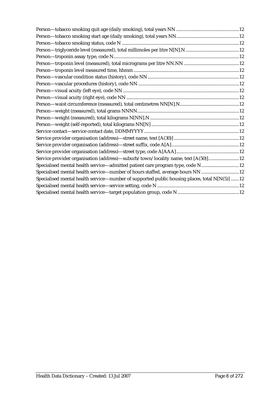| Service provider organisation (address)-suburb/town/locality name, text [A(50)]12             |
|-----------------------------------------------------------------------------------------------|
| Specialised mental health service—admitted patient care program type, code N12                |
| Specialised mental health service—number of hours staffed, average hours NN 12                |
| Specialised mental health service—number of supported public housing places, total N[N(5)] 12 |
|                                                                                               |
|                                                                                               |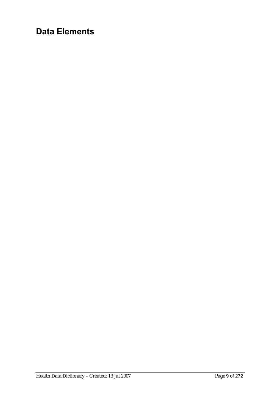## **Data Elements**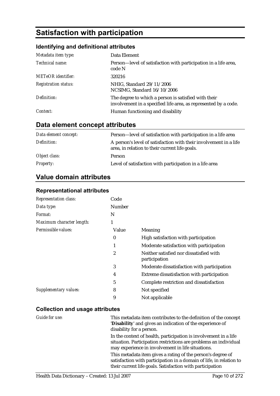### **Satisfaction with participation**

#### **Identifying and definitional attributes**

| Metadata item type:         | Data Element                                                                                                            |
|-----------------------------|-------------------------------------------------------------------------------------------------------------------------|
| Technical name:             | Person—level of satisfaction with participation in a life area,<br>code N                                               |
| <b>METeOR</b> identifier:   | 320216                                                                                                                  |
| <b>Registration status:</b> | NHIG, Standard 29/11/2006<br>NCSIMG, Standard 16/10/2006                                                                |
| Definition:                 | The degree to which a person is satisfied with their<br>involvement in a specified life area, as represented by a code. |
| Context:                    | Human functioning and disability                                                                                        |

### **Data element concept attributes**

| Data element concept: | Person-level of satisfaction with participation in a life area                                                      |
|-----------------------|---------------------------------------------------------------------------------------------------------------------|
| Definition:           | A person's level of satisfaction with their involvement in a life<br>area, in relation to their current life goals. |
| Object class:         | Person                                                                                                              |
| <b>Property:</b>      | Level of satisfaction with participation in a life area                                                             |

### **Value domain attributes**

#### **Representational attributes**

| <b>Representation class:</b> | Code   |                                                          |
|------------------------------|--------|----------------------------------------------------------|
| Data type:                   | Number |                                                          |
| Format:                      | N      |                                                          |
| Maximum character length:    | 1      |                                                          |
| Permissible values:          | Value  | Meaning                                                  |
|                              | 0      | High satisfaction with participation                     |
|                              | 1      | Moderate satisfaction with participation                 |
|                              | 2      | Neither satisfied nor dissatisfied with<br>participation |
|                              | 3      | Moderate dissatisfaction with participation              |
|                              | 4      | Extreme dissatisfaction with participation               |
|                              | 5      | Complete restriction and dissatisfaction                 |
| Supplementary values:        | 8      | Not specified                                            |
|                              | 9      | Not applicable                                           |

#### **Collection and usage attributes**

| Guide for use: | This metadata item contributes to the definition of the concept<br>'Disability' and gives an indication of the experience of<br>disability for a person.                                        |
|----------------|-------------------------------------------------------------------------------------------------------------------------------------------------------------------------------------------------|
|                | In the context of health, participation is involvement in a life<br>situation. Participation restrictions are problems an individual<br>may experience in involvement in life situations.       |
|                | This metadata item gives a rating of the person's degree of<br>satisfaction with participation in a domain of life, in relation to<br>their current life goals. Satisfaction with participation |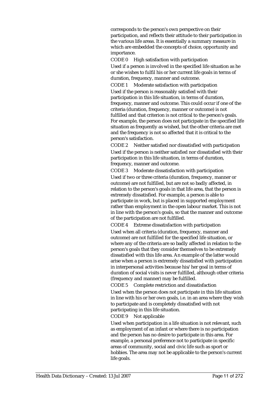corresponds to the person's own perspective on their participation, and reflects their attitude to their participation in the various life areas. It is essentially a summary measure in which are embedded the concepts of choice, opportunity and importance.

CODE 0 High satisfaction with participation Used if a person is involved in the specified life situation as he or she wishes to fulfil his or her current life goals in terms of duration, frequency, manner and outcome.

CODE 1 Moderate satisfaction with participation Used if the person is reasonably satisfied with their participation in this life situation, in terms of duration, frequency, manner and outcome. This could occur if one of the criteria (duration, frequency, manner or outcome) is not fulfilled and that criterion is not critical to the person's goals. For example, the person does not participate in the specified life situation as frequently as wished, but the other criteria are met and the frequency is not so affected that it is critical to the person's satisfaction.

CODE 2 Neither satisfied nor dissatisfied with participation Used if the person is neither satisfied nor dissatisfied with their participation in this life situation, in terms of duration, frequency, manner and outcome.

CODE 3 Moderate dissatisfaction with participation Used if two or three criteria (duration, frequency, manner or outcome) are not fulfilled, but are not so badly affected, in relation to the person's goals in that life area, that the person is extremely dissatisfied. For example, a person is able to participate in work, but is placed in supported employment rather than employment in the open labour market. This is not in line with the person's goals, so that the manner and outcome of the participation are not fulfilled.

CODE 4 Extreme dissatisfaction with participation Used when all criteria (duration, frequency, manner and outcome) are not fulfilled for the specified life situation, or where any of the criteria are so badly affected in relation to the person's goals that they consider themselves to be extremely dissatisfied with this life area. An example of the latter would arise when a person is extremely dissatisfied with participation in interpersonal activities because his/her goal in terms of duration of social visits is never fulfilled, although other criteria (frequency and manner) may be fulfilled.

CODE 5 Complete restriction and dissatisfaction Used when the person does not participate in this life situation in line with his or her own goals, i.e. in an area where they wish to participate and is completely dissatisfied with not participating in this life situation.

CODE 9 Not applicable

Used when participation in a life situation is not relevant, such as employment of an infant or where there is no participation and the person has no desire to participate in this area. For example, a personal preference not to participate in specific areas of community, social and civic life such as sport or hobbies. The area may not be applicable to the person's current life goals.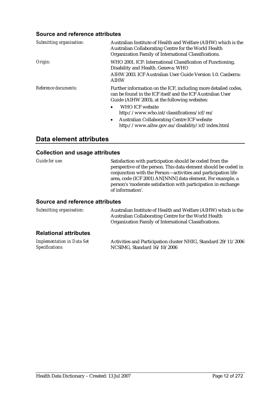#### **Source and reference attributes**

| Submitting organisation: | Australian Institute of Health and Welfare (AIHW) which is the<br>Australian Collaborating Centre for the World Health<br>Organization Family of International Classifications. |
|--------------------------|---------------------------------------------------------------------------------------------------------------------------------------------------------------------------------|
| Origin:                  | WHO 2001. ICF: International Classification of Functioning,<br>Disability and Health. Geneva: WHO                                                                               |
|                          | AIHW 2003. ICF Australian User Guide Version 1.0. Canberra:<br><b>AIHW</b>                                                                                                      |
| Reference documents:     | Further information on the ICF, including more detailed codes,<br>can be found in the ICF itself and the ICF Australian User<br>Guide (AIHW 2003), at the following websites:   |
|                          | <b>WHO ICF website</b><br>http://www.who.int/classifications/icf/en/                                                                                                            |
|                          | <b>Australian Collaborating Centre ICF website</b><br>$\bullet$<br>http://www.aihw.gov.au/disability/icf/index.html                                                             |

### **Data element attributes**

#### **Collection and usage attributes**

| <i>Guide for use:</i>                  | Satisfaction with participation should be coded from the<br>perspective of the person. This data element should be coded in<br>conjunction with the Person-activities and participation life<br>area, code (ICF 2001) AN[NNN] data element. For example, a<br>person's 'moderate satisfaction with participation in exchange<br>of information'. |
|----------------------------------------|--------------------------------------------------------------------------------------------------------------------------------------------------------------------------------------------------------------------------------------------------------------------------------------------------------------------------------------------------|
| <b>Cource and reference attributes</b> |                                                                                                                                                                                                                                                                                                                                                  |

#### **Source and reference attributes**

| Submitting organisation:     | Australian Institute of Health and Welfare (AIHW) which is the<br>Australian Collaborating Centre for the World Health<br>Organization Family of International Classifications. |
|------------------------------|---------------------------------------------------------------------------------------------------------------------------------------------------------------------------------|
| <b>Relational attributes</b> |                                                                                                                                                                                 |

| Implementation in Data Set | Activities and Participation cluster NHIG, Standard 29/11/2006 |
|----------------------------|----------------------------------------------------------------|
| Specifications:            | NCSIMG, Standard 16/10/2006                                    |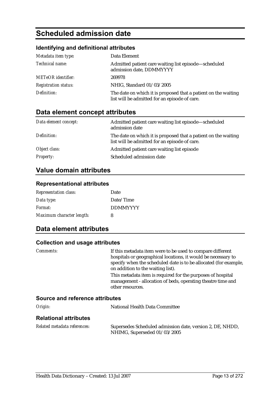### **Scheduled admission date**

#### **Identifying and definitional attributes**

| Metadata item type:         | Data Element                                                                                                    |
|-----------------------------|-----------------------------------------------------------------------------------------------------------------|
| Technical name:             | Admitted patient care waiting list episode-scheduled<br>admission date, DDMMYYYY                                |
| <b>METeOR</b> identifier:   | 269978                                                                                                          |
| <b>Registration status:</b> | NHIG, Standard 01/03/2005                                                                                       |
| Definition:                 | The date on which it is proposed that a patient on the waiting<br>list will be admitted for an episode of care. |

### **Data element concept attributes**

| Data element concept: | Admitted patient care waiting list episode—scheduled<br>admission date                                          |
|-----------------------|-----------------------------------------------------------------------------------------------------------------|
| Definition:           | The date on which it is proposed that a patient on the waiting<br>list will be admitted for an episode of care. |
| Object class:         | Admitted patient care waiting list episode                                                                      |
| <b>Property:</b>      | Scheduled admission date                                                                                        |

### **Value domain attributes**

#### **Representational attributes**

| <b>Representation class:</b> | Date            |
|------------------------------|-----------------|
| Data type:                   | Date/Time       |
| Format:                      | <b>DDMMYYYY</b> |
| Maximum character length:    | 8               |

#### **Data element attributes**

#### **Collection and usage attributes**

| <i>Comments:</i>                | If this metadata item were to be used to compare different<br>hospitals or geographical locations, it would be necessary to<br>specify when the scheduled date is to be allocated (for example,<br>on addition to the waiting list). |
|---------------------------------|--------------------------------------------------------------------------------------------------------------------------------------------------------------------------------------------------------------------------------------|
|                                 | This metadata item is required for the purposes of hospital<br>management - allocation of beds, operating theatre time and<br>other resources.                                                                                       |
| Source and reference attributes |                                                                                                                                                                                                                                      |
| Origin:                         | National Health Data Committee                                                                                                                                                                                                       |
|                                 |                                                                                                                                                                                                                                      |

#### **Relational attributes**

| Related metadata references: | Supersedes Scheduled admission date, version 2, DE, NHDD, |
|------------------------------|-----------------------------------------------------------|
|                              | NHIMG, Superseded 01/03/2005                              |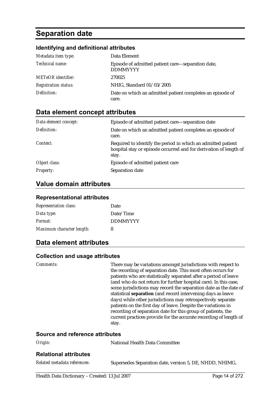### **Separation date**

#### **Identifying and definitional attributes**

| Metadata item type:         | Data Element                                                         |
|-----------------------------|----------------------------------------------------------------------|
| Technical name:             | Episode of admitted patient care—separation date,<br><b>DDMMYYYY</b> |
| <b>METeOR</b> identifier:   | 270025                                                               |
| <b>Registration status:</b> | NHIG, Standard 01/03/2005                                            |
| Definition:                 | Date on which an admitted patient completes an episode of            |
|                             | care.                                                                |

#### **Data element concept attributes**

| Data element concept: | Episode of admitted patient care—separation date                                                                                           |
|-----------------------|--------------------------------------------------------------------------------------------------------------------------------------------|
| Definition:           | Date on which an admitted patient completes an episode of<br>care.                                                                         |
| Context:              | Required to identify the period in which an admitted patient<br>hospital stay or episode occurred and for derivation of length of<br>stay. |
| Object class:         | Episode of admitted patient care                                                                                                           |
| <b>Property:</b>      | Separation date                                                                                                                            |

#### **Value domain attributes**

#### **Representational attributes**

| <b>Representation class:</b> | Date            |
|------------------------------|-----------------|
| Data type:                   | Date/Time       |
| Format:                      | <b>DDMMYYYY</b> |
| Maximum character length:    | 8               |

#### **Data element attributes**

#### **Collection and usage attributes**

*Comments:* There may be variations amongst jurisdictions with respect to the recording of separation date. This most often occurs for patients who are statistically separated after a period of leave (and who do not return for further hospital care). In this case, some jurisdictions may record the separation date as the date of statistical **separation** (and record intervening days as leave days) while other jurisdictions may retrospectively separate patients on the first day of leave. Despite the variations in recording of separation date for this group of patients, the current practices provide for the accurate recording of length of stay.

#### **Source and reference attributes**

| Origin:                      | National Health Data Committee                          |
|------------------------------|---------------------------------------------------------|
| <b>Relational attributes</b> |                                                         |
| Related metadata references: | Supersedes Separation date, version 5, DE, NHDD, NHIMG, |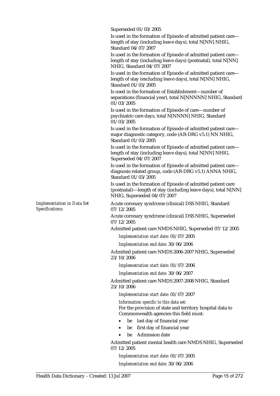Superseded 01/03/2005

Is used in the formation of Episode of admitted patient care length of stay (including leave days), total N[NN] NHIG, Standard 04/07/2007

Is used in the formation of Episode of admitted patient care length of stay (including leave days) (postnatal), total N[NN] NHIG, Standard 04/07/2007

Is used in the formation of Episode of admitted patient care length of stay (excluding leave days), total N[NN] NHIG, Standard 01/03/2005

Is used in the formation of Establishment—number of separations (financial year), total N[NNNNN] NHIG, Standard 01/03/2005

Is used in the formation of Episode of care—number of psychiatric care days, total N[NNNN] NHIG, Standard 01/03/2005

Is used in the formation of Episode of admitted patient care major diagnostic category, code (AR-DRG v5.1) NN NHIG, Standard 01/03/2005

Is used in the formation of Episode of admitted patient care length of stay (including leave days), total N[NN] NHIG, Superseded 04/07/2007

Is used in the formation of Episode of admitted patient care diagnosis related group, code (AR-DRG v5.1) ANNA NHIG, Standard 01/03/2005

Is used in the formation of Episode of admitted patient care (postnatal)—length of stay (including leave days), total N[NN] NHIG, Superseded 04/07/2007

Acute coronary syndrome (clinical) DSS NHIG, Standard 07/12/2005

Acute coronary syndrome (clinical) DSS NHIG, Superseded 07/12/2005

Admitted patient care NMDS NHIG, Superseded 07/12/2005

*Implementation start date:* 01/07/2005

*Implementation end date:* 30/06/2006

Admitted patient care NMDS 2006-2007 NHIG, Superseded 23/10/2006

*Implementation start date:* 01/07/2006

*Implementation end date:* 30/06/2007

Admitted patient care NMDS 2007-2008 NHIG, Standard 23/10/2006

*Implementation start date:* 01/07/2007

*Information specific to this data set:*

For the provision of state and territory hospital data to Commonwealth agencies this field must:

- be last day of financial year
- be first day of financial year
- be Admission date

Admitted patient mental health care NMDS NHIG, Superseded 07/12/2005

*Implementation start date:* 01/07/2005 *Implementation end date:* 30/06/2006

*Implementation in Data Set Specifications:*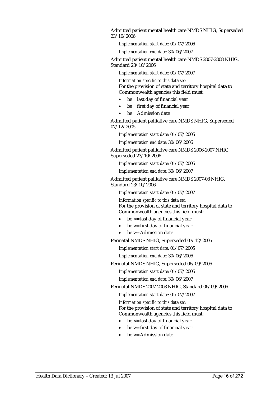Admitted patient mental health care NMDS NHIG, Superseded 23/10/2006

*Implementation start date:* 01/07/2006

*Implementation end date:* 30/06/2007

Admitted patient mental health care NMDS 2007-2008 NHIG, Standard 23/10/2006

*Implementation start date:* 01/07/2007

*Information specific to this data set:* For the provision of state and territory hospital data to Commonwealth agencies this field must:

- be last day of financial year
- be first day of financial year
- be Admission date

Admitted patient palliative care NMDS NHIG, Superseded 07/12/2005

*Implementation start date:* 01/07/2005

*Implementation end date:* 30/06/2006

Admitted patient palliative care NMDS 2006-2007 NHIG, Superseded 23/10/2006

*Implementation start date:* 01/07/2006

*Implementation end date:* 30/06/2007

Admitted patient palliative care NMDS 2007-08 NHIG, Standard 23/10/2006

*Implementation start date:* 01/07/2007

*Information specific to this data set:* For the provision of state and territory hospital data to Commonwealth agencies this field must:

- be <= last day of financial year
- be  $>$  first day of financial year
- $be \geq A$ dmission date

Perinatal NMDS NHIG, Superseded 07/12/2005

*Implementation start date:* 01/07/2005

*Implementation end date:* 30/06/2006

Perinatal NMDS NHIG, Superseded 06/09/2006

*Implementation start date:* 01/07/2006

*Implementation end date:* 30/06/2007

Perinatal NMDS 2007-2008 NHIG, Standard 06/09/2006

*Implementation start date:* 01/07/2007

*Information specific to this data set:* For the provision of state and territory hospital data to Commonwealth agencies this field must:

- $\bullet$  be  $\leq$  last day of financial year
- $be \geq f$ irst day of financial year
- $be \geq -$  Admission date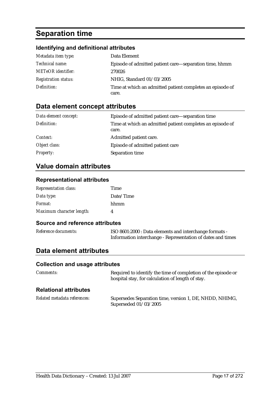### **Separation time**

### **Identifying and definitional attributes**

| Metadata item type:         | Data Element                                              |
|-----------------------------|-----------------------------------------------------------|
| <i>Technical name:</i>      | Episode of admitted patient care—separation time, hhmm    |
| <b>METeOR</b> identifier:   | 270026                                                    |
| <b>Registration status:</b> | NHIG, Standard 01/03/2005                                 |
| Definition:                 | Time at which an admitted patient completes an episode of |
|                             | care.                                                     |

### **Data element concept attributes**

| Data element concept: | Episode of admitted patient care—separation time                   |
|-----------------------|--------------------------------------------------------------------|
| Definition:           | Time at which an admitted patient completes an episode of<br>care. |
| Context:              | Admitted patient care.                                             |
| Object class:         | Episode of admitted patient care                                   |
| <b>Property:</b>      | Separation time                                                    |

#### **Value domain attributes**

#### **Representational attributes**

| <b>Representation class:</b> | Time      |
|------------------------------|-----------|
| Data type:                   | Date/Time |
| Format:                      | hhmm      |
| Maximum character length:    |           |

#### **Source and reference attributes**

| Reference documents: | ISO 8601:2000 : Data elements and interchange formats -     |
|----------------------|-------------------------------------------------------------|
|                      | Information interchange - Representation of dates and times |

#### **Data element attributes**

#### **Collection and usage attributes**

| <i>Comments:</i>             | Required to identify the time of completion of the episode or<br>hospital stay, for calculation of length of stay. |
|------------------------------|--------------------------------------------------------------------------------------------------------------------|
| <b>Relational attributes</b> |                                                                                                                    |
| Related metadata references: | Supersedes Separation time, version 1, DE, NHDD, NHIMG,<br>Superseded 01/03/2005                                   |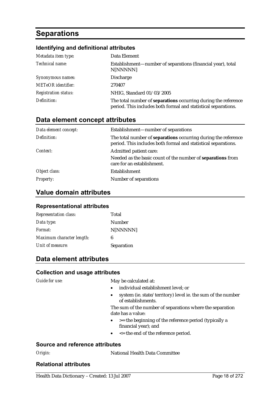### **Separations**

#### **Identifying and definitional attributes**

| Metadata item type:         | Data Element                                                                                                                            |
|-----------------------------|-----------------------------------------------------------------------------------------------------------------------------------------|
| Technical name:             | Establishment—number of separations (financial year), total<br>N[NNNNN]                                                                 |
| Synonymous names:           | <b>Discharge</b>                                                                                                                        |
| <b>METeOR</b> identifier:   | 270407                                                                                                                                  |
| <b>Registration status:</b> | NHIG, Standard 01/03/2005                                                                                                               |
| Definition:                 | The total number of <b>separations</b> occurring during the reference<br>period. This includes both formal and statistical separations. |

#### **Data element concept attributes**

| Data element concept: | Establishment-number of separations                                                                                                     |
|-----------------------|-----------------------------------------------------------------------------------------------------------------------------------------|
| Definition:           | The total number of <b>separations</b> occurring during the reference<br>period. This includes both formal and statistical separations. |
| Context:              | Admitted patient care:                                                                                                                  |
|                       | Needed as the basic count of the number of separations from<br>care for an establishment.                                               |
| Object class:         | Establishment                                                                                                                           |
| Property:             | Number of separations                                                                                                                   |

#### **Value domain attributes**

#### **Representational attributes**

| <b>Representation class:</b> | Total      |
|------------------------------|------------|
| Data type:                   | Number     |
| Format:                      | N[NNNNN]   |
| Maximum character length:    | 6          |
| Unit of measure:             | Separation |

#### **Data element attributes**

#### **Collection and usage attributes**

*Guide for use:* May be calculated at:

- individual establishment level; or
- system (ie. state/territory) level ie. the sum of the number of establishments.

The sum of the number of separations where the separation date has a value:

- $\bullet$   $>$  = the beginning of the reference period (typically a financial year); and
- <= the end of the reference period.

#### **Source and reference attributes**

*Origin:* National Health Data Committee

#### **Relational attributes**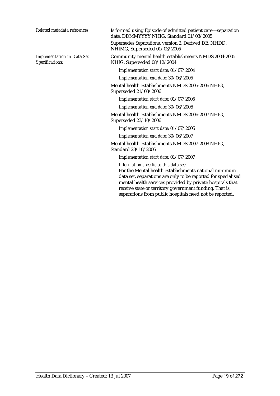*Implementation in Data Set Specifications:*

*Related metadata references:* Is formed using Episode of admitted patient care—separation date, DDMMYYYY NHIG, Standard 01/03/2005 Supersedes Separations, version 2, Derived DE, NHDD, NHIMG, Superseded 01/03/2005

> Community mental health establishments NMDS 2004-2005 NHIG, Superseded 08/12/2004

*Implementation start date:* 01/07/2004

*Implementation end date:* 30/06/2005

Mental health establishments NMDS 2005-2006 NHIG, Superseded 21/03/2006

*Implementation start date:* 01/07/2005

*Implementation end date:* 30/06/2006

Mental health establishments NMDS 2006-2007 NHIG, Superseded 23/10/2006

*Implementation start date:* 01/07/2006

*Implementation end date:* 30/06/2007

Mental health establishments NMDS 2007-2008 NHIG, Standard 23/10/2006

*Implementation start date:* 01/07/2007

*Information specific to this data set:*

For the Mental health establishments national minimum data set, separations are only to be reported for specialised mental health services provided by private hospitals that receive state or territory government funding. That is, separations from public hospitals need not be reported.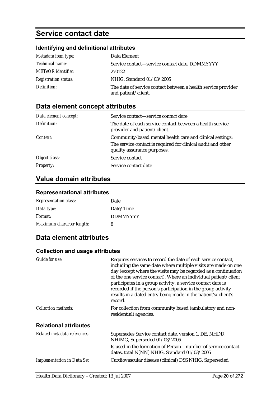### **Service contact date**

#### **Identifying and definitional attributes**

| Metadata item type:         | Data Element                                                                         |
|-----------------------------|--------------------------------------------------------------------------------------|
| Technical name:             | Service contact-service contact date, DDMMYYYY                                       |
| <b>METeOR</b> identifier:   | 270122                                                                               |
| <b>Registration status:</b> | NHIG, Standard 01/03/2005                                                            |
| Definition:                 | The date of service contact between a health service provider<br>and patient/client. |

### **Data element concept attributes**

| Data element concept: | Service contact—service contact date                                                        |
|-----------------------|---------------------------------------------------------------------------------------------|
| Definition:           | The date of each service contact between a health service<br>provider and patient/client.   |
| Context:              | Community-based mental health care and clinical settings:                                   |
|                       | The service contact is required for clinical audit and other<br>quality assurance purposes. |
| Object class:         | Service contact                                                                             |
| <b>Property:</b>      | Service contact date                                                                        |

### **Value domain attributes**

#### **Representational attributes**

| <b>Representation class:</b> | Date            |
|------------------------------|-----------------|
| Data type:                   | Date/Time       |
| Format:                      | <b>DDMMYYYY</b> |
| Maximum character length:    | 8               |

#### **Data element attributes**

#### **Collection and usage attributes**

| Guide for use:                    | Requires services to record the date of each service contact,<br>including the same date where multiple visits are made on one<br>day (except where the visits may be regarded as a continuation<br>of the one service contact). Where an individual patient/client<br>participates in a group activity, a service contact date is<br>recorded if the person's participation in the group activity<br>results in a dated entry being made in the patient's/client's<br>record. |
|-----------------------------------|--------------------------------------------------------------------------------------------------------------------------------------------------------------------------------------------------------------------------------------------------------------------------------------------------------------------------------------------------------------------------------------------------------------------------------------------------------------------------------|
| Collection methods:               | For collection from community based (ambulatory and non-<br>residential) agencies.                                                                                                                                                                                                                                                                                                                                                                                             |
| <b>Relational attributes</b>      |                                                                                                                                                                                                                                                                                                                                                                                                                                                                                |
| Related metadata references:      | Supersedes Service contact date, version 1, DE, NHDD,<br>NHIMG, Superseded 01/03/2005                                                                                                                                                                                                                                                                                                                                                                                          |
|                                   | Is used in the formation of Person—number of service contact<br>dates, total N[NN] NHIG, Standard $01/03/2005$                                                                                                                                                                                                                                                                                                                                                                 |
| <b>Implementation in Data Set</b> | Cardiovascular disease (clinical) DSS NHIG, Superseded                                                                                                                                                                                                                                                                                                                                                                                                                         |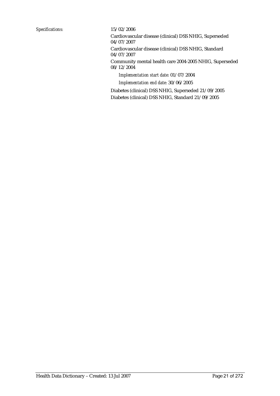Cardiovascular disease (clinical) DSS NHIG, Superseded 04/07/2007

Cardiovascular disease (clinical) DSS NHIG, Standard 04/07/2007

Community mental health care 2004-2005 NHIG, Superseded 08/12/2004

*Implementation start date:* 01/07/2004

*Implementation end date:* 30/06/2005

Diabetes (clinical) DSS NHIG, Superseded 21/09/2005 Diabetes (clinical) DSS NHIG, Standard 21/09/2005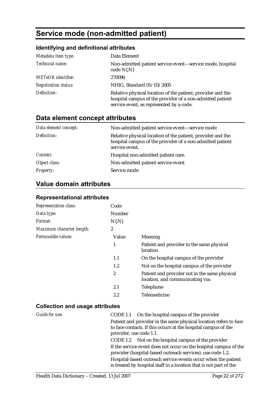### **Service mode (non-admitted patient)**

#### **Identifying and definitional attributes**

| Metadata item type:         | Data Element                                                                                                                                                         |
|-----------------------------|----------------------------------------------------------------------------------------------------------------------------------------------------------------------|
| Technical name:             | Non-admitted patient service event-service mode, hospital<br>$code N{N}$                                                                                             |
| <b>METeOR</b> identifier:   | 270096                                                                                                                                                               |
| <b>Registration status:</b> | NHIG, Standard 01/03/2005                                                                                                                                            |
| Definition:                 | Relative physical location of the patient, provider and the<br>hospital campus of the provider of a non-admitted patient<br>service event, as represented by a code. |

### **Data element concept attributes**

| Data element concept: | Non-admitted patient service event—service mode                                                                                            |
|-----------------------|--------------------------------------------------------------------------------------------------------------------------------------------|
| Definition:           | Relative physical location of the patient, provider and the<br>hospital campus of the provider of a non-admitted patient<br>service event. |
| Context:              | Hospital non-admitted patient care.                                                                                                        |
| Object class:         | Non-admitted patient service event                                                                                                         |
| <b>Property:</b>      | Service mode                                                                                                                               |

### **Value domain attributes**

#### **Representational attributes**

| <b>Representation class:</b> | Code           |                                                                                   |
|------------------------------|----------------|-----------------------------------------------------------------------------------|
| Data type:                   | <b>Number</b>  |                                                                                   |
| Format:                      | $N\{N\}$       |                                                                                   |
| Maximum character length:    | $\overline{2}$ |                                                                                   |
| Permissible values:          | Value          | <b>Meaning</b>                                                                    |
|                              | 1              | Patient and provider in the same physical<br>location                             |
|                              | 1.1            | On the hospital campus of the provider                                            |
|                              | $1.2\,$        | Not on the hospital campus of the provider                                        |
|                              | 2              | Patient and provider not in the same physical<br>location, and communicating via: |
|                              | 2.1            | Telephone                                                                         |
|                              | 2.2            | Telemedicine                                                                      |

#### **Collection and usage attributes**

| Guide for use: | CODE 1.1 On the hospital campus of the provider                                                                                     |
|----------------|-------------------------------------------------------------------------------------------------------------------------------------|
|                | Patient and provider in the same physical location refers to face<br>to face contacts. If this occurs at the hospital campus of the |
|                | provider, use code 1.1.                                                                                                             |
|                | CODE 1.2 Not on the hospital campus of the provider                                                                                 |
|                | If the service event does not occur on the hospital campus of the<br>provider (hospital-based outreach services), use code 1.2.     |
|                | Hospital-based outreach service events occur when the patient<br>is treated by hospital staff in a location that is not part of the |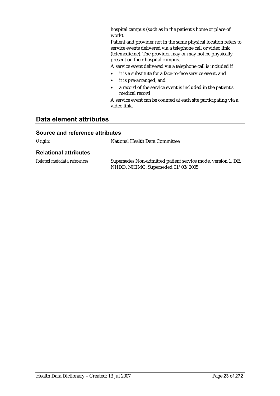hospital campus (such as in the patient's home or place of work).

Patient and provider not in the same physical location refers to service events delivered via a telephone call or video link (telemedicine). The provider may or may not be physically present on their hospital campus.

A service event delivered via a telephone call is included if

- it is a substitute for a face-to-face service event, and
- it is pre-arranged, and
- a record of the service event is included in the patient's medical record

A service event can be counted at each site participating via a video link.

#### **Data element attributes**

#### **Source and reference attributes**

*Origin:* National Health Data Committee

#### **Relational attributes**

| Related metadata references: | Supersedes Non-admitted patient service mode, version 1, DE, |
|------------------------------|--------------------------------------------------------------|
|                              | NHDD, NHIMG, Superseded 01/03/2005                           |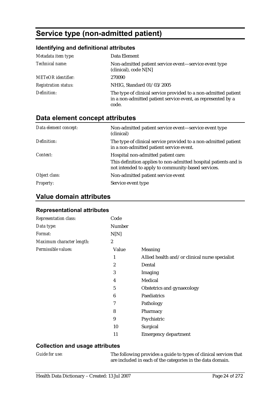### **Service type (non-admitted patient)**

#### **Identifying and definitional attributes**

| Metadata item type:         | Data Element                                                                                                                             |
|-----------------------------|------------------------------------------------------------------------------------------------------------------------------------------|
| Technical name:             | Non-admitted patient service event—service event type<br>(clinical), code $N[N]$                                                         |
| <b>METeOR</b> identifier:   | 270090                                                                                                                                   |
| <b>Registration status:</b> | NHIG, Standard 01/03/2005                                                                                                                |
| Definition:                 | The type of clinical service provided to a non-admitted patient<br>in a non-admitted patient service event, as represented by a<br>code. |

#### **Data element concept attributes**

| Data element concept: | Non-admitted patient service event-service event type<br>(clinical)                                                                                           |
|-----------------------|---------------------------------------------------------------------------------------------------------------------------------------------------------------|
| Definition:           | The type of clinical service provided to a non-admitted patient<br>in a non-admitted patient service event.                                                   |
| Context:              | Hospital non-admitted patient care:<br>This definition applies to non-admitted hospital patients and is<br>not intended to apply to community-based services. |
| Object class:         | Non-admitted patient service event                                                                                                                            |
| <i>Property:</i>      | Service event type                                                                                                                                            |

#### **Value domain attributes**

#### **Representational attributes**

| Representation class:     | Code             |                                                |
|---------------------------|------------------|------------------------------------------------|
| Data type:                | Number           |                                                |
| Format:                   | N[N]             |                                                |
| Maximum character length: | $\boldsymbol{2}$ |                                                |
| Permissible values:       | Value            | <b>Meaning</b>                                 |
|                           | 1                | Allied health and/or clinical nurse specialist |
|                           | 2                | Dental                                         |
|                           | 3                | Imaging                                        |
|                           | 4                | Medical                                        |
|                           | 5                | Obstetrics and gynaecology                     |
|                           | 6                | Paediatrics                                    |
|                           | 7                | Pathology                                      |
|                           | 8                | Pharmacy                                       |
|                           | 9                | Psychiatric                                    |
|                           | 10               | Surgical                                       |
|                           | 11               | <b>Emergency department</b>                    |

#### **Collection and usage attributes**

*Guide for use:* The following provides a guide to types of clinical services that are included in each of the categories in the data domain.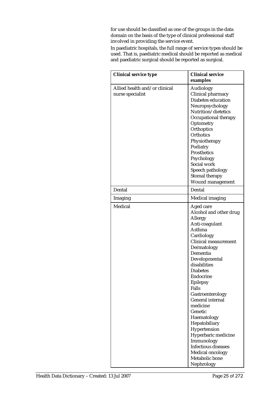for use should be classified as one of the groups in the data domain on the basis of the type of clinical professional staff involved in providing the service event.

In paediatric hospitals, the full range of service types should be used. That is, paediatric medical should be reported as medical and paediatric surgical should be reported as surgical.

| <b>Clinical service type</b>                      | <b>Clinical service</b><br>examples                                                                                                                                                                                                                                                                                                                                                                                                                                                          |
|---------------------------------------------------|----------------------------------------------------------------------------------------------------------------------------------------------------------------------------------------------------------------------------------------------------------------------------------------------------------------------------------------------------------------------------------------------------------------------------------------------------------------------------------------------|
| Allied health and/or clinical<br>nurse specialist | Audiology<br>Clinical pharmacy<br>Diabetes education<br>Neuropsychology<br>Nutrition/dietetics<br>Occupational therapy<br>Optometry<br>Orthoptics<br><b>Orthotics</b><br>Physiotherapy<br>Podiatry<br>Prosthetics<br>Psychology<br>Social work<br>Speech pathology<br>Stomal therapy<br>Wound management                                                                                                                                                                                     |
| Dental                                            | Dental                                                                                                                                                                                                                                                                                                                                                                                                                                                                                       |
| Imaging                                           | <b>Medical imaging</b>                                                                                                                                                                                                                                                                                                                                                                                                                                                                       |
| Medical                                           | Aged care<br>Alcohol and other drug<br>Allergy<br>Anti-coagulant<br>Asthma<br>Cardiology<br><b>Clinical measurement</b><br>Dermatology<br>Dementia<br>Developmental<br>disabilities<br><b>Diabetes</b><br>Endocrine<br><b>Epilepsy</b><br>Falls<br>Gastroenterology<br><b>General internal</b><br>medicine<br>Genetic<br>Haematology<br>Hepatobiliary<br>Hypertension<br>Hyperbaric medicine<br>Immunology<br><b>Infectious diseases</b><br>Medical oncology<br>Metabolic bone<br>Nephrology |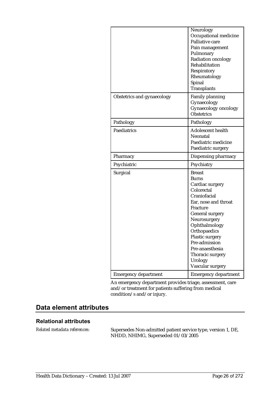|                             | Neurology<br>Occupational medicine<br>Palliative care<br>Pain management<br>Pulmonary<br>Radiation oncology<br>Rehabilitation<br>Respiratory<br>Rheumatology<br>Spinal<br>Transplants                                                                                                            |
|-----------------------------|--------------------------------------------------------------------------------------------------------------------------------------------------------------------------------------------------------------------------------------------------------------------------------------------------|
| Obstetrics and gynaecology  | <b>Family planning</b><br>Gynaecology<br>Gynaecology oncology<br>Obstetrics                                                                                                                                                                                                                      |
| Pathology                   | Pathology                                                                                                                                                                                                                                                                                        |
| Paediatrics                 | <b>Adolescent health</b><br>Neonatal<br>Paediatric medicine<br>Paediatric surgery                                                                                                                                                                                                                |
| Pharmacy                    | Dispensing pharmacy                                                                                                                                                                                                                                                                              |
| Psychiatric                 | Psychiatry                                                                                                                                                                                                                                                                                       |
| Surgical                    | <b>Breast</b><br>Burns<br>Cardiac surgery<br>Colorectal<br>Craniofacial<br>Ear, nose and throat<br>Fracture<br><b>General surgery</b><br>Neurosurgery<br>Ophthalmology<br>Orthopaedics<br>Plastic surgery<br>Pre-admission<br>Pre-anaesthesia<br>Thoracic surgery<br>Urology<br>Vascular surgery |
| <b>Emergency department</b> | <b>Emergency department</b>                                                                                                                                                                                                                                                                      |

An emergency department provides triage, assessment, care and/or treatment for patients suffering from medical condition/s and/or injury.

### **Data element attributes**

#### **Relational attributes**

*Related metadata references:* Supersedes Non-admitted patient service type, version 1, DE, NHDD, NHIMG, Superseded 01/03/2005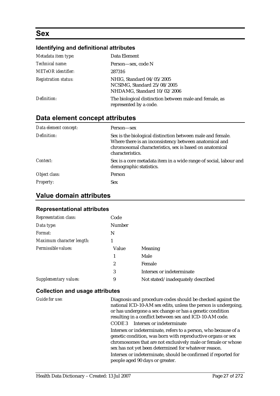### **Sex**

#### **Identifying and definitional attributes**

| Metadata item type:         | Data Element                                                                            |
|-----------------------------|-----------------------------------------------------------------------------------------|
| Technical name:             | Person—sex, code N                                                                      |
| <b>METeOR</b> identifier:   | 287316                                                                                  |
| <b>Registration status:</b> | NHIG, Standard 04/05/2005<br>NCSIMG, Standard 25/08/2005<br>NHDAMG, Standard 10/02/2006 |
| Definition:                 | The biological distinction between male and female, as<br>represented by a code.        |

#### **Data element concept attributes**

| Data element concept: | Person—sex                                                                                                                                                                                          |
|-----------------------|-----------------------------------------------------------------------------------------------------------------------------------------------------------------------------------------------------|
| Definition:           | Sex is the biological distinction between male and female.<br>Where there is an inconsistency between anatomical and<br>chromosomal characteristics, sex is based on anatomical<br>characteristics. |
| Context:              | Sex is a core metadata item in a wide range of social, labour and<br>demographic statistics.                                                                                                        |
| Object class:         | Person                                                                                                                                                                                              |
| <b>Property:</b>      | <b>Sex</b>                                                                                                                                                                                          |

#### **Value domain attributes**

#### **Representational attributes**

| <b>Representation class:</b> | Code          |                                   |
|------------------------------|---------------|-----------------------------------|
| Data type:                   | <b>Number</b> |                                   |
| Format:                      | N             |                                   |
| Maximum character length:    | 1             |                                   |
| Permissible values:          | Value         | Meaning                           |
|                              | 1             | Male                              |
|                              | 2             | Female                            |
|                              | 3             | Intersex or indeterminate         |
| Supplementary values:        | 9             | Not stated/inadequately described |

#### **Collection and usage attributes**

*Guide for use:* Diagnosis and procedure codes should be checked against the national ICD-10-AM sex edits, unless the person is undergoing, or has undergone a sex change or has a genetic condition resulting in a conflict between sex and ICD-10-AM code. CODE 3 Intersex or indeterminate Intersex or indeterminate, refers to a person, who because of a genetic condition, was born with reproductive organs or sex chromosomes that are not exclusively male or female or whose sex has not yet been determined for whatever reason. Intersex or indeterminate, should be confirmed if reported for people aged 90 days or greater.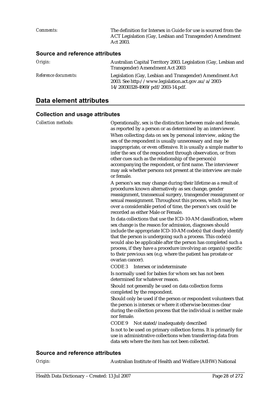*Comments:* The definition for Intersex in Guide for use is sourced from the ACT Legislation (Gay, Lesbian and Transgender) Amendment Act 2003. **Source and reference attributes**  *Origin:* Australian Capital Territory 2003. Legislation (Gay, Lesbian and Transgender) Amendment Act 2003

|                             | Transgender) Amendment Act 2000                          |
|-----------------------------|----------------------------------------------------------|
| <i>Reference documents:</i> | Legislation (Gay, Lesbian and Transgender) Amendment Act |
|                             | 2003. See http://www.legislation.act.gov.au/a/2003-      |
|                             | 14/20030328-4969/pdf/2003-14.pdf.                        |

### **Data element attributes**

#### **Collection and usage attributes**

| <b>Collection methods:</b>             | Operationally, sex is the distinction between male and female,<br>as reported by a person or as determined by an interviewer.<br>When collecting data on sex by personal interview, asking the<br>sex of the respondent is usually unnecessary and may be<br>inappropriate, or even offensive. It is usually a simple matter to<br>infer the sex of the respondent through observation, or from<br>other cues such as the relationship of the person(s)<br>accompanying the respondent, or first name. The interviewer<br>may ask whether persons not present at the interview are male<br>or female. |
|----------------------------------------|-------------------------------------------------------------------------------------------------------------------------------------------------------------------------------------------------------------------------------------------------------------------------------------------------------------------------------------------------------------------------------------------------------------------------------------------------------------------------------------------------------------------------------------------------------------------------------------------------------|
|                                        | A person's sex may change during their lifetime as a result of<br>procedures known alternatively as sex change, gender<br>reassignment, transsexual surgery, transgender reassignment or<br>sexual reassignment. Throughout this process, which may be<br>over a considerable period of time, the person's sex could be<br>recorded as either Male or Female.                                                                                                                                                                                                                                         |
|                                        | In data collections that use the ICD-10-AM classification, where<br>sex change is the reason for admission, diagnoses should<br>include the appropriate ICD-10-AM code(s) that clearly identify<br>that the person is undergoing such a process. This code(s)<br>would also be applicable after the person has completed such a<br>process, if they have a procedure involving an organ(s) specific<br>to their previous sex (e.g. where the patient has prostate or<br>ovarian cancer).                                                                                                              |
|                                        | CODE 3<br>Intersex or indeterminate                                                                                                                                                                                                                                                                                                                                                                                                                                                                                                                                                                   |
|                                        | Is normally used for babies for whom sex has not been<br>determined for whatever reason.                                                                                                                                                                                                                                                                                                                                                                                                                                                                                                              |
|                                        | Should not generally be used on data collection forms<br>completed by the respondent.                                                                                                                                                                                                                                                                                                                                                                                                                                                                                                                 |
|                                        | Should only be used if the person or respondent volunteers that<br>the person is intersex or where it otherwise becomes clear<br>during the collection process that the individual is neither male<br>nor female.                                                                                                                                                                                                                                                                                                                                                                                     |
|                                        | CODE <sub>9</sub><br>Not stated/inadequately described                                                                                                                                                                                                                                                                                                                                                                                                                                                                                                                                                |
|                                        | Is not to be used on primary collection forms. It is primarily for<br>use in administrative collections when transferring data from<br>data sets where the item has not been collected.                                                                                                                                                                                                                                                                                                                                                                                                               |
| <b>Source and reference attributes</b> |                                                                                                                                                                                                                                                                                                                                                                                                                                                                                                                                                                                                       |

*Origin:* Australian Institute of Health and Welfare (AIHW) National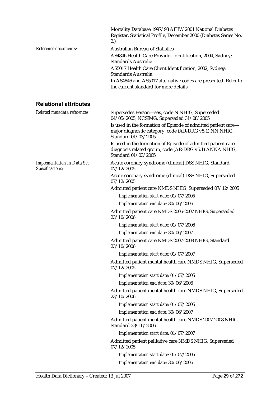|                      | Mortality Database 1997/98 AIHW 2001 National Diabetes<br>Register, Statistical Profile, December 2000 (Diabetes Series No.<br>2.) |
|----------------------|------------------------------------------------------------------------------------------------------------------------------------|
| Reference documents: | <b>Australian Bureau of Statistics</b>                                                                                             |
|                      | AS4846 Health Care Provider Identification, 2004, Sydney:<br>Standards Australia                                                   |
|                      | AS5017 Health Care Client Identification, 2002, Sydney:<br>Standards Australia                                                     |
|                      | In AS4846 and AS5017 alternative codes are presented. Refer to<br>the current standard for more details.                           |
|                      |                                                                                                                                    |

#### **Relational attributes**

| Related metadata references:                         | Supersedes Person-sex, code N NHIG, Superseded<br>04/05/2005, NCSIMG, Superseded 31/08/2005                                                    |
|------------------------------------------------------|------------------------------------------------------------------------------------------------------------------------------------------------|
|                                                      | Is used in the formation of Episode of admitted patient care-<br>major diagnostic category, code (AR-DRG v5.1) NN NHIG,<br>Standard 01/03/2005 |
|                                                      | Is used in the formation of Episode of admitted patient care-<br>diagnosis related group, code (AR-DRG v5.1) ANNA NHIG,<br>Standard 01/03/2005 |
| <b>Implementation in Data Set</b><br>Specifications: | Acute coronary syndrome (clinical) DSS NHIG, Standard<br>07/12/2005                                                                            |
|                                                      | Acute coronary syndrome (clinical) DSS NHIG, Superseded<br>07/12/2005                                                                          |
|                                                      | Admitted patient care NMDS NHIG, Superseded 07/12/2005                                                                                         |
|                                                      | Implementation start date: 01/07/2005                                                                                                          |
|                                                      | Implementation end date: 30/06/2006                                                                                                            |
|                                                      | Admitted patient care NMDS 2006-2007 NHIG, Superseded<br>23/10/2006                                                                            |
|                                                      | Implementation start date: 01/07/2006                                                                                                          |
|                                                      | Implementation end date: 30/06/2007                                                                                                            |
|                                                      | Admitted patient care NMDS 2007-2008 NHIG, Standard<br>23/10/2006                                                                              |
|                                                      | Implementation start date: 01/07/2007                                                                                                          |
|                                                      | Admitted patient mental health care NMDS NHIG, Superseded<br>07/12/2005                                                                        |
|                                                      | Implementation start date: 01/07/2005                                                                                                          |
|                                                      | Implementation end date: 30/06/2006                                                                                                            |
|                                                      | Admitted patient mental health care NMDS NHIG, Superseded<br>23/10/2006                                                                        |
|                                                      | Implementation start date: 01/07/2006                                                                                                          |
|                                                      | Implementation end date: 30/06/2007                                                                                                            |
|                                                      | Admitted patient mental health care NMDS 2007-2008 NHIG,<br>Standard 23/10/2006                                                                |
|                                                      | Implementation start date: 01/07/2007                                                                                                          |
|                                                      | Admitted patient palliative care NMDS NHIG, Superseded<br>07/12/2005                                                                           |
|                                                      | Implementation start date: 01/07/2005                                                                                                          |
|                                                      | Implementation end date: 30/06/2006                                                                                                            |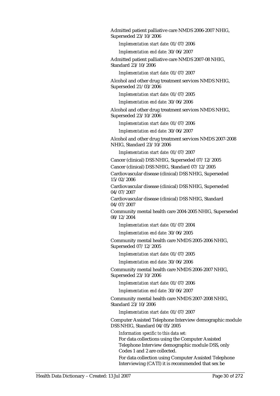Admitted patient palliative care NMDS 2006-2007 NHIG, Superseded 23/10/2006

*Implementation start date:* 01/07/2006

*Implementation end date:* 30/06/2007

Admitted patient palliative care NMDS 2007-08 NHIG, Standard 23/10/2006

*Implementation start date:* 01/07/2007

Alcohol and other drug treatment services NMDS NHIG, Superseded 21/03/2006

*Implementation start date:* 01/07/2005

*Implementation end date:* 30/06/2006

Alcohol and other drug treatment services NMDS NHIG, Superseded 23/10/2006

*Implementation start date:* 01/07/2006

*Implementation end date:* 30/06/2007

Alcohol and other drug treatment services NMDS 2007-2008 NHIG, Standard 23/10/2006

*Implementation start date:* 01/07/2007

Cancer (clinical) DSS NHIG, Superseded 07/12/2005

Cancer (clinical) DSS NHIG, Standard 07/12/2005

Cardiovascular disease (clinical) DSS NHIG, Superseded 15/02/2006

Cardiovascular disease (clinical) DSS NHIG, Superseded 04/07/2007

Cardiovascular disease (clinical) DSS NHIG, Standard 04/07/2007

Community mental health care 2004-2005 NHIG, Superseded 08/12/2004

*Implementation start date:* 01/07/2004

*Implementation end date:* 30/06/2005

Community mental health care NMDS 2005-2006 NHIG, Superseded 07/12/2005

*Implementation start date:* 01/07/2005

*Implementation end date:* 30/06/2006

Community mental health care NMDS 2006-2007 NHIG, Superseded 23/10/2006

*Implementation start date:* 01/07/2006

*Implementation end date:* 30/06/2007

Community mental health care NMDS 2007-2008 NHIG, Standard 23/10/2006

*Implementation start date:* 01/07/2007

Computer Assisted Telephone Interview demographic module DSS NHIG, Standard 04/05/2005

*Information specific to this data set:* For data collections using the Computer Assisted Telephone Interview demographic module DSS, only Codes 1 and 2 are collected.

For data collection using Computer Assisted Telephone Interviewing (CATI) it is recommended that sex be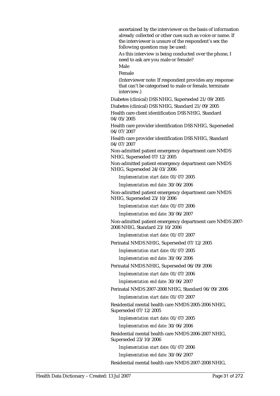ascertained by the interviewer on the basis of information already collected or other cues such as voice or name. If the interviewer is unsure of the respondent's sex the following question may be used:

As this interview is being conducted over the phone, I need to ask are you male or female?

Male

Female

(Interviewer note: If respondent provides any response that can't be categorised to male or female, terminate interview.)

Diabetes (clinical) DSS NHIG, Superseded 21/09/2005 Diabetes (clinical) DSS NHIG, Standard 21/09/2005

Health care client identification DSS NHIG, Standard 04/05/2005

Health care provider identification DSS NHIG, Superseded 04/07/2007

Health care provider identification DSS NHIG, Standard 04/07/2007

Non-admitted patient emergency department care NMDS NHIG, Superseded 07/12/2005

Non-admitted patient emergency department care NMDS NHIG, Superseded 24/03/2006

*Implementation start date:* 01/07/2005

*Implementation end date:* 30/06/2006

Non-admitted patient emergency department care NMDS NHIG, Superseded 23/10/2006

*Implementation start date:* 01/07/2006

*Implementation end date:* 30/06/2007

Non-admitted patient emergency department care NMDS 2007- 2008 NHIG, Standard 23/10/2006

*Implementation start date:* 01/07/2007

Perinatal NMDS NHIG, Superseded 07/12/2005

*Implementation start date:* 01/07/2005

*Implementation end date:* 30/06/2006

Perinatal NMDS NHIG, Superseded 06/09/2006

*Implementation start date:* 01/07/2006

*Implementation end date:* 30/06/2007

Perinatal NMDS 2007-2008 NHIG, Standard 06/09/2006

*Implementation start date:* 01/07/2007

Residential mental health care NMDS 2005-2006 NHIG, Superseded 07/12/2005

*Implementation start date:* 01/07/2005

*Implementation end date:* 30/06/2006

Residential mental health care NMDS 2006-2007 NHIG, Superseded 23/10/2006

*Implementation start date:* 01/07/2006

*Implementation end date:* 30/06/2007

Residential mental health care NMDS 2007-2008 NHIG,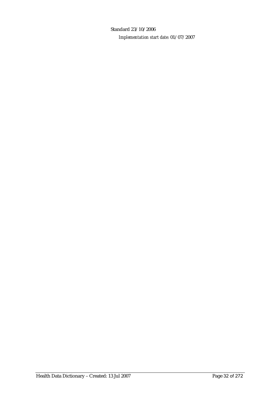Standard 23/10/2006 *Implementation start date:* 01/07/2007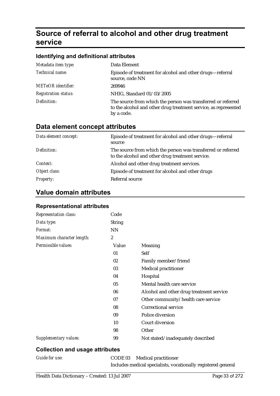### **Source of referral to alcohol and other drug treatment service**

#### **Identifying and definitional attributes**

| Metadata item type:         | Data Element                                                                                                                                  |
|-----------------------------|-----------------------------------------------------------------------------------------------------------------------------------------------|
| Technical name:             | Episode of treatment for alcohol and other drugs—referral<br>source, code NN                                                                  |
| <b>METeOR</b> identifier:   | 269946                                                                                                                                        |
| <b>Registration status:</b> | NHIG, Standard 01/03/2005                                                                                                                     |
| Definition:                 | The source from which the person was transferred or referred<br>to the alcohol and other drug treatment service, as represented<br>by a code. |

### **Data element concept attributes**

| Data element concept: | Episode of treatment for alcohol and other drugs—referral<br>source                                              |
|-----------------------|------------------------------------------------------------------------------------------------------------------|
| Definition:           | The source from which the person was transferred or referred<br>to the alcohol and other drug treatment service. |
| Context:              | Alcohol and other drug treatment services.                                                                       |
| Object class:         | Episode of treatment for alcohol and other drugs                                                                 |
| <b>Property:</b>      | Referral source                                                                                                  |

#### **Value domain attributes**

| <b>Representation class:</b> | Code             |                                          |
|------------------------------|------------------|------------------------------------------|
| Data type:                   | <b>String</b>    |                                          |
| Format:                      | <b>NN</b>        |                                          |
| Maximum character length:    | $\boldsymbol{2}$ |                                          |
| Permissible values:          | Value            | <b>Meaning</b>                           |
|                              | 01               | Self                                     |
|                              | 02               | Family member/friend                     |
|                              | 03               | <b>Medical practitioner</b>              |
|                              | 04               | Hospital                                 |
|                              | 05               | Mental health care service               |
|                              | 06               | Alcohol and other drug treatment service |
|                              | 07               | Other community/health care service      |
|                              | 08               | Correctional service                     |
|                              | 09               | Police diversion                         |
|                              | 10               | Court diversion                          |
|                              | 98               | Other                                    |
| Supplementary values:        | 99               | Not stated/inadequately described        |

#### **Representational attributes**

#### **Collection and usage attributes**

*Guide for use:* CODE 03 Medical practitioner Includes medical specialists, vocationally registered general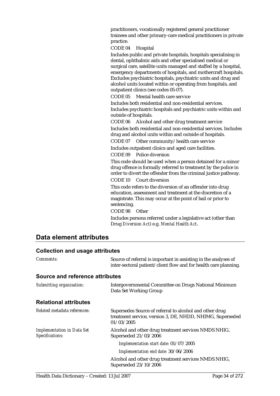practitioners, vocationally registered general practitioner trainees and other primary-care medical practitioners in private practice.

CODE 04 Hospital

Includes public and private hospitals, hospitals specialising in dental, ophthalmic aids and other specialised medical or surgical care, satellite units managed and staffed by a hospital, emergency departments of hospitals, and mothercraft hospitals. Excludes psychiatric hospitals, psychiatric units and drug and alcohol units located within or operating from hospitals, and outpatient clinics (see codes 05-07).

CODE 05 Mental health care service

Includes both residential and non-residential services. Includes psychiatric hospitals and psychiatric units within and outside of hospitals.

CODE 06 Alcohol and other drug treatment service Includes both residential and non-residential services. Includes drug and alcohol units within and outside of hospitals.

CODE 07 Other community/health care service

Includes outpatient clinics and aged care facilities.

CODE 09 Police diversion

This code should be used when a person detained for a minor drug offence is formally referred to treatment by the police in order to divert the offender from the criminal justice pathway. CODE 10 Court diversion

This code refers to the diversion of an offender into drug education, assessment and treatment at the discretion of a magistrate. This may occur at the point of bail or prior to sentencing.

CODE 98 Other

Includes persons referred under a legislative act (other than Drug *Diversion Act*) e.g. *Mental Health Act*.

#### **Data element attributes**

#### **Collection and usage attributes**

| Comments:                                            | Source of referral is important in assisting in the analyses of<br>inter-sectoral patient/client flow and for health care planning. |
|------------------------------------------------------|-------------------------------------------------------------------------------------------------------------------------------------|
| <b>Source and reference attributes</b>               |                                                                                                                                     |
| Submitting organisation:                             | Intergovernmental Committee on Drugs National Minimum<br>Data Set Working Group                                                     |
| <b>Relational attributes</b>                         |                                                                                                                                     |
| Related metadata references:                         | Supersedes Source of referral to alcohol and other drug<br>treatment service, version 3, DE, NHDD, NHIMG, Superseded<br>01/03/2005  |
| <b>Implementation in Data Set</b><br>Specifications: | Alcohol and other drug treatment services NMDS NHIG,<br>Superseded 21/03/2006                                                       |
|                                                      | Implementation start date: 01/07/2005                                                                                               |
|                                                      | Implementation end date: 30/06/2006                                                                                                 |
|                                                      | Alcohol and other drug treatment services NMDS NHIG,<br>Superseded 23/10/2006                                                       |
|                                                      |                                                                                                                                     |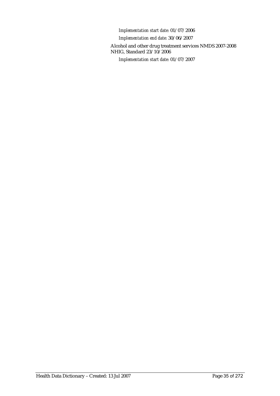*Implementation start date:* 01/07/2006

*Implementation end date:* 30/06/2007

Alcohol and other drug treatment services NMDS 2007-2008 NHIG, Standard 23/10/2006

*Implementation start date:* 01/07/2007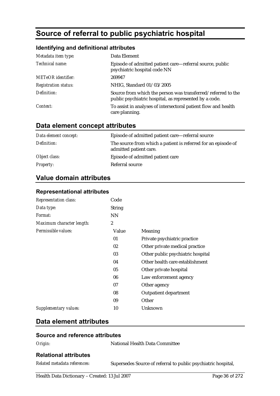### **Source of referral to public psychiatric hospital**

#### **Identifying and definitional attributes**

| Metadata item type:         | Data Element                                                                                                           |
|-----------------------------|------------------------------------------------------------------------------------------------------------------------|
| Technical name:             | Episode of admitted patient care—referral source, public<br>psychiatric hospital code NN                               |
| METeOR identifier:          | 269947                                                                                                                 |
| <b>Registration status:</b> | NHIG, Standard 01/03/2005                                                                                              |
| Definition:                 | Source from which the person was transferred/referred to the<br>public psychiatric hospital, as represented by a code. |
| Context:                    | To assist in analyses of intersectoral patient flow and health<br>care planning.                                       |

#### **Data element concept attributes**

| Data element concept: | Episode of admitted patient care—referral source                                        |
|-----------------------|-----------------------------------------------------------------------------------------|
| Definition:           | The source from which a patient is referred for an episode of<br>admitted patient care. |
| Object class:         | Episode of admitted patient care                                                        |
| <b>Property:</b>      | Referral source                                                                         |

#### **Value domain attributes**

#### **Representational attributes**

| <b>Representation class:</b> | Code             |                                   |
|------------------------------|------------------|-----------------------------------|
| Data type:                   | <b>String</b>    |                                   |
| <i>Format:</i>               | <b>NN</b>        |                                   |
| Maximum character length:    | $\boldsymbol{2}$ |                                   |
| Permissible values:          | Value            | <b>Meaning</b>                    |
|                              | 01               | Private psychiatric practice      |
|                              | 02               | Other private medical practice    |
|                              | 03               | Other public psychiatric hospital |
|                              | 04               | Other health care establishment   |
|                              | 05               | Other private hospital            |
|                              | 06               | Law enforcement agency            |
|                              | 07               | Other agency                      |
|                              | 08               | <b>Outpatient department</b>      |
|                              | 09               | Other                             |
| Supplementary values:        | 10               | Unknown                           |
|                              |                  |                                   |

#### **Data element attributes**

#### **Source and reference attributes**

| ٠σ٠<br>''<br>r |
|----------------|
|----------------|

**National Health Data Committee** 

#### **Relational attributes**

*Related metadata references:* Supersedes Source of referral to public psychiatric hospital,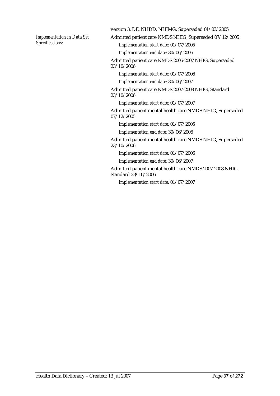*Implementation in Data Set Specifications:*

version 3, DE, NHDD, NHIMG, Superseded 01/03/2005

Admitted patient care NMDS NHIG, Superseded 07/12/2005

*Implementation start date:* 01/07/2005

*Implementation end date:* 30/06/2006

Admitted patient care NMDS 2006-2007 NHIG, Superseded

23/10/2006

*Implementation start date:* 01/07/2006

*Implementation end date:* 30/06/2007

Admitted patient care NMDS 2007-2008 NHIG, Standard 23/10/2006

*Implementation start date:* 01/07/2007

Admitted patient mental health care NMDS NHIG, Superseded 07/12/2005

*Implementation start date:* 01/07/2005

*Implementation end date:* 30/06/2006

Admitted patient mental health care NMDS NHIG, Superseded 23/10/2006

*Implementation start date:* 01/07/2006

*Implementation end date:* 30/06/2007

Admitted patient mental health care NMDS 2007-2008 NHIG, Standard 23/10/2006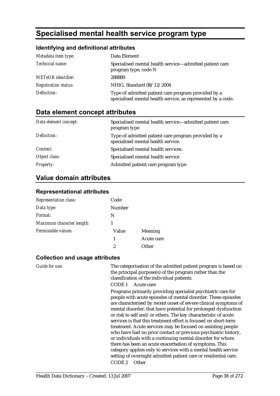# **Specialised mental health service program type**

#### **Identifying and definitional attributes**

| Metadata item type:         | Data Element                                                                                                        |
|-----------------------------|---------------------------------------------------------------------------------------------------------------------|
| Technical name:             | Specialised mental health service-admitted patient care<br>program type, code N                                     |
| <b>METeOR</b> identifier:   | 288889                                                                                                              |
| <b>Registration status:</b> | NHIG, Standard 08/12/2004                                                                                           |
| Definition:                 | Type of admitted patient care program provided by a<br>specialised mental health service, as represented by a code. |

### **Data element concept attributes**

| Data element concept: | Specialised mental health service—admitted patient care<br>program type                   |
|-----------------------|-------------------------------------------------------------------------------------------|
| Definition:           | Type of admitted patient care program provided by a<br>specialised mental health service. |
| Context:              | Specialised mental health services.                                                       |
| Object class:         | Specialised mental health service                                                         |
| <i>Property:</i>      | Admitted patient care program type                                                        |

### **Value domain attributes**

#### **Representational attributes**

| <b>Representation class:</b> | Code   |            |
|------------------------------|--------|------------|
| Data type:                   | Number |            |
| Format:                      | N      |            |
| Maximum character length:    |        |            |
| Permissible values:          | Value  | Meaning    |
|                              | 1      | Acute care |
|                              | 2      | Other      |

#### **Collection and usage attributes**

*Guide for use:* The categorisation of the admitted patient program is based on the principal purpose(s) of the program rather than the classification of the individual patients.

CODE 1 Acute care

Programs primarily providing specialist psychiatric care for people with acute episodes of mental disorder. These episodes are characterised by recent onset of severe clinical symptoms of mental disorder, that have potential for prolonged dysfunction or risk to self and/or others. The key characteristic of acute services is that this treatment effort is focused on short-term treatment. Acute services may be focused on assisting people who have had no prior contact or previous psychiatric history, or individuals with a continuing mental disorder for whom there has been an acute exacerbation of symptoms. This category applies only to services with a mental health service setting of overnight admitted patient care or residential care. CODE 2 Other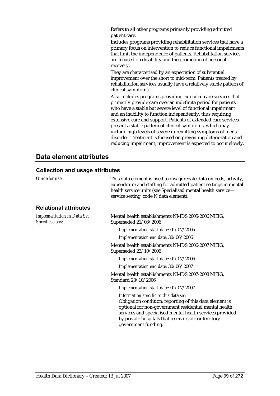Refers to all other programs primarily providing admitted patient care.

Includes programs providing rehabilitation services that have a primary focus on intervention to reduce functional impairments that limit the independence of patients. Rehabilitation services are focused on disability and the promotion of personal recovery.

They are characterised by an expectation of substantial improvement over the short to mid-term. Patients treated by rehabilitation services usually have a relatively stable pattern of clinical symptoms.

Also includes programs providing extended care services that primarily provide care over an indefinite period for patients who have a stable but severe level of functional impairment and an inability to function independently, thus requiring extensive care and support. Patients of extended care services present a stable pattern of clinical symptoms, which may include high levels of severe unremitting symptoms of mental disorder. Treatment is focused on preventing deterioration and reducing impairment; improvement is expected to occur slowly.

### **Data element attributes**

| Guide for use:                                       | This data element is used to disaggregate data on beds, activity,<br>expenditure and staffing for admitted patient settings in mental<br>health service units (see Specialised mental health service-<br>service setting, code N data element).                                                       |
|------------------------------------------------------|-------------------------------------------------------------------------------------------------------------------------------------------------------------------------------------------------------------------------------------------------------------------------------------------------------|
| <b>Relational attributes</b>                         |                                                                                                                                                                                                                                                                                                       |
| <b>Implementation in Data Set</b><br>Specifications: | Mental health establishments NMDS 2005-2006 NHIG,<br>Superseded 21/03/2006                                                                                                                                                                                                                            |
|                                                      | Implementation start date: 01/07/2005                                                                                                                                                                                                                                                                 |
|                                                      | Implementation end date: 30/06/2006                                                                                                                                                                                                                                                                   |
|                                                      | Mental health establishments NMDS 2006-2007 NHIG,<br>Superseded 23/10/2006                                                                                                                                                                                                                            |
|                                                      | Implementation start date: 01/07/2006                                                                                                                                                                                                                                                                 |
|                                                      | Implementation end date: 30/06/2007                                                                                                                                                                                                                                                                   |
|                                                      | Mental health establishments NMDS 2007-2008 NHIG,<br>Standard 23/10/2006                                                                                                                                                                                                                              |
|                                                      | Implementation start date: 01/07/2007                                                                                                                                                                                                                                                                 |
|                                                      | Information specific to this data set:<br>Obligation condition: reporting of this data element is<br>optional for non-government residential mental health<br>services and specialised mental health services provided<br>by private hospitals that receive state or territory<br>government funding. |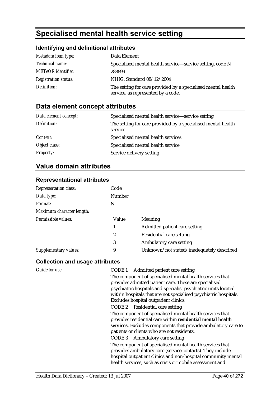# **Specialised mental health service setting**

### **Identifying and definitional attributes**

| Metadata item type:         | Data Element                                                                                       |
|-----------------------------|----------------------------------------------------------------------------------------------------|
| <i>Technical name:</i>      | Specialised mental health service—service setting, code N                                          |
| <b>METeOR</b> identifier:   | 288899                                                                                             |
| <b>Registration status:</b> | NHIG, Standard 08/12/2004                                                                          |
| Definition:                 | The setting for care provided by a specialised mental health<br>service, as represented by a code. |

### **Data element concept attributes**

| Data element concept: | Specialised mental health service—service setting                        |
|-----------------------|--------------------------------------------------------------------------|
| Definition:           | The setting for care provided by a specialised mental health<br>service. |
| Context:              | Specialised mental health services.                                      |
| Object class:         | Specialised mental health service                                        |
| <b>Property:</b>      | Service delivery setting                                                 |

### **Value domain attributes**

#### **Representational attributes**

| <b>Representation class:</b> | Code             |                                           |
|------------------------------|------------------|-------------------------------------------|
| Data type:                   | Number           |                                           |
| Format:                      | N                |                                           |
| Maximum character length:    |                  |                                           |
| Permissible values:          | Value            | <b>Meaning</b>                            |
|                              |                  | Admitted patient care setting             |
|                              | $\boldsymbol{2}$ | Residential care setting                  |
|                              | 3                | Ambulatory care setting                   |
| Supplementary values:        | 9                | Unknown/not stated/inadequately described |

| Guide for use: | Admitted patient care setting<br>CODE 1                                                                                                                                                                                                            |
|----------------|----------------------------------------------------------------------------------------------------------------------------------------------------------------------------------------------------------------------------------------------------|
|                | The component of specialised mental health services that                                                                                                                                                                                           |
|                | provides admitted patient care. These are specialised                                                                                                                                                                                              |
|                | psychiatric hospitals and specialist psychiatric units located                                                                                                                                                                                     |
|                | within hospitals that are not specialised psychiatric hospitals.                                                                                                                                                                                   |
|                | Excludes hospital outpatient clinics.                                                                                                                                                                                                              |
|                | CODE 2 Residential care setting                                                                                                                                                                                                                    |
|                | The component of specialised mental health services that                                                                                                                                                                                           |
|                | provides residential care within residential mental health                                                                                                                                                                                         |
|                | services. Excludes components that provide ambulatory care to                                                                                                                                                                                      |
|                | patients or clients who are not residents.                                                                                                                                                                                                         |
|                | CODE 3 Ambulatory care setting                                                                                                                                                                                                                     |
|                | The component of specialised mental health services that<br>provides ambulatory care (service contacts). They include<br>hospital outpatient clinics and non-hospital community mental<br>health services, such as crisis or mobile assessment and |
|                |                                                                                                                                                                                                                                                    |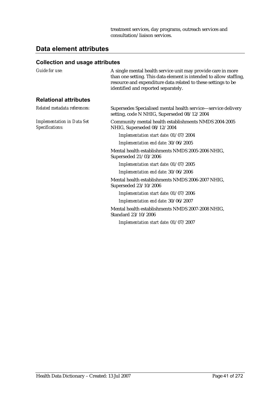### **Data element attributes**

| Guide for use:                                       | A single mental health service unit may provide care in more<br>than one setting. This data element is intended to allow staffing,<br>resource and expenditure data related to these settings to be<br>identified and reported separately. |
|------------------------------------------------------|--------------------------------------------------------------------------------------------------------------------------------------------------------------------------------------------------------------------------------------------|
| <b>Relational attributes</b>                         |                                                                                                                                                                                                                                            |
| Related metadata references:                         | Supersedes Specialised mental health service—service delivery<br>setting, code N NHIG, Superseded 08/12/2004                                                                                                                               |
| <b>Implementation in Data Set</b><br>Specifications: | Community mental health establishments NMDS 2004-2005<br>NHIG, Superseded 08/12/2004                                                                                                                                                       |
|                                                      | Implementation start date: 01/07/2004                                                                                                                                                                                                      |
|                                                      | Implementation end date: 30/06/2005                                                                                                                                                                                                        |
|                                                      | Mental health establishments NMDS 2005-2006 NHIG,<br>Superseded 21/03/2006                                                                                                                                                                 |
|                                                      | Implementation start date: 01/07/2005                                                                                                                                                                                                      |
|                                                      | Implementation end date: 30/06/2006                                                                                                                                                                                                        |
|                                                      | Mental health establishments NMDS 2006-2007 NHIG,<br>Superseded 23/10/2006                                                                                                                                                                 |
|                                                      | Implementation start date: 01/07/2006                                                                                                                                                                                                      |
|                                                      | Implementation end date: 30/06/2007                                                                                                                                                                                                        |
|                                                      | Mental health establishments NMDS 2007-2008 NHIG,<br>Standard 23/10/2006                                                                                                                                                                   |
|                                                      | Implementation start date: 01/07/2007                                                                                                                                                                                                      |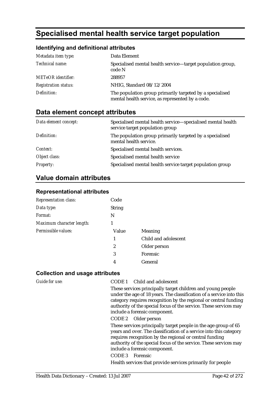# **Specialised mental health service target population**

### **Identifying and definitional attributes**

| Metadata item type:         | Data Element                                                                                                 |
|-----------------------------|--------------------------------------------------------------------------------------------------------------|
| <i>Technical name:</i>      | Specialised mental health service—target population group,<br>code N                                         |
| <b>METeOR</b> identifier:   | 288957                                                                                                       |
| <b>Registration status:</b> | NHIG, Standard 08/12/2004                                                                                    |
| Definition:                 | The population group primarily targeted by a specialised<br>mental health service, as represented by a code. |

### **Data element concept attributes**

| Data element concept: | Specialised mental health service—specialised mental health<br>service target population group |
|-----------------------|------------------------------------------------------------------------------------------------|
| Definition:           | The population group primarily targeted by a specialised<br>mental health service.             |
| Context:              | Specialised mental health services.                                                            |
| Object class:         | Specialised mental health service                                                              |
| <b>Property:</b>      | Specialised mental health service target population group                                      |

### **Value domain attributes**

#### **Representational attributes**

| <b>Representation class:</b> | Code          |                      |
|------------------------------|---------------|----------------------|
| Data type:                   | <b>String</b> |                      |
| Format:                      | N             |                      |
| Maximum character length:    |               |                      |
| Permissible values:          | Value         | <b>Meaning</b>       |
|                              | 1             | Child and adolescent |
|                              | 2             | Older person         |
|                              | 3             | <b>Forensic</b>      |
|                              | 4             | General              |

| <b>Guide for use:</b> | CODE 1 Child and adolescent<br>These services principally target children and young people<br>under the age of 18 years. The classification of a service into this<br>category requires recognition by the regional or central funding<br>authority of the special focus of the service. These services may<br>include a forensic component.<br>CODE 2 Older person                     |
|-----------------------|-----------------------------------------------------------------------------------------------------------------------------------------------------------------------------------------------------------------------------------------------------------------------------------------------------------------------------------------------------------------------------------------|
|                       | These services principally target people in the age group of 65<br>years and over. The classification of a service into this category<br>requires recognition by the regional or central funding<br>authority of the special focus of the service. These services may<br>include a forensic component.<br>CODE 3 Forensic<br>Health services that provide services primarily for people |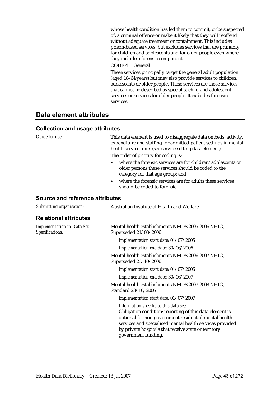whose health condition has led them to commit, or be suspected of, a criminal offence or make it likely that they will reoffend without adequate treatment or containment. This includes prison-based services, but excludes services that are primarily for children and adolescents and for older people even where they include a forensic component.

CODE 4 General

These services principally target the general adult population (aged 18–64 years) but may also provide services to children, adolescents or older people. These services are those services that cannot be described as specialist child and adolescent services or services for older people. It excludes forensic services.

### **Data element attributes**

#### **Collection and usage attributes**

*Guide for use:* This data element is used to disaggregate data on beds, activity, expenditure and staffing for admitted patient settings in mental health service units (see service setting data element).

The order of priority for coding is:

- where the forensic services are for children/adolescents or older persons these services should be coded to the category for that age group; and
- where the forensic services are for adults these services should be coded to forensic.

| Submitting organisation:                      | Australian Institute of Health and Welfare                                                                                                                                                                                                                                                            |
|-----------------------------------------------|-------------------------------------------------------------------------------------------------------------------------------------------------------------------------------------------------------------------------------------------------------------------------------------------------------|
| <b>Relational attributes</b>                  |                                                                                                                                                                                                                                                                                                       |
| Implementation in Data Set<br>Specifications: | Mental health establishments NMDS 2005-2006 NHIG,<br>Superseded 21/03/2006                                                                                                                                                                                                                            |
|                                               | Implementation start date: 01/07/2005                                                                                                                                                                                                                                                                 |
|                                               | Implementation end date: 30/06/2006                                                                                                                                                                                                                                                                   |
|                                               | Mental health establishments NMDS 2006-2007 NHIG,<br>Superseded 23/10/2006                                                                                                                                                                                                                            |
|                                               | Implementation start date: 01/07/2006                                                                                                                                                                                                                                                                 |
|                                               | Implementation end date: 30/06/2007                                                                                                                                                                                                                                                                   |
|                                               | Mental health establishments NMDS 2007-2008 NHIG,<br>Standard 23/10/2006                                                                                                                                                                                                                              |
|                                               | Implementation start date: 01/07/2007                                                                                                                                                                                                                                                                 |
|                                               | Information specific to this data set:<br>Obligation condition: reporting of this data element is<br>optional for non-government residential mental health<br>services and specialised mental health services provided<br>by private hospitals that receive state or territory<br>government funding. |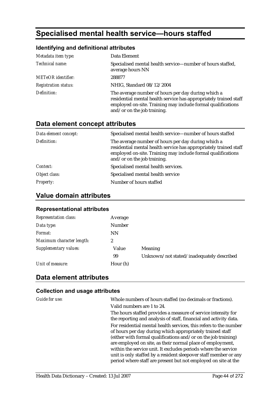# **Specialised mental health service—hours staffed**

### **Identifying and definitional attributes**

| Metadata item type:         | Data Element                                                                                                                                                                                                           |
|-----------------------------|------------------------------------------------------------------------------------------------------------------------------------------------------------------------------------------------------------------------|
| Technical name:             | Specialised mental health service—number of hours staffed,<br>average hours NN                                                                                                                                         |
| <b>METeOR</b> identifier:   | 288877                                                                                                                                                                                                                 |
| <b>Registration status:</b> | NHIG, Standard 08/12/2004                                                                                                                                                                                              |
| Definition:                 | The average number of hours per day during which a<br>residential mental health service has appropriately trained staff<br>employed on-site. Training may include formal qualifications<br>and/or on the job training. |

### **Data element concept attributes**

| Data element concept: | Specialised mental health service—number of hours staffed                                                                                                                                                              |
|-----------------------|------------------------------------------------------------------------------------------------------------------------------------------------------------------------------------------------------------------------|
| Definition:           | The average number of hours per day during which a<br>residential mental health service has appropriately trained staff<br>employed on-site. Training may include formal qualifications<br>and/or on the job training. |
| Context:              | Specialised mental health services.                                                                                                                                                                                    |
| Object class:         | Specialised mental health service                                                                                                                                                                                      |
| <b>Property:</b>      | Number of hours staffed                                                                                                                                                                                                |

### **Value domain attributes**

#### **Representational attributes**

| <b>Representation class:</b> | Average       |                                           |
|------------------------------|---------------|-------------------------------------------|
| Data type:                   | <b>Number</b> |                                           |
| Format:                      | <b>NN</b>     |                                           |
| Maximum character length:    | 2             |                                           |
| Supplementary values:        | Value         | Meaning                                   |
|                              | 99            | Unknown/not stated/inadequately described |
| Unit of measure:             | Hour (h)      |                                           |

### **Data element attributes**

| Guide for use: | Whole numbers of hours staffed (no decimals or fractions).                                                                                                                                                                                                                                                                                                                                           |
|----------------|------------------------------------------------------------------------------------------------------------------------------------------------------------------------------------------------------------------------------------------------------------------------------------------------------------------------------------------------------------------------------------------------------|
|                | Valid numbers are 1 to 24.                                                                                                                                                                                                                                                                                                                                                                           |
|                | The hours staffed provides a measure of service intensity for<br>the reporting and analysis of staff, financial and activity data.                                                                                                                                                                                                                                                                   |
|                | For residential mental health services, this refers to the number<br>of hours per day during which appropriately trained staff<br>(either with formal qualifications and/or on the job training)<br>are employed on site, as their normal place of employment,<br>within the service unit. It excludes periods where the service<br>unit is only staffed by a resident sleepover staff member or any |
|                | period where staff are present but not employed on site at the                                                                                                                                                                                                                                                                                                                                       |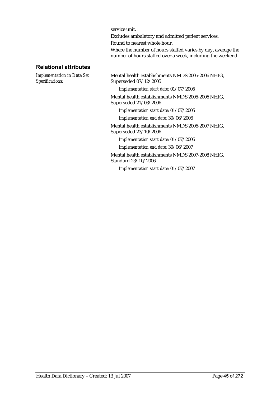service unit.

Excludes ambulatory and admitted patient services.

Round to nearest whole hour.

Where the number of hours staffed varies by day, average the number of hours staffed over a week, including the weekend.

#### **Relational attributes**

*Implementation in Data Set Specifications:*

Mental health establishments NMDS 2005-2006 NHIG, Superseded 07/12/2005

*Implementation start date:* 01/07/2005

Mental health establishments NMDS 2005-2006 NHIG, Superseded 21/03/2006

*Implementation start date:* 01/07/2005

*Implementation end date:* 30/06/2006

Mental health establishments NMDS 2006-2007 NHIG, Superseded 23/10/2006

*Implementation start date:* 01/07/2006

*Implementation end date:* 30/06/2007

Mental health establishments NMDS 2007-2008 NHIG, Standard 23/10/2006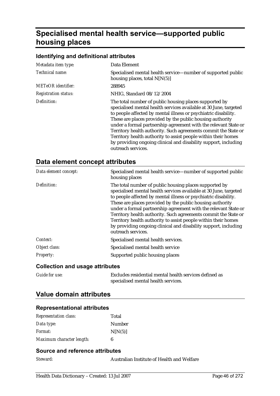# **Specialised mental health service—supported public housing places**

#### **Identifying and definitional attributes**

| Metadata item type:         | Data Element                                                                                                                                                                                                                                                                                                                                                                                                                                                                                                                                                 |
|-----------------------------|--------------------------------------------------------------------------------------------------------------------------------------------------------------------------------------------------------------------------------------------------------------------------------------------------------------------------------------------------------------------------------------------------------------------------------------------------------------------------------------------------------------------------------------------------------------|
| Technical name:             | Specialised mental health service—number of supported public<br>housing places, total $N[N(5)]$                                                                                                                                                                                                                                                                                                                                                                                                                                                              |
| <b>METeOR</b> identifier:   | 288945                                                                                                                                                                                                                                                                                                                                                                                                                                                                                                                                                       |
| <b>Registration status:</b> | NHIG, Standard 08/12/2004                                                                                                                                                                                                                                                                                                                                                                                                                                                                                                                                    |
| Definition:                 | The total number of public housing places supported by<br>specialised mental health services available at 30 June, targeted<br>to people affected by mental illness or psychiatric disability.<br>These are places provided by the public housing authority<br>under a formal partnership agreement with the relevant State or<br>Territory health authority. Such agreements commit the State or<br>Territory health authority to assist people within their homes<br>by providing ongoing clinical and disability support, including<br>outreach services. |

#### **Data element concept attributes**

| Data element concept: | Specialised mental health service—number of supported public<br>housing places                                                                                                                                                                                                                                                                                                                                                                                                                                                                               |
|-----------------------|--------------------------------------------------------------------------------------------------------------------------------------------------------------------------------------------------------------------------------------------------------------------------------------------------------------------------------------------------------------------------------------------------------------------------------------------------------------------------------------------------------------------------------------------------------------|
| Definition:           | The total number of public housing places supported by<br>specialised mental health services available at 30 June, targeted<br>to people affected by mental illness or psychiatric disability.<br>These are places provided by the public housing authority<br>under a formal partnership agreement with the relevant State or<br>Territory health authority. Such agreements commit the State or<br>Territory health authority to assist people within their homes<br>by providing ongoing clinical and disability support, including<br>outreach services. |
| Context:              | Specialised mental health services.                                                                                                                                                                                                                                                                                                                                                                                                                                                                                                                          |
| Object class:         | Specialised mental health service                                                                                                                                                                                                                                                                                                                                                                                                                                                                                                                            |
| <i>Property:</i>      | Supported public housing places                                                                                                                                                                                                                                                                                                                                                                                                                                                                                                                              |

#### **Collection and usage attributes**

| <b>Guide for use:</b> | Excludes residential mental health services defined as |
|-----------------------|--------------------------------------------------------|
|                       | specialised mental health services.                    |

### **Value domain attributes**

#### **Representational attributes**

| <b>Representation class:</b> | Total   |
|------------------------------|---------|
| Data type:                   | Number  |
| <i>Format:</i>               | N[N(5)] |
| Maximum character length:    | В       |

#### **Source and reference attributes**

*Steward:* Australian Institute of Health and Welfare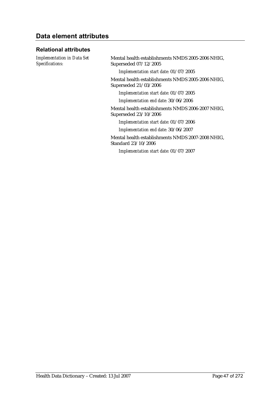### **Data element attributes**

#### **Relational attributes**

*Implementation in Data Set Specifications:*

Mental health establishments NMDS 2005-2006 NHIG, Superseded 07/12/2005

*Implementation start date:* 01/07/2005

Mental health establishments NMDS 2005-2006 NHIG, Superseded 21/03/2006

*Implementation start date:* 01/07/2005

*Implementation end date:* 30/06/2006

Mental health establishments NMDS 2006-2007 NHIG, Superseded 23/10/2006

*Implementation start date:* 01/07/2006

*Implementation end date:* 30/06/2007

Mental health establishments NMDS 2007-2008 NHIG, Standard 23/10/2006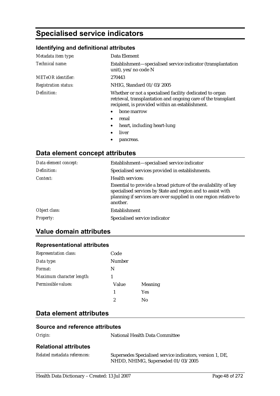# **Specialised service indicators**

#### **Identifying and definitional attributes**

| Metadata item type:         | Data Element                                                                                                                                                                 |
|-----------------------------|------------------------------------------------------------------------------------------------------------------------------------------------------------------------------|
| Technical name:             | Establishment—specialised service indicator (transplantation<br>unit), yes/no code N                                                                                         |
| <b>METeOR</b> identifier:   | 270443                                                                                                                                                                       |
| <b>Registration status:</b> | NHIG, Standard 01/03/2005                                                                                                                                                    |
| Definition:                 | Whether or not a specialised facility dedicated to organ<br>retrieval, transplantation and ongoing care of the transplant<br>recipient, is provided within an establishment. |
|                             | bone marrow<br>$\bullet$                                                                                                                                                     |
|                             | renal<br>$\bullet$                                                                                                                                                           |
|                             | heart, including heart-lung<br>$\bullet$                                                                                                                                     |
|                             | liver                                                                                                                                                                        |

pancreas.

## **Data element concept attributes**

| Data element concept: | Establishment-specialised service indicator                                                                                                                                                                    |
|-----------------------|----------------------------------------------------------------------------------------------------------------------------------------------------------------------------------------------------------------|
| Definition:           | Specialised services provided in establishments.                                                                                                                                                               |
| Context:              | Health services:                                                                                                                                                                                               |
|                       | Essential to provide a broad picture of the availability of key<br>specialised services by State and region and to assist with<br>planning if services are over supplied in one region relative to<br>another. |
| Object class:         | Establishment                                                                                                                                                                                                  |
| <i>Property:</i>      | Specialised service indicator                                                                                                                                                                                  |

### **Value domain attributes**

#### **Representational attributes**

| <b>Representation class:</b> | Code   |                |
|------------------------------|--------|----------------|
| Data type:                   | Number |                |
| Format:                      | N      |                |
| Maximum character length:    |        |                |
| Permissible values:          | Value  | <b>Meaning</b> |
|                              | 1      | <b>Yes</b>     |
|                              | 2      | No             |
|                              |        |                |

### **Data element attributes**

#### **Source and reference attributes**

| -0<br>r |
|---------|
|---------|

*Origin:* National Health Data Committee

#### **Relational attributes**

| Related metadata references: | Supersedes Specialised service indicators, version 1, DE, |
|------------------------------|-----------------------------------------------------------|
|                              | NHDD, NHIMG, Superseded 01/03/2005                        |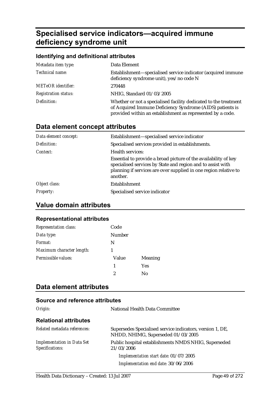# **Specialised service indicators—acquired immune deficiency syndrome unit**

| Identifying and definitional attributes |                                                                                                                                                                                             |  |
|-----------------------------------------|---------------------------------------------------------------------------------------------------------------------------------------------------------------------------------------------|--|
| Metadata item type:                     | Data Element                                                                                                                                                                                |  |
| Technical name:                         | Establishment—specialised service indicator (acquired immune<br>deficiency syndrome unit), yes/no code N                                                                                    |  |
| <b>METeOR</b> identifier:               | 270448                                                                                                                                                                                      |  |
| <b>Registration status:</b>             | NHIG, Standard 01/03/2005                                                                                                                                                                   |  |
| Definition:                             | Whether or not a specialised facility dedicated to the treatment<br>of Acquired Immune Deficiency Syndrome (AIDS) patients is<br>provided within an establishment as represented by a code. |  |

# **Data element concept attributes**

| Data element concept: | Establishment-specialised service indicator                                                                                                                                                                    |
|-----------------------|----------------------------------------------------------------------------------------------------------------------------------------------------------------------------------------------------------------|
| Definition:           | Specialised services provided in establishments.                                                                                                                                                               |
| Context:              | Health services:                                                                                                                                                                                               |
|                       | Essential to provide a broad picture of the availability of key<br>specialised services by State and region and to assist with<br>planning if services are over supplied in one region relative to<br>another. |
| Object class:         | <b>Establishment</b>                                                                                                                                                                                           |
| <b>Property:</b>      | Specialised service indicator                                                                                                                                                                                  |

### **Value domain attributes**

#### **Representational attributes**

| <b>Representation class:</b> | Code   |                |
|------------------------------|--------|----------------|
| Data type:                   | Number |                |
| Format:                      | N      |                |
| Maximum character length:    |        |                |
| Permissible values:          | Value  | <b>Meaning</b> |
|                              | 1      | Yes            |
|                              | 2      | No             |

### **Data element attributes**

| Origin:                                              | National Health Data Committee                                                                  |
|------------------------------------------------------|-------------------------------------------------------------------------------------------------|
| <b>Relational attributes</b>                         |                                                                                                 |
| Related metadata references:                         | Supersedes Specialised service indicators, version 1, DE,<br>NHDD, NHIMG, Superseded 01/03/2005 |
| <b>Implementation in Data Set</b><br>Specifications: | Public hospital establishments NMDS NHIG, Superseded<br>21/03/2006                              |
|                                                      | Implementation start date: 01/07/2005                                                           |
|                                                      | Implementation end date: 30/06/2006                                                             |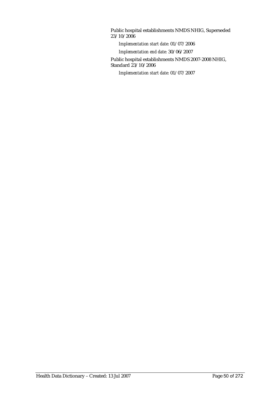Public hospital establishments NMDS NHIG, Superseded 23/10/2006

*Implementation start date:* 01/07/2006

*Implementation end date:* 30/06/2007

Public hospital establishments NMDS 2007-2008 NHIG, Standard 23/10/2006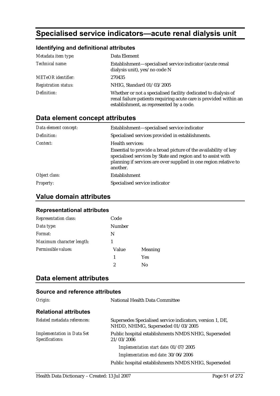# **Specialised service indicators—acute renal dialysis unit**

#### **Identifying and definitional attributes**

| Metadata item type:         | Data Element                                                                                                                                                                    |
|-----------------------------|---------------------------------------------------------------------------------------------------------------------------------------------------------------------------------|
| Technical name:             | Establishment-specialised service indicator (acute renal<br>dialysis unit), yes/no code N                                                                                       |
| <b>METeOR</b> identifier:   | 270435                                                                                                                                                                          |
| <b>Registration status:</b> | NHIG, Standard 01/03/2005                                                                                                                                                       |
| Definition:                 | Whether or not a specialised facility dedicated to dialysis of<br>renal failure patients requiring acute care is provided within an<br>establishment, as represented by a code. |

### **Data element concept attributes**

| Data element concept: | Establishment-specialised service indicator                                                                                                                                                                    |
|-----------------------|----------------------------------------------------------------------------------------------------------------------------------------------------------------------------------------------------------------|
| Definition:           | Specialised services provided in establishments.                                                                                                                                                               |
| Context:              | Health services:                                                                                                                                                                                               |
|                       | Essential to provide a broad picture of the availability of key<br>specialised services by State and region and to assist with<br>planning if services are over supplied in one region relative to<br>another. |
| Object class:         | Establishment                                                                                                                                                                                                  |
| <b>Property:</b>      | Specialised service indicator                                                                                                                                                                                  |

### **Value domain attributes**

#### **Representational attributes**

| Representation class:     | Code          |                |
|---------------------------|---------------|----------------|
| Data type:                | <b>Number</b> |                |
| Format:                   | N             |                |
| Maximum character length: |               |                |
| Permissible values:       | Value         | <b>Meaning</b> |
|                           | 1             | <b>Yes</b>     |
|                           | 2             | Nο             |

### **Data element attributes**

| Origin:                                              | National Health Data Committee                                                                  |
|------------------------------------------------------|-------------------------------------------------------------------------------------------------|
| <b>Relational attributes</b>                         |                                                                                                 |
| Related metadata references:                         | Supersedes Specialised service indicators, version 1, DE,<br>NHDD, NHIMG, Superseded 01/03/2005 |
| <b>Implementation in Data Set</b><br>Specifications: | Public hospital establishments NMDS NHIG, Superseded<br>21/03/2006                              |
|                                                      | Implementation start date: 01/07/2005                                                           |
|                                                      | Implementation end date: 30/06/2006                                                             |
|                                                      | Public hospital establishments NMDS NHIG, Superseded                                            |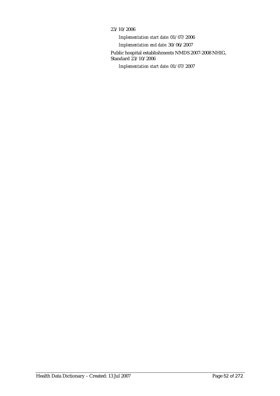#### 23/10/2006

*Implementation start date:* 01/07/2006 *Implementation end date:* 30/06/2007 Public hospital establishments NMDS 2007-2008 NHIG, Standard 23/10/2006 *Implementation start date:* 01/07/2007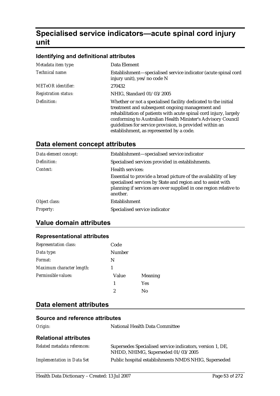# **Specialised service indicators—acute spinal cord injury unit**

#### **Identifying and definitional attributes**

| Metadata item type:         | Data Element                                                                                                                                                                                                                                                                                                                                                 |
|-----------------------------|--------------------------------------------------------------------------------------------------------------------------------------------------------------------------------------------------------------------------------------------------------------------------------------------------------------------------------------------------------------|
| Technical name:             | Establishment—specialised service indicator (acute spinal cord<br>injury unit), yes/no code N                                                                                                                                                                                                                                                                |
| <b>METeOR</b> identifier:   | 270432                                                                                                                                                                                                                                                                                                                                                       |
| <b>Registration status:</b> | NHIG, Standard 01/03/2005                                                                                                                                                                                                                                                                                                                                    |
| Definition:                 | Whether or not a specialised facility dedicated to the initial<br>treatment and subsequent ongoing management and<br>rehabilitation of patients with acute spinal cord injury, largely<br>conforming to Australian Health Minister's Advisory Council<br>guidelines for service provision, is provided within an<br>establishment, as represented by a code. |

### **Data element concept attributes**

| Data element concept: | Establishment-specialised service indicator                                                                                                                                                                    |
|-----------------------|----------------------------------------------------------------------------------------------------------------------------------------------------------------------------------------------------------------|
| Definition:           | Specialised services provided in establishments.                                                                                                                                                               |
| Context:              | Health services:                                                                                                                                                                                               |
|                       | Essential to provide a broad picture of the availability of key<br>specialised services by State and region and to assist with<br>planning if services are over supplied in one region relative to<br>another. |
| Object class:         | Establishment                                                                                                                                                                                                  |
| <i>Property:</i>      | Specialised service indicator                                                                                                                                                                                  |

### **Value domain attributes**

#### **Representational attributes**

| Representation class:     | Code   |                |
|---------------------------|--------|----------------|
| Data type:                | Number |                |
| Format:                   | N      |                |
| Maximum character length: |        |                |
| Permissible values:       | Value  | <b>Meaning</b> |
|                           | 1      | <b>Yes</b>     |
|                           | 2      | Nο             |

#### **Data element attributes**

| Origin:                           | National Health Data Committee                                                                  |
|-----------------------------------|-------------------------------------------------------------------------------------------------|
| <b>Relational attributes</b>      |                                                                                                 |
| Related metadata references:      | Supersedes Specialised service indicators, version 1, DE,<br>NHDD, NHIMG, Superseded 01/03/2005 |
| <b>Implementation in Data Set</b> | Public hospital establishments NMDS NHIG, Superseded                                            |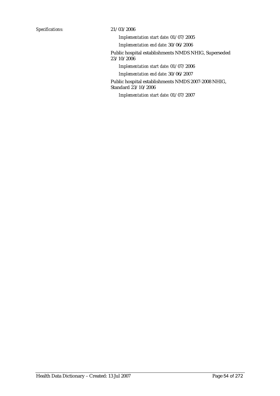*Implementation start date:* 01/07/2005

*Implementation end date:* 30/06/2006

Public hospital establishments NMDS NHIG, Superseded 23/10/2006

*Implementation start date:* 01/07/2006

*Implementation end date:* 30/06/2007

Public hospital establishments NMDS 2007-2008 NHIG, Standard 23/10/2006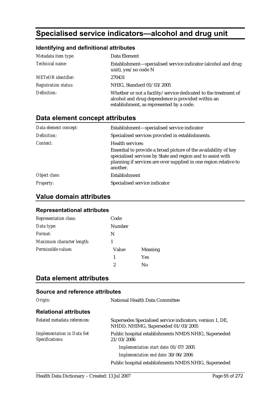# **Specialised service indicators—alcohol and drug unit**

#### **Identifying and definitional attributes**

| Metadata item type:         | Data Element                                                                                                                                                     |
|-----------------------------|------------------------------------------------------------------------------------------------------------------------------------------------------------------|
| Technical name:             | Establishment—specialised service indicator (alcohol and drug<br>unit), yes/no code N                                                                            |
| <b>METeOR</b> identifier:   | 270431                                                                                                                                                           |
| <b>Registration status:</b> | NHIG, Standard 01/03/2005                                                                                                                                        |
| Definition:                 | Whether or not a facility/service dedicated to the treatment of<br>alcohol and drug dependence is provided within an<br>establishment, as represented by a code. |

### **Data element concept attributes**

| Data element concept: | Establishment—specialised service indicator                                                                                                                                                                    |
|-----------------------|----------------------------------------------------------------------------------------------------------------------------------------------------------------------------------------------------------------|
| Definition:           | Specialised services provided in establishments.                                                                                                                                                               |
| Context:              | Health services:                                                                                                                                                                                               |
|                       | Essential to provide a broad picture of the availability of key<br>specialised services by State and region and to assist with<br>planning if services are over supplied in one region relative to<br>another. |
| Object class:         | Establishment                                                                                                                                                                                                  |
| <i>Property:</i>      | Specialised service indicator                                                                                                                                                                                  |

### **Value domain attributes**

#### **Representational attributes**

| <b>Representation class:</b> | Code          |            |
|------------------------------|---------------|------------|
| Data type:                   | <b>Number</b> |            |
| Format:                      | N             |            |
| Maximum character length:    |               |            |
| Permissible values:          | Value         | Meaning    |
|                              | 1             | <b>Yes</b> |
|                              | 2             | Nο         |

### **Data element attributes**

| Origin:                                              | National Health Data Committee                                                                  |
|------------------------------------------------------|-------------------------------------------------------------------------------------------------|
| <b>Relational attributes</b>                         |                                                                                                 |
| Related metadata references:                         | Supersedes Specialised service indicators, version 1, DE,<br>NHDD, NHIMG, Superseded 01/03/2005 |
| <b>Implementation in Data Set</b><br>Specifications: | Public hospital establishments NMDS NHIG, Superseded<br>21/03/2006                              |
|                                                      | Implementation start date: 01/07/2005                                                           |
|                                                      | Implementation end date: 30/06/2006                                                             |
|                                                      | Public hospital establishments NMDS NHIG, Superseded                                            |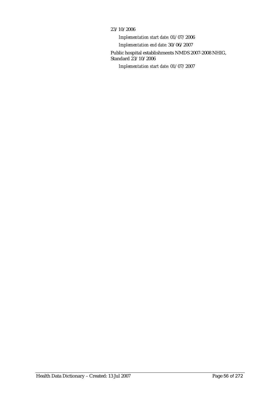#### 23/10/2006

*Implementation start date:* 01/07/2006 *Implementation end date:* 30/06/2007 Public hospital establishments NMDS 2007-2008 NHIG, Standard 23/10/2006 *Implementation start date:* 01/07/2007

Health Data Dictionary – Created: 13 Jul 2007 Page 56 of 272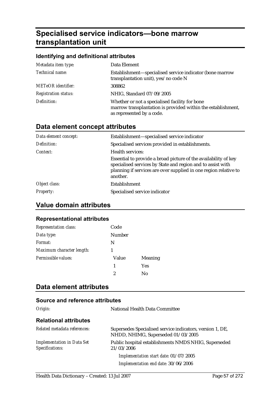# **Specialised service indicators—bone marrow transplantation unit**

#### **Identifying and definitional attributes**

| Metadata item type:         | Data Element                                                                                                                                |
|-----------------------------|---------------------------------------------------------------------------------------------------------------------------------------------|
| Technical name:             | Establishment—specialised service indicator (bone marrow<br>transplantation unit), yes/no code N                                            |
| <b>METeOR</b> identifier:   | 308862                                                                                                                                      |
| <b>Registration status:</b> | NHIG, Standard 07/09/2005                                                                                                                   |
| Definition:                 | Whether or not a specialised facility for bone<br>marrow transplantation is provided within the establishment,<br>as represented by a code. |

### **Data element concept attributes**

| Establishment-specialised service indicator                                                                                                                                                                    |
|----------------------------------------------------------------------------------------------------------------------------------------------------------------------------------------------------------------|
| Specialised services provided in establishments.                                                                                                                                                               |
| <b>Health services:</b>                                                                                                                                                                                        |
| Essential to provide a broad picture of the availability of key<br>specialised services by State and region and to assist with<br>planning if services are over supplied in one region relative to<br>another. |
| Establishment                                                                                                                                                                                                  |
| Specialised service indicator                                                                                                                                                                                  |
|                                                                                                                                                                                                                |

### **Value domain attributes**

#### **Representational attributes**

| <b>Representation class:</b> | Code   |                |
|------------------------------|--------|----------------|
| Data type:                   | Number |                |
| Format:                      | N      |                |
| Maximum character length:    |        |                |
| Permissible values:          | Value  | <b>Meaning</b> |
|                              | 1      | Yes            |
|                              | 2      | Nο             |

### **Data element attributes**

| Origin:                                              | National Health Data Committee                                                                  |
|------------------------------------------------------|-------------------------------------------------------------------------------------------------|
| <b>Relational attributes</b>                         |                                                                                                 |
| Related metadata references:                         | Supersedes Specialised service indicators, version 1, DE,<br>NHDD, NHIMG, Superseded 01/03/2005 |
| <b>Implementation in Data Set</b><br>Specifications: | Public hospital establishments NMDS NHIG, Superseded<br>21/03/2006                              |
|                                                      | Implementation start date: 01/07/2005                                                           |
|                                                      | Implementation end date: 30/06/2006                                                             |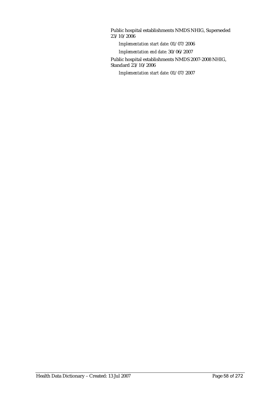Public hospital establishments NMDS NHIG, Superseded 23/10/2006

*Implementation start date:* 01/07/2006

*Implementation end date:* 30/06/2007

Public hospital establishments NMDS 2007-2008 NHIG, Standard 23/10/2006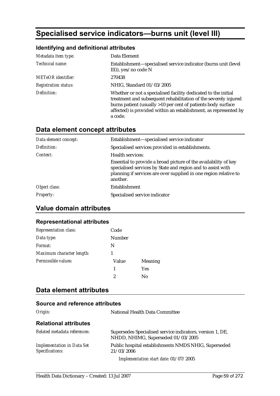# **Specialised service indicators—burns unit (level III)**

### **Identifying and definitional attributes**

| Metadata item type:         | Data Element                                                                                                                                                                                                                                                                     |
|-----------------------------|----------------------------------------------------------------------------------------------------------------------------------------------------------------------------------------------------------------------------------------------------------------------------------|
| Technical name:             | Establishment—specialised service indicator (burns unit (level<br>III)), yes/no code $N$                                                                                                                                                                                         |
| <b>METeOR</b> identifier:   | 270438                                                                                                                                                                                                                                                                           |
| <b>Registration status:</b> | NHIG, Standard 01/03/2005                                                                                                                                                                                                                                                        |
| Definition:                 | Whether or not a specialised facility dedicated to the initial<br>treatment and subsequent rehabilitation of the severely injured<br>burns patient (usually >10 per cent of patients body surface<br>affected) is provided within an establishment, as represented by<br>a code. |

### **Data element concept attributes**

| Data element concept: | Establishment—specialised service indicator                                                                                                                                                                    |
|-----------------------|----------------------------------------------------------------------------------------------------------------------------------------------------------------------------------------------------------------|
| Definition:           | Specialised services provided in establishments.                                                                                                                                                               |
| Context:              | <b>Health services:</b>                                                                                                                                                                                        |
|                       | Essential to provide a broad picture of the availability of key<br>specialised services by State and region and to assist with<br>planning if services are over supplied in one region relative to<br>another. |
| Object class:         | <b>Establishment</b>                                                                                                                                                                                           |
| <i>Property:</i>      | Specialised service indicator                                                                                                                                                                                  |

### **Value domain attributes**

#### **Representational attributes**

| <b>Representation class:</b> | Code   |                |
|------------------------------|--------|----------------|
| Data type:                   | Number |                |
| Format:                      | N      |                |
| Maximum character length:    |        |                |
| Permissible values:          | Value  | <b>Meaning</b> |
|                              | 1      | <b>Yes</b>     |
|                              | 2      | No             |

### **Data element attributes**

| Origin:                                              | <b>National Health Data Committee</b>                                                           |
|------------------------------------------------------|-------------------------------------------------------------------------------------------------|
| <b>Relational attributes</b>                         |                                                                                                 |
| Related metadata references:                         | Supersedes Specialised service indicators, version 1, DE,<br>NHDD, NHIMG, Superseded 01/03/2005 |
| <b>Implementation in Data Set</b><br>Specifications: | Public hospital establishments NMDS NHIG, Superseded<br>21/03/2006                              |
|                                                      | Implementation start date: 01/07/2005                                                           |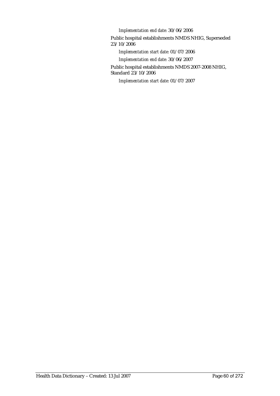*Implementation end date:* 30/06/2006

Public hospital establishments NMDS NHIG, Superseded 23/10/2006

*Implementation start date:* 01/07/2006

*Implementation end date:* 30/06/2007

Public hospital establishments NMDS 2007-2008 NHIG, Standard 23/10/2006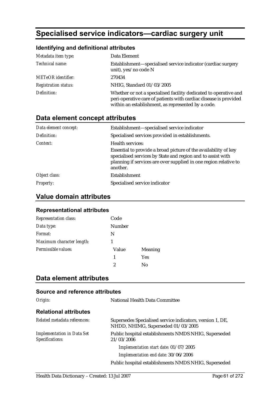# **Specialised service indicators—cardiac surgery unit**

#### **Identifying and definitional attributes**

| Metadata item type:         | Data Element                                                                                                                                                                               |
|-----------------------------|--------------------------------------------------------------------------------------------------------------------------------------------------------------------------------------------|
| Technical name:             | Establishment—specialised service indicator (cardiac surgery<br>unit), yes/no code N                                                                                                       |
| <b>METeOR</b> identifier:   | 270434                                                                                                                                                                                     |
| <b>Registration status:</b> | NHIG, Standard 01/03/2005                                                                                                                                                                  |
| Definition:                 | Whether or not a specialised facility dedicated to operative and<br>peri-operative care of patients with cardiac disease is provided<br>within an establishment, as represented by a code. |

### **Data element concept attributes**

| Data element concept: | Establishment-specialised service indicator                                                                                                                                                                    |
|-----------------------|----------------------------------------------------------------------------------------------------------------------------------------------------------------------------------------------------------------|
| Definition:           | Specialised services provided in establishments.                                                                                                                                                               |
| Context:              | Health services:                                                                                                                                                                                               |
|                       | Essential to provide a broad picture of the availability of key<br>specialised services by State and region and to assist with<br>planning if services are over supplied in one region relative to<br>another. |
| Object class:         | Establishment                                                                                                                                                                                                  |
| <i>Property:</i>      | Specialised service indicator                                                                                                                                                                                  |

### **Value domain attributes**

#### **Representational attributes**

| <b>Representation class:</b> | Code   |            |
|------------------------------|--------|------------|
| Data type:                   | Number |            |
| Format:                      | N      |            |
| Maximum character length:    |        |            |
| Permissible values:          | Value  | Meaning    |
|                              | 1      | <b>Yes</b> |
|                              | 2      | No         |

### **Data element attributes**

| Origin:                                              | National Health Data Committee                                                                  |
|------------------------------------------------------|-------------------------------------------------------------------------------------------------|
| <b>Relational attributes</b>                         |                                                                                                 |
| Related metadata references:                         | Supersedes Specialised service indicators, version 1, DE,<br>NHDD, NHIMG, Superseded 01/03/2005 |
| <b>Implementation in Data Set</b><br>Specifications: | Public hospital establishments NMDS NHIG, Superseded<br>21/03/2006                              |
|                                                      | Implementation start date: 01/07/2005                                                           |
|                                                      | Implementation end date: 30/06/2006                                                             |
|                                                      | Public hospital establishments NMDS NHIG, Superseded                                            |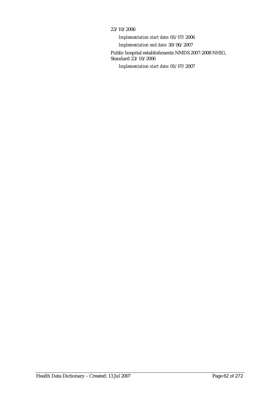#### 23/10/2006

*Implementation start date:* 01/07/2006 *Implementation end date:* 30/06/2007 Public hospital establishments NMDS 2007-2008 NHIG, Standard 23/10/2006 *Implementation start date:* 01/07/2007

Health Data Dictionary – Created: 13 Jul 2007 Page 62 of 272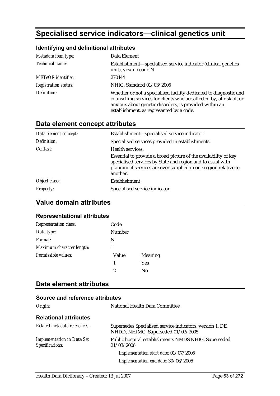# **Specialised service indicators—clinical genetics unit**

#### **Identifying and definitional attributes**

| Metadata item type:         | Data Element                                                                                                                                                                                                                                    |
|-----------------------------|-------------------------------------------------------------------------------------------------------------------------------------------------------------------------------------------------------------------------------------------------|
| Technical name:             | Establishment-specialised service indicator (clinical genetics<br>unit), yes/no code N                                                                                                                                                          |
| <b>METeOR</b> identifier:   | 270444                                                                                                                                                                                                                                          |
| <b>Registration status:</b> | NHIG, Standard 01/03/2005                                                                                                                                                                                                                       |
| Definition:                 | Whether or not a specialised facility dedicated to diagnostic and<br>counselling services for clients who are affected by, at risk of, or<br>anxious about genetic disorders, is provided within an<br>establishment, as represented by a code. |

### **Data element concept attributes**

| Data element concept: | Establishment—specialised service indicator                                                                                                                                                                    |
|-----------------------|----------------------------------------------------------------------------------------------------------------------------------------------------------------------------------------------------------------|
| Definition:           | Specialised services provided in establishments.                                                                                                                                                               |
| Context:              | Health services:                                                                                                                                                                                               |
|                       | Essential to provide a broad picture of the availability of key<br>specialised services by State and region and to assist with<br>planning if services are over supplied in one region relative to<br>another. |
| Object class:         | Establishment                                                                                                                                                                                                  |
| <b>Property:</b>      | Specialised service indicator                                                                                                                                                                                  |

### **Value domain attributes**

#### **Representational attributes**

| <b>Representation class:</b> | Code   |                |
|------------------------------|--------|----------------|
| Data type:                   | Number |                |
| Format:                      | N      |                |
| Maximum character length:    |        |                |
| Permissible values:          | Value  | <b>Meaning</b> |
|                              | 1      | Yes            |
|                              | 2      | Nο             |

### **Data element attributes**

| Origin:                                              | National Health Data Committee                                                                  |
|------------------------------------------------------|-------------------------------------------------------------------------------------------------|
| <b>Relational attributes</b>                         |                                                                                                 |
| Related metadata references:                         | Supersedes Specialised service indicators, version 1, DE,<br>NHDD, NHIMG, Superseded 01/03/2005 |
| <b>Implementation in Data Set</b><br>Specifications: | Public hospital establishments NMDS NHIG, Superseded<br>21/03/2006                              |
|                                                      | Implementation start date: 01/07/2005                                                           |
|                                                      | Implementation end date: 30/06/2006                                                             |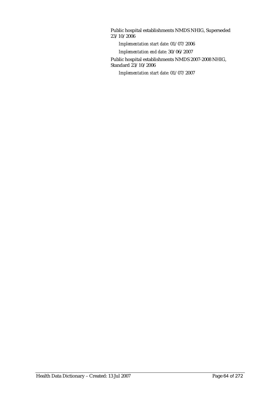Public hospital establishments NMDS NHIG, Superseded 23/10/2006

*Implementation start date:* 01/07/2006

*Implementation end date:* 30/06/2007

Public hospital establishments NMDS 2007-2008 NHIG, Standard 23/10/2006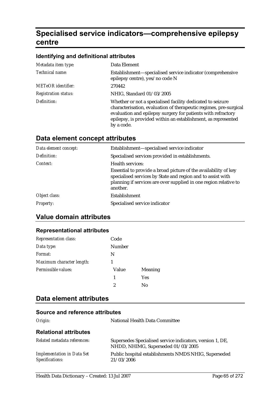# **Specialised service indicators—comprehensive epilepsy centre**

#### **Identifying and definitional attributes**

| Metadata item type:         | Data Element                                                                                                                                                                                                                                                                   |
|-----------------------------|--------------------------------------------------------------------------------------------------------------------------------------------------------------------------------------------------------------------------------------------------------------------------------|
| Technical name:             | Establishment—specialised service indicator (comprehensive<br>epilepsy centre), yes/no code N                                                                                                                                                                                  |
| <b>METeOR</b> identifier:   | 270442                                                                                                                                                                                                                                                                         |
| <b>Registration status:</b> | NHIG, Standard 01/03/2005                                                                                                                                                                                                                                                      |
| Definition:                 | Whether or not a specialised facility dedicated to seizure<br>characterisation, evaluation of therapeutic regimes, pre-surgical<br>evaluation and epilepsy surgery for patients with refractory<br>epilepsy, is provided within an establishment, as represented<br>by a code. |

### **Data element concept attributes**

| Data element concept: | Establishment-specialised service indicator                                                                                                                                                                    |
|-----------------------|----------------------------------------------------------------------------------------------------------------------------------------------------------------------------------------------------------------|
| Definition:           | Specialised services provided in establishments.                                                                                                                                                               |
| Context:              | Health services:                                                                                                                                                                                               |
|                       | Essential to provide a broad picture of the availability of key<br>specialised services by State and region and to assist with<br>planning if services are over supplied in one region relative to<br>another. |
| Object class:         | Establishment                                                                                                                                                                                                  |
| <b>Property:</b>      | Specialised service indicator                                                                                                                                                                                  |

### **Value domain attributes**

#### **Representational attributes**

| <b>Representation class:</b> | Code   |                |
|------------------------------|--------|----------------|
| Data type:                   | Number |                |
| Format:                      | N      |                |
| Maximum character length:    |        |                |
| Permissible values:          | Value  | <b>Meaning</b> |
|                              | 1      | <b>Yes</b>     |
|                              | 2      | No             |

### **Data element attributes**

| Origin:                                              | National Health Data Committee                                                                  |
|------------------------------------------------------|-------------------------------------------------------------------------------------------------|
| <b>Relational attributes</b>                         |                                                                                                 |
| Related metadata references:                         | Supersedes Specialised service indicators, version 1, DE,<br>NHDD, NHIMG, Superseded 01/03/2005 |
| <b>Implementation in Data Set</b><br>Specifications: | Public hospital establishments NMDS NHIG, Superseded<br>21/03/2006                              |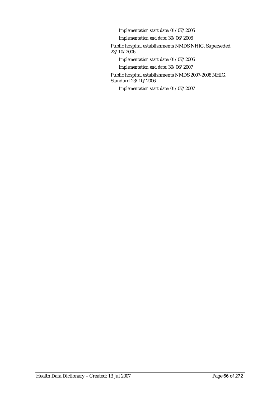*Implementation start date:* 01/07/2005

*Implementation end date:* 30/06/2006

Public hospital establishments NMDS NHIG, Superseded 23/10/2006

*Implementation start date:* 01/07/2006

*Implementation end date:* 30/06/2007

Public hospital establishments NMDS 2007-2008 NHIG, Standard 23/10/2006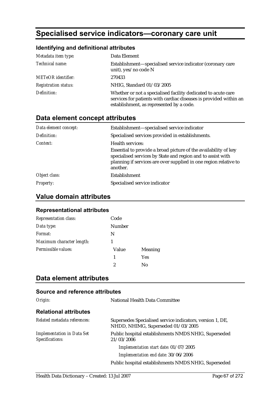# **Specialised service indicators—coronary care unit**

#### **Identifying and definitional attributes**

| Metadata item type:         | Data Element                                                                                                                                                                   |
|-----------------------------|--------------------------------------------------------------------------------------------------------------------------------------------------------------------------------|
| Technical name:             | Establishment—specialised service indicator (coronary care<br>unit), yes/no code N                                                                                             |
| <b>METeOR</b> identifier:   | 270433                                                                                                                                                                         |
| <b>Registration status:</b> | NHIG, Standard 01/03/2005                                                                                                                                                      |
| Definition:                 | Whether or not a specialised facility dedicated to acute care<br>services for patients with cardiac diseases is provided within an<br>establishment, as represented by a code. |

### **Data element concept attributes**

| Data element concept: | Establishment-specialised service indicator                                                                                                                                                                    |
|-----------------------|----------------------------------------------------------------------------------------------------------------------------------------------------------------------------------------------------------------|
| Definition:           | Specialised services provided in establishments.                                                                                                                                                               |
| Context:              | Health services:                                                                                                                                                                                               |
|                       | Essential to provide a broad picture of the availability of key<br>specialised services by State and region and to assist with<br>planning if services are over supplied in one region relative to<br>another. |
| Object class:         | Establishment                                                                                                                                                                                                  |
| <b>Property:</b>      | Specialised service indicator                                                                                                                                                                                  |

### **Value domain attributes**

#### **Representational attributes**

| <b>Representation class:</b> | Code          |            |
|------------------------------|---------------|------------|
| Data type:                   | <b>Number</b> |            |
| Format:                      | N             |            |
| Maximum character length:    |               |            |
| Permissible values:          | Value         | Meaning    |
|                              | 1             | <b>Yes</b> |
|                              | 2             | Nο         |

### **Data element attributes**

| Origin:                                              | National Health Data Committee                                                                  |
|------------------------------------------------------|-------------------------------------------------------------------------------------------------|
| <b>Relational attributes</b>                         |                                                                                                 |
| Related metadata references:                         | Supersedes Specialised service indicators, version 1, DE,<br>NHDD, NHIMG, Superseded 01/03/2005 |
| <b>Implementation in Data Set</b><br>Specifications: | Public hospital establishments NMDS NHIG, Superseded<br>21/03/2006                              |
|                                                      | Implementation start date: 01/07/2005                                                           |
|                                                      | Implementation end date: 30/06/2006                                                             |
|                                                      | Public hospital establishments NMDS NHIG, Superseded                                            |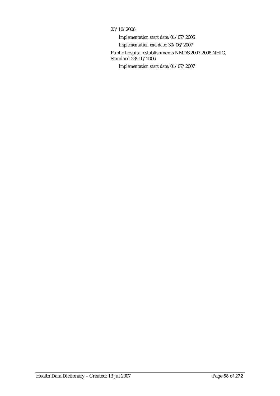#### 23/10/2006

*Implementation start date:* 01/07/2006 *Implementation end date:* 30/06/2007 Public hospital establishments NMDS 2007-2008 NHIG, Standard 23/10/2006 *Implementation start date:* 01/07/2007

Health Data Dictionary – Created: 13 Jul 2007 Page 68 of 272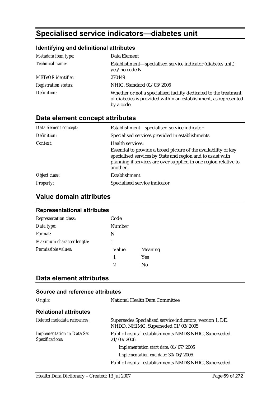# **Specialised service indicators—diabetes unit**

### **Identifying and definitional attributes**

| Metadata item type:         | Data Element                                                                                                                                       |
|-----------------------------|----------------------------------------------------------------------------------------------------------------------------------------------------|
| Technical name:             | Establishment—specialised service indicator (diabetes unit),<br>yes/no code N                                                                      |
| <b>METeOR</b> identifier:   | 270449                                                                                                                                             |
| <b>Registration status:</b> | NHIG, Standard 01/03/2005                                                                                                                          |
| Definition:                 | Whether or not a specialised facility dedicated to the treatment<br>of diabetics is provided within an establishment, as represented<br>by a code. |

### **Data element concept attributes**

| Data element concept: | Establishment-specialised service indicator                                                                                                                                                                    |
|-----------------------|----------------------------------------------------------------------------------------------------------------------------------------------------------------------------------------------------------------|
| Definition:           | Specialised services provided in establishments.                                                                                                                                                               |
| Context:              | Health services:                                                                                                                                                                                               |
|                       | Essential to provide a broad picture of the availability of key<br>specialised services by State and region and to assist with<br>planning if services are over supplied in one region relative to<br>another. |
| Object class:         | Establishment                                                                                                                                                                                                  |
| <b>Property:</b>      | Specialised service indicator                                                                                                                                                                                  |

### **Value domain attributes**

#### **Representational attributes**

| <b>Representation class:</b> | Code          |            |
|------------------------------|---------------|------------|
| Data type:                   | <b>Number</b> |            |
| Format:                      | N             |            |
| Maximum character length:    |               |            |
| Permissible values:          | Value         | Meaning    |
|                              | 1             | <b>Yes</b> |
|                              | 2             | Nο         |

### **Data element attributes**

| Origin:                                              | National Health Data Committee                                                                  |
|------------------------------------------------------|-------------------------------------------------------------------------------------------------|
| <b>Relational attributes</b>                         |                                                                                                 |
| Related metadata references:                         | Supersedes Specialised service indicators, version 1, DE,<br>NHDD, NHIMG, Superseded 01/03/2005 |
| <b>Implementation in Data Set</b><br>Specifications: | Public hospital establishments NMDS NHIG, Superseded<br>21/03/2006                              |
|                                                      | Implementation start date: 01/07/2005                                                           |
|                                                      | Implementation end date: 30/06/2006                                                             |
|                                                      | Public hospital establishments NMDS NHIG, Superseded                                            |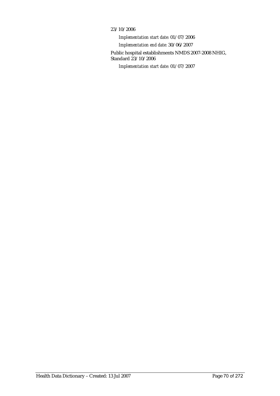#### 23/10/2006

*Implementation start date:* 01/07/2006 *Implementation end date:* 30/06/2007 Public hospital establishments NMDS 2007-2008 NHIG, Standard 23/10/2006 *Implementation start date:* 01/07/2007

Health Data Dictionary – Created: 13 Jul 2007 Page 70 of 272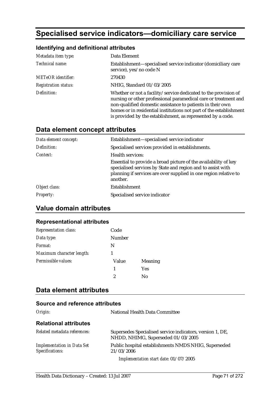# **Specialised service indicators—domiciliary care service**

#### **Identifying and definitional attributes**

| Metadata item type:         | Data Element                                                                                                                                                                                                                                                                                                                          |
|-----------------------------|---------------------------------------------------------------------------------------------------------------------------------------------------------------------------------------------------------------------------------------------------------------------------------------------------------------------------------------|
| Technical name:             | Establishment—specialised service indicator (domiciliary care<br>service), yes/no code N                                                                                                                                                                                                                                              |
| <b>METeOR</b> identifier:   | 270430                                                                                                                                                                                                                                                                                                                                |
| <b>Registration status:</b> | NHIG, Standard 01/03/2005                                                                                                                                                                                                                                                                                                             |
| Definition:                 | Whether or not a facility/service dedicated to the provision of<br>nursing or other professional paramedical care or treatment and<br>non-qualified domestic assistance to patients in their own<br>homes or in residential institutions not part of the establishment<br>is provided by the establishment, as represented by a code. |

# **Data element concept attributes**

| Data element concept: | Establishment—specialised service indicator                                                                                                                                                                    |
|-----------------------|----------------------------------------------------------------------------------------------------------------------------------------------------------------------------------------------------------------|
| Definition:           | Specialised services provided in establishments.                                                                                                                                                               |
| Context:              | <b>Health services:</b>                                                                                                                                                                                        |
|                       | Essential to provide a broad picture of the availability of key<br>specialised services by State and region and to assist with<br>planning if services are over supplied in one region relative to<br>another. |
| Object class:         | <b>Establishment</b>                                                                                                                                                                                           |
| <b>Property:</b>      | Specialised service indicator                                                                                                                                                                                  |

### **Value domain attributes**

#### **Representational attributes**

| <b>Representation class:</b> | Code   |                |
|------------------------------|--------|----------------|
| Data type:                   | Number |                |
| Format:                      | N      |                |
| Maximum character length:    |        |                |
| Permissible values:          | Value  | <b>Meaning</b> |
|                              | 1      | <b>Yes</b>     |
|                              | 2      | No             |

#### **Data element attributes**

| Origin:                                              | <b>National Health Data Committee</b>                                                           |
|------------------------------------------------------|-------------------------------------------------------------------------------------------------|
| <b>Relational attributes</b>                         |                                                                                                 |
| Related metadata references:                         | Supersedes Specialised service indicators, version 1, DE,<br>NHDD, NHIMG, Superseded 01/03/2005 |
| <b>Implementation in Data Set</b><br>Specifications: | Public hospital establishments NMDS NHIG, Superseded<br>21/03/2006                              |
|                                                      | Implementation start date: 01/07/2005                                                           |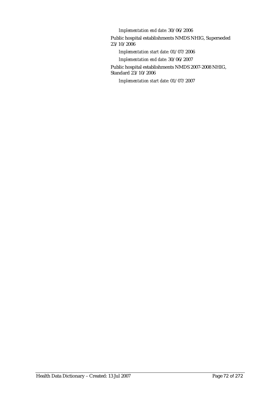*Implementation end date:* 30/06/2006

Public hospital establishments NMDS NHIG, Superseded 23/10/2006

*Implementation start date:* 01/07/2006

*Implementation end date:* 30/06/2007

Public hospital establishments NMDS 2007-2008 NHIG, Standard 23/10/2006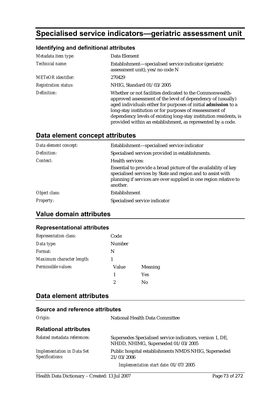# **Specialised service indicators—geriatric assessment unit**

## **Identifying and definitional attributes**

| Metadata item type:         | Data Element                                                                                                                                                                                                                                                                                                                                                                              |
|-----------------------------|-------------------------------------------------------------------------------------------------------------------------------------------------------------------------------------------------------------------------------------------------------------------------------------------------------------------------------------------------------------------------------------------|
| Technical name:             | Establishment—specialised service indicator (geriatric<br>assessment unit), yes/no code N                                                                                                                                                                                                                                                                                                 |
| <b>METeOR</b> identifier:   | 270429                                                                                                                                                                                                                                                                                                                                                                                    |
| <i>Registration status:</i> | NHIG, Standard 01/03/2005                                                                                                                                                                                                                                                                                                                                                                 |
| Definition:                 | Whether or not facilities dedicated to the Commonwealth-<br>approved assessment of the level of dependency of (usually)<br>aged individuals either for purposes of initial admission to a<br>long-stay institution or for purposes of reassessment of<br>dependency levels of existing long-stay institution residents, is<br>provided within an establishment, as represented by a code. |

## **Data element concept attributes**

| Data element concept: | Establishment—specialised service indicator                                                                                                                                                                    |
|-----------------------|----------------------------------------------------------------------------------------------------------------------------------------------------------------------------------------------------------------|
| Definition:           | Specialised services provided in establishments.                                                                                                                                                               |
| Context:              | Health services:                                                                                                                                                                                               |
|                       | Essential to provide a broad picture of the availability of key<br>specialised services by State and region and to assist with<br>planning if services are over supplied in one region relative to<br>another. |
| Object class:         | Establishment                                                                                                                                                                                                  |
| <b>Property:</b>      | Specialised service indicator                                                                                                                                                                                  |

## **Value domain attributes**

## **Representational attributes**

| Representation class:     | Code   |                |
|---------------------------|--------|----------------|
| Data type:                | Number |                |
| Format:                   | N      |                |
| Maximum character length: |        |                |
| Permissible values:       | Value  | <b>Meaning</b> |
|                           | 1      | <b>Yes</b>     |
|                           | 2      | Nο             |

## **Data element attributes**

| Origin:                                              | National Health Data Committee                                                                  |
|------------------------------------------------------|-------------------------------------------------------------------------------------------------|
| <b>Relational attributes</b>                         |                                                                                                 |
| Related metadata references:                         | Supersedes Specialised service indicators, version 1, DE,<br>NHDD, NHIMG, Superseded 01/03/2005 |
| <b>Implementation in Data Set</b><br>Specifications: | Public hospital establishments NMDS NHIG, Superseded<br>21/03/2006                              |
|                                                      | Implementation start date: 01/07/2005                                                           |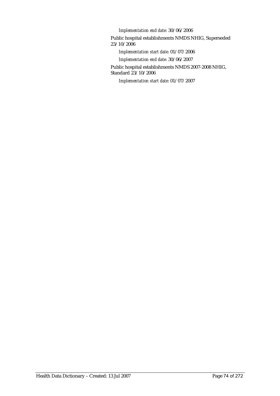*Implementation end date:* 30/06/2006

Public hospital establishments NMDS NHIG, Superseded 23/10/2006

*Implementation start date:* 01/07/2006

*Implementation end date:* 30/06/2007

Public hospital establishments NMDS 2007-2008 NHIG, Standard 23/10/2006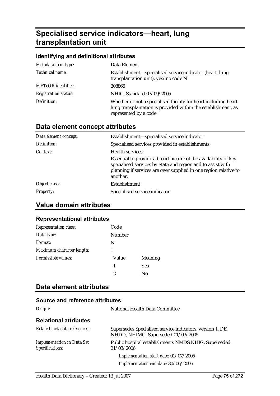# **Specialised service indicators—heart, lung transplantation unit**

### **Identifying and definitional attributes**

| Metadata item type:         | Data Element                                                                                                                                               |
|-----------------------------|------------------------------------------------------------------------------------------------------------------------------------------------------------|
| Technical name:             | Establishment—specialised service indicator (heart, lung<br>transplantation unit), yes/no code N                                                           |
| <b>METeOR</b> identifier:   | 308866                                                                                                                                                     |
| <b>Registration status:</b> | NHIG, Standard 07/09/2005                                                                                                                                  |
| Definition:                 | Whether or not a specialised facility for heart including heart<br>lung transplantation is provided within the establishment, as<br>represented by a code. |

## **Data element concept attributes**

| Data element concept: | Establishment-specialised service indicator                                                                                                                                                                    |
|-----------------------|----------------------------------------------------------------------------------------------------------------------------------------------------------------------------------------------------------------|
| Definition:           | Specialised services provided in establishments.                                                                                                                                                               |
| Context:              | Health services:                                                                                                                                                                                               |
|                       | Essential to provide a broad picture of the availability of key<br>specialised services by State and region and to assist with<br>planning if services are over supplied in one region relative to<br>another. |
| Object class:         | Establishment                                                                                                                                                                                                  |
| <b>Property:</b>      | Specialised service indicator                                                                                                                                                                                  |

## **Value domain attributes**

### **Representational attributes**

| <b>Representation class:</b> | Code   |         |
|------------------------------|--------|---------|
| Data type:                   | Number |         |
| Format:                      | N      |         |
| Maximum character length:    |        |         |
| Permissible values:          | Value  | Meaning |
|                              | 1      | Yes     |
|                              | 2      | Nο      |

## **Data element attributes**

| Origin:                                              | National Health Data Committee                                                                  |
|------------------------------------------------------|-------------------------------------------------------------------------------------------------|
| <b>Relational attributes</b>                         |                                                                                                 |
| Related metadata references:                         | Supersedes Specialised service indicators, version 1, DE,<br>NHDD, NHIMG, Superseded 01/03/2005 |
| <b>Implementation in Data Set</b><br>Specifications: | Public hospital establishments NMDS NHIG, Superseded<br>21/03/2006                              |
|                                                      | Implementation start date: 01/07/2005                                                           |
|                                                      | Implementation end date: 30/06/2006                                                             |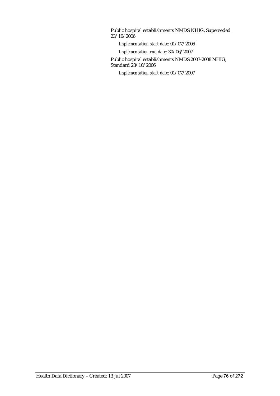Public hospital establishments NMDS NHIG, Superseded 23/10/2006

*Implementation start date:* 01/07/2006

*Implementation end date:* 30/06/2007

Public hospital establishments NMDS 2007-2008 NHIG, Standard 23/10/2006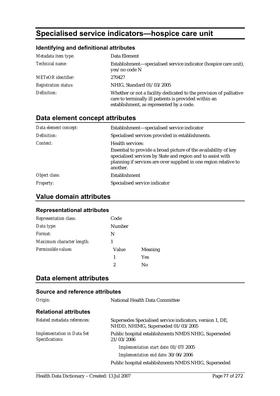# **Specialised service indicators—hospice care unit**

## **Identifying and definitional attributes**

| Metadata item type:         | Data Element                                                                                                                                                            |
|-----------------------------|-------------------------------------------------------------------------------------------------------------------------------------------------------------------------|
| Technical name:             | Establishment—specialised service indicator (hospice care unit),<br>yes/no code N                                                                                       |
| <b>METeOR</b> identifier:   | 270427                                                                                                                                                                  |
| <b>Registration status:</b> | NHIG, Standard 01/03/2005                                                                                                                                               |
| Definition:                 | Whether or not a facility dedicated to the provision of palliative<br>care to terminally ill patients is provided within an<br>establishment, as represented by a code. |

## **Data element concept attributes**

| Data element concept: | Establishment—specialised service indicator                                                                                                                                                                    |
|-----------------------|----------------------------------------------------------------------------------------------------------------------------------------------------------------------------------------------------------------|
| Definition:           | Specialised services provided in establishments.                                                                                                                                                               |
| Context:              | Health services:                                                                                                                                                                                               |
|                       | Essential to provide a broad picture of the availability of key<br>specialised services by State and region and to assist with<br>planning if services are over supplied in one region relative to<br>another. |
| Object class:         | <b>Establishment</b>                                                                                                                                                                                           |
| <i>Property:</i>      | Specialised service indicator                                                                                                                                                                                  |

## **Value domain attributes**

### **Representational attributes**

| Representation class:     | Code          |            |
|---------------------------|---------------|------------|
| Data type:                | <b>Number</b> |            |
| Format:                   | N             |            |
| Maximum character length: |               |            |
| Permissible values:       | Value         | Meaning    |
|                           | 1             | <b>Yes</b> |
|                           | 2             | Nο         |

## **Data element attributes**

| Origin:                                              | National Health Data Committee                                                                  |
|------------------------------------------------------|-------------------------------------------------------------------------------------------------|
| <b>Relational attributes</b>                         |                                                                                                 |
| Related metadata references:                         | Supersedes Specialised service indicators, version 1, DE,<br>NHDD, NHIMG, Superseded 01/03/2005 |
| <b>Implementation in Data Set</b><br>Specifications: | Public hospital establishments NMDS NHIG, Superseded<br>21/03/2006                              |
|                                                      | Implementation start date: 01/07/2005                                                           |
|                                                      | Implementation end date: 30/06/2006                                                             |
|                                                      | Public hospital establishments NMDS NHIG, Superseded                                            |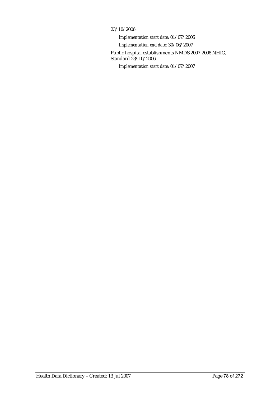### 23/10/2006

*Implementation start date:* 01/07/2006 *Implementation end date:* 30/06/2007 Public hospital establishments NMDS 2007-2008 NHIG, Standard 23/10/2006 *Implementation start date:* 01/07/2007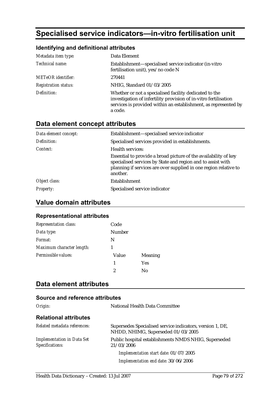# **Specialised service indicators—in-vitro fertilisation unit**

### **Identifying and definitional attributes**

| Metadata item type:         | Data Element                                                                                                                                                                                             |
|-----------------------------|----------------------------------------------------------------------------------------------------------------------------------------------------------------------------------------------------------|
| Technical name:             | Establishment-specialised service indicator (in-vitro<br>fertilisation unit), yes/no code N                                                                                                              |
| <b>METeOR</b> identifier:   | 270441                                                                                                                                                                                                   |
| <b>Registration status:</b> | NHIG, Standard 01/03/2005                                                                                                                                                                                |
| Definition:                 | Whether or not a specialised facility dedicated to the<br>investigation of infertility provision of in-vitro fertilisation<br>services is provided within an establishment, as represented by<br>a code. |

## **Data element concept attributes**

| Data element concept: | Establishment-specialised service indicator                                                                                                                                                                    |
|-----------------------|----------------------------------------------------------------------------------------------------------------------------------------------------------------------------------------------------------------|
| Definition:           | Specialised services provided in establishments.                                                                                                                                                               |
| Context:              | Health services:                                                                                                                                                                                               |
|                       | Essential to provide a broad picture of the availability of key<br>specialised services by State and region and to assist with<br>planning if services are over supplied in one region relative to<br>another. |
| Object class:         | Establishment                                                                                                                                                                                                  |
| <b>Property:</b>      | Specialised service indicator                                                                                                                                                                                  |

## **Value domain attributes**

### **Representational attributes**

| <b>Representation class:</b> | Code   |                |
|------------------------------|--------|----------------|
| Data type:                   | Number |                |
| Format:                      | N      |                |
| Maximum character length:    |        |                |
| Permissible values:          | Value  | <b>Meaning</b> |
|                              | 1      | <b>Yes</b>     |
|                              | 2      | Nο             |

## **Data element attributes**

| Origin:                                              | National Health Data Committee                                                                  |
|------------------------------------------------------|-------------------------------------------------------------------------------------------------|
| <b>Relational attributes</b>                         |                                                                                                 |
| Related metadata references:                         | Supersedes Specialised service indicators, version 1, DE,<br>NHDD, NHIMG, Superseded 01/03/2005 |
| <b>Implementation in Data Set</b><br>Specifications: | Public hospital establishments NMDS NHIG, Superseded<br>21/03/2006                              |
|                                                      | Implementation start date: 01/07/2005                                                           |
|                                                      | Implementation end date: 30/06/2006                                                             |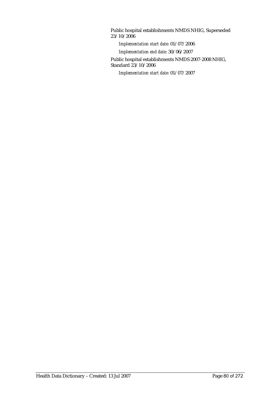Public hospital establishments NMDS NHIG, Superseded 23/10/2006

*Implementation start date:* 01/07/2006

*Implementation end date:* 30/06/2007

Public hospital establishments NMDS 2007-2008 NHIG, Standard 23/10/2006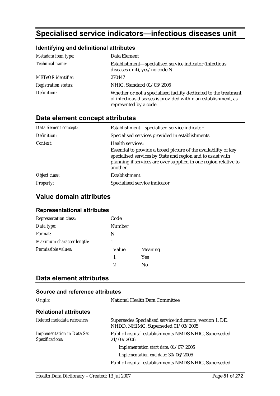# **Specialised service indicators—infectious diseases unit**

### **Identifying and definitional attributes**

| Metadata item type:         | Data Element                                                                                                                                                 |
|-----------------------------|--------------------------------------------------------------------------------------------------------------------------------------------------------------|
| Technical name:             | Establishment-specialised service indicator (infectious<br>diseases unit), yes/no code N                                                                     |
| <b>METeOR</b> identifier:   | 270447                                                                                                                                                       |
| <b>Registration status:</b> | NHIG, Standard 01/03/2005                                                                                                                                    |
| Definition:                 | Whether or not a specialised facility dedicated to the treatment<br>of infectious diseases is provided within an establishment, as<br>represented by a code. |

## **Data element concept attributes**

| Data element concept: | Establishment—specialised service indicator                                                                                                                                                                    |
|-----------------------|----------------------------------------------------------------------------------------------------------------------------------------------------------------------------------------------------------------|
| Definition:           | Specialised services provided in establishments.                                                                                                                                                               |
| Context:              | Health services:                                                                                                                                                                                               |
|                       | Essential to provide a broad picture of the availability of key<br>specialised services by State and region and to assist with<br>planning if services are over supplied in one region relative to<br>another. |
| Object class:         | Establishment                                                                                                                                                                                                  |
| <b>Property:</b>      | Specialised service indicator                                                                                                                                                                                  |

## **Value domain attributes**

### **Representational attributes**

| <b>Representation class:</b> | Code          |            |
|------------------------------|---------------|------------|
| Data type:                   | <b>Number</b> |            |
| Format:                      | N             |            |
| Maximum character length:    |               |            |
| Permissible values:          | Value         | Meaning    |
|                              | 1             | <b>Yes</b> |
|                              | 2             | Nο         |

## **Data element attributes**

| Origin:                                              | National Health Data Committee                                                                  |
|------------------------------------------------------|-------------------------------------------------------------------------------------------------|
| <b>Relational attributes</b>                         |                                                                                                 |
| Related metadata references:                         | Supersedes Specialised service indicators, version 1, DE,<br>NHDD, NHIMG, Superseded 01/03/2005 |
| <b>Implementation in Data Set</b><br>Specifications: | Public hospital establishments NMDS NHIG, Superseded<br>21/03/2006                              |
|                                                      | Implementation start date: 01/07/2005                                                           |
|                                                      | Implementation end date: 30/06/2006                                                             |
|                                                      | Public hospital establishments NMDS NHIG, Superseded                                            |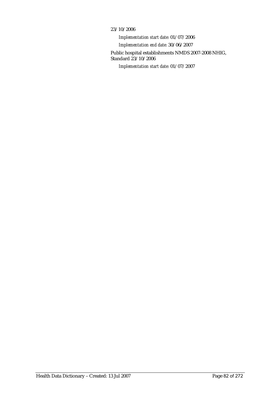### 23/10/2006

*Implementation start date:* 01/07/2006 *Implementation end date:* 30/06/2007 Public hospital establishments NMDS 2007-2008 NHIG, Standard 23/10/2006 *Implementation start date:* 01/07/2007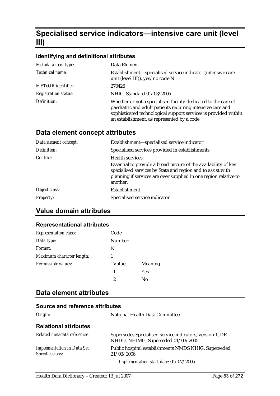# **Specialised service indicators—intensive care unit (level III)**

## **Identifying and definitional attributes**

| Metadata item type:         | Data Element                                                                                                                                                                                                                                   |
|-----------------------------|------------------------------------------------------------------------------------------------------------------------------------------------------------------------------------------------------------------------------------------------|
| Technical name:             | Establishment-specialised service indicator (intensive care<br>unit (level III)), yes/no code N                                                                                                                                                |
| <b>METeOR</b> identifier:   | 270426                                                                                                                                                                                                                                         |
| <b>Registration status:</b> | NHIG, Standard 01/03/2005                                                                                                                                                                                                                      |
| Definition:                 | Whether or not a specialised facility dedicated to the care of<br>paediatric and adult patients requiring intensive care and<br>sophisticated technological support services is provided within<br>an establishment, as represented by a code. |

## **Data element concept attributes**

| Data element concept: | Establishment-specialised service indicator                                                                                                                                                                    |
|-----------------------|----------------------------------------------------------------------------------------------------------------------------------------------------------------------------------------------------------------|
| Definition:           | Specialised services provided in establishments.                                                                                                                                                               |
| Context:              | <b>Health services:</b>                                                                                                                                                                                        |
|                       | Essential to provide a broad picture of the availability of key<br>specialised services by State and region and to assist with<br>planning if services are over supplied in one region relative to<br>another. |
| Object class:         | Establishment                                                                                                                                                                                                  |
| <i>Property:</i>      | Specialised service indicator                                                                                                                                                                                  |

## **Value domain attributes**

### **Representational attributes**

| <b>Representation class:</b> | Code   |                |
|------------------------------|--------|----------------|
| Data type:                   | Number |                |
| Format:                      | N      |                |
| Maximum character length:    |        |                |
| Permissible values:          | Value  | <b>Meaning</b> |
|                              | 1      | <b>Yes</b>     |
|                              | 2      | No             |

## **Data element attributes**

| Origin:                                              | National Health Data Committee                                                                  |
|------------------------------------------------------|-------------------------------------------------------------------------------------------------|
| <b>Relational attributes</b>                         |                                                                                                 |
| Related metadata references:                         | Supersedes Specialised service indicators, version 1, DE,<br>NHDD, NHIMG, Superseded 01/03/2005 |
| <b>Implementation in Data Set</b><br>Specifications: | Public hospital establishments NMDS NHIG, Superseded<br>21/03/2006                              |
|                                                      | Implementation start date: 01/07/2005                                                           |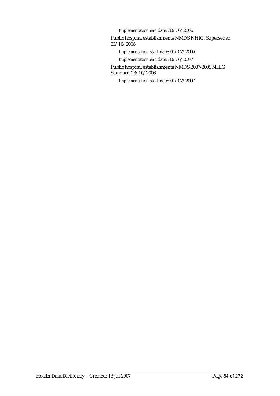*Implementation end date:* 30/06/2006

Public hospital establishments NMDS NHIG, Superseded 23/10/2006

*Implementation start date:* 01/07/2006

*Implementation end date:* 30/06/2007

Public hospital establishments NMDS 2007-2008 NHIG, Standard 23/10/2006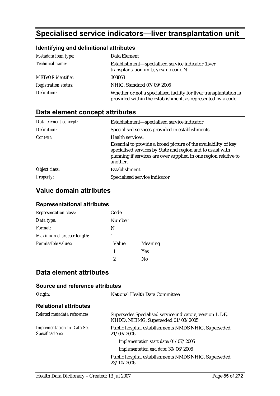# **Specialised service indicators—liver transplantation unit**

## **Identifying and definitional attributes**

| Metadata item type:         | Data Element                                                                                                                       |
|-----------------------------|------------------------------------------------------------------------------------------------------------------------------------|
| Technical name:             | Establishment-specialised service indicator (liver<br>transplantation unit), yes/no code N                                         |
| <b>METeOR</b> identifier:   | 308868                                                                                                                             |
| <b>Registration status:</b> | NHIG, Standard 07/09/2005                                                                                                          |
| Definition:                 | Whether or not a specialised facility for liver transplantation is<br>provided within the establishment, as represented by a code. |

## **Data element concept attributes**

| Data element concept: | Establishment-specialised service indicator                                                                                                                                                                    |
|-----------------------|----------------------------------------------------------------------------------------------------------------------------------------------------------------------------------------------------------------|
| Definition:           | Specialised services provided in establishments.                                                                                                                                                               |
| Context:              | Health services:                                                                                                                                                                                               |
|                       | Essential to provide a broad picture of the availability of key<br>specialised services by State and region and to assist with<br>planning if services are over supplied in one region relative to<br>another. |
| Object class:         | Establishment                                                                                                                                                                                                  |
| <i>Property:</i>      | Specialised service indicator                                                                                                                                                                                  |

## **Value domain attributes**

### **Representational attributes**

| <b>Representation class:</b> | Code   |                |
|------------------------------|--------|----------------|
| Data type:                   | Number |                |
| Format:                      | N      |                |
| Maximum character length:    |        |                |
| Permissible values:          | Value  | <b>Meaning</b> |
|                              | 1      | Yes            |
|                              | 2      | Nο             |

## **Data element attributes**

| Source and reference attributes                      |                                                                                                 |
|------------------------------------------------------|-------------------------------------------------------------------------------------------------|
| Origin:                                              | <b>National Health Data Committee</b>                                                           |
| <b>Relational attributes</b>                         |                                                                                                 |
| Related metadata references:                         | Supersedes Specialised service indicators, version 1, DE,<br>NHDD, NHIMG, Superseded 01/03/2005 |
| <b>Implementation in Data Set</b><br>Specifications: | Public hospital establishments NMDS NHIG, Superseded<br>21/03/2006                              |
|                                                      | Implementation start date: 01/07/2005                                                           |
|                                                      | Implementation end date: 30/06/2006                                                             |
|                                                      | Public hospital establishments NMDS NHIG, Superseded<br>23/10/2006                              |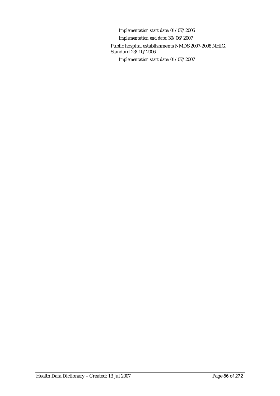*Implementation start date:* 01/07/2006 *Implementation end date:* 30/06/2007 Public hospital establishments NMDS 2007-2008 NHIG, Standard 23/10/2006 *Implementation start date:* 01/07/2007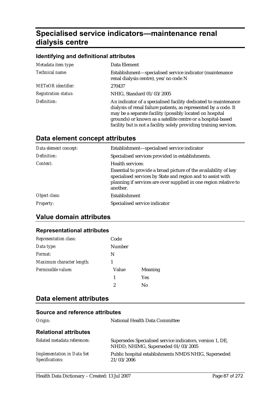# **Specialised service indicators—maintenance renal dialysis centre**

### **Identifying and definitional attributes**

| Metadata item type:         | Data Element                                                                                                                                                                                                                                                                                                                         |
|-----------------------------|--------------------------------------------------------------------------------------------------------------------------------------------------------------------------------------------------------------------------------------------------------------------------------------------------------------------------------------|
| <i>Technical name:</i>      | Establishment-specialised service indicator (maintenance<br>renal dialysis centre), yes/no code N                                                                                                                                                                                                                                    |
| <b>METeOR</b> identifier:   | 270437                                                                                                                                                                                                                                                                                                                               |
| <b>Registration status:</b> | NHIG, Standard 01/03/2005                                                                                                                                                                                                                                                                                                            |
| Definition:                 | An indicator of a specialised facility dedicated to maintenance<br>dialysis of renal failure patients, as represented by a code. It<br>may be a separate facility (possibly located on hospital<br>grounds) or known as a satellite centre or a hospital-based<br>facility but is not a facility solely providing training services. |

## **Data element concept attributes**

| Data element concept: | Establishment-specialised service indicator                                                                                                                                                                    |
|-----------------------|----------------------------------------------------------------------------------------------------------------------------------------------------------------------------------------------------------------|
| Definition:           | Specialised services provided in establishments.                                                                                                                                                               |
| Context:              | Health services:                                                                                                                                                                                               |
|                       | Essential to provide a broad picture of the availability of key<br>specialised services by State and region and to assist with<br>planning if services are over supplied in one region relative to<br>another. |
| Object class:         | Establishment                                                                                                                                                                                                  |
| <b>Property:</b>      | Specialised service indicator                                                                                                                                                                                  |

## **Value domain attributes**

## **Representational attributes**

| <b>Representation class:</b> | Code   |                |
|------------------------------|--------|----------------|
| Data type:                   | Number |                |
| Format:                      | N      |                |
| Maximum character length:    |        |                |
| Permissible values:          | Value  | <b>Meaning</b> |
|                              | 1      | <b>Yes</b>     |
|                              | 2      | No             |

## **Data element attributes**

| Origin:                                              | National Health Data Committee                                                                  |
|------------------------------------------------------|-------------------------------------------------------------------------------------------------|
| <b>Relational attributes</b>                         |                                                                                                 |
| Related metadata references:                         | Supersedes Specialised service indicators, version 1, DE,<br>NHDD, NHIMG, Superseded 01/03/2005 |
| <b>Implementation in Data Set</b><br>Specifications: | Public hospital establishments NMDS NHIG, Superseded<br>21/03/2006                              |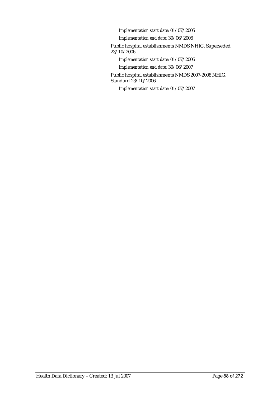*Implementation start date:* 01/07/2005

*Implementation end date:* 30/06/2006

Public hospital establishments NMDS NHIG, Superseded 23/10/2006

*Implementation start date:* 01/07/2006

*Implementation end date:* 30/06/2007

Public hospital establishments NMDS 2007-2008 NHIG, Standard 23/10/2006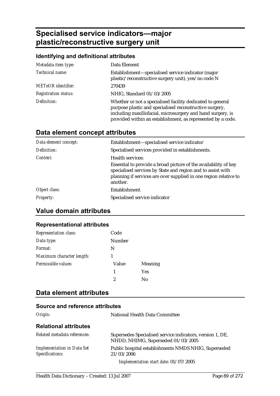# **Specialised service indicators—major plastic/reconstructive surgery unit**

## **Identifying and definitional attributes**

| Metadata item type:         | Data Element                                                                                                                                                                                                                                       |
|-----------------------------|----------------------------------------------------------------------------------------------------------------------------------------------------------------------------------------------------------------------------------------------------|
| Technical name:             | Establishment—specialised service indicator (major<br>plastic/reconstructive surgery unit), yes/no code N                                                                                                                                          |
| <b>METeOR</b> identifier:   | 270439                                                                                                                                                                                                                                             |
| <b>Registration status:</b> | NHIG, Standard 01/03/2005                                                                                                                                                                                                                          |
| Definition:                 | Whether or not a specialised facility dedicated to general<br>purpose plastic and specialised reconstructive surgery,<br>including maxillofacial, microsurgery and hand surgery, is<br>provided within an establishment, as represented by a code. |

## **Data element concept attributes**

| Establishment-specialised service indicator                                                                                                                                                                    |
|----------------------------------------------------------------------------------------------------------------------------------------------------------------------------------------------------------------|
| Specialised services provided in establishments.                                                                                                                                                               |
| <b>Health services:</b>                                                                                                                                                                                        |
| Essential to provide a broad picture of the availability of key<br>specialised services by State and region and to assist with<br>planning if services are over supplied in one region relative to<br>another. |
| Establishment                                                                                                                                                                                                  |
| Specialised service indicator                                                                                                                                                                                  |
|                                                                                                                                                                                                                |

## **Value domain attributes**

### **Representational attributes**

| <b>Representation class:</b> | Code   |                |
|------------------------------|--------|----------------|
| Data type:                   | Number |                |
| Format:                      | N      |                |
| Maximum character length:    |        |                |
| Permissible values:          | Value  | <b>Meaning</b> |
|                              | 1      | <b>Yes</b>     |
|                              | 2      | No             |

## **Data element attributes**

| Origin:                                              | National Health Data Committee                                                                  |
|------------------------------------------------------|-------------------------------------------------------------------------------------------------|
| <b>Relational attributes</b>                         |                                                                                                 |
| Related metadata references:                         | Supersedes Specialised service indicators, version 1, DE,<br>NHDD, NHIMG, Superseded 01/03/2005 |
| <b>Implementation in Data Set</b><br>Specifications: | Public hospital establishments NMDS NHIG, Superseded<br>21/03/2006                              |
|                                                      | Implementation start date: 01/07/2005                                                           |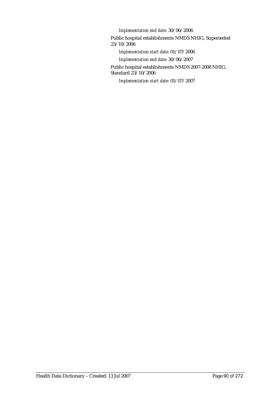*Implementation end date:* 30/06/2006

Public hospital establishments NMDS NHIG, Superseded 23/10/2006

*Implementation start date:* 01/07/2006

*Implementation end date:* 30/06/2007

Public hospital establishments NMDS 2007-2008 NHIG, Standard 23/10/2006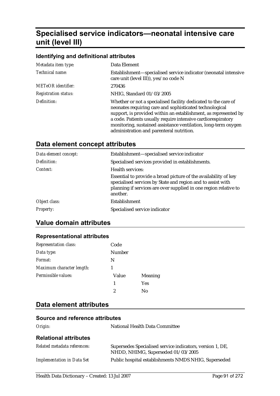# **Specialised service indicators—neonatal intensive care unit (level III)**

### **Identifying and definitional attributes**

| Metadata item type:         | Data Element                                                                                                                                                                                                                                                                                                                                                               |
|-----------------------------|----------------------------------------------------------------------------------------------------------------------------------------------------------------------------------------------------------------------------------------------------------------------------------------------------------------------------------------------------------------------------|
| Technical name:             | Establishment—specialised service indicator (neonatal intensive<br>care unit (level III)), yes/no code N                                                                                                                                                                                                                                                                   |
| <b>METeOR</b> identifier:   | 270436                                                                                                                                                                                                                                                                                                                                                                     |
| <b>Registration status:</b> | NHIG, Standard 01/03/2005                                                                                                                                                                                                                                                                                                                                                  |
| Definition:                 | Whether or not a specialised facility dedicated to the care of<br>neonates requiring care and sophisticated technological<br>support, is provided within an establishment, as represented by<br>a code. Patients usually require intensive cardiorespiratory<br>monitoring, sustained assistance ventilation, long-term oxygen<br>administration and parenteral nutrition. |

## **Data element concept attributes**

| Data element concept: | Establishment-specialised service indicator                                                                                                                                                                    |
|-----------------------|----------------------------------------------------------------------------------------------------------------------------------------------------------------------------------------------------------------|
| Definition:           | Specialised services provided in establishments.                                                                                                                                                               |
| Context:              | Health services:                                                                                                                                                                                               |
|                       | Essential to provide a broad picture of the availability of key<br>specialised services by State and region and to assist with<br>planning if services are over supplied in one region relative to<br>another. |
| Object class:         | Establishment                                                                                                                                                                                                  |
| <i>Property:</i>      | Specialised service indicator                                                                                                                                                                                  |

## **Value domain attributes**

### **Representational attributes**

| Representation class:     | Code   |                |
|---------------------------|--------|----------------|
| Data type:                | Number |                |
| Format:                   | N      |                |
| Maximum character length: |        |                |
| Permissible values:       | Value  | <b>Meaning</b> |
|                           | 1      | <b>Yes</b>     |
|                           | 2      | Nο             |

## **Data element attributes**

| Origin:                           | National Health Data Committee                                                                  |
|-----------------------------------|-------------------------------------------------------------------------------------------------|
| <b>Relational attributes</b>      |                                                                                                 |
| Related metadata references:      | Supersedes Specialised service indicators, version 1, DE,<br>NHDD, NHIMG, Superseded 01/03/2005 |
| <b>Implementation in Data Set</b> | Public hospital establishments NMDS NHIG, Superseded                                            |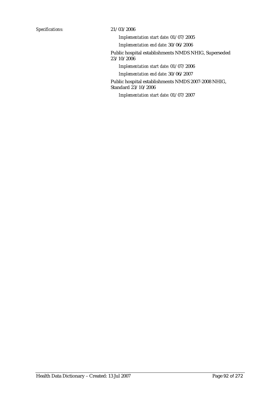*Implementation start date:* 01/07/2005

*Implementation end date:* 30/06/2006

Public hospital establishments NMDS NHIG, Superseded 23/10/2006

*Implementation start date:* 01/07/2006

*Implementation end date:* 30/06/2007

Public hospital establishments NMDS 2007-2008 NHIG, Standard 23/10/2006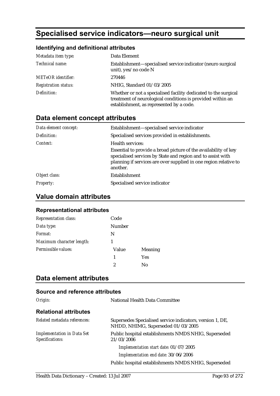# **Specialised service indicators—neuro surgical unit**

## **Identifying and definitional attributes**

| Metadata item type:         | Data Element                                                                                                                                                              |
|-----------------------------|---------------------------------------------------------------------------------------------------------------------------------------------------------------------------|
| Technical name:             | Establishment—specialised service indicator (neuro surgical<br>unit), yes/no code N                                                                                       |
| <b>METeOR</b> identifier:   | 270446                                                                                                                                                                    |
| <b>Registration status:</b> | NHIG, Standard 01/03/2005                                                                                                                                                 |
| Definition:                 | Whether or not a specialised facility dedicated to the surgical<br>treatment of neurological conditions is provided within an<br>establishment, as represented by a code. |

## **Data element concept attributes**

| Data element concept: | Establishment-specialised service indicator                                                                                                                                                                    |
|-----------------------|----------------------------------------------------------------------------------------------------------------------------------------------------------------------------------------------------------------|
| Definition:           | Specialised services provided in establishments.                                                                                                                                                               |
| Context:              | Health services:                                                                                                                                                                                               |
|                       | Essential to provide a broad picture of the availability of key<br>specialised services by State and region and to assist with<br>planning if services are over supplied in one region relative to<br>another. |
| Object class:         | Establishment                                                                                                                                                                                                  |
| <i>Property:</i>      | Specialised service indicator                                                                                                                                                                                  |

## **Value domain attributes**

### **Representational attributes**

| <b>Representation class:</b> | Code          |            |
|------------------------------|---------------|------------|
| Data type:                   | <b>Number</b> |            |
| Format:                      | N             |            |
| Maximum character length:    |               |            |
| Permissible values:          | Value         | Meaning    |
|                              | 1             | <b>Yes</b> |
|                              | 2             | Nο         |

## **Data element attributes**

| Origin:                                              | National Health Data Committee                                                                  |
|------------------------------------------------------|-------------------------------------------------------------------------------------------------|
| <b>Relational attributes</b>                         |                                                                                                 |
| Related metadata references:                         | Supersedes Specialised service indicators, version 1, DE,<br>NHDD, NHIMG, Superseded 01/03/2005 |
| <b>Implementation in Data Set</b><br>Specifications: | Public hospital establishments NMDS NHIG, Superseded<br>21/03/2006                              |
|                                                      | Implementation start date: 01/07/2005                                                           |
|                                                      | Implementation end date: 30/06/2006                                                             |
|                                                      | Public hospital establishments NMDS NHIG, Superseded                                            |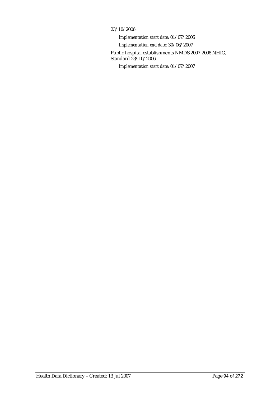### 23/10/2006

*Implementation start date:* 01/07/2006 *Implementation end date:* 30/06/2007 Public hospital establishments NMDS 2007-2008 NHIG, Standard 23/10/2006 *Implementation start date:* 01/07/2007

Health Data Dictionary – Created: 13 Jul 2007 Page 94 of 272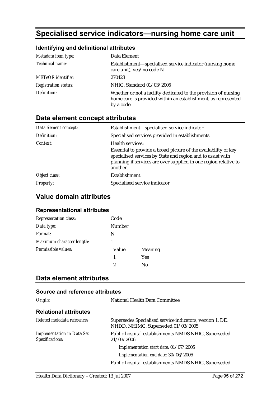# **Specialised service indicators—nursing home care unit**

## **Identifying and definitional attributes**

| Metadata item type:         | Data Element                                                                                                                                   |
|-----------------------------|------------------------------------------------------------------------------------------------------------------------------------------------|
| Technical name:             | Establishment—specialised service indicator (nursing home<br>care unit), yes/no code N                                                         |
| <b>METeOR</b> identifier:   | 270428                                                                                                                                         |
| <b>Registration status:</b> | NHIG, Standard 01/03/2005                                                                                                                      |
| Definition:                 | Whether or not a facility dedicated to the provision of nursing<br>home care is provided within an establishment, as represented<br>by a code. |

## **Data element concept attributes**

| Data element concept: | Establishment-specialised service indicator                                                                                                                                                                    |
|-----------------------|----------------------------------------------------------------------------------------------------------------------------------------------------------------------------------------------------------------|
| Definition:           | Specialised services provided in establishments.                                                                                                                                                               |
| Context:              | Health services:                                                                                                                                                                                               |
|                       | Essential to provide a broad picture of the availability of key<br>specialised services by State and region and to assist with<br>planning if services are over supplied in one region relative to<br>another. |
| Object class:         | Establishment                                                                                                                                                                                                  |
| <b>Property:</b>      | Specialised service indicator                                                                                                                                                                                  |

## **Value domain attributes**

### **Representational attributes**

| Representation class:     | Code          |            |
|---------------------------|---------------|------------|
| Data type:                | <b>Number</b> |            |
| Format:                   | N             |            |
| Maximum character length: |               |            |
| Permissible values:       | Value         | Meaning    |
|                           | 1             | <b>Yes</b> |
|                           | 2             | Nο         |

## **Data element attributes**

| Origin:                                              | National Health Data Committee                                                                  |
|------------------------------------------------------|-------------------------------------------------------------------------------------------------|
| <b>Relational attributes</b>                         |                                                                                                 |
| Related metadata references:                         | Supersedes Specialised service indicators, version 1, DE,<br>NHDD, NHIMG, Superseded 01/03/2005 |
| <b>Implementation in Data Set</b><br>Specifications: | Public hospital establishments NMDS NHIG, Superseded<br>21/03/2006                              |
|                                                      | Implementation start date: 01/07/2005                                                           |
|                                                      | Implementation end date: 30/06/2006                                                             |
|                                                      | Public hospital establishments NMDS NHIG, Superseded                                            |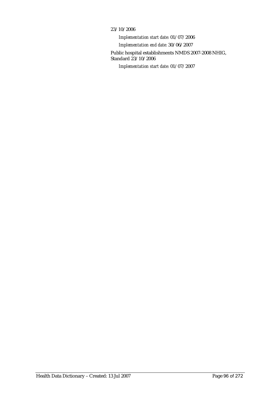### 23/10/2006

*Implementation start date:* 01/07/2006 *Implementation end date:* 30/06/2007 Public hospital establishments NMDS 2007-2008 NHIG, Standard 23/10/2006 *Implementation start date:* 01/07/2007

Health Data Dictionary – Created: 13 Jul 2007 Page 96 of 272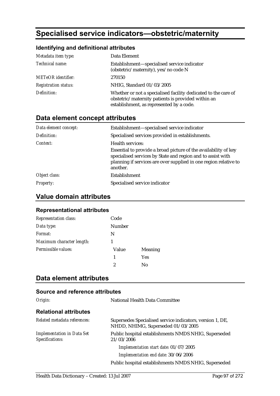# **Specialised service indicators—obstetric/maternity**

## **Identifying and definitional attributes**

| Metadata item type:         | Data Element                                                                                                                                                     |
|-----------------------------|------------------------------------------------------------------------------------------------------------------------------------------------------------------|
| Technical name:             | Establishment-specialised service indicator<br>(obstetric/maternity), yes/no code N                                                                              |
| <b>METeOR</b> identifier:   | 270150                                                                                                                                                           |
| <b>Registration status:</b> | NHIG, Standard 01/03/2005                                                                                                                                        |
| Definition:                 | Whether or not a specialised facility dedicated to the care of<br>obstetric/maternity patients is provided within an<br>establishment, as represented by a code. |

## **Data element concept attributes**

| Data element concept: | Establishment-specialised service indicator                                                                                                                                                                    |
|-----------------------|----------------------------------------------------------------------------------------------------------------------------------------------------------------------------------------------------------------|
| Definition:           | Specialised services provided in establishments.                                                                                                                                                               |
| Context:              | Health services:                                                                                                                                                                                               |
|                       | Essential to provide a broad picture of the availability of key<br>specialised services by State and region and to assist with<br>planning if services are over supplied in one region relative to<br>another. |
| Object class:         | Establishment                                                                                                                                                                                                  |
| <b>Property:</b>      | Specialised service indicator                                                                                                                                                                                  |

## **Value domain attributes**

### **Representational attributes**

| <b>Representation class:</b> | Code          |            |
|------------------------------|---------------|------------|
| Data type:                   | <b>Number</b> |            |
| Format:                      | N             |            |
| Maximum character length:    |               |            |
| Permissible values:          | Value         | Meaning    |
|                              | 1             | <b>Yes</b> |
|                              | 2             | Nο         |

## **Data element attributes**

| Origin:                                              | National Health Data Committee                                                                  |
|------------------------------------------------------|-------------------------------------------------------------------------------------------------|
| <b>Relational attributes</b>                         |                                                                                                 |
| Related metadata references:                         | Supersedes Specialised service indicators, version 1, DE,<br>NHDD, NHIMG, Superseded 01/03/2005 |
| <b>Implementation in Data Set</b><br>Specifications: | Public hospital establishments NMDS NHIG, Superseded<br>21/03/2006                              |
|                                                      | Implementation start date: 01/07/2005                                                           |
|                                                      | Implementation end date: 30/06/2006                                                             |
|                                                      | Public hospital establishments NMDS NHIG, Superseded                                            |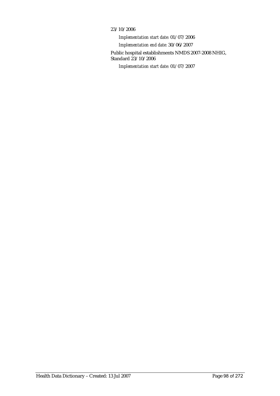### 23/10/2006

*Implementation start date:* 01/07/2006 *Implementation end date:* 30/06/2007 Public hospital establishments NMDS 2007-2008 NHIG, Standard 23/10/2006 *Implementation start date:* 01/07/2007

Health Data Dictionary – Created: 13 Jul 2007 Page 98 of 272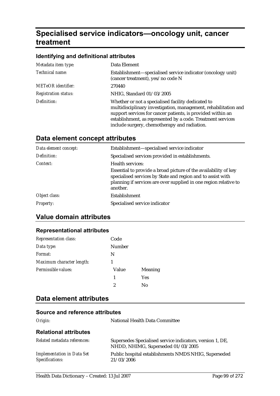# **Specialised service indicators—oncology unit, cancer treatment**

### **Identifying and definitional attributes**

| Metadata item type:         | Data Element                                                                                                                                                                                                                                                                                        |
|-----------------------------|-----------------------------------------------------------------------------------------------------------------------------------------------------------------------------------------------------------------------------------------------------------------------------------------------------|
| Technical name:             | Establishment—specialised service indicator (oncology unit)<br>(cancer treatment), yes/no code N                                                                                                                                                                                                    |
| <b>METeOR</b> identifier:   | 270440                                                                                                                                                                                                                                                                                              |
| <b>Registration status:</b> | NHIG, Standard 01/03/2005                                                                                                                                                                                                                                                                           |
| Definition:                 | Whether or not a specialised facility dedicated to<br>multidisciplinary investigation, management, rehabilitation and<br>support services for cancer patients, is provided within an<br>establishment, as represented by a code. Treatment services<br>include surgery, chemotherapy and radiation. |

## **Data element concept attributes**

| Data element concept: | Establishment-specialised service indicator                                                                                                                                                                    |
|-----------------------|----------------------------------------------------------------------------------------------------------------------------------------------------------------------------------------------------------------|
| Definition:           | Specialised services provided in establishments.                                                                                                                                                               |
| Context:              | Health services:                                                                                                                                                                                               |
|                       | Essential to provide a broad picture of the availability of key<br>specialised services by State and region and to assist with<br>planning if services are over supplied in one region relative to<br>another. |
| Object class:         | Establishment                                                                                                                                                                                                  |
| <b>Property:</b>      | Specialised service indicator                                                                                                                                                                                  |

## **Value domain attributes**

## **Representational attributes**

| <b>Representation class:</b> | Code   |                |
|------------------------------|--------|----------------|
| Data type:                   | Number |                |
| Format:                      | N      |                |
| Maximum character length:    |        |                |
| Permissible values:          | Value  | <b>Meaning</b> |
|                              | 1      | <b>Yes</b>     |
|                              | 2      | No             |

## **Data element attributes**

| Origin:                                              | National Health Data Committee                                                                  |
|------------------------------------------------------|-------------------------------------------------------------------------------------------------|
| <b>Relational attributes</b>                         |                                                                                                 |
| Related metadata references:                         | Supersedes Specialised service indicators, version 1, DE,<br>NHDD, NHIMG, Superseded 01/03/2005 |
| <b>Implementation in Data Set</b><br>Specifications: | Public hospital establishments NMDS NHIG, Superseded<br>21/03/2006                              |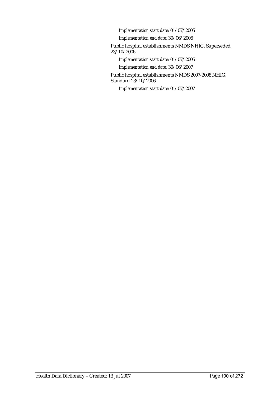*Implementation start date:* 01/07/2005

*Implementation end date:* 30/06/2006

Public hospital establishments NMDS NHIG, Superseded 23/10/2006

*Implementation start date:* 01/07/2006

*Implementation end date:* 30/06/2007

Public hospital establishments NMDS 2007-2008 NHIG, Standard 23/10/2006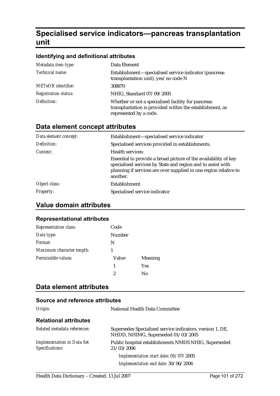# **Specialised service indicators—pancreas transplantation unit**

### **Identifying and definitional attributes**

| Metadata item type:         | Data Element                                                                                                                             |
|-----------------------------|------------------------------------------------------------------------------------------------------------------------------------------|
| Technical name:             | Establishment—specialised service indicator (pancreas<br>transplantation unit), yes/no code N                                            |
| <b>METeOR</b> identifier:   | 308870                                                                                                                                   |
| <b>Registration status:</b> | NHIG, Standard 07/09/2005                                                                                                                |
| Definition:                 | Whether or not a specialised facility for pancreas<br>transplantation is provided within the establishment, as<br>represented by a code. |

## **Data element concept attributes**

| Data element concept: | Establishment-specialised service indicator                                                                                                                                                                    |
|-----------------------|----------------------------------------------------------------------------------------------------------------------------------------------------------------------------------------------------------------|
| Definition:           | Specialised services provided in establishments.                                                                                                                                                               |
| Context:              | <b>Health services:</b>                                                                                                                                                                                        |
|                       | Essential to provide a broad picture of the availability of key<br>specialised services by State and region and to assist with<br>planning if services are over supplied in one region relative to<br>another. |
| Object class:         | Establishment                                                                                                                                                                                                  |
| <b>Property:</b>      | Specialised service indicator                                                                                                                                                                                  |

## **Value domain attributes**

### **Representational attributes**

| <b>Representation class:</b> | Code   |         |
|------------------------------|--------|---------|
| Data type:                   | Number |         |
| Format:                      | N      |         |
| Maximum character length:    |        |         |
| Permissible values:          | Value  | Meaning |
|                              | 1      | Yes     |
|                              | 2      | Nο      |

## **Data element attributes**

| Origin:                                              | National Health Data Committee                                                                  |
|------------------------------------------------------|-------------------------------------------------------------------------------------------------|
| <b>Relational attributes</b>                         |                                                                                                 |
| Related metadata references:                         | Supersedes Specialised service indicators, version 1, DE,<br>NHDD, NHIMG, Superseded 01/03/2005 |
| <b>Implementation in Data Set</b><br>Specifications: | Public hospital establishments NMDS NHIG, Superseded<br>21/03/2006                              |
|                                                      | Implementation start date: 01/07/2005                                                           |
|                                                      | Implementation end date: 30/06/2006                                                             |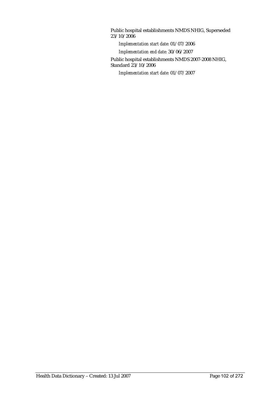Public hospital establishments NMDS NHIG, Superseded 23/10/2006

*Implementation start date:* 01/07/2006

*Implementation end date:* 30/06/2007

Public hospital establishments NMDS 2007-2008 NHIG, Standard 23/10/2006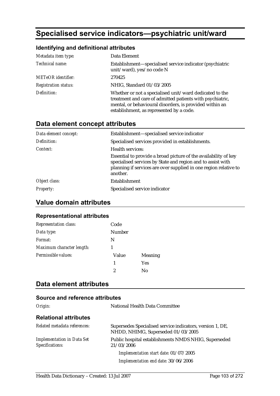# **Specialised service indicators—psychiatric unit/ward**

## **Identifying and definitional attributes**

| Metadata item type:         | Data Element                                                                                                                                                                                                                |
|-----------------------------|-----------------------------------------------------------------------------------------------------------------------------------------------------------------------------------------------------------------------------|
| Technical name:             | Establishment—specialised service indicator (psychiatric<br>unit/ward), yes/no code N                                                                                                                                       |
| <b>METeOR</b> identifier:   | 270425                                                                                                                                                                                                                      |
| <b>Registration status:</b> | NHIG, Standard 01/03/2005                                                                                                                                                                                                   |
| Definition:                 | Whether or not a specialised unit/ward dedicated to the<br>treatment and care of admitted patients with psychiatric,<br>mental, or behavioural disorders, is provided within an<br>establishment, as represented by a code. |

## **Data element concept attributes**

| Data element concept: | Establishment—specialised service indicator                                                                                                                                                                    |
|-----------------------|----------------------------------------------------------------------------------------------------------------------------------------------------------------------------------------------------------------|
| Definition:           | Specialised services provided in establishments.                                                                                                                                                               |
| Context:              | Health services:                                                                                                                                                                                               |
|                       | Essential to provide a broad picture of the availability of key<br>specialised services by State and region and to assist with<br>planning if services are over supplied in one region relative to<br>another. |
| Object class:         | <b>Establishment</b>                                                                                                                                                                                           |
| <b>Property:</b>      | Specialised service indicator                                                                                                                                                                                  |

## **Value domain attributes**

### **Representational attributes**

| <b>Representation class:</b> | Code   |                |
|------------------------------|--------|----------------|
| Data type:                   | Number |                |
| Format:                      | N      |                |
| Maximum character length:    |        |                |
| Permissible values:          | Value  | <b>Meaning</b> |
|                              | 1      | <b>Yes</b>     |
|                              | 2      | Nο             |

## **Data element attributes**

| Origin:                                              | National Health Data Committee                                                                  |
|------------------------------------------------------|-------------------------------------------------------------------------------------------------|
| <b>Relational attributes</b>                         |                                                                                                 |
| Related metadata references:                         | Supersedes Specialised service indicators, version 1, DE,<br>NHDD, NHIMG, Superseded 01/03/2005 |
| <b>Implementation in Data Set</b><br>Specifications: | Public hospital establishments NMDS NHIG, Superseded<br>21/03/2006                              |
|                                                      | Implementation start date: 01/07/2005                                                           |
|                                                      | Implementation end date: 30/06/2006                                                             |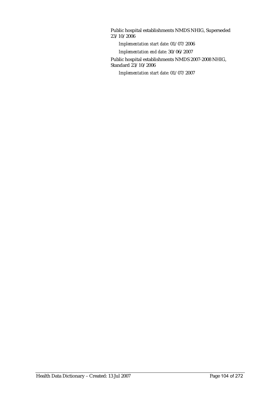Public hospital establishments NMDS NHIG, Superseded 23/10/2006

*Implementation start date:* 01/07/2006

*Implementation end date:* 30/06/2007

Public hospital establishments NMDS 2007-2008 NHIG, Standard 23/10/2006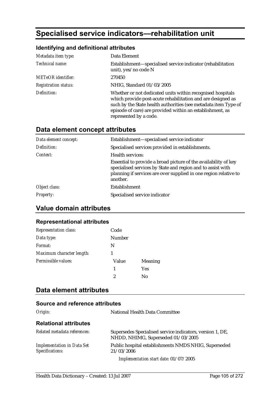# **Specialised service indicators—rehabilitation unit**

## **Identifying and definitional attributes**

| Metadata item type:         | Data Element                                                                                                                                                                                                                                                                        |
|-----------------------------|-------------------------------------------------------------------------------------------------------------------------------------------------------------------------------------------------------------------------------------------------------------------------------------|
| Technical name:             | Establishment—specialised service indicator (rehabilitation<br>unit), yes/no code N                                                                                                                                                                                                 |
| <b>METeOR</b> identifier:   | 270450                                                                                                                                                                                                                                                                              |
| <b>Registration status:</b> | NHIG, Standard 01/03/2005                                                                                                                                                                                                                                                           |
| Definition:                 | Whether or not dedicated units within recognised hospitals<br>which provide post-acute rehabilitation and are designed as<br>such by the State health authorities (see metadata item Type of<br>episode of care) are provided within an establishment, as<br>represented by a code. |

## **Data element concept attributes**

| Data element concept: | Establishment—specialised service indicator                                                                                                                                                                    |
|-----------------------|----------------------------------------------------------------------------------------------------------------------------------------------------------------------------------------------------------------|
| Definition:           | Specialised services provided in establishments.                                                                                                                                                               |
| Context:              | Health services:                                                                                                                                                                                               |
|                       | Essential to provide a broad picture of the availability of key<br>specialised services by State and region and to assist with<br>planning if services are over supplied in one region relative to<br>another. |
| Object class:         | Establishment                                                                                                                                                                                                  |
| <b>Property:</b>      | Specialised service indicator                                                                                                                                                                                  |

## **Value domain attributes**

### **Representational attributes**

| Representation class:     | Code   |                |
|---------------------------|--------|----------------|
| Data type:                | Number |                |
| Format:                   | N      |                |
| Maximum character length: |        |                |
| Permissible values:       | Value  | <b>Meaning</b> |
|                           | 1      | <b>Yes</b>     |
|                           |        | No             |

## **Data element attributes**

| Origin:                                              | <b>National Health Data Committee</b>                                                           |
|------------------------------------------------------|-------------------------------------------------------------------------------------------------|
| <b>Relational attributes</b>                         |                                                                                                 |
| Related metadata references:                         | Supersedes Specialised service indicators, version 1, DE,<br>NHDD, NHIMG, Superseded 01/03/2005 |
| <b>Implementation in Data Set</b><br>Specifications: | Public hospital establishments NMDS NHIG, Superseded<br>21/03/2006                              |
|                                                      | Implementation start date: 01/07/2005                                                           |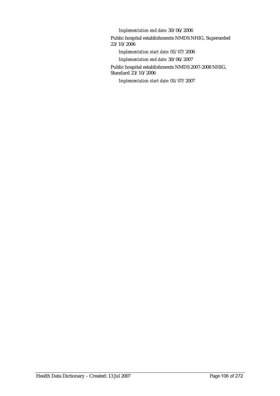*Implementation end date:* 30/06/2006

Public hospital establishments NMDS NHIG, Superseded 23/10/2006

*Implementation start date:* 01/07/2006

*Implementation end date:* 30/06/2007

Public hospital establishments NMDS 2007-2008 NHIG, Standard 23/10/2006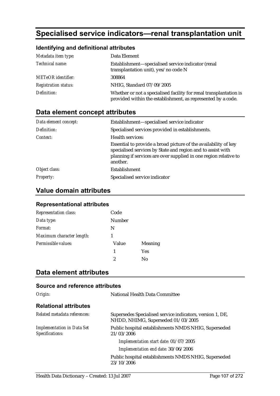# **Specialised service indicators—renal transplantation unit**

## **Identifying and definitional attributes**

| Metadata item type:         | Data Element                                                                                                                       |
|-----------------------------|------------------------------------------------------------------------------------------------------------------------------------|
| Technical name:             | Establishment-specialised service indicator (renal<br>transplantation unit), yes/no code N                                         |
| <b>METeOR</b> identifier:   | 308864                                                                                                                             |
| <b>Registration status:</b> | NHIG, Standard 07/09/2005                                                                                                          |
| Definition:                 | Whether or not a specialised facility for renal transplantation is<br>provided within the establishment, as represented by a code. |

## **Data element concept attributes**

| Data element concept: | Establishment-specialised service indicator                                                                                                                                                                    |
|-----------------------|----------------------------------------------------------------------------------------------------------------------------------------------------------------------------------------------------------------|
| Definition:           | Specialised services provided in establishments.                                                                                                                                                               |
| Context:              | Health services:                                                                                                                                                                                               |
|                       | Essential to provide a broad picture of the availability of key<br>specialised services by State and region and to assist with<br>planning if services are over supplied in one region relative to<br>another. |
| Object class:         | Establishment                                                                                                                                                                                                  |
| <i>Property:</i>      | Specialised service indicator                                                                                                                                                                                  |

## **Value domain attributes**

### **Representational attributes**

| <b>Representation class:</b> | Code   |                |
|------------------------------|--------|----------------|
| Data type:                   | Number |                |
| Format:                      | N      |                |
| Maximum character length:    |        |                |
| Permissible values:          | Value  | <b>Meaning</b> |
|                              | 1      | Yes            |
|                              | 2      | Nο             |

## **Data element attributes**

| Source and reference attributes                      |                                                                                                 |
|------------------------------------------------------|-------------------------------------------------------------------------------------------------|
| Origin:                                              | National Health Data Committee                                                                  |
| <b>Relational attributes</b>                         |                                                                                                 |
| Related metadata references:                         | Supersedes Specialised service indicators, version 1, DE,<br>NHDD, NHIMG, Superseded 01/03/2005 |
| <b>Implementation in Data Set</b><br>Specifications: | Public hospital establishments NMDS NHIG, Superseded<br>21/03/2006                              |
|                                                      | Implementation start date: 01/07/2005                                                           |
|                                                      | Implementation end date: 30/06/2006                                                             |
|                                                      | Public hospital establishments NMDS NHIG, Superseded<br>23/10/2006                              |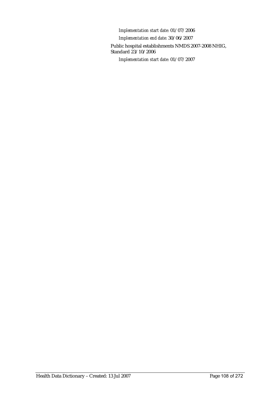*Implementation start date:* 01/07/2006 *Implementation end date:* 30/06/2007 Public hospital establishments NMDS 2007-2008 NHIG, Standard 23/10/2006 *Implementation start date:* 01/07/2007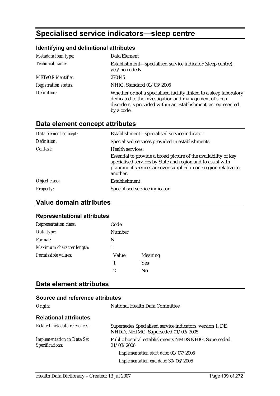# **Specialised service indicators—sleep centre**

### **Identifying and definitional attributes**

| Metadata item type:         | Data Element                                                                                                                                                                                                |
|-----------------------------|-------------------------------------------------------------------------------------------------------------------------------------------------------------------------------------------------------------|
| Technical name:             | Establishment—specialised service indicator (sleep centre),<br>yes/no code N                                                                                                                                |
| <b>METeOR</b> identifier:   | 270445                                                                                                                                                                                                      |
| <b>Registration status:</b> | NHIG, Standard 01/03/2005                                                                                                                                                                                   |
| Definition:                 | Whether or not a specialised facility linked to a sleep laboratory<br>dedicated to the investigation and management of sleep<br>disorders is provided within an establishment, as represented<br>by a code. |

## **Data element concept attributes**

| Data element concept: | Establishment-specialised service indicator                                                                                                                                                                    |
|-----------------------|----------------------------------------------------------------------------------------------------------------------------------------------------------------------------------------------------------------|
| Definition:           | Specialised services provided in establishments.                                                                                                                                                               |
| Context:              | Health services:                                                                                                                                                                                               |
|                       | Essential to provide a broad picture of the availability of key<br>specialised services by State and region and to assist with<br>planning if services are over supplied in one region relative to<br>another. |
| Object class:         | Establishment                                                                                                                                                                                                  |
| <b>Property:</b>      | Specialised service indicator                                                                                                                                                                                  |

## **Value domain attributes**

#### **Representational attributes**

| <b>Representation class:</b> | Code   |                |
|------------------------------|--------|----------------|
| Data type:                   | Number |                |
| Format:                      | N      |                |
| Maximum character length:    |        |                |
| Permissible values:          | Value  | <b>Meaning</b> |
|                              | 1      | <b>Yes</b>     |
|                              | 2      | Nο             |

## **Data element attributes**

| Origin:                                              | <b>National Health Data Committee</b>                                                           |
|------------------------------------------------------|-------------------------------------------------------------------------------------------------|
| <b>Relational attributes</b>                         |                                                                                                 |
| Related metadata references:                         | Supersedes Specialised service indicators, version 1, DE,<br>NHDD, NHIMG, Superseded 01/03/2005 |
| <b>Implementation in Data Set</b><br>Specifications: | Public hospital establishments NMDS NHIG, Superseded<br>21/03/2006                              |
|                                                      | Implementation start date: 01/07/2005                                                           |
|                                                      | Implementation end date: 30/06/2006                                                             |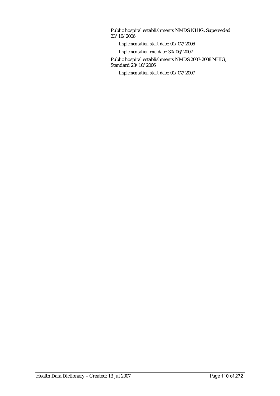Public hospital establishments NMDS NHIG, Superseded 23/10/2006

*Implementation start date:* 01/07/2006

*Implementation end date:* 30/06/2007

Public hospital establishments NMDS 2007-2008 NHIG, Standard 23/10/2006

*Implementation start date:* 01/07/2007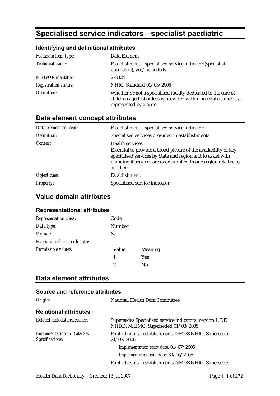# **Specialised service indicators—specialist paediatric**

### **Identifying and definitional attributes**

| Metadata item type:         | Data Element                                                                                                                                                 |
|-----------------------------|--------------------------------------------------------------------------------------------------------------------------------------------------------------|
| Technical name:             | Establishment-specialised service indicator (specialist<br>paediatric), yes/no code N                                                                        |
| <b>METeOR</b> identifier:   | 270424                                                                                                                                                       |
| <b>Registration status:</b> | NHIG, Standard 01/03/2005                                                                                                                                    |
| Definition:                 | Whether or not a specialised facility dedicated to the care of<br>children aged 14 or less is provided within an establishment, as<br>represented by a code. |

## **Data element concept attributes**

| Data element concept: | Establishment-specialised service indicator                                                                                                                                                                    |
|-----------------------|----------------------------------------------------------------------------------------------------------------------------------------------------------------------------------------------------------------|
| Definition:           | Specialised services provided in establishments.                                                                                                                                                               |
| Context:              | Health services:                                                                                                                                                                                               |
|                       | Essential to provide a broad picture of the availability of key<br>specialised services by State and region and to assist with<br>planning if services are over supplied in one region relative to<br>another. |
| Object class:         | Establishment                                                                                                                                                                                                  |
| <b>Property:</b>      | Specialised service indicator                                                                                                                                                                                  |

## **Value domain attributes**

#### **Representational attributes**

| Representation class:     | Code          |                |
|---------------------------|---------------|----------------|
| Data type:                | <b>Number</b> |                |
| Format:                   | N             |                |
| Maximum character length: |               |                |
| Permissible values:       | Value         | <b>Meaning</b> |
|                           | 1             | <b>Yes</b>     |
|                           | 2             | Nο             |

## **Data element attributes**

| Origin:                                              | National Health Data Committee                                                                  |
|------------------------------------------------------|-------------------------------------------------------------------------------------------------|
| <b>Relational attributes</b>                         |                                                                                                 |
| Related metadata references:                         | Supersedes Specialised service indicators, version 1, DE,<br>NHDD, NHIMG, Superseded 01/03/2005 |
| <b>Implementation in Data Set</b><br>Specifications: | Public hospital establishments NMDS NHIG, Superseded<br>21/03/2006                              |
|                                                      | Implementation start date: 01/07/2005                                                           |
|                                                      | Implementation end date: 30/06/2006                                                             |
|                                                      | Public hospital establishments NMDS NHIG, Superseded                                            |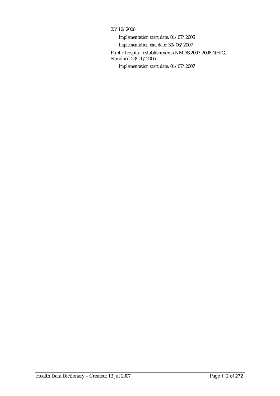#### 23/10/2006

*Implementation start date:* 01/07/2006 *Implementation end date:* 30/06/2007 Public hospital establishments NMDS 2007-2008 NHIG, Standard 23/10/2006 *Implementation start date:* 01/07/2007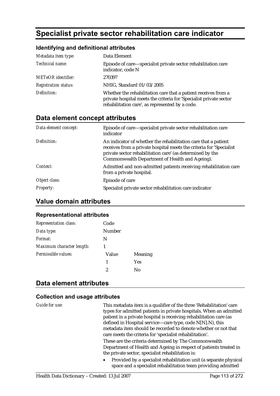# **Specialist private sector rehabilitation care indicator**

#### **Identifying and definitional attributes**

| Metadata item type:         | Data Element                                                                                                                                                                            |
|-----------------------------|-----------------------------------------------------------------------------------------------------------------------------------------------------------------------------------------|
| Technical name:             | Episode of care—specialist private sector rehabilitation care<br>indicator, code N                                                                                                      |
| <b>METeOR</b> identifier:   | 270397                                                                                                                                                                                  |
| <b>Registration status:</b> | NHIG, Standard 01/03/2005                                                                                                                                                               |
| Definition:                 | Whether the rehabilitation care that a patient receives from a<br>private hospital meets the criteria for 'Specialist private sector<br>rehabilitation care', as represented by a code. |

## **Data element concept attributes**

| Data element concept: | Episode of care—specialist private sector rehabilitation care<br>indicator                                                                                                                                                                           |
|-----------------------|------------------------------------------------------------------------------------------------------------------------------------------------------------------------------------------------------------------------------------------------------|
| Definition:           | An indicator of whether the rehabilitation care that a patient<br>receives from a private hospital meets the criteria for 'Specialist<br>private sector rehabilitation care' (as determined by the<br>Commonwealth Department of Health and Ageing). |
| Context:              | Admitted and non-admitted patients receiving rehabilitation care<br>from a private hospital.                                                                                                                                                         |
| Object class:         | Episode of care                                                                                                                                                                                                                                      |
| <b>Property:</b>      | Specialist private sector rehabilitation care indicator                                                                                                                                                                                              |

### **Value domain attributes**

#### **Representational attributes**

| <b>Representation class:</b> | Code   |         |
|------------------------------|--------|---------|
| Data type:                   | Number |         |
| Format:                      | N      |         |
| Maximum character length:    | 1      |         |
| Permissible values:          | Value  | Meaning |
|                              | 1      | Yes     |
|                              | 2      | Nο      |

### **Data element attributes**

| Guide for use: | This metadata item is a qualifier of the three 'Rehabilitation' care<br>types for admitted patients in private hospitals. When an admitted<br>patient in a private hospital is receiving rehabilitation care (as<br>defined in Hospital service—care type, code N[N].N), this<br>metadata item should be recorded to denote whether or not that<br>care meets the criteria for 'specialist rehabilitation'. |
|----------------|-------------------------------------------------------------------------------------------------------------------------------------------------------------------------------------------------------------------------------------------------------------------------------------------------------------------------------------------------------------------------------------------------------------|
|                | These are the criteria determined by The Commonwealth<br>Department of Health and Ageing in respect of patients treated in<br>the private sector, specialist rehabilitation is:                                                                                                                                                                                                                             |
|                | Provided by a specialist rehabilitation unit (a separate physical<br>$\bullet$<br>space and a specialist rehabilitation team providing admitted                                                                                                                                                                                                                                                             |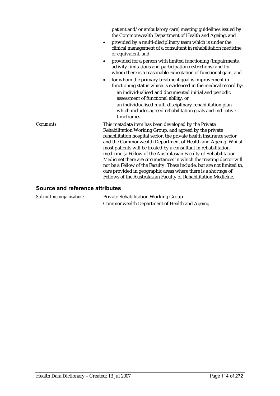|           | patient and/or ambulatory care) meeting guidelines issued by<br>the Commonwealth Department of Health and Ageing, and<br>provided by a multi-disciplinary team which is under the<br>$\bullet$<br>clinical management of a consultant in rehabilitation medicine<br>or equivalent, and                                                                                                                                                                                                                                                                                                                                                                                              |
|-----------|-------------------------------------------------------------------------------------------------------------------------------------------------------------------------------------------------------------------------------------------------------------------------------------------------------------------------------------------------------------------------------------------------------------------------------------------------------------------------------------------------------------------------------------------------------------------------------------------------------------------------------------------------------------------------------------|
|           | provided for a person with limited functioning (impairments,<br>$\bullet$<br>activity limitations and participation restrictions) and for<br>whom there is a reasonable expectation of functional gain, and                                                                                                                                                                                                                                                                                                                                                                                                                                                                         |
|           | for whom the primary treatment goal is improvement in<br>$\bullet$<br>functioning status which is evidenced in the medical record by:<br>an individualised and documented initial and periodic<br>assessment of functional ability, or<br>an individualised multi-disciplinary rehabilitation plan<br>which includes agreed rehabilitation goals and indicative<br>timeframes.                                                                                                                                                                                                                                                                                                      |
| Comments: | This metadata item has been developed by the Private<br>Rehabilitation Working Group, and agreed by the private<br>rehabilitation hospital sector, the private health insurance sector<br>and the Commonwealth Department of Health and Ageing. Whilst<br>most patients will be treated by a consultant in rehabilitation<br>medicine (a Fellow of the Australasian Faculty of Rehabilitation<br>Medicine) there are circumstances in which the treating doctor will<br>not be a Fellow of the Faculty. These include, but are not limited to,<br>care provided in geographic areas where there is a shortage of<br>Fellows of the Australasian Faculty of Rehabilitation Medicine. |

#### **Source and reference attributes**

*Submitting organisation:* Private Rehabilitation Working Group Commonwealth Department of Health and Ageing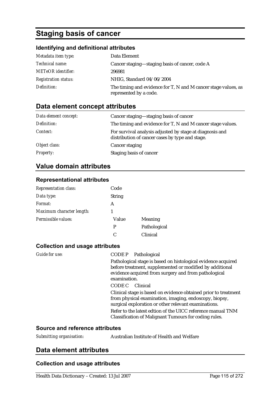# **Staging basis of cancer**

### **Identifying and definitional attributes**

| Metadata item type:         | Data Element                                                                             |
|-----------------------------|------------------------------------------------------------------------------------------|
| <i>Technical name:</i>      | Cancer staging-staging basis of cancer, code A                                           |
| <b>METeOR</b> identifier:   | 296981                                                                                   |
| <b>Registration status:</b> | NHIG, Standard 04/06/2004                                                                |
| Definition:                 | The timing and evidence for T, N and M cancer stage values, as<br>represented by a code. |

### **Data element concept attributes**

| Data element concept: | Cancer staging—staging basis of cancer                                                                      |
|-----------------------|-------------------------------------------------------------------------------------------------------------|
| Definition:           | The timing and evidence for T, N and M cancer stage values.                                                 |
| Context:              | For survival analysis adjusted by stage at diagnosis and<br>distribution of cancer cases by type and stage. |
| Object class:         | Cancer staging                                                                                              |
| <i>Property:</i>      | Staging basis of cancer                                                                                     |

## **Value domain attributes**

#### **Representational attributes**

| <b>Representation class:</b> | Code          |              |
|------------------------------|---------------|--------------|
| Data type:                   | <b>String</b> |              |
| Format:                      | А             |              |
| Maximum character length:    |               |              |
| Permissible values:          | Value         | Meaning      |
|                              | P             | Pathological |
|                              | C             | Clinical     |

#### **Collection and usage attributes**

| Guide for use: | CODE P Pathological                                                                                            |
|----------------|----------------------------------------------------------------------------------------------------------------|
|                | Pathological stage is based on histological evidence acquired                                                  |
|                | before treatment, supplemented or modified by additional                                                       |
|                | evidence acquired from surgery and from pathological<br>examination.                                           |
|                |                                                                                                                |
|                | CODE C Clinical                                                                                                |
|                | Clinical stage is based on evidence obtained prior to treatment                                                |
|                | from physical examination, imaging, endoscopy, biopsy,<br>surgical exploration or other relevant examinations. |
|                | Refer to the latest edtion of the UICC reference manual TNM                                                    |
|                | Classification of Malignant Tumours for coding rules.                                                          |

#### **Source and reference attributes**

*Submitting organisation:* Australian Institute of Health and Welfare

### **Data element attributes**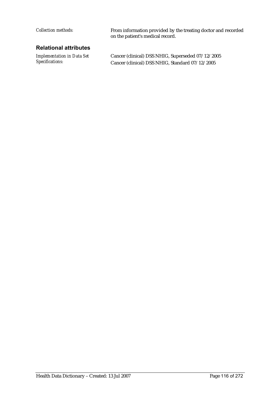#### **Relational attributes**

*Implementation in Data Set Specifications:*

*Collection methods:* From information provided by the treating doctor and recorded on the patient's medical record.

> Cancer (clinical) DSS NHIG, Superseded 07/12/2005 Cancer (clinical) DSS NHIG, Standard 07/12/2005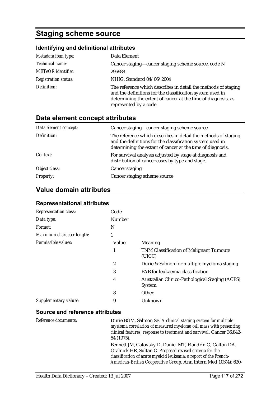# **Staging scheme source**

#### **Identifying and definitional attributes**

| Metadata item type:         | Data Element                                                                                                                                                                                                           |
|-----------------------------|------------------------------------------------------------------------------------------------------------------------------------------------------------------------------------------------------------------------|
| Technical name:             | Cancer staging—cancer staging scheme source, code N                                                                                                                                                                    |
| <b>METeOR</b> identifier:   | 296988                                                                                                                                                                                                                 |
| <b>Registration status:</b> | NHIG, Standard 04/06/2004                                                                                                                                                                                              |
| Definition:                 | The reference which describes in detail the methods of staging<br>and the definitions for the classification system used in<br>determining the extent of cancer at the time of diagnosis, as<br>represented by a code. |

## **Data element concept attributes**

| Data element concept: | Cancer staging—cancer staging scheme source                                                                                                                                               |
|-----------------------|-------------------------------------------------------------------------------------------------------------------------------------------------------------------------------------------|
| Definition:           | The reference which describes in detail the methods of staging<br>and the definitions for the classification system used in<br>determining the extent of cancer at the time of diagnosis. |
| Context:              | For survival analysis adjusted by stage at diagnosis and<br>distribution of cancer cases by type and stage.                                                                               |
| Object class:         | Cancer staging                                                                                                                                                                            |
| <i>Property:</i>      | Cancer staging scheme source                                                                                                                                                              |

## **Value domain attributes**

#### **Representational attributes**

| <b>Representation class:</b> | Code          |                                                                 |
|------------------------------|---------------|-----------------------------------------------------------------|
| Data type:                   | <b>Number</b> |                                                                 |
| Format:                      | N             |                                                                 |
| Maximum character length:    | 1             |                                                                 |
| Permissible values:          | Value         | Meaning                                                         |
|                              | 1             | <b>TNM Classification of Malignant Tumours</b><br>(UICC)        |
|                              | 2             | Durie & Salmon for multiple myeloma staging                     |
|                              | 3             | FAB for leukaemia classification                                |
|                              | 4             | Australian Clinico-Pathological Staging (ACPS)<br><b>System</b> |
|                              | 8             | Other                                                           |
| Supplementary values:        | 9             | Unknown                                                         |

| Reference documents: | Durie BGM, Salmon SE. A clinical staging system for multiple<br>myeloma correlation of measured myeloma cell mass with presenting<br>clinical features, response to treatment and survival. Cancer 36:842-<br>54 (1975).                                      |
|----------------------|---------------------------------------------------------------------------------------------------------------------------------------------------------------------------------------------------------------------------------------------------------------|
|                      | Bennett JM, Catovsky D, Daniel MT, Flandrin G, Galton DA,<br>Gralnick HR, Sultan C. Proposed revised criteria for the<br>classification of acute myeloid leukemia: a report of the French-<br>American-British Cooperative Group. Ann Intern Med 103(4): 620- |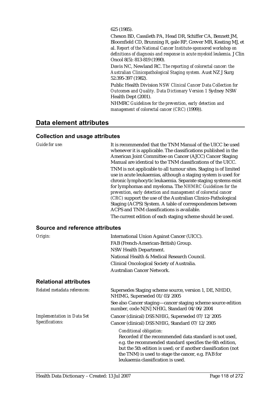625 (1985).

Cheson BD, Cassileth PA, Head DR, Schiffer CA, Bennett JM, Bloomfield CD, Brunning R, gale RP, Grever MR, Keating MJ, et al. *Report of the National Cancer Institute-sponsored workshop on definitions of diagnosis and response in acute myeloid leukemia.* J Clin Oncol 8(5): 813-819 (1990).

Davis NC, Newland RC. *The reporting of colorectal cancer: the Australian Clinicopathological Staging system.* Aust NZ J Surg 52:395-397 (1982).

Public Health Division *NSW Clinical Cancer Data Collection for Outcomes and Quality. Data Dictionary Version 1* Sydney NSW Health Dept (2001).

NHMRC *Guidelines for the prevention, early detection and management of colorectal cancer (CRC)* (1999)).

### **Data element attributes**

| <b>Guide for use:</b>                                | It is recommended that the TNM Manual of the UICC be used<br>whenever it is applicable. The classifications published in the<br>American Joint Committee on Cancer (AJCC) Cancer Staging<br>Manual are identical to the TNM classifications of the UICC.<br>TNM is not applicable to all tumour sites. Staging is of limited<br>use in acute leukaemias, although a staging system is used for<br>chronic lymphocytic leukaemia. Separate staging systems exist<br>for lymphomas and myeloma. The NHMRC Guidelines for the<br>prevention, early detection and management of colorectal cancer<br>(CRC) support the use of the Australian Clinico-Pathological<br>Staging (ACPS) System. A table of correspondences between<br>ACPS and TNM classifications is available.<br>The current edition of each staging scheme should be used. |
|------------------------------------------------------|----------------------------------------------------------------------------------------------------------------------------------------------------------------------------------------------------------------------------------------------------------------------------------------------------------------------------------------------------------------------------------------------------------------------------------------------------------------------------------------------------------------------------------------------------------------------------------------------------------------------------------------------------------------------------------------------------------------------------------------------------------------------------------------------------------------------------------------|
| Source and reference attributes                      |                                                                                                                                                                                                                                                                                                                                                                                                                                                                                                                                                                                                                                                                                                                                                                                                                                        |
| Origin:                                              | International Union Against Cancer (UICC).<br>FAB (French-American-British) Group.<br>NSW Health Department.<br>National Health & Medical Research Council.<br>Clinical Oncological Society of Australia.<br>Australian Cancer Network.                                                                                                                                                                                                                                                                                                                                                                                                                                                                                                                                                                                                |
| <b>Relational attributes</b>                         |                                                                                                                                                                                                                                                                                                                                                                                                                                                                                                                                                                                                                                                                                                                                                                                                                                        |
| Related metadata references:                         | Supersedes Staging scheme source, version 1, DE, NHDD,<br>NHIMG, Superseded 01/03/2005<br>See also Cancer staging—cancer staging scheme source edition                                                                                                                                                                                                                                                                                                                                                                                                                                                                                                                                                                                                                                                                                 |
| <b>Implementation in Data Set</b><br>Specifications: | number, code N[N] NHIG, Standard 04/06/2004<br>Cancer (clinical) DSS NHIG, Superseded 07/12/2005<br>Cancer (clinical) DSS NHIG, Standard 07/12/2005<br>Conditional obligation:                                                                                                                                                                                                                                                                                                                                                                                                                                                                                                                                                                                                                                                         |
|                                                      | Recorded if the recommended data standard is not used,<br>e.g. the recommended standard specifies the 6th edition,<br>but the 5th edition is used; or if another classification (not<br>the TNM) is used to stage the cancer, e.g. FAB for<br>leukaemia classification is used.                                                                                                                                                                                                                                                                                                                                                                                                                                                                                                                                                        |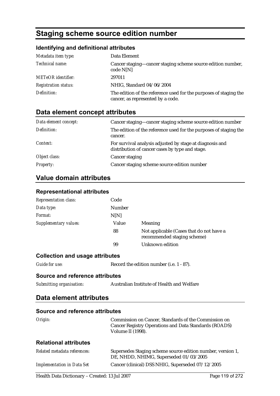# **Staging scheme source edition number**

## **Identifying and definitional attributes**

| Metadata item type:         | Data Element                                                                                           |
|-----------------------------|--------------------------------------------------------------------------------------------------------|
| Technical name:             | Cancer staging-cancer staging scheme source edition number,<br>code N[N]                               |
| <b>METeOR</b> identifier:   | 297011                                                                                                 |
| <b>Registration status:</b> | NHIG, Standard 04/06/2004                                                                              |
| Definition:                 | The edition of the reference used for the purposes of staging the<br>cancer, as represented by a code. |

## **Data element concept attributes**

| Data element concept: | Cancer staging—cancer staging scheme source edition number                                                  |
|-----------------------|-------------------------------------------------------------------------------------------------------------|
| Definition:           | The edition of the reference used for the purposes of staging the<br>cancer.                                |
| Context:              | For survival analysis adjusted by stage at diagnosis and<br>distribution of cancer cases by type and stage. |
| Object class:         | Cancer staging                                                                                              |
| <b>Property:</b>      | Cancer staging scheme source edition number                                                                 |

## **Value domain attributes**

#### **Representational attributes**

| <b>Representation class:</b>           | Code                                       |                                                                                                                                    |  |
|----------------------------------------|--------------------------------------------|------------------------------------------------------------------------------------------------------------------------------------|--|
| Data type:                             | Number                                     |                                                                                                                                    |  |
| Format:                                | N[N]                                       |                                                                                                                                    |  |
| <b>Supplementary values:</b>           | Value                                      | Meaning                                                                                                                            |  |
|                                        | 88                                         | Not applicable (Cases that do not have a<br>recommended staging scheme)                                                            |  |
|                                        | 99                                         | <b>Unknown</b> edition                                                                                                             |  |
| <b>Collection and usage attributes</b> |                                            |                                                                                                                                    |  |
| Guide for use:                         | Record the edition number (i.e. 1 - 87).   |                                                                                                                                    |  |
| Source and reference attributes        |                                            |                                                                                                                                    |  |
| Submitting organisation:               | Australian Institute of Health and Welfare |                                                                                                                                    |  |
| Data element attributes                |                                            |                                                                                                                                    |  |
| Source and reference attributes        |                                            |                                                                                                                                    |  |
| Origin:                                |                                            | Commission on Cancer, Standards of the Commission on<br>Cancer Registry Operations and Data Standards (ROADS)<br>Volume II (1998). |  |
| <b>Relational attributes</b>           |                                            |                                                                                                                                    |  |

| Related metadata references:      | Supersedes Staging scheme source edition number, version 1,<br>DE, NHDD, NHIMG, Superseded 01/03/2005 |
|-----------------------------------|-------------------------------------------------------------------------------------------------------|
| <b>Implementation in Data Set</b> | Cancer (clinical) DSS NHIG, Superseded 07/12/2005                                                     |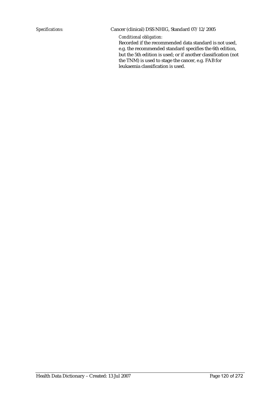#### *Specifications:* Cancer (clinical) DSS NHIG, Standard 07/12/2005

*Conditional obligation:*

Recorded if the recommended data standard is not used, e.g. the recommended standard specifies the 6th edition, but the 5th edition is used; or if another classification (not the TNM) is used to stage the cancer, e.g. FAB for leukaemia classification is used.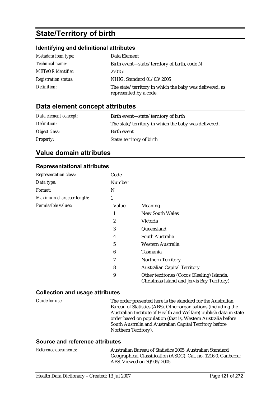# **State/Territory of birth**

## **Identifying and definitional attributes**

| Metadata item type:         | Data Element                                                                      |
|-----------------------------|-----------------------------------------------------------------------------------|
| Technical name:             | Birth event—state/territory of birth, code N                                      |
| <b>METeOR</b> identifier:   | 270151                                                                            |
| <b>Registration status:</b> | NHIG, Standard 01/03/2005                                                         |
| Definition:                 | The state/territory in which the baby was delivered, as<br>represented by a code. |

## **Data element concept attributes**

| Data element concept: | Birth event—state/territory of birth                 |
|-----------------------|------------------------------------------------------|
| Definition:           | The state/territory in which the baby was delivered. |
| Object class:         | Birth event                                          |
| <b>Property:</b>      | State/territory of birth                             |

## **Value domain attributes**

#### **Representational attributes**

| Representation class:     | Code   |                                                                                           |
|---------------------------|--------|-------------------------------------------------------------------------------------------|
| Data type:                | Number |                                                                                           |
| <i>Format:</i>            | N      |                                                                                           |
| Maximum character length: | 1      |                                                                                           |
| Permissible values:       | Value  | Meaning                                                                                   |
|                           | 1      | <b>New South Wales</b>                                                                    |
|                           | 2      | Victoria                                                                                  |
|                           | 3      | Queensland                                                                                |
|                           | 4      | South Australia                                                                           |
|                           | 5      | Western Australia                                                                         |
|                           | 6      | Tasmania                                                                                  |
|                           | 7      | <b>Northern Territory</b>                                                                 |
|                           | 8      | <b>Australian Capital Territory</b>                                                       |
|                           | 9      | Other territories (Cocos (Keeling) Islands,<br>Christmas Island and Jervis Bay Territory) |

### **Collection and usage attributes**

| Guide for use: | The order presented here is the standard for the Australian       |
|----------------|-------------------------------------------------------------------|
|                | Bureau of Statistics (ABS). Other organisations (including the    |
|                | Australian Institute of Health and Welfare) publish data in state |
|                | order based on population (that is, Western Australia before      |
|                | South Australia and Australian Capital Territory before           |
|                | Northern Territory).                                              |

| <i>Reference documents:</i> | Australian Bureau of Statistics 2005. Australian Standard      |
|-----------------------------|----------------------------------------------------------------|
|                             | Geographical Classification (ASGC). Cat. no. 1216.0. Canberra: |
|                             | ABS. Viewed on 30/09/2005                                      |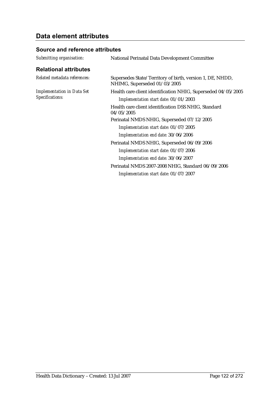## **Data element attributes**

| Submitting organisation:          | National Perinatal Data Development Committee                                             |
|-----------------------------------|-------------------------------------------------------------------------------------------|
| <b>Relational attributes</b>      |                                                                                           |
| Related metadata references:      | Supersedes State/Territory of birth, version 1, DE, NHDD,<br>NHIMG, Superseded 01/03/2005 |
| <b>Implementation in Data Set</b> | Health care client identification NHIG, Superseded 04/05/2005                             |
| Specifications:                   | Implementation start date: 01/01/2003                                                     |
|                                   | Health care client identification DSS NHIG, Standard<br>04/05/2005                        |
|                                   | Perinatal NMDS NHIG, Superseded 07/12/2005                                                |
|                                   | Implementation start date: 01/07/2005                                                     |
|                                   | Implementation end date: 30/06/2006                                                       |
|                                   | Perinatal NMDS NHIG, Superseded 06/09/2006                                                |
|                                   | Implementation start date: 01/07/2006                                                     |
|                                   | Implementation end date: 30/06/2007                                                       |
|                                   | Perinatal NMDS 2007-2008 NHIG, Standard 06/09/2006                                        |
|                                   | Implementation start date: 01/07/2007                                                     |
|                                   |                                                                                           |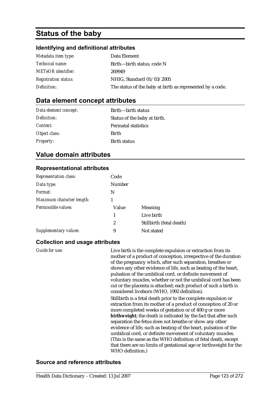## **Status of the baby**

#### **Identifying and definitional attributes**

| Metadata item type:         | Data Element                                              |
|-----------------------------|-----------------------------------------------------------|
| <i>Technical name:</i>      | Birth—birth status, code N                                |
| <b>METeOR</b> identifier:   | 269949                                                    |
| <b>Registration status:</b> | NHIG, Standard 01/03/2005                                 |
| Definition:                 | The status of the baby at birth as represented by a code. |

## **Data element concept attributes**

| Data element concept: | Birth—birth status           |
|-----------------------|------------------------------|
| Definition:           | Status of the baby at birth. |
| Context:              | <b>Perinatal statistics</b>  |
| Object class:         | <b>Birth</b>                 |
| <b>Property:</b>      | <b>Birth status</b>          |

## **Value domain attributes**

#### **Representational attributes**

| Code          |                          |
|---------------|--------------------------|
| <b>Number</b> |                          |
| N             |                          |
|               |                          |
| Value         | Meaning                  |
| 1             | Live birth               |
| 2             | Stillbirth (fetal death) |
| 9             | Not stated               |
|               |                          |

#### **Collection and usage attributes**

*Guide for use:* Live birth is the complete expulsion or extraction from its mother of a product of conception, irrespective of the duration of the pregnancy which, after such separation, breathes or shows any other evidence of life, such as beating of the heart, pulsation of the umbilical cord, or definite movement of voluntary muscles, whether or not the umbilical cord has been cut or the placenta is attached; each product of such a birth is considered liveborn (WHO, 1992 definition). Stillbirth is a fetal death prior to the complete expulsion or extraction from its mother of a product of conception of 20 or more completed weeks of gestation or of 400 g or more **birthweight**; the death is indicated by the fact that after such separation the fetus does not breathe or show any other evidence of life, such as beating of the heart, pulsation of the umbilical cord, or definite movement of voluntary muscles. (This is the same as the WHO definition of fetal death, except that there are no limits of gestational age or birthweight for the WHO definition.)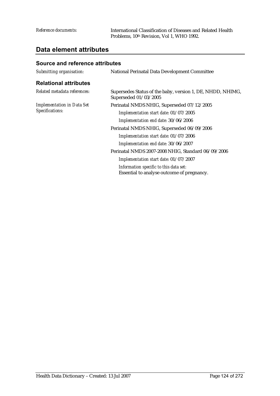### **Data element attributes**

| Submitting organisation:                             | <b>National Perinatal Data Development Committee</b>                                 |
|------------------------------------------------------|--------------------------------------------------------------------------------------|
| <b>Relational attributes</b>                         |                                                                                      |
| Related metadata references:                         | Supersedes Status of the baby, version 1, DE, NHDD, NHIMG,<br>Superseded 01/03/2005  |
| <b>Implementation in Data Set</b><br>Specifications: | Perinatal NMDS NHIG, Superseded 07/12/2005                                           |
|                                                      | Implementation start date: 01/07/2005                                                |
|                                                      | Implementation end date: 30/06/2006                                                  |
|                                                      | Perinatal NMDS NHIG, Superseded 06/09/2006                                           |
|                                                      | Implementation start date: 01/07/2006                                                |
|                                                      | Implementation end date: 30/06/2007                                                  |
|                                                      | Perinatal NMDS 2007-2008 NHIG, Standard 06/09/2006                                   |
|                                                      | Implementation start date: 01/07/2007                                                |
|                                                      | Information specific to this data set:<br>Essential to analyse outcome of pregnancy. |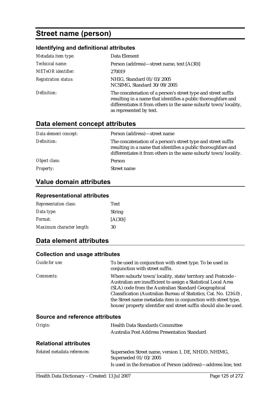## **Street name (person)**

## **Identifying and definitional attributes**

| Metadata item type:         | Data Element                                                                                                                                                                                                                 |
|-----------------------------|------------------------------------------------------------------------------------------------------------------------------------------------------------------------------------------------------------------------------|
| Technical name:             | Person (address)—street name, text [A(30)]                                                                                                                                                                                   |
| <b>METeOR</b> identifier:   | 270019                                                                                                                                                                                                                       |
| <b>Registration status:</b> | NHIG, Standard 01/03/2005<br>NCSIMG, Standard 30/09/2005                                                                                                                                                                     |
| Definition:                 | The concatenation of a person's street type and street suffix<br>resulting in a name that identifies a public thoroughfare and<br>differentiates it from others in the same suburb/town/locality,<br>as represented by text. |

## **Data element concept attributes**

| Data element concept: | Person (address)-street name                                                                                                                                                                      |
|-----------------------|---------------------------------------------------------------------------------------------------------------------------------------------------------------------------------------------------|
| Definition:           | The concatenation of a person's street type and street suffix<br>resulting in a name that identifies a public thoroughfare and<br>differentiates it from others in the same suburb/town/locality. |
| Object class:         | <b>Person</b>                                                                                                                                                                                     |
| <b>Property:</b>      | Street name                                                                                                                                                                                       |

## **Value domain attributes**

#### **Representational attributes**

| <b>Representation class:</b> | Text          |
|------------------------------|---------------|
| Data type:                   | <b>String</b> |
| <i>Format:</i>               | [A(30)]       |
| Maximum character length:    | 30            |

## **Data element attributes**

#### **Collection and usage attributes**

| Guide for use:                         | To be used in conjunction with street type. To be used in<br>conjunction with street suffix.                                                                                                                                                                                                                                                                                                     |
|----------------------------------------|--------------------------------------------------------------------------------------------------------------------------------------------------------------------------------------------------------------------------------------------------------------------------------------------------------------------------------------------------------------------------------------------------|
| <i>Comments:</i>                       | Where suburb/town/locality, state/territory and Postcode -<br>Australian are insufficient to assign a Statistical Local Area<br>(SLA) code from the Australian Standard Geographical<br>Classification (Australian Bureau of Statistics, Cat. No. 1216.0),<br>the Street name metadata item in conjunction with street type,<br>house/property identifier and street suffix should also be used. |
| <b>Source and reference attributes</b> |                                                                                                                                                                                                                                                                                                                                                                                                  |
| $O$ rigin $\cdot$                      | Haalth Data Standards Committee                                                                                                                                                                                                                                                                                                                                                                  |

| Origin: | <b>Health Data Standards Committee</b>       |
|---------|----------------------------------------------|
|         | Australia Post Address Presentation Standard |
|         |                                              |

### **Relational attributes**

| Related metadata references: | Supersedes Street name, version 1, DE, NHDD, NHIMG,             |
|------------------------------|-----------------------------------------------------------------|
|                              | Superseded 01/03/2005                                           |
|                              | Is used in the formation of Person (address)—address line, text |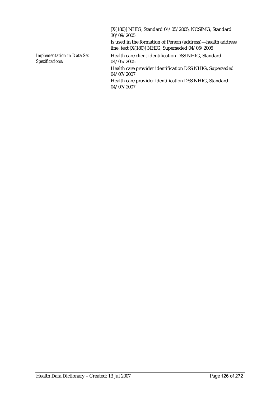[X(180)] NHIG, Standard 04/05/2005, NCSIMG, Standard 30/09/2005 Is used in the formation of Person (address)—health address line, text [X(180)] NHIG, Superseded 04/05/2005 *Implementation in Data Set Specifications:* Health care client identification DSS NHIG, Standard 04/05/2005 Health care provider identification DSS NHIG, Superseded 04/07/2007 Health care provider identification DSS NHIG, Standard 04/07/2007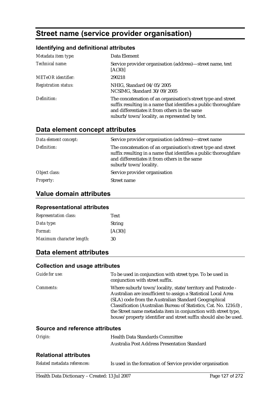# **Street name (service provider organisation)**

### **Identifying and definitional attributes**

| Metadata item type:         | Data Element                                                                                                                                                                                                                        |
|-----------------------------|-------------------------------------------------------------------------------------------------------------------------------------------------------------------------------------------------------------------------------------|
| Technical name:             | Service provider organisation (address)—street name, text<br>[A(30)]                                                                                                                                                                |
| <b>METeOR</b> identifier:   | 290218                                                                                                                                                                                                                              |
| <b>Registration status:</b> | NHIG, Standard 04/05/2005<br>NCSIMG, Standard 30/09/2005                                                                                                                                                                            |
| Definition:                 | The concatenation of an organisation's street type and street<br>suffix resulting in a name that identifies a public thoroughfare<br>and differentiates it from others in the same<br>suburb/town/locality, as represented by text. |

## **Data element concept attributes**

| Data element concept: | Service provider organisation (address)-street name                                                                                                                                                         |
|-----------------------|-------------------------------------------------------------------------------------------------------------------------------------------------------------------------------------------------------------|
| Definition:           | The concatenation of an organisation's street type and street<br>suffix resulting in a name that identifies a public thoroughfare<br>and differentiates it from others in the same<br>suburb/town/locality. |
| Object class:         | Service provider organisation                                                                                                                                                                               |
| <b>Property:</b>      | Street name                                                                                                                                                                                                 |

## **Value domain attributes**

#### **Representational attributes**

| <b>Representation class:</b> | Text          |
|------------------------------|---------------|
| Data type:                   | <b>String</b> |
| Format:                      | [A(30)]       |
| Maximum character length:    | 30            |

## **Data element attributes**

#### **Collection and usage attributes**

| Guide for use:   | To be used in conjunction with street type. To be used in<br>conjunction with street suffix.                                                                                                                                                                                                                                                                                                     |
|------------------|--------------------------------------------------------------------------------------------------------------------------------------------------------------------------------------------------------------------------------------------------------------------------------------------------------------------------------------------------------------------------------------------------|
| <i>Comments:</i> | Where suburb/town/locality, state/territory and Postcode -<br>Australian are insufficient to assign a Statistical Local Area<br>(SLA) code from the Australian Standard Geographical<br>Classification (Australian Bureau of Statistics, Cat. No. 1216.0),<br>the Street name metadata item in conjunction with street type,<br>house/property identifier and street suffix should also be used. |

| Origin:                      | <b>Health Data Standards Committee</b>                    |  |
|------------------------------|-----------------------------------------------------------|--|
|                              | Australia Post Address Presentation Standard              |  |
| <b>Relational attributes</b> |                                                           |  |
| Related metadata references: | Is used in the formation of Service provider organisation |  |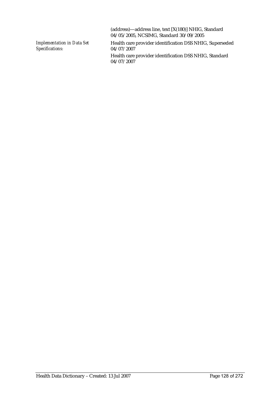|                                                      | (address)—address line, text [X(180)] NHIG, Standard<br>04/05/2005, NCSIMG, Standard 30/09/2005 |
|------------------------------------------------------|-------------------------------------------------------------------------------------------------|
| <b>Implementation in Data Set</b><br>Specifications: | Health care provider identification DSS NHIG, Superseded<br>04/07/2007                          |
|                                                      | Health care provider identification DSS NHIG, Standard<br>04/07/2007                            |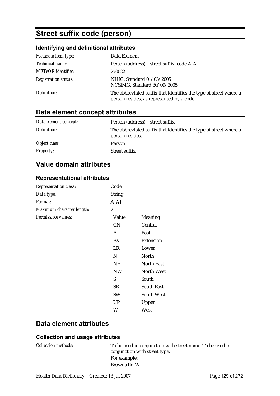# **Street suffix code (person)**

## **Identifying and definitional attributes**

| Metadata item type:         | Data Element                                                                                                   |
|-----------------------------|----------------------------------------------------------------------------------------------------------------|
| Technical name:             | Person (address)—street suffix, code A[A]                                                                      |
| <b>METeOR</b> identifier:   | 270022                                                                                                         |
| <b>Registration status:</b> | NHIG, Standard 01/03/2005<br>NCSIMG, Standard 30/09/2005                                                       |
| Definition:                 | The abbreviated suffix that identifies the type of street where a<br>person resides, as represented by a code. |

## **Data element concept attributes**

| Data element concept: | Person (address)—street suffix                                                       |
|-----------------------|--------------------------------------------------------------------------------------|
| Definition:           | The abbreviated suffix that identifies the type of street where a<br>person resides. |
| Object class:         | Person                                                                               |
| <i>Property:</i>      | Street suffix                                                                        |

## **Value domain attributes**

#### **Representational attributes**

| Representation class:     | Code          |                   |
|---------------------------|---------------|-------------------|
| Data type:                | <b>String</b> |                   |
| Format:                   | A[A]          |                   |
| Maximum character length: | 2             |                   |
| Permissible values:       | Value         | Meaning           |
|                           | CN            | Central           |
|                           | E             | East              |
|                           | EX            | <b>Extension</b>  |
|                           | LR            | Lower             |
|                           | N             | North             |
|                           | <b>NE</b>     | <b>North East</b> |
|                           | NW            | <b>North West</b> |
|                           | S             | South             |
|                           | <b>SE</b>     | <b>South East</b> |
|                           | <b>SW</b>     | <b>South West</b> |
|                           | <b>UP</b>     | Upper             |
|                           | W             | West              |

## **Data element attributes**

| <i>Collection methods:</i> | To be used in conjunction with street name. To be used in<br>conjunction with street type. |
|----------------------------|--------------------------------------------------------------------------------------------|
|                            | For example:                                                                               |
|                            | Browns Rd W                                                                                |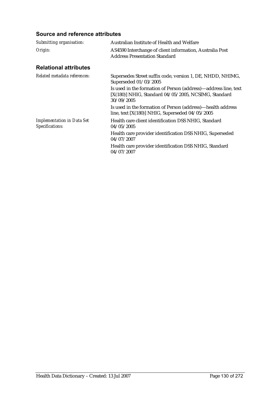| Submitting organisation:                             | Australian Institute of Health and Welfare                                                                                            |
|------------------------------------------------------|---------------------------------------------------------------------------------------------------------------------------------------|
| Origin:                                              | AS4590 Interchange of client information, Australia Post<br><b>Address Presentation Standard</b>                                      |
| <b>Relational attributes</b>                         |                                                                                                                                       |
| Related metadata references:                         | Supersedes Street suffix code, version 1, DE, NHDD, NHIMG,<br>Superseded 01/03/2005                                                   |
|                                                      | Is used in the formation of Person (address)—address line, text<br>[X(180)] NHIG, Standard 04/05/2005, NCSIMG, Standard<br>30/09/2005 |
|                                                      | Is used in the formation of Person (address)—health address<br>line, text [X(180)] NHIG, Superseded $04/05/2005$                      |
| <b>Implementation in Data Set</b><br>Specifications: | Health care client identification DSS NHIG, Standard<br>04/05/2005                                                                    |
|                                                      | Health care provider identification DSS NHIG, Superseded<br>04/07/2007                                                                |
|                                                      | Health care provider identification DSS NHIG, Standard<br>04/07/2007                                                                  |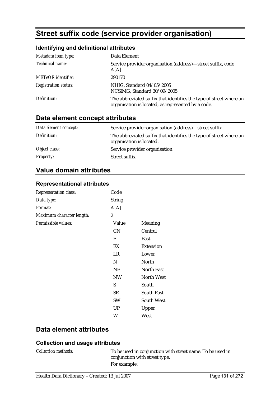# **Street suffix code (service provider organisation)**

#### **Identifying and definitional attributes**

| Metadata item type:         | Data Element                                                                                                             |
|-----------------------------|--------------------------------------------------------------------------------------------------------------------------|
| Technical name:             | Service provider organisation (address)—street suffix, code<br>A[A]                                                      |
| <b>METeOR</b> identifier:   | 290170                                                                                                                   |
| <b>Registration status:</b> | NHIG, Standard 04/05/2005<br>NCSIMG, Standard 30/09/2005                                                                 |
| Definition:                 | The abbreviated suffix that identifies the type of street where an<br>organisation is located, as represented by a code. |

## **Data element concept attributes**

| Data element concept: | Service provider organisation (address)—street suffix                                          |
|-----------------------|------------------------------------------------------------------------------------------------|
| Definition:           | The abbreviated suffix that identifies the type of street where an<br>organisation is located. |
| Object class:         | Service provider organisation                                                                  |
| <i>Property:</i>      | Street suffix                                                                                  |

## **Value domain attributes**

#### **Representational attributes**

| Representation class:     | Code           |                   |
|---------------------------|----------------|-------------------|
| Data type:                | <b>String</b>  |                   |
| Format:                   | A[A]           |                   |
| Maximum character length: | $\overline{c}$ |                   |
| Permissible values:       | Value          | Meaning           |
|                           | <b>CN</b>      | Central           |
|                           | E              | East              |
|                           | EX             | <b>Extension</b>  |
|                           | LR             | Lower             |
|                           | N              | North             |
|                           | <b>NE</b>      | <b>North East</b> |
|                           | <b>NW</b>      | <b>North West</b> |
|                           | S              | South             |
|                           | SE             | <b>South East</b> |
|                           | <b>SW</b>      | <b>South West</b> |
|                           | <b>UP</b>      | Upper             |
|                           | W              | West              |

### **Data element attributes**

## **Collection and usage attributes**

*Collection methods:* To be used in conjunction with street name. To be used in conjunction with street type. For example: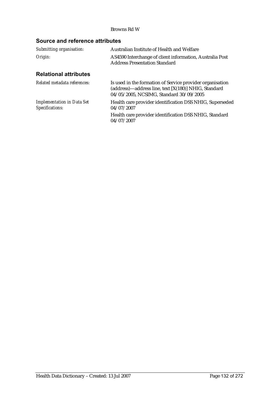#### Browns Rd W

| Submitting organisation:                             | Australian Institute of Health and Welfare                                                                                                                   |  |
|------------------------------------------------------|--------------------------------------------------------------------------------------------------------------------------------------------------------------|--|
| Origin:                                              | AS4590 Interchange of client information, Australia Post<br><b>Address Presentation Standard</b>                                                             |  |
| <b>Relational attributes</b>                         |                                                                                                                                                              |  |
| Related metadata references:                         | Is used in the formation of Service provider organisation<br>(address)—address line, text [X(180)] NHIG, Standard<br>04/05/2005, NCSIMG, Standard 30/09/2005 |  |
| <b>Implementation in Data Set</b><br>Specifications: | Health care provider identification DSS NHIG, Superseded<br>04/07/2007                                                                                       |  |
|                                                      | Health care provider identification DSS NHIG, Standard<br>04/07/2007                                                                                         |  |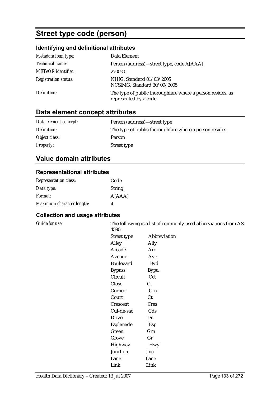# **Street type code (person)**

## **Identifying and definitional attributes**

| Metadata item type:         | Data Element                                                                         |
|-----------------------------|--------------------------------------------------------------------------------------|
| Technical name:             | Person (address)—street type, code A[AAA]                                            |
| <b>METeOR</b> identifier:   | 270020                                                                               |
| <b>Registration status:</b> | NHIG, Standard 01/03/2005<br>NCSIMG, Standard 30/09/2005                             |
| Definition:                 | The type of public thoroughfare where a person resides, as<br>represented by a code. |

## **Data element concept attributes**

| Data element concept: | Person (address)—street type                             |
|-----------------------|----------------------------------------------------------|
| Definition:           | The type of public thorough fare where a person resides. |
| Object class:         | Person                                                   |
| <b>Property:</b>      | Street type                                              |

## **Value domain attributes**

#### **Representational attributes**

| <b>Representation class:</b> | Code          |
|------------------------------|---------------|
| Data type:                   | <b>String</b> |
| <i>Format:</i>               | A[AAA]        |
| Maximum character length:    | 4             |

| Guide for use: | 4590:         | The following is a list of commonly used abbreviations from AS |  |
|----------------|---------------|----------------------------------------------------------------|--|
|                | Street type   | Abbreviation                                                   |  |
|                | Alley         | Ally                                                           |  |
|                | Arcade        | Arc                                                            |  |
|                | Avenue        | Ave                                                            |  |
|                | Boulevard     | <b>Bvd</b>                                                     |  |
|                | <b>Bypass</b> | <b>Bypa</b>                                                    |  |
|                | Circuit       | Cct                                                            |  |
|                | Close         | Cl                                                             |  |
|                | Corner        | Crn                                                            |  |
|                | Court         | Ct                                                             |  |
|                | Crescent      | <b>Cres</b>                                                    |  |
|                | Cul-de-sac    | Cds                                                            |  |
|                | <b>Drive</b>  | Dr                                                             |  |
|                | Esplanade     | Esp                                                            |  |
|                | Green         | Grn                                                            |  |
|                | Grove         | Gr                                                             |  |
|                | Highway       | <b>Hwy</b>                                                     |  |
|                | Junction      | Jnc                                                            |  |
|                | Lane          | Lane                                                           |  |
|                | Link          | Link                                                           |  |
|                |               |                                                                |  |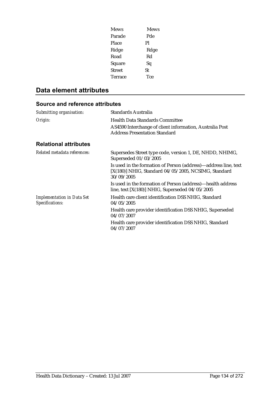| Mews    | <b>Mews</b> |
|---------|-------------|
| Parade  | Pde         |
| Place   | Pl          |
| Ridge   | Rdge        |
| Road    | Rd          |
| Square  | Sq          |
| Street  | St          |
| Terrace | Tce         |

## **Data element attributes**

| Submitting organisation:                             | <b>Standards Australia</b>                                                                                                            |
|------------------------------------------------------|---------------------------------------------------------------------------------------------------------------------------------------|
| Origin:                                              | <b>Health Data Standards Committee</b><br>AS4590 Interchange of client information, Australia Post                                    |
|                                                      | <b>Address Presentation Standard</b>                                                                                                  |
| <b>Relational attributes</b>                         |                                                                                                                                       |
| Related metadata references:                         | Supersedes Street type code, version 1, DE, NHDD, NHIMG,<br>Superseded 01/03/2005                                                     |
|                                                      | Is used in the formation of Person (address)—address line, text<br>[X(180)] NHIG, Standard 04/05/2005, NCSIMG, Standard<br>30/09/2005 |
|                                                      | Is used in the formation of Person (address)—health address<br>line, text $[X(180)]$ NHIG, Superseded $04/05/2005$                    |
| <b>Implementation in Data Set</b><br>Specifications: | Health care client identification DSS NHIG, Standard<br>04/05/2005                                                                    |
|                                                      | Health care provider identification DSS NHIG, Superseded<br>04/07/2007                                                                |
|                                                      | Health care provider identification DSS NHIG, Standard<br>04/07/2007                                                                  |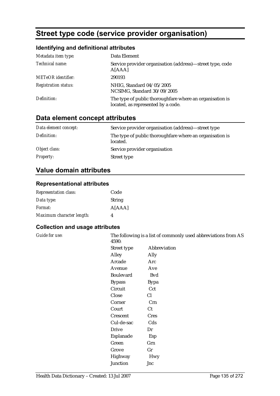# **Street type code (service provider organisation)**

#### **Identifying and definitional attributes**

| Metadata item type:         | Data Element                                                                                   |
|-----------------------------|------------------------------------------------------------------------------------------------|
| Technical name:             | Service provider organisation (address)—street type, code<br>A[AAA]                            |
| <b>METeOR</b> identifier:   | 290193                                                                                         |
| <b>Registration status:</b> | NHIG, Standard 04/05/2005<br>NCSIMG, Standard 30/09/2005                                       |
| Definition:                 | The type of public thoroughfare where an organisation is<br>located, as represented by a code. |

## **Data element concept attributes**

| Data element concept: | Service provider organisation (address)—street type                  |
|-----------------------|----------------------------------------------------------------------|
| Definition:           | The type of public thoroughfare where an organisation is<br>located. |
| Object class:         | Service provider organisation                                        |
| <i>Property:</i>      | Street type                                                          |

## **Value domain attributes**

#### **Representational attributes**

| <b>Representation class:</b> | Code          |
|------------------------------|---------------|
| Data type:                   | <b>String</b> |
| <i>Format:</i>               | A[AAA]        |
| Maximum character length:    | Δ             |

#### **Collection and usage attributes**

*Guide for use:* The following is a list of commonly used abbreviations from AS 4590:

| 40YU.            |              |
|------------------|--------------|
| Street type      | Abbreviation |
| Alley            | Ally         |
| Arcade           | Arc          |
| Avenue           | Ave          |
| <b>Boulevard</b> | <b>B</b> vd  |
| <b>Bypass</b>    | <b>Bypa</b>  |
| Circuit          | Cct          |
| Close            | Cl           |
| Corner           | Crn          |
| Court            | Ct           |
| Crescent         | <b>Cres</b>  |
| Cul-de-sac       | Cds          |
| <b>Drive</b>     | Dr           |
| Esplanade        | Esp          |
| Green            | Grn          |
| Grove            | Gr           |
| Highway          | Hwy          |
| Junction         | Jnc          |
|                  |              |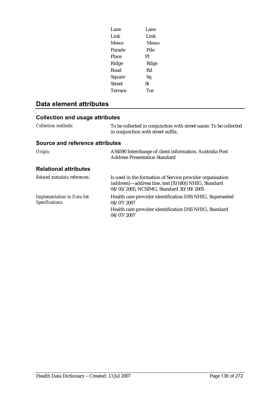| Lane          | Lane        |
|---------------|-------------|
| Link          | Link        |
| <b>Mews</b>   | <b>Mews</b> |
| Parade        | Pde         |
| Place         | Pl          |
| Ridge         | Rdge        |
| Road          | Rd          |
| Square        | Sq          |
| <b>Street</b> | St          |
| Terrace       | Tce         |
|               |             |

## **Data element attributes**

| <i>Collection methods:</i>             | To be collected in conjunction with street name. To be collected<br>in conjunction with street suffix. |
|----------------------------------------|--------------------------------------------------------------------------------------------------------|
| <b>Source and reference attributes</b> |                                                                                                        |
| Origin:                                | AS4590 Interchange of client information, Australia Post<br><b>Address Presentation Standard</b>       |
| <b>Relational attributes</b>           |                                                                                                        |
| Related metadata references:           | Is used in the formation of Service provider organisation                                              |

|                                                      | (address)—address line, text [X(180)] NHIG, Standard<br>04/05/2005, NCSIMG, Standard 30/09/2005 |
|------------------------------------------------------|-------------------------------------------------------------------------------------------------|
| <b>Implementation in Data Set</b><br>Specifications: | Health care provider identification DSS NHIG, Superseded<br>04/07/2007                          |
|                                                      | Health care provider identification DSS NHIG, Standard<br>04/07/2007                            |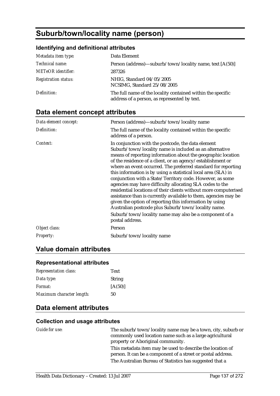# **Suburb/town/locality name (person)**

#### **Identifying and definitional attributes**

| Metadata item type:         | Data Element                                                                                                |
|-----------------------------|-------------------------------------------------------------------------------------------------------------|
| <i>Technical name:</i>      | Person (address)—suburb/town/locality name, text [A(50)]                                                    |
| <b>METeOR</b> identifier:   | 287326                                                                                                      |
| <b>Registration status:</b> | NHIG, Standard 04/05/2005<br>NCSIMG, Standard 25/08/2005                                                    |
| Definition:                 | The full name of the locality contained within the specific<br>address of a person, as represented by text. |

## **Data element concept attributes**

| Data element concept: | Person (address)—suburb/town/locality name                                                                                                                                                                                                                                                                                                                                                                                                                                                                                                                                                                                                                                                                                                                                                                                                     |
|-----------------------|------------------------------------------------------------------------------------------------------------------------------------------------------------------------------------------------------------------------------------------------------------------------------------------------------------------------------------------------------------------------------------------------------------------------------------------------------------------------------------------------------------------------------------------------------------------------------------------------------------------------------------------------------------------------------------------------------------------------------------------------------------------------------------------------------------------------------------------------|
| Definition:           | The full name of the locality contained within the specific<br>address of a person.                                                                                                                                                                                                                                                                                                                                                                                                                                                                                                                                                                                                                                                                                                                                                            |
| Context:              | In conjunction with the postcode, the data element<br>Suburb/town/locality name is included as an alternative<br>means of reporting information about the geographic location<br>of the residence of a client, or an agency/establishment or<br>where an event occurred. The preferred standard for reporting<br>this information is by using a statistical local area (SLA) in<br>conjunction with a State/Territory code. However, as some<br>agencies may have difficulty allocating SLA codes to the<br>residential locations of their clients without more computerised<br>assistance than is currently available to them, agencies may be<br>given the option of reporting this information by using<br>Australian postcode plus Suburb/town/locality name.<br>Suburb/town/locality name may also be a component of a<br>postal address. |
| Object class:         | Person                                                                                                                                                                                                                                                                                                                                                                                                                                                                                                                                                                                                                                                                                                                                                                                                                                         |
| <b>Property:</b>      | Suburb/town/locality name                                                                                                                                                                                                                                                                                                                                                                                                                                                                                                                                                                                                                                                                                                                                                                                                                      |

### **Value domain attributes**

## **Representational attributes**

| <b>Representation class:</b> | Text          |
|------------------------------|---------------|
| Data type:                   | <b>String</b> |
| Format:                      | [A(50)]       |
| Maximum character length:    | 50            |

### **Data element attributes**

#### **Collection and usage attributes**

*Guide for use:* The suburb/town/locality name may be a town, city, suburb or commonly used location name such as a large agricultural property or Aboriginal community. This metadata item may be used to describe the location of person. It can be a component of a street or postal address. The Australian Bureau of Statistics has suggested that a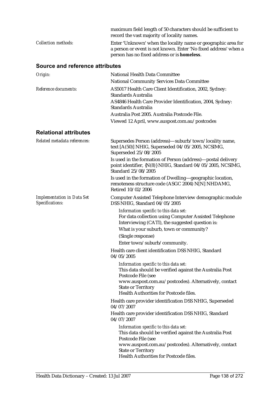|                                                      | maximum field length of 50 characters should be sufficient to<br>record the vast majority of locality names.                                                                                                       |
|------------------------------------------------------|--------------------------------------------------------------------------------------------------------------------------------------------------------------------------------------------------------------------|
| <b>Collection methods:</b>                           | Enter 'Unknown' when the locality name or geographic area for<br>a person or event is not known. Enter 'No fixed address' when a<br>person has no fixed address or is homeless.                                    |
| Source and reference attributes                      |                                                                                                                                                                                                                    |
| Origin:                                              | <b>National Health Data Committee</b>                                                                                                                                                                              |
|                                                      | <b>National Community Services Data Committee</b>                                                                                                                                                                  |
| Reference documents:                                 | AS5017 Health Care Client Identification, 2002, Sydney:<br>Standards Australia                                                                                                                                     |
|                                                      | AS4846 Health Care Provider Identification, 2004, Sydney:<br><b>Standards Australia</b>                                                                                                                            |
|                                                      | Australia Post 2005. Australia Postcode File.                                                                                                                                                                      |
|                                                      | Viewed 12 April, www.auspost.com.au/postcodes                                                                                                                                                                      |
| <b>Relational attributes</b>                         |                                                                                                                                                                                                                    |
| Related metadata references:                         | Supersedes Person (address)-suburb/town/locality name,<br>text [A(50)] NHIG, Superseded 04/05/2005, NCSIMG,<br>Superseded 25/08/2005                                                                               |
|                                                      | Is used in the formation of Person (address)-postal delivery<br>point identifier, {N(8)} NHIG, Standard 04/05/2005, NCSIMG,<br>Standard 25/08/2005                                                                 |
|                                                      | Is used in the formation of Dwelling-geographic location,<br>remoteness structure code (ASGC 2004) N[N] NHDAMG,<br>Retired 10/02/2006                                                                              |
| <b>Implementation in Data Set</b><br>Specifications: | Computer Assisted Telephone Interview demographic module<br>DSS NHIG, Standard 04/05/2005                                                                                                                          |
|                                                      | Information specific to this data set:<br>For data collection using Computer Assisted Telephone<br>Interviewing (CATI), the suggested question is:<br>What is your suburb, town or community?<br>(Single response) |
|                                                      | Enter town/suburb/community.                                                                                                                                                                                       |
|                                                      | Health care client identification DSS NHIG, Standard<br>04/05/2005                                                                                                                                                 |
|                                                      | Information specific to this data set:<br>This data should be verified against the Australia Post<br>Postcode File (see                                                                                            |
|                                                      | www.auspost.com.au/postcodes). Alternatively, contact<br><b>State or Territory</b><br>Health Authorities for Postcode files.                                                                                       |
|                                                      | Health care provider identification DSS NHIG, Superseded<br>04/07/2007                                                                                                                                             |
|                                                      | Health care provider identification DSS NHIG, Standard<br>04/07/2007                                                                                                                                               |
|                                                      | Information specific to this data set:<br>This data should be verified against the Australia Post<br>Postcode File (see                                                                                            |
|                                                      | www.auspost.com.au/postcodes). Alternatively, contact<br><b>State or Territory</b><br>Health Authorities for Postcode files.                                                                                       |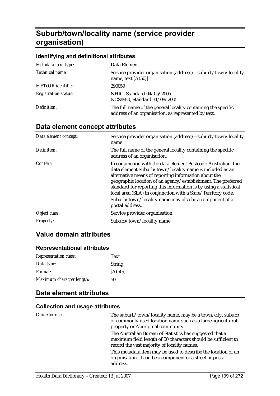# **Suburb/town/locality name (service provider organisation)**

#### **Identifying and definitional attributes**

| Metadata item type:         | Data Element                                                                                                         |
|-----------------------------|----------------------------------------------------------------------------------------------------------------------|
| Technical name:             | Service provider organisation (address)—suburb/town/locality<br>name, text $[A(50)]$                                 |
| <b>METeOR</b> identifier:   | 290059                                                                                                               |
| <b>Registration status:</b> | NHIG, Standard 04/05/2005<br>NCSIMG, Standard 31/08/2005                                                             |
| Definition:                 | The full name of the general locality containing the specific<br>address of an organisation, as represented by text. |

## **Data element concept attributes**

| Data element concept: | Service provider organisation (address)—suburb/town/locality<br>name                                                                                                                                                                                                                                                                                                                                                                                                 |
|-----------------------|----------------------------------------------------------------------------------------------------------------------------------------------------------------------------------------------------------------------------------------------------------------------------------------------------------------------------------------------------------------------------------------------------------------------------------------------------------------------|
| Definition:           | The full name of the general locality containing the specific<br>address of an organisation.                                                                                                                                                                                                                                                                                                                                                                         |
| Context:              | In conjunction with the data element Postcode-Australian, the<br>data element Suburb/town/locality name is included as an<br>alternative means of reporting information about the<br>geographic location of an agency/establishment. The preferred<br>standard for reporting this information is by using a statistical<br>local area (SLA) in conjunction with a State/Territory code.<br>Suburb/town/locality name may also be a component of a<br>postal address. |
| Object class:         | Service provider organisation                                                                                                                                                                                                                                                                                                                                                                                                                                        |
| <b>Property:</b>      | Suburb/town/locality name                                                                                                                                                                                                                                                                                                                                                                                                                                            |

### **Value domain attributes**

#### **Representational attributes**

| <b>Representation class:</b> | Text          |
|------------------------------|---------------|
| Data type:                   | <b>String</b> |
| <i>Format:</i>               | [A(50)]       |
| Maximum character length:    | 50            |

## **Data element attributes**

| Guide for use: | The suburb/town/locality name, may be a town, city, suburb<br>or commonly used location name such as a large agricultural<br>property or Aboriginal community.           |
|----------------|--------------------------------------------------------------------------------------------------------------------------------------------------------------------------|
|                | The Australian Bureau of Statistics has suggested that a<br>maximum field length of 50 characters should be sufficient to<br>record the vast majority of locality names. |
|                | This metadata item may be used to describe the location of an<br>organisation. It can be a component of a street or postal<br>address.                                   |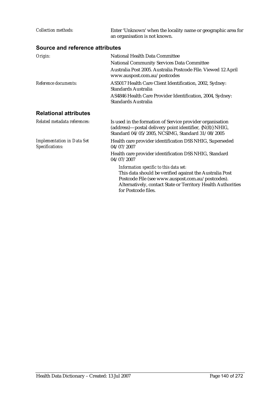| <b>Collection methods:</b>                           | Enter 'Unknown' when the locality name or geographic area for<br>an organisation is not known.                                                                                                                                                |
|------------------------------------------------------|-----------------------------------------------------------------------------------------------------------------------------------------------------------------------------------------------------------------------------------------------|
| Source and reference attributes                      |                                                                                                                                                                                                                                               |
| Origin:                                              | National Health Data Committee<br><b>National Community Services Data Committee</b><br>Australia Post 2005. Australia Postcode File. Viewed 12 April<br>www.auspost.com.au/postcodes                                                          |
| Reference documents:                                 | AS5017 Health Care Client Identification, 2002, Sydney:<br>Standards Australia<br>AS4846 Health Care Provider Identification, 2004, Sydney:<br>Standards Australia                                                                            |
| <b>Relational attributes</b>                         |                                                                                                                                                                                                                                               |
| Related metadata references:                         | Is used in the formation of Service provider organisation<br>(address)-postal delivery point identifier, {N(8)} NHIG,<br>Standard 04/05/2005, NCSIMG, Standard 31/08/2005                                                                     |
| <b>Implementation in Data Set</b><br>Specifications: | Health care provider identification DSS NHIG, Superseded<br>04/07/2007                                                                                                                                                                        |
|                                                      | Health care provider identification DSS NHIG, Standard<br>04/07/2007                                                                                                                                                                          |
|                                                      | Information specific to this data set:<br>This data should be verified against the Australia Post<br>Postcode File (see www.auspost.com.au/postcodes).<br>Alternatively, contact State or Territory Health Authorities<br>for Postcode files. |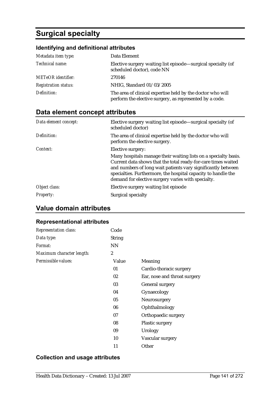# **Surgical specialty**

## **Identifying and definitional attributes**

| Metadata item type:         | Data Element                                                                                                          |
|-----------------------------|-----------------------------------------------------------------------------------------------------------------------|
| Technical name:             | Elective surgery waiting list episode—surgical specialty (of<br>scheduled doctor), code NN                            |
| <b>METeOR</b> identifier:   | 270146                                                                                                                |
| <b>Registration status:</b> | NHIG, Standard 01/03/2005                                                                                             |
| Definition:                 | The area of clinical expertise held by the doctor who will<br>perform the elective surgery, as represented by a code. |

## **Data element concept attributes**

| Data element concept: | Elective surgery waiting list episode—surgical specialty (of<br>scheduled doctor)                                                                                                                                                                                                                                       |
|-----------------------|-------------------------------------------------------------------------------------------------------------------------------------------------------------------------------------------------------------------------------------------------------------------------------------------------------------------------|
| Definition:           | The area of clinical expertise held by the doctor who will<br>perform the elective surgery.                                                                                                                                                                                                                             |
| Context:              | Elective surgery:                                                                                                                                                                                                                                                                                                       |
|                       | Many hospitals manage their waiting lists on a specialty basis.<br>Current data shows that the total ready-for-care times waited<br>and numbers of long wait patients vary significantly between<br>specialties. Furthermore, the hospital capacity to handle the<br>demand for elective surgery varies with specialty. |
| Object class:         | Elective surgery waiting list episode                                                                                                                                                                                                                                                                                   |
| <b>Property:</b>      | Surgical specialty                                                                                                                                                                                                                                                                                                      |

### **Value domain attributes**

#### **Representational attributes**

| Representation class:     | Code           |                              |
|---------------------------|----------------|------------------------------|
| Data type:                | <b>String</b>  |                              |
| Format:                   | <b>NN</b>      |                              |
| Maximum character length: | $\overline{2}$ |                              |
| Permissible values:       | Value          | Meaning                      |
|                           | 01             | Cardio-thoracic surgery      |
|                           | 02             | Ear, nose and throat surgery |
|                           | 03             | General surgery              |
|                           | 04             | Gynaecology                  |
|                           | 05             | Neurosurgery                 |
|                           | 06             | Ophthalmology                |
|                           | 07             | Orthopaedic surgery          |
|                           | 08             | Plastic surgery              |
|                           | 09             | Urology                      |
|                           | 10             | Vascular surgery             |
|                           | 11             | Other                        |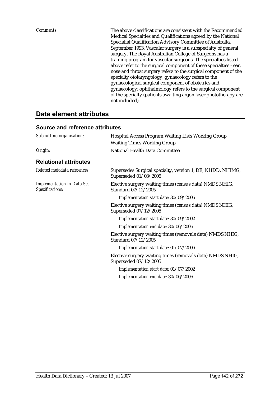| Comments: | The above classifications are consistent with the Recommended<br>Medical Specialties and Qualifications agreed by the National |
|-----------|--------------------------------------------------------------------------------------------------------------------------------|
|           | Specialist Qualification Advisory Committee of Australia,                                                                      |
|           | September 1993. Vascular surgery is a subspecialty of general                                                                  |
|           | surgery. The Royal Australian College of Surgeons has a                                                                        |
|           | training program for vascular surgeons. The specialties listed                                                                 |
|           | above refer to the surgical component of these specialties - ear,                                                              |
|           | nose and throat surgery refers to the surgical component of the                                                                |
|           | specialty otolaryngology; gynaecology refers to the                                                                            |
|           | gynaecological surgical component of obstetrics and                                                                            |
|           | gynaecology; ophthalmology refers to the surgical component                                                                    |
|           | of the specialty (patients awaiting argon laser phototherapy are                                                               |
|           | not included).                                                                                                                 |

## **Data element attributes**

| Submitting organisation:                             | <b>Hospital Access Program Waiting Lists Working Group</b>                          |
|------------------------------------------------------|-------------------------------------------------------------------------------------|
|                                                      | <b>Waiting Times Working Group</b>                                                  |
| Origin:                                              | National Health Data Committee                                                      |
| <b>Relational attributes</b>                         |                                                                                     |
| Related metadata references:                         | Supersedes Surgical specialty, version 1, DE, NHDD, NHIMG,<br>Superseded 01/03/2005 |
| <b>Implementation in Data Set</b><br>Specifications: | Elective surgery waiting times (census data) NMDS NHIG,<br>Standard 07/12/2005      |
|                                                      | Implementation start date: 30/09/2006                                               |
|                                                      | Elective surgery waiting times (census data) NMDS NHIG,<br>Superseded 07/12/2005    |
|                                                      | Implementation start date: 30/09/2002                                               |
|                                                      | Implementation end date: 30/06/2006                                                 |
|                                                      | Elective surgery waiting times (removals data) NMDS NHIG,<br>Standard 07/12/2005    |
|                                                      | Implementation start date: 01/07/2006                                               |
|                                                      | Elective surgery waiting times (removals data) NMDS NHIG,<br>Superseded 07/12/2005  |
|                                                      | Implementation start date: 01/07/2002                                               |
|                                                      | Implementation end date: 30/06/2006                                                 |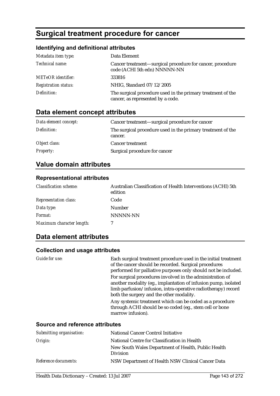# **Surgical treatment procedure for cancer**

### **Identifying and definitional attributes**

| Metadata item type:         | Data Element                                                                                     |
|-----------------------------|--------------------------------------------------------------------------------------------------|
| Technical name:             | Cancer treatment-surgical procedure for cancer, procedure<br>code (ACHI 5th edn) NNNNN-NN        |
| <b>METeOR</b> identifier:   | 333816                                                                                           |
| <b>Registration status:</b> | NHIG, Standard 07/12/2005                                                                        |
| Definition:                 | The surgical procedure used in the primary treatment of the<br>cancer, as represented by a code. |

## **Data element concept attributes**

| Data element concept: | Cancer treatment—surgical procedure for cancer                         |
|-----------------------|------------------------------------------------------------------------|
| Definition:           | The surgical procedure used in the primary treatment of the<br>cancer. |
| Object class:         | <b>Cancer treatment</b>                                                |
| <b>Property:</b>      | Surgical procedure for cancer                                          |

## **Value domain attributes**

## **Representational attributes**

| <b>Classification scheme:</b> | Australian Classification of Health Interventions (ACHI) 5th<br>edition |
|-------------------------------|-------------------------------------------------------------------------|
| <b>Representation class:</b>  | Code                                                                    |
| Data type:                    | <b>Number</b>                                                           |
| Format:                       | <b>NNNNN-NN</b>                                                         |
| Maximum character length:     |                                                                         |

## **Data element attributes**

| Guide for use:                         | Each surgical treatment procedure used in the initial treatment<br>of the cancer should be recorded. Surgical procedures<br>performed for palliative purposes only should not be included.                                               |
|----------------------------------------|------------------------------------------------------------------------------------------------------------------------------------------------------------------------------------------------------------------------------------------|
|                                        | For surgical procedures involved in the administration of<br>another modality (eg., implantation of infusion pump, isolated<br>limb parfusion/infusion, intra-operative radiotherapy) record<br>both the surgery and the other modality. |
|                                        | Any systemic treatment which can be coded as a procedure<br>through ACHI should be so coded (eg., stem cell or bone<br>marrow infusion).                                                                                                 |
| <b>Source and reference attributes</b> |                                                                                                                                                                                                                                          |

| Submitting organisation: | National Cancer Control Initiative                                     |
|--------------------------|------------------------------------------------------------------------|
| Origin:                  | National Centre for Classification in Health                           |
|                          | New South Wales Department of Health, Public Health<br><b>Division</b> |
| Reference documents:     | NSW Department of Health NSW Clinical Cancer Data                      |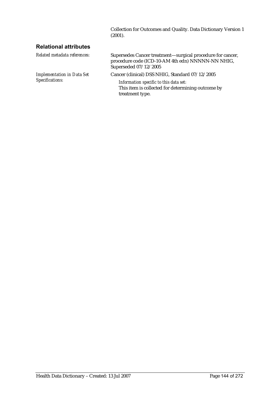Collection for Outcomes and Quality. Data Dictionary Version 1  $(2001).$ 

### **Relational attributes**

| Related metadata references:                         | Supersedes Cancer treatment—surgical procedure for cancer,<br>procedure code (ICD-10-AM 4th edn) NNNNN-NN NHIG,<br>Superseded 07/12/2005 |
|------------------------------------------------------|------------------------------------------------------------------------------------------------------------------------------------------|
| <b>Implementation in Data Set</b><br>Specifications: | Cancer (clinical) DSS NHIG, Standard 07/12/2005                                                                                          |
|                                                      | Information specific to this data set:                                                                                                   |
|                                                      | This item is collected for determining outcome by                                                                                        |
|                                                      | treatment type.                                                                                                                          |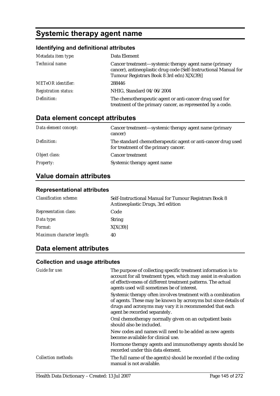# **Systemic therapy agent name**

## **Identifying and definitional attributes**

| Metadata item type:         | Data Element                                                                                                                                                            |
|-----------------------------|-------------------------------------------------------------------------------------------------------------------------------------------------------------------------|
| Technical name:             | Cancer treatment—systemic therapy agent name (primary<br>cancer), antineoplastic drug code (Self-Instructional Manual for<br>Tumour Registrars Book 8 3rd edn) X[X(39)] |
| <b>METeOR</b> identifier:   | 288446                                                                                                                                                                  |
| <b>Registration status:</b> | NHIG, Standard 04/06/2004                                                                                                                                               |
| Definition:                 | The chemotherapeutic agent or anti-cancer drug used for<br>treatment of the primary cancer, as represented by a code.                                                   |

# **Data element concept attributes**

| Data element concept: | Cancer treatment—systemic therapy agent name (primary<br>cancer)                                     |
|-----------------------|------------------------------------------------------------------------------------------------------|
| Definition:           | The standard chemotherapeutic agent or anti-cancer drug used<br>for treatment of the primary cancer. |
| Object class:         | <b>Cancer treatment</b>                                                                              |
| <b>Property:</b>      | Systemic therapy agent name                                                                          |

# **Value domain attributes**

### **Representational attributes**

| <b>Classification scheme:</b> | Self-Instructional Manual for Tumour Registrars Book 8<br>Antineoplastic Drugs, 3rd edition |
|-------------------------------|---------------------------------------------------------------------------------------------|
| <b>Representation class:</b>  | Code                                                                                        |
| Data type:                    | <b>String</b>                                                                               |
| <i>Format:</i>                | X[X(39)]                                                                                    |
| Maximum character length:     | 40                                                                                          |

## **Data element attributes**

| Guide for use:             | The purpose of collecting specific treatment information is to<br>account for all treatment types, which may assist in evaluation<br>of effectiveness of different treatment patterns. The actual<br>agents used will sometimes be of interest. |
|----------------------------|-------------------------------------------------------------------------------------------------------------------------------------------------------------------------------------------------------------------------------------------------|
|                            | Systemic therapy often involves treatment with a combination<br>of agents. These may be known by acronyms but since details of<br>drugs and acronyms may vary it is recommended that each<br>agent be recorded separately.                      |
|                            | Oral chemotherapy normally given on an outpatient basis<br>should also be included.                                                                                                                                                             |
|                            | New codes and names will need to be added as new agents<br>become available for clinical use.                                                                                                                                                   |
|                            | Hormone therapy agents and immunotherapy agents should be<br>recorded under this data element.                                                                                                                                                  |
| <b>Collection methods:</b> | The full name of the agent(s) should be recorded if the coding<br>manual is not available.                                                                                                                                                      |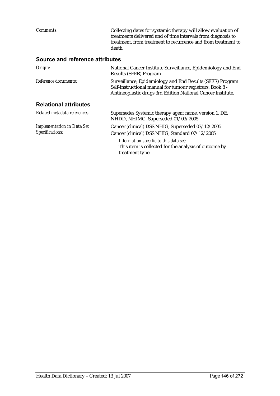*Comments:* Collecting dates for systemic therapy will allow evaluation of treatments delivered and of time intervals from diagnosis to treatment, from treatment to recurrence and from treatment to death. **Source and reference attributes**  *Origin:* National Cancer Institute Surveillance, Epidemiology and End Results (SEER) Program *Reference documents:* Surveillance, Epidemiology and End Results (SEER) Program Self-instructional manual for tumour registrars: Book 8 - Antineoplastic drugs 3rd Edition National Cancer Institute.

### **Relational attributes**

| Related metadata references:                         | Supersedes Systemic therapy agent name, version 1, DE,<br>NHDD, NHIMG, Superseded 01/03/2005                       |
|------------------------------------------------------|--------------------------------------------------------------------------------------------------------------------|
| <b>Implementation in Data Set</b><br>Specifications: | Cancer (clinical) DSS NHIG, Superseded 07/12/2005<br>Cancer (clinical) DSS NHIG, Standard 07/12/2005               |
|                                                      | Information specific to this data set:<br>This item is collected for the analysis of outcome by<br>treatment type. |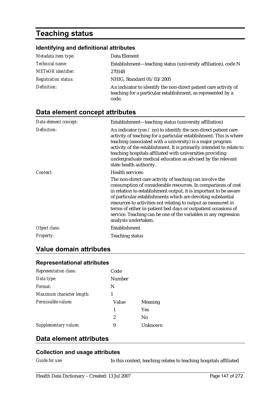# **Teaching status**

### **Identifying and definitional attributes**

| Metadata item type:         | Data Element                                                                                                                              |
|-----------------------------|-------------------------------------------------------------------------------------------------------------------------------------------|
| Technical name:             | Establishment-teaching status (university affiliation), code N                                                                            |
| <b>METeOR</b> identifier:   | 270148                                                                                                                                    |
| <b>Registration status:</b> | NHIG, Standard 01/03/2005                                                                                                                 |
| Definition:                 | An indicator to identify the non-direct patient care activity of<br>teaching for a particular establishment, as represented by a<br>code. |

# **Data element concept attributes**

| Data element concept: | Establishment—teaching status (university affiliation)                                                                                                                                                                                                                                                                                                                                                                                                                                     |
|-----------------------|--------------------------------------------------------------------------------------------------------------------------------------------------------------------------------------------------------------------------------------------------------------------------------------------------------------------------------------------------------------------------------------------------------------------------------------------------------------------------------------------|
| Definition:           | An indicator (yes $\ell$ no) to identify the non-direct patient care<br>activity of teaching for a particular establishment. This is where<br>teaching (associated with a university) is a major program<br>activity of the establishment. It is primarily intended to relate to<br>teaching hospitals affiliated with universities providing<br>undergraduate medical education as advised by the relevant<br>state health authority.                                                     |
| Context:              | <b>Health services:</b>                                                                                                                                                                                                                                                                                                                                                                                                                                                                    |
|                       | The non-direct care activity of teaching can involve the<br>consumption of considerable resources. In comparisons of cost<br>in relation to establishment output, it is important to be aware<br>of particular establishments which are devoting substantial<br>resources to activities not relating to output as measured in<br>terms of either in-patient bed days or outpatient occasions of<br>service. Teaching can be one of the variables in any regression<br>analysis undertaken. |
| Object class:         | Establishment                                                                                                                                                                                                                                                                                                                                                                                                                                                                              |
| Property:             | <b>Teaching status</b>                                                                                                                                                                                                                                                                                                                                                                                                                                                                     |

## **Value domain attributes**

# **Representational attributes**

| <b>Representation class:</b> | Code   |         |
|------------------------------|--------|---------|
| Data type:                   | Number |         |
| Format:                      | N      |         |
| Maximum character length:    | 1      |         |
| Permissible values:          | Value  | Meaning |
|                              | 1      | Yes     |
|                              | 2      | No      |
| Supplementary values:        | 9      | Unknown |

## **Data element attributes**

### **Collection and usage attributes**

*Guide for use:* In this context, teaching relates to teaching hospitals affiliated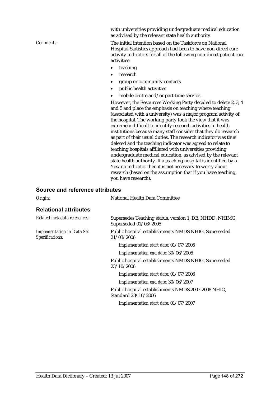with universities providing undergraduate medical education as advised by the relevant state health authority.

*Comments:* The initial intention based on the Taskforce on National Hospital Statistics approach had been to have non-direct care activity indicators for all of the following non-direct patient care activities:

- teaching
- research
- group or community contacts
- public health activities
- mobile centre and/or part-time service.

However, the Resources Working Party decided to delete 2, 3, 4 and 5 and place the emphasis on teaching where teaching (associated with a university) was a major program activity of the hospital. The working party took the view that it was extremely difficult to identify research activities in health institutions because many staff consider that they do research as part of their usual duties. The research indicator was thus deleted and the teaching indicator was agreed to relate to teaching hospitals affiliated with universities providing undergraduate medical education, as advised by the relevant state health authority. If a teaching hospital is identified by a Yes/no indicator then it is not necessary to worry about research (based on the assumption that if you have teaching, you have research).

#### **Source and reference attributes**

| Origin:                                              | National Health Data Committee                                                   |
|------------------------------------------------------|----------------------------------------------------------------------------------|
| <b>Relational attributes</b>                         |                                                                                  |
| Related metadata references:                         | Supersedes Teaching status, version 1, DE, NHDD, NHIMG,<br>Superseded 01/03/2005 |
| <b>Implementation in Data Set</b><br>Specifications: | Public hospital establishments NMDS NHIG, Superseded<br>21/03/2006               |
|                                                      | Implementation start date: 01/07/2005                                            |
|                                                      | Implementation end date: 30/06/2006                                              |
|                                                      | Public hospital establishments NMDS NHIG, Superseded<br>23/10/2006               |
|                                                      | Implementation start date: 01/07/2006                                            |
|                                                      | Implementation end date: 30/06/2007                                              |
|                                                      | Public hospital establishments NMDS 2007-2008 NHIG,<br>Standard 23/10/2006       |
|                                                      |                                                                                  |

*Implementation start date:* 01/07/2007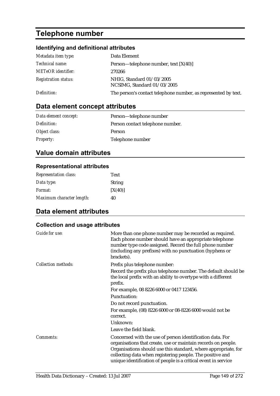# **Telephone number**

## **Identifying and definitional attributes**

| Metadata item type:         | Data Element                                                   |
|-----------------------------|----------------------------------------------------------------|
| <i>Technical name:</i>      | Person—telephone number, text $[X(40)]$                        |
| <b>METeOR</b> identifier:   | 270266                                                         |
| <b>Registration status:</b> | NHIG, Standard 01/03/2005<br>NCSIMG, Standard 01/03/2005       |
| Definition:                 | The person's contact telephone number, as represented by text. |

# **Data element concept attributes**

| Data element concept: | Person—telephone number          |
|-----------------------|----------------------------------|
| Definition:           | Person contact telephone number. |
| Object class:         | Person                           |
| <b>Property:</b>      | Telephone number                 |

# **Value domain attributes**

### **Representational attributes**

| <b>Representation class:</b> | Text          |
|------------------------------|---------------|
| Data type:                   | <b>String</b> |
| <i>Format:</i>               | [X(40)]       |
| Maximum character length:    | 40            |

# **Data element attributes**

| Guide for use:             | More than one phone number may be recorded as required.<br>Each phone number should have an appropriate telephone<br>number type code assigned. Record the full phone number<br>(including any prefixes) with no punctuation (hyphens or<br>brackets).                                                                      |
|----------------------------|-----------------------------------------------------------------------------------------------------------------------------------------------------------------------------------------------------------------------------------------------------------------------------------------------------------------------------|
| <b>Collection methods:</b> | Prefix plus telephone number:                                                                                                                                                                                                                                                                                               |
|                            | Record the prefix plus telephone number. The default should be<br>the local prefix with an ability to overtype with a different<br>prefix.                                                                                                                                                                                  |
|                            | For example, 08 8226 6000 or 0417 123456.                                                                                                                                                                                                                                                                                   |
|                            | <b>Punctuation:</b>                                                                                                                                                                                                                                                                                                         |
|                            | Do not record punctuation.                                                                                                                                                                                                                                                                                                  |
|                            | For example, (08) 8226 6000 or 08-8226 6000 would not be<br>correct.                                                                                                                                                                                                                                                        |
|                            | Unknown:                                                                                                                                                                                                                                                                                                                    |
|                            | Leave the field blank.                                                                                                                                                                                                                                                                                                      |
| Comments:                  | Concerned with the use of person identification data. For<br>organisations that create, use or maintain records on people.<br>Organisations should use this standard, where appropriate, for<br>collecting data when registering people. The positive and<br>unique identification of people is a critical event in service |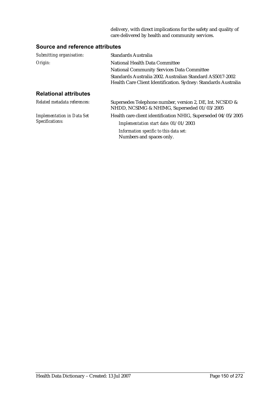delivery, with direct implications for the safety and quality of care delivered by health and community services.

### **Source and reference attributes**

| Submitting organisation:          | <b>Standards Australia</b>                                                                                                  |
|-----------------------------------|-----------------------------------------------------------------------------------------------------------------------------|
| Origin:                           | National Health Data Committee                                                                                              |
|                                   | <b>National Community Services Data Committee</b>                                                                           |
|                                   | Standards Australia 2002. Australian Standard AS5017-2002<br>Health Care Client Identification. Sydney: Standards Australia |
| <b>Relational attributes</b>      |                                                                                                                             |
| Related metadata references:      | Supersedes Telephone number, version 2, DE, Int. NCSDD &<br>NHDD, NCSIMG & NHIMG, Superseded 01/03/2005                     |
| <b>Implementation in Data Set</b> | Health care client identification NHIG, Superseded 04/05/2005                                                               |
| Specifications:                   | Implementation start date: 01/01/2003                                                                                       |
|                                   | Information specific to this data set:<br>Numbers and spaces only.                                                          |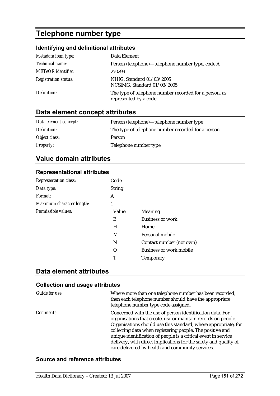# **Telephone number type**

### **Identifying and definitional attributes**

| Metadata item type:         | Data Element                                                                     |
|-----------------------------|----------------------------------------------------------------------------------|
| Technical name:             | Person (telephone)—telephone number type, code A                                 |
| <b>METeOR</b> identifier:   | 270299                                                                           |
| <b>Registration status:</b> | NHIG, Standard 01/03/2005<br>NCSIMG, Standard 01/03/2005                         |
| Definition:                 | The type of telephone number recorded for a person, as<br>represented by a code. |

# **Data element concept attributes**

| Data element concept: | Person (telephone)—telephone number type            |
|-----------------------|-----------------------------------------------------|
| Definition:           | The type of telephone number recorded for a person. |
| Object class:         | <b>Person</b>                                       |
| <b>Property:</b>      | Telephone number type                               |

## **Value domain attributes**

### **Representational attributes**

| <b>Representation class:</b> | Code          |                                |
|------------------------------|---------------|--------------------------------|
| Data type:                   | <b>String</b> |                                |
| Format:                      | A             |                                |
| Maximum character length:    | 1             |                                |
| Permissible values:          | Value         | Meaning                        |
|                              | B             | <b>Business or work</b>        |
|                              | H             | Home                           |
|                              | M             | Personal mobile                |
|                              | N             | Contact number (not own)       |
|                              | Ω             | <b>Business or work mobile</b> |
|                              | т             | <b>Temporary</b>               |

## **Data element attributes**

### **Collection and usage attributes**

| Guide for use:   | Where more than one telephone number has been recorded,<br>then each telephone number should have the appropriate<br>telephone number type code assigned.                                                                                                                                                                                                                                                                                           |
|------------------|-----------------------------------------------------------------------------------------------------------------------------------------------------------------------------------------------------------------------------------------------------------------------------------------------------------------------------------------------------------------------------------------------------------------------------------------------------|
| <i>Comments:</i> | Concerned with the use of person identification data. For<br>organisations that create, use or maintain records on people.<br>Organisations should use this standard, where appropriate, for<br>collecting data when registering people. The positive and<br>unique identification of people is a critical event in service<br>delivery, with direct implications for the safety and quality of<br>care delivered by health and community services. |

### **Source and reference attributes**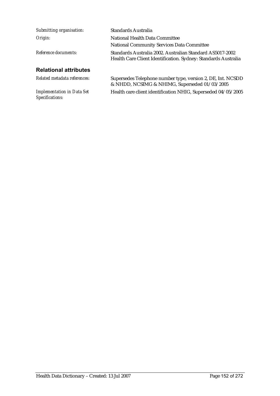| Submitting organisation:     | Standards Australia                                                                                                         |
|------------------------------|-----------------------------------------------------------------------------------------------------------------------------|
| Origin:                      | National Health Data Committee                                                                                              |
|                              | <b>National Community Services Data Committee</b>                                                                           |
| Reference documents:         | Standards Australia 2002. Australian Standard AS5017-2002<br>Health Care Client Identification. Sydney: Standards Australia |
| <b>Relational attributes</b> |                                                                                                                             |
| Related metadata references: | Supersedes Telephone number type, version 2, DE, Int. NCSDD                                                                 |

*Implementation in Data Set Specifications:*

& NHDD, NCSIMG & NHIMG, Superseded 01/03/2005 Health care client identification NHIG, Superseded 04/05/2005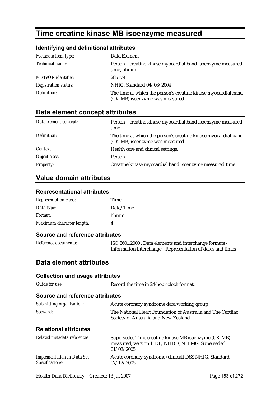# **Time creatine kinase MB isoenzyme measured**

## **Identifying and definitional attributes**

| Metadata item type:         | Data Element                                                                                      |
|-----------------------------|---------------------------------------------------------------------------------------------------|
| Technical name:             | Person-creatine kinase myocardial band isoenzyme measured<br>time, hhmm                           |
| <b>METeOR</b> identifier:   | 285179                                                                                            |
| <b>Registration status:</b> | NHIG, Standard 04/06/2004                                                                         |
| Definition:                 | The time at which the person's creatine kinase myocardial band<br>(CK-MB) isoenzyme was measured. |

# **Data element concept attributes**

| Data element concept: | Person-creatine kinase myocardial band isoenzyme measured<br>time                                 |
|-----------------------|---------------------------------------------------------------------------------------------------|
| Definition:           | The time at which the person's creatine kinase myocardial band<br>(CK-MB) isoenzyme was measured. |
| Context:              | Health care and clinical settings.                                                                |
| Object class:         | Person                                                                                            |
| <i>Property:</i>      | Creatine kinase myocardial band isoenzyme measured time                                           |

# **Value domain attributes**

### **Representational attributes**

| <b>Representation class:</b> | Time      |
|------------------------------|-----------|
| Data type:                   | Date/Time |
| <i>Format:</i>               | hhmm      |
| Maximum character length:    | 4         |

### **Source and reference attributes**

| Reference documents: | ISO 8601:2000 : Data elements and interchange formats -     |
|----------------------|-------------------------------------------------------------|
|                      | Information interchange - Representation of dates and times |

## **Data element attributes**

| <b>Collection and usage attributes</b>               |                                                                                                                        |  |
|------------------------------------------------------|------------------------------------------------------------------------------------------------------------------------|--|
| Guide for use:                                       | Record the time in 24-hour clock format.                                                                               |  |
| Source and reference attributes                      |                                                                                                                        |  |
| Submitting organisation:                             | Acute coronary syndrome data working group                                                                             |  |
| Steward:                                             | The National Heart Foundation of Australia and The Cardiac<br>Society of Australia and New Zealand                     |  |
| <b>Relational attributes</b>                         |                                                                                                                        |  |
| Related metadata references:                         | Supersedes Time creatine kinase MB isoenzyme (CK-MB)<br>measured, version 1, DE, NHDD, NHIMG, Superseded<br>01/03/2005 |  |
| <b>Implementation in Data Set</b><br>Specifications: | Acute coronary syndrome (clinical) DSS NHIG, Standard<br>07/12/2005                                                    |  |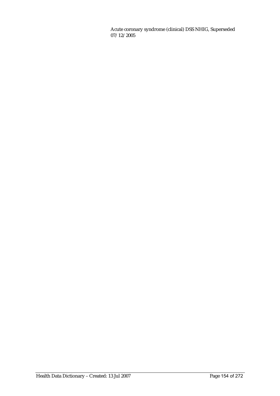Acute coronary syndrome (clinical) DSS NHIG, Superseded 07/12/2005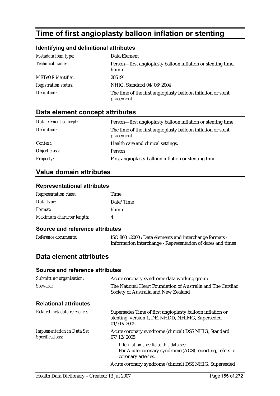# **Time of first angioplasty balloon inflation or stenting**

### **Identifying and definitional attributes**

| Metadata item type:         | Data Element                                                               |
|-----------------------------|----------------------------------------------------------------------------|
| Technical name:             | Person—first angioplasty balloon inflation or stenting time,<br>hhmm       |
| <b>METeOR</b> identifier:   | 285191                                                                     |
| <b>Registration status:</b> | NHIG, Standard 04/06/2004                                                  |
| Definition:                 | The time of the first angioplasty balloon inflation or stent<br>placement. |

## **Data element concept attributes**

| Data element concept: | Person-first angioplasty balloon inflation or stenting time                |
|-----------------------|----------------------------------------------------------------------------|
| Definition:           | The time of the first angioplasty balloon inflation or stent<br>placement. |
| <i>Context:</i>       | Health care and clinical settings.                                         |
| Object class:         | Person                                                                     |
| <b>Property:</b>      | First angioplasty balloon inflation or stenting time                       |

## **Value domain attributes**

#### **Representational attributes**

| <b>Representation class:</b> | Time      |
|------------------------------|-----------|
| Data type:                   | Date/Time |
| Format:                      | hhmm      |
| Maximum character length:    |           |

#### **Source and reference attributes**

*Reference documents:* ISO 8601:2000 : Data elements and interchange formats - Information interchange - Representation of dates and times

## **Data element attributes**

#### **Source and reference attributes**

| Submitting organisation:                             | Acute coronary syndrome data working group                                                                                  |  |
|------------------------------------------------------|-----------------------------------------------------------------------------------------------------------------------------|--|
| Steward:                                             | The National Heart Foundation of Australia and The Cardiac<br>Society of Australia and New Zealand                          |  |
| <b>Relational attributes</b>                         |                                                                                                                             |  |
| Related metadata references:                         | Supersedes Time of first angioplasty balloon inflation or<br>stenting, version 1, DE, NHDD, NHIMG, Superseded<br>01/03/2005 |  |
| <b>Implementation in Data Set</b><br>Specifications: | Acute coronary syndrome (clinical) DSS NHIG, Standard<br>07/12/2005                                                         |  |
|                                                      | Information specific to this data set:<br>For Acute coronary syndrome (ACS) reporting, refers to<br>coronary arteries.      |  |
|                                                      | Acute coronary syndrome (clinical) DSS NHIG, Superseded                                                                     |  |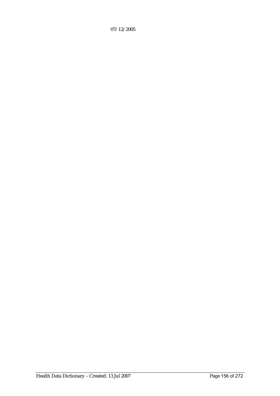07/12/2005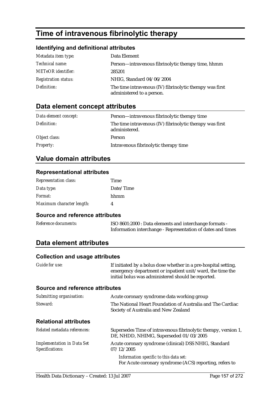# **Time of intravenous fibrinolytic therapy**

### **Identifying and definitional attributes**

| Metadata item type:         | Data Element                                                                          |
|-----------------------------|---------------------------------------------------------------------------------------|
| <i>Technical name:</i>      | Person—intravenous fibrinolytic therapy time, hhmm                                    |
| <b>METeOR</b> identifier:   | 285201                                                                                |
| <b>Registration status:</b> | NHIG, Standard 04/06/2004                                                             |
| Definition:                 | The time intravenous (IV) fibrinolytic therapy was first<br>administered to a person. |

## **Data element concept attributes**

| Data element concept: | Person—intravenous fibrinolytic therapy time                              |
|-----------------------|---------------------------------------------------------------------------|
| Definition:           | The time intravenous (IV) fibrinolytic therapy was first<br>administered. |
| Object class:         | Person                                                                    |
| <b>Property:</b>      | Intravenous fibrinolytic therapy time                                     |

## **Value domain attributes**

#### **Representational attributes**

| <b>Representation class:</b> | Time      |
|------------------------------|-----------|
| Data type:                   | Date/Time |
| Format:                      | hhmm      |
| Maximum character length:    |           |

#### **Source and reference attributes**

*Reference documents:* ISO 8601:2000 : Data elements and interchange formats - Information interchange - Representation of dates and times

## **Data element attributes**

#### **Collection and usage attributes**

| Guide for use: | If initiated by a bolus dose whether in a pre-hospital setting, |
|----------------|-----------------------------------------------------------------|
|                | emergency department or inpatient unit/ward, the time the       |
|                | initial bolus was administered should be reported.              |

### **Source and reference attributes**

| Submitting organisation:                             | Acute coronary syndrome data working group                                                                |
|------------------------------------------------------|-----------------------------------------------------------------------------------------------------------|
| Steward:                                             | The National Heart Foundation of Australia and The Cardiac<br>Society of Australia and New Zealand        |
| <b>Relational attributes</b>                         |                                                                                                           |
| Related metadata references:                         | Supersedes Time of intravenous fibrinolytic therapy, version 1,<br>DE, NHDD, NHIMG, Superseded 01/03/2005 |
| <b>Implementation in Data Set</b><br>Specifications: | Acute coronary syndrome (clinical) DSS NHIG, Standard<br>07/12/2005                                       |
|                                                      | Information specific to this data set:<br>For Acute coronary syndrome (ACS) reporting, refers to          |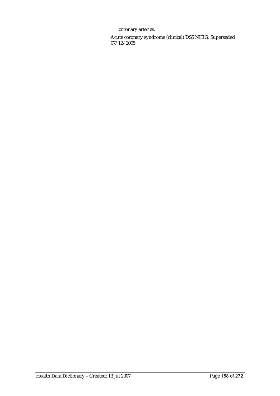coronary arteries.

Acute coronary syndrome (clinical) DSS NHIG, Superseded 07/12/2005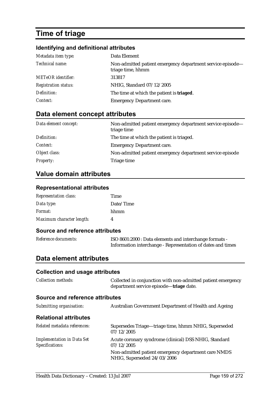# **Time of triage**

## **Identifying and definitional attributes**

| Metadata item type:         | Data Element                                                                    |
|-----------------------------|---------------------------------------------------------------------------------|
| Technical name:             | Non-admitted patient emergency department service episode-<br>triage time, hhmm |
| <b>METeOR</b> identifier:   | 313817                                                                          |
| <b>Registration status:</b> | NHIG, Standard 07/12/2005                                                       |
| Definition:                 | The time at which the patient is <b>triaged</b> .                               |
| Context:                    | <b>Emergency Department care.</b>                                               |

# **Data element concept attributes**

| Data element concept: | Non-admitted patient emergency department service episode—<br>triage time |
|-----------------------|---------------------------------------------------------------------------|
| Definition:           | The time at which the patient is triaged.                                 |
| <i>Context:</i>       | <b>Emergency Department care.</b>                                         |
| Object class:         | Non-admitted patient emergency department service episode                 |
| <b>Property:</b>      | Triage time                                                               |

# **Value domain attributes**

### **Representational attributes**

| <b>Representation class:</b> | Time      |
|------------------------------|-----------|
| Data type:                   | Date/Time |
| Format:                      | hhmm      |
| Maximum character length:    |           |

### **Source and reference attributes**

| Reference documents: | ISO 8601:2000 : Data elements and interchange formats -     |
|----------------------|-------------------------------------------------------------|
|                      | Information interchange - Representation of dates and times |

### **Data element attributes**

| <b>Collection and usage attributes</b>               |                                                                                                         |
|------------------------------------------------------|---------------------------------------------------------------------------------------------------------|
| <b>Collection methods:</b>                           | Collected in conjunction with non-admitted patient emergency<br>department service episode—triage date. |
| Source and reference attributes                      |                                                                                                         |
| Submitting organisation:                             | Australian Government Department of Health and Ageing                                                   |
| <b>Relational attributes</b>                         |                                                                                                         |
| Related metadata references:                         | Supersedes Triage—triage time, hhmm NHIG, Superseded<br>07/12/2005                                      |
| <b>Implementation in Data Set</b><br>Specifications: | Acute coronary syndrome (clinical) DSS NHIG, Standard<br>07/12/2005                                     |
|                                                      | Non-admitted patient emergency department care NMDS<br>NHIG, Superseded 24/03/2006                      |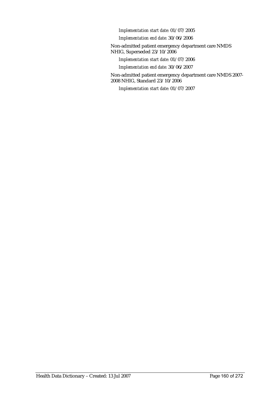*Implementation start date:* 01/07/2005

*Implementation end date:* 30/06/2006

Non-admitted patient emergency department care NMDS NHIG, Superseded 23/10/2006

*Implementation start date:* 01/07/2006

*Implementation end date:* 30/06/2007

Non-admitted patient emergency department care NMDS 2007- 2008 NHIG, Standard 23/10/2006

*Implementation start date:* 01/07/2007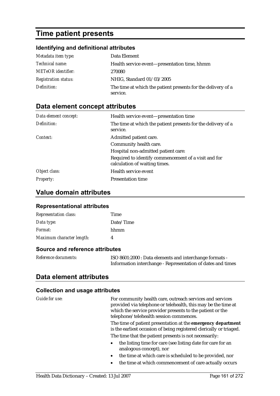# **Time patient presents**

## **Identifying and definitional attributes**

| Metadata item type:         | Data Element                                                             |
|-----------------------------|--------------------------------------------------------------------------|
| <i>Technical name:</i>      | Health service event—presentation time, hhmm                             |
| <b>METeOR</b> identifier:   | 270080                                                                   |
| <b>Registration status:</b> | NHIG, Standard 01/03/2005                                                |
| Definition:                 | The time at which the patient presents for the delivery of a<br>service. |

# **Data element concept attributes**

| Data element concept: | Health service event—presentation time                                                |
|-----------------------|---------------------------------------------------------------------------------------|
| Definition:           | The time at which the patient presents for the delivery of a<br>service.              |
| Context:              | Admitted patient care.                                                                |
|                       | Community health care.                                                                |
|                       | Hospital non-admitted patient care:                                                   |
|                       | Required to identify commencement of a visit and for<br>calculation of waiting times. |
| Object class:         | Health service event                                                                  |
| <b>Property:</b>      | <b>Presentation time</b>                                                              |

## **Value domain attributes**

### **Representational attributes**

| <b>Representation class:</b> | Time      |
|------------------------------|-----------|
| Data type:                   | Date/Time |
| Format:                      | hhmm      |
| Maximum character length:    |           |

### **Source and reference attributes**

| Reference documents: | ISO 8601:2000 : Data elements and interchange formats -     |
|----------------------|-------------------------------------------------------------|
|                      | Information interchange - Representation of dates and times |

## **Data element attributes**

| Guide for use: | For community health care, outreach services and services<br>provided via telephone or telehealth, this may be the time at<br>which the service provider presents to the patient or the<br>telephone/telehealth session commences. |
|----------------|------------------------------------------------------------------------------------------------------------------------------------------------------------------------------------------------------------------------------------|
|                | The time of patient presentation at the emergency department<br>is the earliest occasion of being registered clerically or triaged.                                                                                                |
|                | The time that the patient presents is not necessarily:                                                                                                                                                                             |
|                | the listing time for care (see listing date for care for an<br>$\bullet$<br>analogous concept), nor                                                                                                                                |
|                | the time at which care is scheduled to be provided, nor<br>$\bullet$                                                                                                                                                               |
|                | the time at which commencement of care actually occurs<br>$\bullet$                                                                                                                                                                |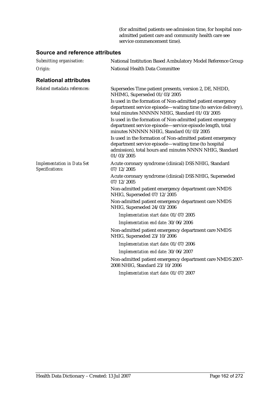(for admitted patients see admission time, for hospital nonadmitted patient care and community health care see service commencement time).

### **Source and reference attributes**

| Submitting organisation:                             | National Institution Based Ambulatory Model Reference Group                                                                                                                                 |
|------------------------------------------------------|---------------------------------------------------------------------------------------------------------------------------------------------------------------------------------------------|
| Origin:                                              | National Health Data Committee                                                                                                                                                              |
| <b>Relational attributes</b>                         |                                                                                                                                                                                             |
| Related metadata references:                         | Supersedes Time patient presents, version 2, DE, NHDD,<br>NHIMG, Superseded 01/03/2005                                                                                                      |
|                                                      | Is used in the formation of Non-admitted patient emergency<br>department service episode-waiting time (to service delivery),<br>total minutes NNNNN NHIG, Standard 01/03/2005               |
|                                                      | Is used in the formation of Non-admitted patient emergency<br>department service episode-service episode length, total<br>minutes NNNNN NHIG, Standard 01/03/2005                           |
|                                                      | Is used in the formation of Non-admitted patient emergency<br>department service episode—waiting time (to hospital<br>admission), total hours and minutes NNNN NHIG, Standard<br>01/03/2005 |
| <b>Implementation in Data Set</b><br>Specifications: | Acute coronary syndrome (clinical) DSS NHIG, Standard<br>07/12/2005                                                                                                                         |
|                                                      | Acute coronary syndrome (clinical) DSS NHIG, Superseded<br>07/12/2005                                                                                                                       |
|                                                      | Non-admitted patient emergency department care NMDS<br>NHIG, Superseded 07/12/2005                                                                                                          |
|                                                      | Non-admitted patient emergency department care NMDS<br>NHIG, Superseded 24/03/2006                                                                                                          |
|                                                      | Implementation start date: 01/07/2005                                                                                                                                                       |
|                                                      | Implementation end date: 30/06/2006                                                                                                                                                         |
|                                                      | Non-admitted patient emergency department care NMDS<br>NHIG, Superseded 23/10/2006                                                                                                          |
|                                                      | Implementation start date: 01/07/2006                                                                                                                                                       |
|                                                      | Implementation end date: 30/06/2007                                                                                                                                                         |
|                                                      | Non-admitted patient emergency department care NMDS 2007-<br>2008 NHIG, Standard 23/10/2006                                                                                                 |
|                                                      | Implementation start date: 01/07/2007                                                                                                                                                       |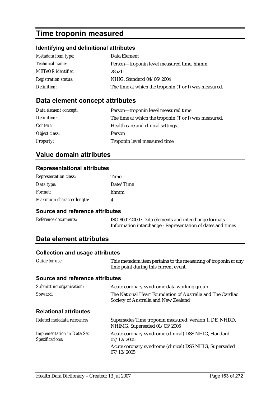# **Time troponin measured**

### **Identifying and definitional attributes**

| Metadata item type:         | Data Element                                          |
|-----------------------------|-------------------------------------------------------|
| <i>Technical name:</i>      | Person—troponin level measured time, hhmm             |
| <b>METeOR</b> identifier:   | 285211                                                |
| <b>Registration status:</b> | NHIG, Standard 04/06/2004                             |
| Definition:                 | The time at which the troponin (T or I) was measured. |

## **Data element concept attributes**

| Data element concept: | Person-troponin level measured time                   |
|-----------------------|-------------------------------------------------------|
| Definition:           | The time at which the troponin (T or I) was measured. |
| <i>Context:</i>       | Health care and clinical settings.                    |
| Object class:         | <b>Person</b>                                         |
| <b>Property:</b>      | Troponin level measured time                          |

# **Value domain attributes**

#### **Representational attributes**

| <b>Representation class:</b> | Time      |
|------------------------------|-----------|
| Data type:                   | Date/Time |
| <i>Format:</i>               | hhmm      |
| Maximum character length:    |           |

#### **Source and reference attributes**

| Reference documents: | ISO 8601:2000 : Data elements and interchange formats -     |
|----------------------|-------------------------------------------------------------|
|                      | Information interchange - Representation of dates and times |

## **Data element attributes**

### **Collection and usage attributes**

| Conection and usage attributes                       |                                                                                                          |
|------------------------------------------------------|----------------------------------------------------------------------------------------------------------|
| Guide for use:                                       | This metadata item pertains to the measuring of troponin at any<br>time point during this current event. |
| <b>Source and reference attributes</b>               |                                                                                                          |
| Submitting organisation:                             | Acute coronary syndrome data working group                                                               |
| Steward:                                             | The National Heart Foundation of Australia and The Cardiac<br>Society of Australia and New Zealand       |
| <b>Relational attributes</b>                         |                                                                                                          |
| Related metadata references:                         | Supersedes Time troponin measured, version 1, DE, NHDD,<br>NHIMG, Superseded 01/03/2005                  |
| <b>Implementation in Data Set</b><br>Specifications: | Acute coronary syndrome (clinical) DSS NHIG, Standard<br>07/12/2005                                      |
|                                                      |                                                                                                          |

Acute coronary syndrome (clinical) DSS NHIG, Superseded 07/12/2005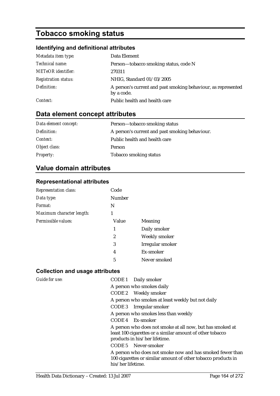# **Tobacco smoking status**

## **Identifying and definitional attributes**

| Metadata item type:         | Data Element                                                                |
|-----------------------------|-----------------------------------------------------------------------------|
| Technical name:             | Person-tobacco smoking status, code N                                       |
| <b>METeOR</b> identifier:   | 270311                                                                      |
| <b>Registration status:</b> | NHIG, Standard 01/03/2005                                                   |
| Definition:                 | A person's current and past smoking behaviour, as represented<br>by a code. |
| Context:                    | Public health and health care                                               |

# **Data element concept attributes**

| Data element concept: | Person-tobacco smoking status                  |
|-----------------------|------------------------------------------------|
| Definition:           | A person's current and past smoking behaviour. |
| <i>Context:</i>       | Public health and health care                  |
| Object class:         | Person                                         |
| <b>Property:</b>      | <b>Tobacco smoking status</b>                  |

# **Value domain attributes**

### **Representational attributes**

| <b>Representation class:</b> | Code   |                  |
|------------------------------|--------|------------------|
| Data type:                   | Number |                  |
| Format:                      | N      |                  |
| Maximum character length:    | 1      |                  |
| Permissible values:          | Value  | <b>Meaning</b>   |
|                              | 1      | Daily smoker     |
|                              | 2      | Weekly smoker    |
|                              | 3      | Irregular smoker |
|                              | 4      | Ex-smoker        |
|                              | 5      | Never smoked     |

| Guide for use: | CODE 1 Daily smoker                                                                                                                                     |
|----------------|---------------------------------------------------------------------------------------------------------------------------------------------------------|
|                | A person who smokes daily                                                                                                                               |
|                | CODE 2 Weekly smoker                                                                                                                                    |
|                | A person who smokes at least weekly but not daily                                                                                                       |
|                | CODE 3 Irregular smoker                                                                                                                                 |
|                | A person who smokes less than weekly                                                                                                                    |
|                | CODE 4 Ex-smoker                                                                                                                                        |
|                | A person who does not smoke at all now, but has smoked at<br>least 100 cigarettes or a similar amount of other tobacco<br>products in his/her lifetime. |
|                | CODE 5 Never-smoker                                                                                                                                     |
|                | A person who does not smoke now and has smoked fewer than<br>100 cigarettes or similar amount of other tobacco products in<br>his/her lifetime.         |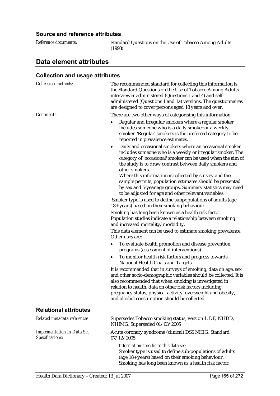### **Source and reference attributes**

**Standard Questions on the Use of Tobacco Among Adults** (1998)

## **Data element attributes**

| <b>Collection methods:</b>                           | The recommended standard for collecting this information is<br>the Standard Questions on the Use of Tobacco Among Adults -<br>interviewer administered (Questions 1 and 4) and self-<br>administered (Questions 1 and 1a) versions. The questionnaires<br>are designed to cover persons aged 18 years and over.                                                         |
|------------------------------------------------------|-------------------------------------------------------------------------------------------------------------------------------------------------------------------------------------------------------------------------------------------------------------------------------------------------------------------------------------------------------------------------|
| Comments:                                            | There are two other ways of categorising this information:                                                                                                                                                                                                                                                                                                              |
|                                                      | Regular and irregular smokers where a regular smoker<br>includes someone who is a daily smoker or a weekly<br>smoker. 'Regular' smokers is the preferred category to be<br>reported in prevalence estimates.                                                                                                                                                            |
|                                                      | Daily and occasional smokers where an occasional smoker<br>٠<br>includes someone who is a weekly or irregular smoker. The<br>category of 'occasional' smoker can be used when the aim of<br>the study is to draw contrast between daily smokers and<br>other smokers.                                                                                                   |
|                                                      | Where this information is collected by survey and the<br>sample permits, population estimates should be presented<br>by sex and 5-year age groups. Summary statistics may need<br>to be adjusted for age and other relevant variables.                                                                                                                                  |
|                                                      | Smoker type is used to define subpopulations of adults (age<br>18+ years) based on their smoking behaviour.                                                                                                                                                                                                                                                             |
|                                                      | Smoking has long been known as a health risk factor.<br>Population studies indicate a relationship between smoking<br>and increased mortality/morbidity.                                                                                                                                                                                                                |
|                                                      | This data element can be used to estimate smoking prevalence.<br>Other uses are:                                                                                                                                                                                                                                                                                        |
|                                                      | To evaluate health promotion and disease prevention<br>programs (assessment of interventions)                                                                                                                                                                                                                                                                           |
|                                                      | To monitor health risk factors and progress towards<br>٠<br><b>National Health Goals and Targets</b>                                                                                                                                                                                                                                                                    |
|                                                      | It is recommended that in surveys of smoking, data on age, sex<br>and other socio-demographic variables should be collected. It is<br>also recommended that when smoking is investigated in<br>relation to health, data on other risk factors including<br>pregnancy status, physical activity, overweight and obesity,<br>and alcohol consumption should be collected. |
| <b>Relational attributes</b>                         |                                                                                                                                                                                                                                                                                                                                                                         |
| Related metadata references:                         | Supersedes Tobacco smoking status, version 1, DE, NHDD,<br>NHIMG, Superseded 01/03/2005                                                                                                                                                                                                                                                                                 |
| <b>Implementation in Data Set</b><br>Specifications: | Acute coronary syndrome (clinical) DSS NHIG, Standard<br>07/12/2005                                                                                                                                                                                                                                                                                                     |
|                                                      | Information specific to this data set:<br>Smoker type is used to define sub-populations of adults<br>(age 18+ years) based on their smoking behaviour.<br>Smoking has long been known as a health risk factor.                                                                                                                                                          |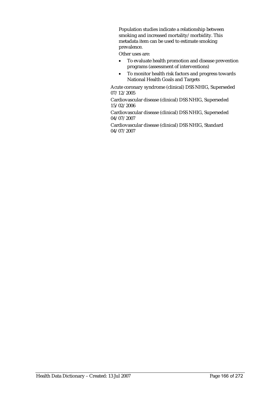Population studies indicate a relationship between smoking and increased mortality/morbidity. This metadata item can be used to estimate smoking prevalence.

Other uses are:

- To evaluate health promotion and disease prevention programs (assessment of interventions)
- To monitor health risk factors and progress towards National Health Goals and Targets

Acute coronary syndrome (clinical) DSS NHIG, Superseded 07/12/2005

Cardiovascular disease (clinical) DSS NHIG, Superseded 15/02/2006

Cardiovascular disease (clinical) DSS NHIG, Superseded 04/07/2007

Cardiovascular disease (clinical) DSS NHIG, Standard 04/07/2007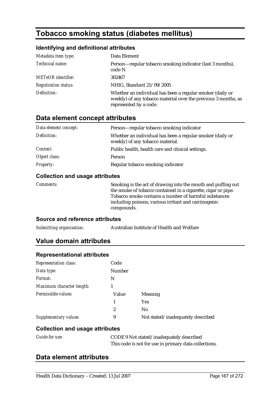# **Tobacco smoking status (diabetes mellitus)**

## **Identifying and definitional attributes**

| Metadata item type:         | Data Element                                                                                                                                          |
|-----------------------------|-------------------------------------------------------------------------------------------------------------------------------------------------------|
| Technical name:             | Person—regular tobacco smoking indicator (last 3 months),<br>code N                                                                                   |
| <b>METeOR</b> identifier:   | 302467                                                                                                                                                |
| <b>Registration status:</b> | NHIG, Standard 21/09/2005                                                                                                                             |
| Definition:                 | Whether an individual has been a regular smoker (daily or<br>weekly) of any tobacco material over the previous 3 months, as<br>represented by a code. |

# **Data element concept attributes**

| Data element concept: | Person—regular tobacco smoking indicator                                                      |
|-----------------------|-----------------------------------------------------------------------------------------------|
| Definition:           | Whether an individual has been a regular smoker (daily or<br>weekly) of any tobacco material. |
| Context:              | Public health, health care and clinical settings.                                             |
| Object class:         | Person                                                                                        |
| <b>Property:</b>      | Regular tobacco smoking indicator                                                             |

### **Collection and usage attributes**

| <i>Comments:</i> | Smoking is the act of drawing into the mouth and puffing out<br>the smoke of tobacco contained in a cigarette, cigar or pipe.<br>Tobacco smoke contains a number of harmful substances<br>including poisons, various irritant and carcinogenic |
|------------------|------------------------------------------------------------------------------------------------------------------------------------------------------------------------------------------------------------------------------------------------|
|                  | compounds.                                                                                                                                                                                                                                     |

### **Source and reference attributes**

| Submitting organisation: | Australian Institute of Health and Welfare |
|--------------------------|--------------------------------------------|
|                          |                                            |

# **Value domain attributes**

| <b>Representation class:</b> | Code           |                                   |
|------------------------------|----------------|-----------------------------------|
| Data type:                   | Number         |                                   |
| Format:                      | N              |                                   |
| Maximum character length:    |                |                                   |
| Permissible values:          | Value          | Meaning                           |
|                              |                | <b>Yes</b>                        |
|                              | $\overline{2}$ | N <sub>0</sub>                    |
| Supplementary values:        | 9              | Not stated/inadequately described |

### **Collection and usage attributes**

| <b>Guide for use:</b> | CODE 9 Not stated/inadequately described              |  |
|-----------------------|-------------------------------------------------------|--|
|                       | This code is not for use in primary data collections. |  |

## **Data element attributes**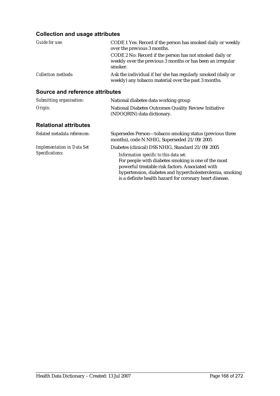## **Collection and usage attributes**

| Guide for use:             | CODE 1 Yes: Record if the person has smoked daily or weekly<br>over the previous 3 months.                                       |  |
|----------------------------|----------------------------------------------------------------------------------------------------------------------------------|--|
|                            | CODE 2 No: Record if the person has not smoked daily or<br>weekly over the previous 3 months or has been an irregular<br>smoker. |  |
| <b>Collection methods:</b> | Ask the individual if he/she has regularly smoked (daily or<br>weekly) any tobacco material over the past 3 months.              |  |

# **Source and reference attributes**

| Submitting organisation:                             | National diabetes data working group                                                                                                                                                                                                                                                                                          |
|------------------------------------------------------|-------------------------------------------------------------------------------------------------------------------------------------------------------------------------------------------------------------------------------------------------------------------------------------------------------------------------------|
| Origin:                                              | National Diabetes Outcomes Quality Review Initiative<br>(NDOQRIN) data dictionary.                                                                                                                                                                                                                                            |
| <b>Relational attributes</b>                         |                                                                                                                                                                                                                                                                                                                               |
| Related metadata references:                         | Supersedes Person-tobacco smoking status (previous three<br>months), code N NHIG, Superseded 21/09/2005                                                                                                                                                                                                                       |
| <b>Implementation in Data Set</b><br>Specifications: | Diabetes (clinical) DSS NHIG, Standard 21/09/2005<br>Information specific to this data set:<br>For people with diabetes smoking is one of the most<br>powerful treatable risk factors. Associated with<br>hypertension, diabetes and hypercholesterolemia, smoking<br>is a definite health hazard for coronary heart disease. |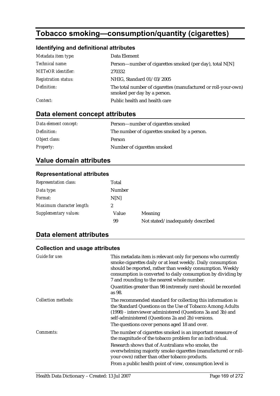# **Tobacco smoking—consumption/quantity (cigarettes)**

## **Identifying and definitional attributes**

| Metadata item type:         | Data Element                                                                                  |
|-----------------------------|-----------------------------------------------------------------------------------------------|
| Technical name:             | Person—number of cigarettes smoked (per day), total N[N]                                      |
| <b>METeOR</b> identifier:   | 270332                                                                                        |
| <b>Registration status:</b> | NHIG, Standard 01/03/2005                                                                     |
| Definition:                 | The total number of cigarettes (manufactured or roll-your-own)<br>smoked per day by a person. |
| Context:                    | Public health and health care                                                                 |

# **Data element concept attributes**

| Data element concept: | Person—number of cigarettes smoked           |  |
|-----------------------|----------------------------------------------|--|
| Definition:           | The number of cigarettes smoked by a person. |  |
| Object class:         | Person                                       |  |
| <b>Property:</b>      | Number of cigarettes smoked                  |  |

# **Value domain attributes**

### **Representational attributes**

| <b>Representation class:</b> | Total  |                                   |
|------------------------------|--------|-----------------------------------|
| Data type:                   | Number |                                   |
| Format:                      | N[N]   |                                   |
| Maximum character length:    |        |                                   |
| <b>Supplementary values:</b> | Value  | <b>Meaning</b>                    |
|                              | 99     | Not stated/inadequately described |

## **Data element attributes**

| Guide for use:      | This metadata item is relevant only for persons who currently<br>smoke cigarettes daily or at least weekly. Daily consumption<br>should be reported, rather than weekly consumption. Weekly<br>consumption is converted to daily consumption by dividing by<br>7 and rounding to the nearest whole number.<br>Quantities greater than 98 (extremely rare) should be recorded<br>as 98. |
|---------------------|----------------------------------------------------------------------------------------------------------------------------------------------------------------------------------------------------------------------------------------------------------------------------------------------------------------------------------------------------------------------------------------|
| Collection methods: | The recommended standard for collecting this information is<br>the Standard Questions on the Use of Tobacco Among Adults<br>(1998) - interviewer administered (Questions 3a and 3b) and<br>self-administered (Questions 2a and 2b) versions.<br>The questions cover persons aged 18 and over.                                                                                          |
| Comments:           | The number of cigarettes smoked is an important measure of<br>the magnitude of the tobacco problem for an individual.<br>Research shows that of Australians who smoke, the<br>overwhelming majority smoke cigarettes (manufactured or roll-<br>your-own) rather than other tobacco products.<br>From a public health point of view, consumption level is                               |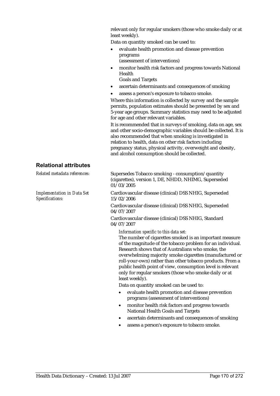relevant only for regular smokers (those who smoke daily or at least weekly).

Data on quantity smoked can be used to:

- evaluate health promotion and disease prevention programs (assessment of interventions)
- monitor health risk factors and progress towards National Health
	- Goals and Targets
- ascertain determinants and consequences of smoking
- assess a person's exposure to tobacco smoke.

Where this information is collected by survey and the sample permits, population estimates should be presented by sex and 5-year age groups. Summary statistics may need to be adjusted for age and other relevant variables.

It is recommended that in surveys of smoking, data on age, sex and other socio-demographic variables should be collected. It is also recommended that when smoking is investigated in relation to health, data on other risk factors including pregnancy status, physical activity, overweight and obesity, and alcohol consumption should be collected.

#### **Relational attributes**

| Related metadata references:                         | Supersedes Tobacco smoking - consumption/quantity<br>(cigarettes), version 1, DE, NHDD, NHIMG, Superseded<br>01/03/2005                                                                                                                                                                                                                                                                                                                                                               |
|------------------------------------------------------|---------------------------------------------------------------------------------------------------------------------------------------------------------------------------------------------------------------------------------------------------------------------------------------------------------------------------------------------------------------------------------------------------------------------------------------------------------------------------------------|
| <b>Implementation in Data Set</b><br>Specifications: | Cardiovascular disease (clinical) DSS NHIG, Superseded<br>15/02/2006                                                                                                                                                                                                                                                                                                                                                                                                                  |
|                                                      | Cardiovascular disease (clinical) DSS NHIG, Superseded<br>04/07/2007                                                                                                                                                                                                                                                                                                                                                                                                                  |
|                                                      | Cardiovascular disease (clinical) DSS NHIG, Standard<br>04/07/2007                                                                                                                                                                                                                                                                                                                                                                                                                    |
|                                                      | Information specific to this data set:<br>The number of cigarettes smoked is an important measure<br>of the magnitude of the tobacco problem for an individual.<br>Research shows that of Australians who smoke, the<br>overwhelming majority smoke cigarettes (manufactured or<br>roll-your-own) rather than other tobacco products. From a<br>public health point of view, consumption level is relevant<br>only for regular smokers (those who smoke daily or at<br>least weekly). |
|                                                      | Data on quantity smoked can be used to:                                                                                                                                                                                                                                                                                                                                                                                                                                               |
|                                                      | evaluate health promotion and disease prevention<br>$\bullet$<br>programs (assessment of interventions)                                                                                                                                                                                                                                                                                                                                                                               |
|                                                      | monitor health risk factors and progress towards<br>$\bullet$<br><b>National Health Goals and Targets</b>                                                                                                                                                                                                                                                                                                                                                                             |
|                                                      | ascertain determinants and consequences of smoking                                                                                                                                                                                                                                                                                                                                                                                                                                    |

• assess a person's exposure to tobacco smoke.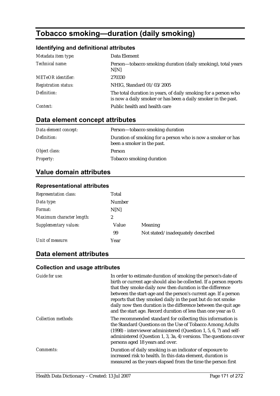# **Tobacco smoking—duration (daily smoking)**

## **Identifying and definitional attributes**

| Metadata item type:         | Data Element                                                                                                                    |
|-----------------------------|---------------------------------------------------------------------------------------------------------------------------------|
| Technical name:             | Person-tobacco smoking duration (daily smoking), total years<br>N[N]                                                            |
| <b>METeOR</b> identifier:   | 270330                                                                                                                          |
| <b>Registration status:</b> | NHIG, Standard 01/03/2005                                                                                                       |
| Definition:                 | The total duration in years, of daily smoking for a person who<br>is now a daily smoker or has been a daily smoker in the past. |
| Context:                    | Public health and health care                                                                                                   |

# **Data element concept attributes**

| Data element concept: | Person—tobacco smoking duration                                                           |
|-----------------------|-------------------------------------------------------------------------------------------|
| Definition:           | Duration of smoking for a person who is now a smoker or has<br>been a smoker in the past. |
| Object class:         | Person                                                                                    |
| <b>Property:</b>      | Tobacco smoking duration                                                                  |

# **Value domain attributes**

### **Representational attributes**

| <b>Representation class:</b> | Total         |                                   |
|------------------------------|---------------|-----------------------------------|
| Data type:                   | <b>Number</b> |                                   |
| Format:                      | N[N]          |                                   |
| Maximum character length:    | 2             |                                   |
| Supplementary values:        | Value         | Meaning                           |
|                              | 99            | Not stated/inadequately described |
| Unit of measure:             | Year          |                                   |

## **Data element attributes**

| Guide for use:             | In order to estimate duration of smoking the person's date of<br>birth or current age should also be collected. If a person reports<br>that they smoke daily now then duration is the difference<br>between the start-age and the person's current age. If a person<br>reports that they smoked daily in the past but do not smoke<br>daily now then duration is the difference between the quit age<br>and the start age. Record duration of less than one year as 0. |
|----------------------------|------------------------------------------------------------------------------------------------------------------------------------------------------------------------------------------------------------------------------------------------------------------------------------------------------------------------------------------------------------------------------------------------------------------------------------------------------------------------|
| <b>Collection methods:</b> | The recommended standard for collecting this information is<br>the Standard Questions on the Use of Tobacco Among Adults<br>$(1998)$ - interviewer administered (Question 1, 5, 6, 7) and self-<br>administered (Question 1, 3, 3a, 4) versions. The questions cover<br>persons aged 18 years and over.                                                                                                                                                                |
| <i>Comments:</i>           | Duration of daily smoking is an indicator of exposure to<br>increased risk to health. In this data element, duration is<br>measured as the years elapsed from the time the person first                                                                                                                                                                                                                                                                                |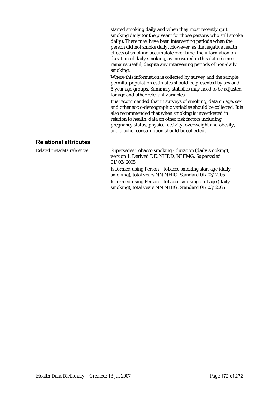started smoking daily and when they most recently quit smoking daily (or the present for those persons who still smoke daily). There may have been intervening periods when the person did not smoke daily. However, as the negative health effects of smoking accumulate over time, the information on duration of daily smoking, as measured in this data element, remains useful, despite any intervening periods of non-daily smoking.

Where this information is collected by survey and the sample permits, population estimates should be presented by sex and 5-year age groups. Summary statistics may need to be adjusted for age and other relevant variables.

It is recommended that in surveys of smoking, data on age, sex and other socio-demographic variables should be collected. It is also recommended that when smoking is investigated in relation to health, data on other risk factors including pregnancy status, physical activity, overweight and obesity, and alcohol consumption should be collected.

### **Relational attributes**

*Related metadata references:* Supersedes Tobacco smoking - duration (daily smoking), version 1, Derived DE, NHDD, NHIMG, Superseded 01/03/2005

> Is formed using Person—tobacco smoking start age (daily smoking), total years NN NHIG, Standard 01/03/2005 Is formed using Person—tobacco smoking quit age (daily smoking), total years NN NHIG, Standard 01/03/2005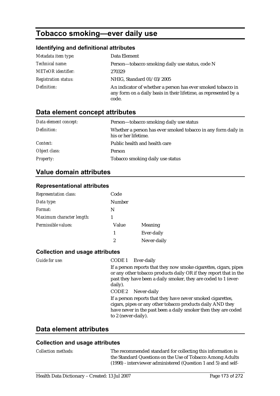# **Tobacco smoking—ever daily use**

## **Identifying and definitional attributes**

| Metadata item type:         | Data Element                                                                                                                             |
|-----------------------------|------------------------------------------------------------------------------------------------------------------------------------------|
| Technical name:             | Person-tobacco smoking daily use status, code N                                                                                          |
| <b>METeOR</b> identifier:   | 270329                                                                                                                                   |
| <b>Registration status:</b> | NHIG, Standard 01/03/2005                                                                                                                |
| Definition:                 | An indicator of whether a person has ever smoked tobacco in<br>any form on a daily basis in their lifetime, as represented by a<br>code. |

# **Data element concept attributes**

| Data element concept: | Person-tobacco smoking daily use status                                               |
|-----------------------|---------------------------------------------------------------------------------------|
| Definition:           | Whether a person has ever smoked tobacco in any form daily in<br>his or her lifetime. |
| <i>Context:</i>       | Public health and health care                                                         |
| Object class:         | Person                                                                                |
| <b>Property:</b>      | Tobacco smoking daily use status                                                      |

# **Value domain attributes**

### **Representational attributes**

| <b>Representation class:</b> | Code   |             |
|------------------------------|--------|-------------|
| Data type:                   | Number |             |
| Format:                      | N      |             |
| Maximum character length:    |        |             |
| Permissible values:          | Value  | Meaning     |
|                              | 1      | Ever-daily  |
|                              | 2      | Never-daily |

### **Collection and usage attributes**

| <i>Guide for use:</i> | CODE 1 Ever-daily                                                                                                                                                                                                   |
|-----------------------|---------------------------------------------------------------------------------------------------------------------------------------------------------------------------------------------------------------------|
|                       | If a person reports that they now smoke cigarettes, cigars, pipes<br>or any other tobacco products daily OR if they report that in the<br>past they have been a daily smoker, they are coded to 1 (ever-<br>daily). |
|                       | CODE 2 Never-daily                                                                                                                                                                                                  |
|                       | If a person reports that they have never smoked cigarettes,<br>cigars, pipes or any other tobacco products daily AND they<br>have never in the past been a daily smoker then they are coded<br>to 2 (never-daily).  |
|                       |                                                                                                                                                                                                                     |

### **Data element attributes**

| <i>Collection methods:</i> | The recommended standard for collecting this information is<br>the Standard Questions on the Use of Tobacco Among Adults<br>(1998) - interviewer administered (Question 1 and 5) and self- |
|----------------------------|--------------------------------------------------------------------------------------------------------------------------------------------------------------------------------------------|
|                            |                                                                                                                                                                                            |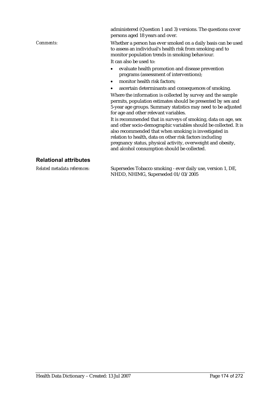persons aged 18 years and over. *Comments:* Whether a person has ever smoked on a daily basis can be used to assess an individual's health risk from smoking and to monitor population trends in smoking behaviour. It can also be used to: • evaluate health promotion and disease prevention programs (assessment of interventions); • monitor health risk factors: ascertain determinants and consequences of smoking. Where the information is collected by survey and the sample permits, population estimates should be presented by sex and 5-year age groups. Summary statistics may need to be adjusted for age and other relevant variables. It is recommended that in surveys of smoking, data on age, sex and other socio-demographic variables should be collected. It is also recommended that when smoking is investigated in relation to health, data on other risk factors including pregnancy status, physical activity, overweight and obesity, and alcohol consumption should be collected. **Relational attributes** 

*Related metadata references:* Supersedes Tobacco smoking - ever daily use, version 1, DE, NHDD, NHIMG, Superseded 01/03/2005

administered (Question 1 and 3) versions. The questions cover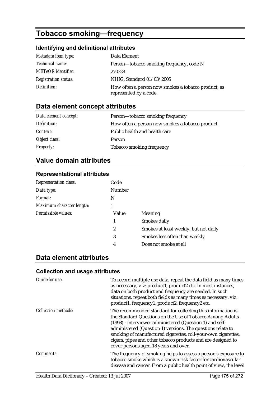# **Tobacco smoking—frequency**

## **Identifying and definitional attributes**

| Metadata item type:         | Data Element                                                                  |
|-----------------------------|-------------------------------------------------------------------------------|
| Technical name:             | Person—tobacco smoking frequency, code N                                      |
| <b>METeOR</b> identifier:   | 270328                                                                        |
| <b>Registration status:</b> | NHIG, Standard 01/03/2005                                                     |
| Definition:                 | How often a person now smokes a tobacco product, as<br>represented by a code. |

# **Data element concept attributes**

| Data element concept: | Person—tobacco smoking frequency                 |
|-----------------------|--------------------------------------------------|
| Definition:           | How often a person now smokes a tobacco product. |
| <i>Context:</i>       | Public health and health care                    |
| Object class:         | Person                                           |
| <b>Property:</b>      | Tobacco smoking frequency                        |

# **Value domain attributes**

### **Representational attributes**

| <b>Representation class:</b> | Code          |                                       |
|------------------------------|---------------|---------------------------------------|
| Data type:                   | <b>Number</b> |                                       |
| Format:                      | N             |                                       |
| Maximum character length:    |               |                                       |
| Permissible values:          | Value         | Meaning                               |
|                              | 1             | Smokes daily                          |
|                              | 2             | Smokes at least weekly, but not daily |
|                              | 3             | Smokes less often than weekly         |
|                              | 4             | Does not smoke at all                 |
|                              |               |                                       |

# **Data element attributes**

| Guide for use:      | To record multiple use data, repeat the data field as many times<br>as necessary, viz: product1, product2 etc. In most instances,<br>data on both product and frequency are needed. In such<br>situations, repeat both fields as many times as necessary, viz:<br>product1, frequency1, product2, frequency2 etc.                                                                                                             |
|---------------------|-------------------------------------------------------------------------------------------------------------------------------------------------------------------------------------------------------------------------------------------------------------------------------------------------------------------------------------------------------------------------------------------------------------------------------|
| Collection methods: | The recommended standard for collecting this information is<br>the Standard Questions on the Use of Tobacco Among Adults<br>(1998) - interviewer administered (Question 1) and self-<br>administered (Question 1) versions. The questions relate to<br>smoking of manufactured cigarettes, roll-your-own cigarettes,<br>cigars, pipes and other tobacco products and are designed to<br>cover persons aged 18 years and over. |
| <i>Comments:</i>    | The frequency of smoking helps to assess a person's exposure to<br>tobacco smoke which is a known risk factor for cardiovascular<br>disease and cancer. From a public health point of view, the level                                                                                                                                                                                                                         |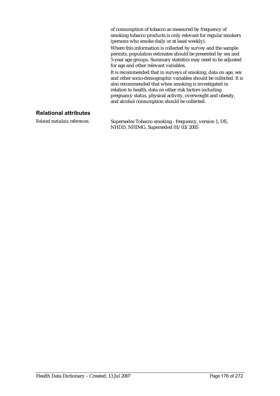of consumption of tobacco as measured by frequency of smoking tobacco products is only relevant for regular smokers (persons who smoke daily or at least weekly).

Where this information is collected by survey and the sample permits, population estimates should be presented by sex and 5-year age groups. Summary statistics may need to be adjusted for age and other relevant variables.

It is recommended that in surveys of smoking, data on age, sex and other socio-demographic variables should be collected. It is also recommended that when smoking is investigated in relation to health, data on other risk factors including pregnancy status, physical activity, overweight and obesity, and alcohol consumption should be collected.

### **Relational attributes**

*Related metadata references:* Supersedes Tobacco smoking - frequency, version 1, DE, NHDD, NHIMG, Superseded 01/03/2005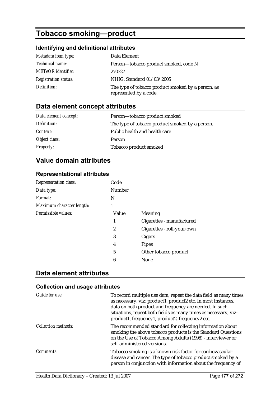# **Tobacco smoking—product**

## **Identifying and definitional attributes**

| Metadata item type:         | Data Element                                                                 |
|-----------------------------|------------------------------------------------------------------------------|
| <i>Technical name:</i>      | Person-tobacco product smoked, code N                                        |
| <b>METeOR</b> identifier:   | 270327                                                                       |
| <b>Registration status:</b> | NHIG, Standard 01/03/2005                                                    |
| Definition:                 | The type of tobacco product smoked by a person, as<br>represented by a code. |

# **Data element concept attributes**

| Data element concept: | Person-tobacco product smoked                   |
|-----------------------|-------------------------------------------------|
| Definition:           | The type of tobacco product smoked by a person. |
| <i>Context:</i>       | Public health and health care                   |
| Object class:         | <b>Person</b>                                   |
| <b>Property:</b>      | Tobacco product smoked                          |

# **Value domain attributes**

### **Representational attributes**

| Code          |                            |
|---------------|----------------------------|
| <b>Number</b> |                            |
| N             |                            |
| 1             |                            |
| Value         | Meaning                    |
| 1             | Cigarettes - manufactured  |
| 2             | Cigarettes - roll-your-own |
| 3             | Cigars                     |
| 4             | <b>Pipes</b>               |
| 5             | Other tobacco product      |
| 6             | None                       |
|               |                            |

## **Data element attributes**

| Guide for use:             | To record multiple use data, repeat the data field as many times<br>as necessary, viz: product1, product2 etc. In most instances,<br>data on both product and frequency are needed. In such<br>situations, repeat both fields as many times as necessary, viz:<br>product1, frequency1, product2, frequency2 etc. |
|----------------------------|-------------------------------------------------------------------------------------------------------------------------------------------------------------------------------------------------------------------------------------------------------------------------------------------------------------------|
| <b>Collection methods:</b> | The recommended standard for collecting information about<br>smoking the above tobacco products is the Standard Questions<br>on the Use of Tobacco Among Adults (1998) - interviewer or<br>self-administered versions.                                                                                            |
| <i>Comments:</i>           | Tobacco smoking is a known risk factor for cardiovascular<br>disease and cancer. The type of tobacco product smoked by a<br>person in conjunction with information about the frequency of                                                                                                                         |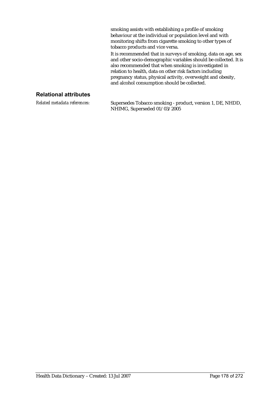smoking assists with establishing a profile of smoking behaviour at the individual or population level and with monitoring shifts from cigarette smoking to other types of tobacco products and vice versa.

It is recommended that in surveys of smoking, data on age, sex and other socio-demographic variables should be collected. It is also recommended that when smoking is investigated in relation to health, data on other risk factors including pregnancy status, physical activity, overweight and obesity, and alcohol consumption should be collected.

### **Relational attributes**

*Related metadata references:* Supersedes Tobacco smoking - product, version 1, DE, NHDD, NHIMG, Superseded 01/03/2005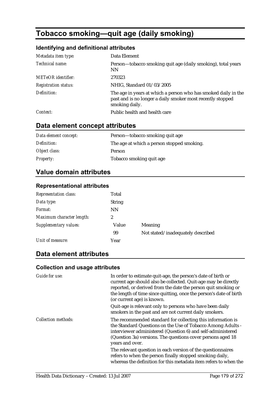# **Tobacco smoking—quit age (daily smoking)**

## **Identifying and definitional attributes**

| Metadata item type:         | Data Element                                                                                                                                   |
|-----------------------------|------------------------------------------------------------------------------------------------------------------------------------------------|
| Technical name:             | Person-tobacco smoking quit age (daily smoking), total years<br><b>NN</b>                                                                      |
| METeOR identifier:          | 270323                                                                                                                                         |
| <b>Registration status:</b> | NHIG, Standard 01/03/2005                                                                                                                      |
| Definition:                 | The age in years at which a person who has smoked daily in the<br>past and is no longer a daily smoker most recently stopped<br>smoking daily. |
| Context:                    | Public health and health care                                                                                                                  |

## **Data element concept attributes**

| Data element concept: | Person—tobacco smoking quit age            |
|-----------------------|--------------------------------------------|
| Definition:           | The age at which a person stopped smoking. |
| Object class:         | <b>Person</b>                              |
| <i>Property:</i>      | Tobacco smoking quit age                   |

## **Value domain attributes**

### **Representational attributes**

| <b>Representation class:</b> | Total         |                                   |
|------------------------------|---------------|-----------------------------------|
| Data type:                   | <b>String</b> |                                   |
| Format:                      | <b>NN</b>     |                                   |
| Maximum character length:    | 2             |                                   |
| Supplementary values:        | Value         | Meaning                           |
|                              | 99            | Not stated/inadequately described |
| Unit of measure:             | Year          |                                   |

## **Data element attributes**

| <b>Guide for use:</b>      | In order to estimate quit-age, the person's date of birth or<br>current age should also be collected. Quit-age may be directly<br>reported, or derived from the date the person quit smoking or<br>the length of time since quitting, once the person's date of birth<br>(or current age) is known. |  |  |
|----------------------------|-----------------------------------------------------------------------------------------------------------------------------------------------------------------------------------------------------------------------------------------------------------------------------------------------------|--|--|
|                            | Quit-age is relevant only to persons who have been daily<br>smokers in the past and are not current daily smokers.                                                                                                                                                                                  |  |  |
| <b>Collection methods:</b> | The recommended standard for collecting this information is<br>the Standard Questions on the Use of Tobacco Among Adults -<br>interviewer administered (Question 6) and self-administered<br>(Question 3a) versions. The questions cover persons aged 18<br>years and over.                         |  |  |
|                            | The relevant question in each version of the questionnaires<br>refers to when the person finally stopped smoking daily,<br>whereas the definition for this metadata item refers to when the                                                                                                         |  |  |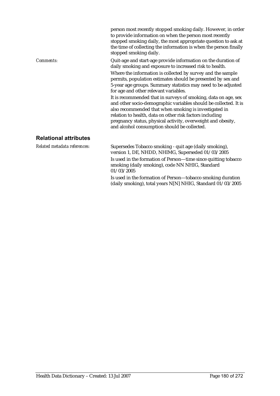person most recently stopped smoking daily. However, in order to provide information on when the person most recently stopped smoking daily, the most appropriate question to ask at the time of collecting the information is when the person finally stopped smoking daily. *Comments:* Quit-age and start-age provide information on the duration of daily smoking and exposure to increased risk to health. Where the information is collected by survey and the sample permits, population estimates should be presented by sex and 5-year age groups. Summary statistics may need to be adjusted for age and other relevant variables. It is recommended that in surveys of smoking, data on age, sex and other socio-demographic variables should be collected. It is also recommended that when smoking is investigated in relation to health, data on other risk factors including pregnancy status, physical activity, overweight and obesity, and alcohol consumption should be collected. **Relational attributes** 

*Related metadata references:* Supersedes Tobacco smoking - quit age (daily smoking), version 1, DE, NHDD, NHIMG, Superseded 01/03/2005 Is used in the formation of Person—time since quitting tobacco smoking (daily smoking), code NN NHIG, Standard 01/03/2005

> Is used in the formation of Person—tobacco smoking duration (daily smoking), total years N[N] NHIG, Standard 01/03/2005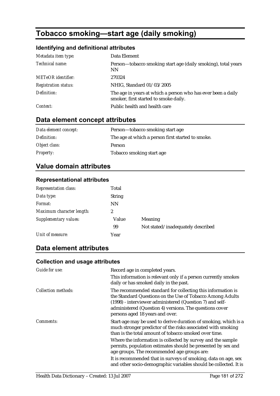# **Tobacco smoking—start age (daily smoking)**

# **Identifying and definitional attributes**

| Metadata item type:         | Data Element                                                                                          |
|-----------------------------|-------------------------------------------------------------------------------------------------------|
| Technical name:             | Person-tobacco smoking start age (daily smoking), total years<br><b>NN</b>                            |
| <b>METeOR</b> identifier:   | 270324                                                                                                |
| <b>Registration status:</b> | NHIG, Standard 01/03/2005                                                                             |
| Definition:                 | The age in years at which a person who has ever been a daily<br>smoker, first started to smoke daily. |
| Context:                    | Public health and health care                                                                         |

# **Data element concept attributes**

| Data element concept: | Person—tobacco smoking start age                  |
|-----------------------|---------------------------------------------------|
| Definition:           | The age at which a person first started to smoke. |
| Object class:         | <b>Person</b>                                     |
| <b>Property:</b>      | Tobacco smoking start age                         |

# **Value domain attributes**

## **Representational attributes**

| <b>Representation class:</b> | Total         |                                   |
|------------------------------|---------------|-----------------------------------|
| Data type:                   | <b>String</b> |                                   |
| Format:                      | <b>NN</b>     |                                   |
| Maximum character length:    | 2             |                                   |
| Supplementary values:        | Value         | <b>Meaning</b>                    |
|                              | 99            | Not stated/inadequately described |
| Unit of measure:             | Year          |                                   |

# **Data element attributes**

## **Collection and usage attributes**

| Guide for use:             | Record age in completed years.                                                                                                                                                                                                                                                     |
|----------------------------|------------------------------------------------------------------------------------------------------------------------------------------------------------------------------------------------------------------------------------------------------------------------------------|
|                            | This information is relevant only if a person currently smokes<br>daily or has smoked daily in the past.                                                                                                                                                                           |
| <b>Collection methods:</b> | The recommended standard for collecting this information is<br>the Standard Questions on the Use of Tobacco Among Adults<br>(1998) - interviewer administered (Question 7) and self-<br>administered (Question 4) versions. The questions cover<br>persons aged 18 years and over. |
| <i>Comments:</i>           | Start-age may be used to derive duration of smoking, which is a<br>much stronger predictor of the risks associated with smoking<br>than is the total amount of tobacco smoked over time.                                                                                           |
|                            | Where the information is collected by survey and the sample<br>permits, population estimates should be presented by sex and<br>age groups. The recommended age groups are:                                                                                                         |
|                            | It is recommended that in surveys of smoking, data on age, sex<br>and other socio-demographic variables should be collected. It is                                                                                                                                                 |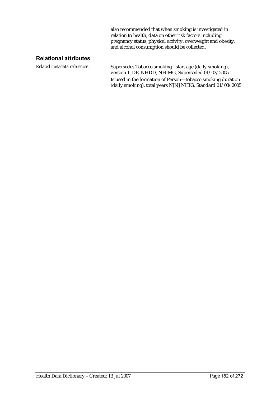also recommended that when smoking is investigated in relation to health, data on other risk factors including pregnancy status, physical activity, overweight and obesity, and alcohol consumption should be collected.

### **Relational attributes**

*Related metadata references:* Supersedes Tobacco smoking - start age (daily smoking), version 1, DE, NHDD, NHIMG, Superseded 01/03/2005 Is used in the formation of Person—tobacco smoking duration (daily smoking), total years N[N] NHIG, Standard  $01/03/2005$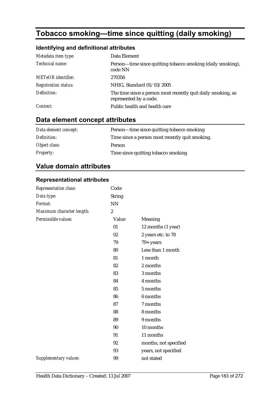# **Tobacco smoking—time since quitting (daily smoking)**

# **Identifying and definitional attributes**

| Metadata item type:         | Data Element                                                                           |
|-----------------------------|----------------------------------------------------------------------------------------|
| Technical name:             | Person—time since quitting tobacco smoking (daily smoking),<br>code NN                 |
| <b>METeOR</b> identifier:   | 270356                                                                                 |
| <b>Registration status:</b> | NHIG, Standard 01/03/2005                                                              |
| Definition:                 | The time since a person most recently quit daily smoking, as<br>represented by a code. |
| Context:                    | Public health and health care                                                          |

# **Data element concept attributes**

| Data element concept: | Person—time since quitting tobacco smoking      |
|-----------------------|-------------------------------------------------|
| Definition:           | Time since a person most recently quit smoking. |
| Object class:         | Person                                          |
| <i>Property:</i>      | Time since quitting to bacco smoking            |

# **Value domain attributes**

## **Representational attributes**

| Representation class:        | Code             |                       |
|------------------------------|------------------|-----------------------|
| Data type:                   | <b>String</b>    |                       |
| Format:                      | NN               |                       |
| Maximum character length:    | $\boldsymbol{2}$ |                       |
| Permissible values:          | Value            | Meaning               |
|                              | 01               | 12 months (1 year)    |
|                              | 02               | 2 years etc. to 78    |
|                              | 79               | $79 + years$          |
|                              | 80               | Less than 1 month     |
|                              | 81               | 1 month               |
|                              | 82               | 2 months              |
|                              | 83               | 3 months              |
|                              | 84               | 4 months              |
|                              | 85               | 5 months              |
|                              | 86               | 6 months              |
|                              | 87               | 7 months              |
|                              | 88               | 8 months              |
|                              | 89               | 9 months              |
|                              | 90               | 10 months             |
|                              | 91               | 11 months             |
|                              | 92               | months, not specified |
|                              | 93               | years, not specified  |
| <b>Supplementary values:</b> | 99               | not stated            |
|                              |                  |                       |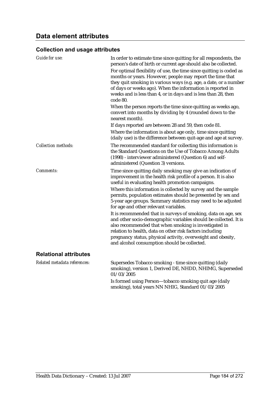# **Collection and usage attributes**

| Guide for use:               | In order to estimate time since quitting for all respondents, the<br>person's date of birth or current age should also be collected.<br>For optimal flexibility of use, the time since quitting is coded as<br>months or years. However, people may report the time that<br>they quit smoking in various ways (e.g. age, a date, or a number<br>of days or weeks ago). When the information is reported in<br>weeks and is less than 4, or in days and is less than 28, then<br>code 80. |
|------------------------------|------------------------------------------------------------------------------------------------------------------------------------------------------------------------------------------------------------------------------------------------------------------------------------------------------------------------------------------------------------------------------------------------------------------------------------------------------------------------------------------|
|                              | When the person reports the time since quitting as weeks ago,<br>convert into months by dividing by 4 (rounded down to the<br>nearest month).                                                                                                                                                                                                                                                                                                                                            |
|                              | If days reported are between 28 and 59, then code 81.                                                                                                                                                                                                                                                                                                                                                                                                                                    |
|                              | Where the information is about age only, time since quitting<br>(daily use) is the difference between quit-age and age at survey.                                                                                                                                                                                                                                                                                                                                                        |
| <b>Collection methods:</b>   | The recommended standard for collecting this information is<br>the Standard Questions on the Use of Tobacco Among Adults<br>(1998) - interviewer administered (Question 6) and self-<br>administered (Question 3) versions.                                                                                                                                                                                                                                                              |
| <b>Comments:</b>             | Time since quitting daily smoking may give an indication of<br>improvement in the health risk profile of a person. It is also<br>useful in evaluating health promotion campaigns.                                                                                                                                                                                                                                                                                                        |
|                              | Where this information is collected by survey and the sample<br>permits, population estimates should be presented by sex and<br>5-year age groups. Summary statistics may need to be adjusted<br>for age and other relevant variables.                                                                                                                                                                                                                                                   |
|                              | It is recommended that in surveys of smoking, data on age, sex<br>and other socio-demographic variables should be collected. It is<br>also recommended that when smoking is investigated in<br>relation to health, data on other risk factors including<br>pregnancy status, physical activity, overweight and obesity,<br>and alcohol consumption should be collected.                                                                                                                  |
| <b>Relational attributes</b> |                                                                                                                                                                                                                                                                                                                                                                                                                                                                                          |
| Related metadata references: | Supersedes Tobacco smoking - time since quitting (daily<br>smoking), version 1, Derived DE, NHDD, NHIMG, Superseded<br>01/03/2005                                                                                                                                                                                                                                                                                                                                                        |
|                              | Is formed using Person-tobacco smoking quit age (daily                                                                                                                                                                                                                                                                                                                                                                                                                                   |

smoking), total years NN NHIG, Standard 01/03/2005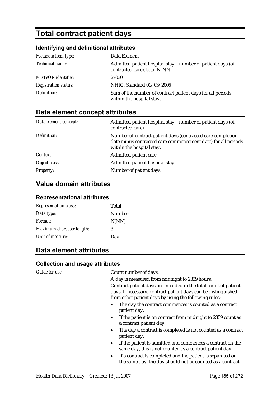# **Total contract patient days**

## **Identifying and definitional attributes**

| Metadata item type:         | Data Element                                                                               |
|-----------------------------|--------------------------------------------------------------------------------------------|
| Technical name:             | Admitted patient hospital stay—number of patient days (of<br>contracted care), total N[NN] |
| <b>METeOR</b> identifier:   | 270301                                                                                     |
| <b>Registration status:</b> | NHIG, Standard 01/03/2005                                                                  |
| Definition:                 | Sum of the number of contract patient days for all periods<br>within the hospital stay.    |

# **Data element concept attributes**

| Data element concept: | Admitted patient hospital stay—number of patient days (of<br>contracted care)                                                                             |
|-----------------------|-----------------------------------------------------------------------------------------------------------------------------------------------------------|
| Definition:           | Number of contract patient days (contracted care completion<br>date minus contracted care commencement date) for all periods<br>within the hospital stay. |
| Context:              | Admitted patient care.                                                                                                                                    |
| Object class:         | Admitted patient hospital stay                                                                                                                            |
| <b>Property:</b>      | Number of patient days                                                                                                                                    |

## **Value domain attributes**

#### **Representational attributes**

| <b>Representation class:</b> | Total  |
|------------------------------|--------|
| Data type:                   | Number |
| Format:                      | N[NN]  |
| Maximum character length:    | 3      |
| Unit of measure:             | Day    |
|                              |        |

## **Data element attributes**

### **Collection and usage attributes**

*Guide for use:* Count number of days.

A day is measured from midnight to 2359 hours.

Contract patient days are included in the total count of patient days. If necessary, contract patient days can be distinguished from other patient days by using the following rules:

- The day the contract commences is counted as a contract patient day.
- If the patient is on contract from midnight to 2359 count as a contract patient day.
- The day a contract is completed is not counted as a contract patient day.
- If the patient is admitted and commences a contract on the same day, this is not counted as a contract patient day.
- If a contract is completed and the patient is separated on the same day, the day should not be counted as a contract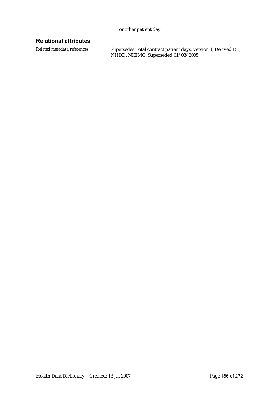or other patient day.

## **Relational attributes**

*Related metadata references:* Supersedes Total contract patient days, version 1, Derived DE, NHDD, NHIMG, Superseded 01/03/2005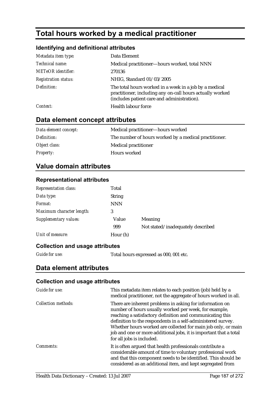# **Total hours worked by a medical practitioner**

## **Identifying and definitional attributes**

| Metadata item type:         | Data Element                                                                                                                                                       |
|-----------------------------|--------------------------------------------------------------------------------------------------------------------------------------------------------------------|
| Technical name:             | Medical practitioner—hours worked, total NNN                                                                                                                       |
| <b>METeOR</b> identifier:   | 270136                                                                                                                                                             |
| <b>Registration status:</b> | NHIG, Standard 01/03/2005                                                                                                                                          |
| Definition:                 | The total hours worked in a week in a job by a medical<br>practitioner, including any on-call hours actually worked<br>(includes patient care and administration). |
| Context:                    | Health labour force                                                                                                                                                |

# **Data element concept attributes**

| Data element concept: | Medical practitioner—hours worked                     |
|-----------------------|-------------------------------------------------------|
| Definition:           | The number of hours worked by a medical practitioner. |
| Object class:         | <b>Medical practitioner</b>                           |
| <i>Property:</i>      | <b>Hours</b> worked                                   |

## **Value domain attributes**

## **Representational attributes**

| <b>Representation class:</b> | Total         |                                   |
|------------------------------|---------------|-----------------------------------|
| Data type:                   | <b>String</b> |                                   |
| Format:                      | <b>NNN</b>    |                                   |
| Maximum character length:    | 3             |                                   |
| Supplementary values:        | Value         | Meaning                           |
|                              | 999           | Not stated/inadequately described |
| Unit of measure:             | Hour (h)      |                                   |

## **Collection and usage attributes**

*Guide for use:* Total hours expressed as 000, 001 etc.

# **Data element attributes**

## **Collection and usage attributes**

| Guide for use:      | This metadata item relates to each position (job) held by a<br>medical practitioner, not the aggregate of hours worked in all.                                                                                                                                                                                                                                                                                    |
|---------------------|-------------------------------------------------------------------------------------------------------------------------------------------------------------------------------------------------------------------------------------------------------------------------------------------------------------------------------------------------------------------------------------------------------------------|
| Collection methods: | There are inherent problems in asking for information on<br>number of hours usually worked per week, for example,<br>reaching a satisfactory definition and communicating this<br>definition to the respondents in a self-administered survey.<br>Whether hours worked are collected for main job only, or main<br>job and one or more additional jobs, it is important that a total<br>for all jobs is included. |
| Comments:           | It is often argued that health professionals contribute a<br>considerable amount of time to voluntary professional work<br>and that this component needs to be identified. This should be<br>considered as an additional item, and kept segregated from                                                                                                                                                           |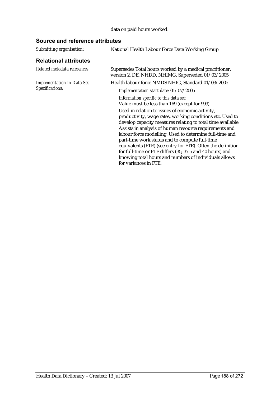## data on paid hours worked.

## **Source and reference attributes**

| National Health Labour Force Data Working Group                                                                                                                                                                                                                                                                                                                                                                                                                                                                                                                  |
|------------------------------------------------------------------------------------------------------------------------------------------------------------------------------------------------------------------------------------------------------------------------------------------------------------------------------------------------------------------------------------------------------------------------------------------------------------------------------------------------------------------------------------------------------------------|
|                                                                                                                                                                                                                                                                                                                                                                                                                                                                                                                                                                  |
| Supersedes Total hours worked by a medical practitioner,<br>version 2, DE, NHDD, NHIMG, Superseded 01/03/2005                                                                                                                                                                                                                                                                                                                                                                                                                                                    |
| Health labour force NMDS NHIG, Standard 01/03/2005                                                                                                                                                                                                                                                                                                                                                                                                                                                                                                               |
| Implementation start date: 01/07/2005                                                                                                                                                                                                                                                                                                                                                                                                                                                                                                                            |
| Information specific to this data set:<br>Value must be less than 169 (except for 999).                                                                                                                                                                                                                                                                                                                                                                                                                                                                          |
| Used in relation to issues of economic activity,<br>productivity, wage rates, working conditions etc. Used to<br>develop capacity measures relating to total time available.<br>Assists in analysis of human resource requirements and<br>labour force modelling. Used to determine full-time and<br>part-time work status and to compute full-time<br>equivalents (FTE) (see entry for FTE). Often the definition<br>for full-time or FTE differs (35, 37.5 and 40 hours) and<br>knowing total hours and numbers of individuals allows<br>for variances in FTE. |
|                                                                                                                                                                                                                                                                                                                                                                                                                                                                                                                                                                  |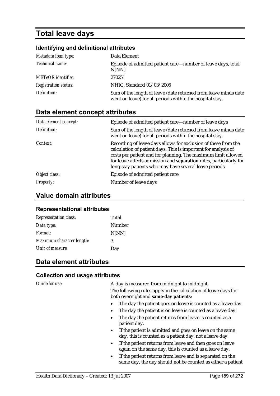# **Total leave days**

### **Identifying and definitional attributes**

| Metadata item type:         | Data Element                                                                                                                |
|-----------------------------|-----------------------------------------------------------------------------------------------------------------------------|
| Technical name:             | Episode of admitted patient care—number of leave days, total<br>N[NN]                                                       |
| <b>METeOR</b> identifier:   | 270251                                                                                                                      |
| <b>Registration status:</b> | NHIG, Standard 01/03/2005                                                                                                   |
| Definition:                 | Sum of the length of leave (date returned from leave minus date<br>went on leave) for all periods within the hospital stay. |

## **Data element concept attributes**

| Data element concept: | Episode of admitted patient care—number of leave days                                                                                                                                                                                                                                                                             |
|-----------------------|-----------------------------------------------------------------------------------------------------------------------------------------------------------------------------------------------------------------------------------------------------------------------------------------------------------------------------------|
| Definition:           | Sum of the length of leave (date returned from leave minus date<br>went on leave) for all periods within the hospital stay.                                                                                                                                                                                                       |
| Context:              | Recording of leave days allows for exclusion of these from the<br>calculation of patient days. This is important for analysis of<br>costs per patient and for planning. The maximum limit allowed<br>for leave affects admission and separation rates, particularly for<br>long-stay patients who may have several leave periods. |
| Object class:         | Episode of admitted patient care                                                                                                                                                                                                                                                                                                  |
| <i>Property:</i>      | Number of leave days                                                                                                                                                                                                                                                                                                              |

## **Value domain attributes**

#### **Representational attributes**

| <b>Representation class:</b> | Total  |
|------------------------------|--------|
| Data type:                   | Number |
| Format:                      | N[NN]  |
| Maximum character length:    | 3      |
| Unit of measure:             | Day    |

## **Data element attributes**

#### **Collection and usage attributes**

Guide for use: A day is measured from midnight to midnight. The following rules apply in the calculation of leave days for both overnight and **same-day patients**:

- The day the patient goes on leave is counted as a leave day.
- The day the patient is on leave is counted as a leave day.
- The day the patient returns from leave is counted as a patient day.
- If the patient is admitted and goes on leave on the same day, this is counted as a patient day, not a leave day.
- If the patient returns from leave and then goes on leave again on the same day, this is counted as a leave day.
- If the patient returns from leave and is separated on the same day, the day should not be counted as either a patient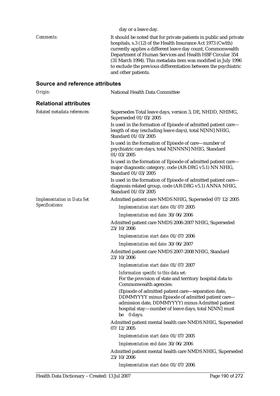| Comments:                         | day or a leave day.<br>It should be noted that for private patients in public and private                                                                                                                                        |
|-----------------------------------|----------------------------------------------------------------------------------------------------------------------------------------------------------------------------------------------------------------------------------|
|                                   | hospitals, s.3 (12) of the Health Insurance Act 1973 (Cwlth)                                                                                                                                                                     |
|                                   | currently applies a different leave day count, Commonwealth<br>Department of Human Services and Health HBF Circular 354                                                                                                          |
|                                   | (31 March 1994). This metadata item was modified in July 1996                                                                                                                                                                    |
|                                   | to exclude the previous differentiation between the psychiatric<br>and other patients.                                                                                                                                           |
| Source and reference attributes   |                                                                                                                                                                                                                                  |
| Origin:                           | National Health Data Committee                                                                                                                                                                                                   |
| <b>Relational attributes</b>      |                                                                                                                                                                                                                                  |
| Related metadata references:      | Supersedes Total leave days, version 3, DE, NHDD, NHIMG,<br>Superseded 01/03/2005                                                                                                                                                |
|                                   | Is used in the formation of Episode of admitted patient care-<br>length of stay (excluding leave days), total N[NN] NHIG,<br>Standard 01/03/2005                                                                                 |
|                                   | Is used in the formation of Episode of care—number of<br>psychiatric care days, total N[NNNN] NHIG, Standard<br>01/03/2005                                                                                                       |
|                                   | Is used in the formation of Episode of admitted patient care-<br>major diagnostic category, code (AR-DRG v5.1) NN NHIG,<br>Standard 01/03/2005                                                                                   |
|                                   | Is used in the formation of Episode of admitted patient care—<br>diagnosis related group, code (AR-DRG v5.1) ANNA NHIG,<br>Standard 01/03/2005                                                                                   |
| <b>Implementation in Data Set</b> | Admitted patient care NMDS NHIG, Superseded 07/12/2005                                                                                                                                                                           |
| Specifications:                   | Implementation start date: 01/07/2005                                                                                                                                                                                            |
|                                   | Implementation end date: 30/06/2006                                                                                                                                                                                              |
|                                   | Admitted patient care NMDS 2006-2007 NHIG, Superseded<br>23/10/2006                                                                                                                                                              |
|                                   | Implementation start date: 01/07/2006                                                                                                                                                                                            |
|                                   | Implementation end date: 30/06/2007                                                                                                                                                                                              |
|                                   | Admitted patient care NMDS 2007-2008 NHIG, Standard<br>23/10/2006                                                                                                                                                                |
|                                   | Implementation start date: 01/07/2007                                                                                                                                                                                            |
|                                   | Information specific to this data set:<br>For the provision of state and territory hospital data to<br>Commonwealth agencies:                                                                                                    |
|                                   | (Episode of admitted patient care-separation date,<br>DDMMYYYY minus Episode of admitted patient care-<br>admission date, DDMMYYYY) minus Admitted patient<br>hospital stay—number of leave days, total N[NN] must<br>be 0 days. |
|                                   | Admitted patient mental health care NMDS NHIG, Superseded<br>07/12/2005                                                                                                                                                          |
|                                   | Implementation start date: 01/07/2005                                                                                                                                                                                            |
|                                   | Implementation end date: 30/06/2006                                                                                                                                                                                              |
|                                   | Admitted patient mental health care NMDS NHIG, Superseded<br>23/10/2006                                                                                                                                                          |
|                                   | Implementation start date: 01/07/2006                                                                                                                                                                                            |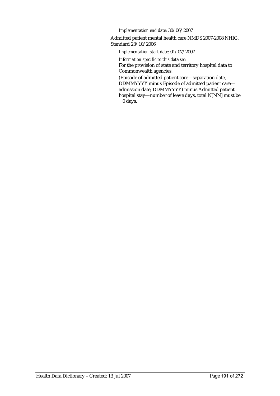*Implementation end date:* 30/06/2007

Admitted patient mental health care NMDS 2007-2008 NHIG, Standard 23/10/2006

*Implementation start date:* 01/07/2007

*Information specific to this data set:* For the provision of state and territory hospital data to Commonwealth agencies:

(Episode of admitted patient care—separation date, DDMMYYYY minus Episode of admitted patient care admission date, DDMMYYYY) minus Admitted patient hospital stay—number of leave days, total N[NN] must be 0 days.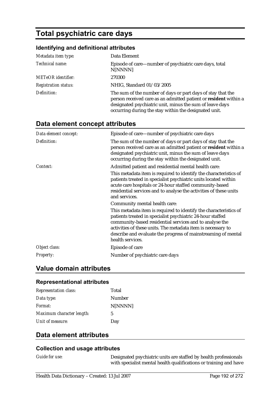# **Total psychiatric care days**

## **Identifying and definitional attributes**

| Metadata item type:         | Data Element                                                                                                                                                                                                                                         |
|-----------------------------|------------------------------------------------------------------------------------------------------------------------------------------------------------------------------------------------------------------------------------------------------|
| Technical name:             | Episode of care—number of psychiatric care days, total<br>N[NNNN]                                                                                                                                                                                    |
| <b>METeOR</b> identifier:   | 270300                                                                                                                                                                                                                                               |
| <b>Registration status:</b> | NHIG, Standard 01/03/2005                                                                                                                                                                                                                            |
| Definition:                 | The sum of the number of days or part days of stay that the<br>person received care as an admitted patient or resident within a<br>designated psychiatric unit, minus the sum of leave days<br>occurring during the stay within the designated unit. |

## **Data element concept attributes**

| Data element concept: | Episode of care—number of psychiatric care days                                                                                                                                                                                                                                                                                                                                  |
|-----------------------|----------------------------------------------------------------------------------------------------------------------------------------------------------------------------------------------------------------------------------------------------------------------------------------------------------------------------------------------------------------------------------|
| Definition:           | The sum of the number of days or part days of stay that the<br>person received care as an admitted patient or resident within a<br>designated psychiatric unit, minus the sum of leave days<br>occurring during the stay within the designated unit.                                                                                                                             |
| Context:              | Admitted patient and residential mental health care:<br>This metadata item is required to identify the characteristics of<br>patients treated in specialist psychiatric units located within<br>acute care hospitals or 24-hour staffed community-based<br>residential services and to analyse the activities of these units<br>and services.                                    |
|                       | Community mental health care:<br>This metadata item is required to identify the characteristics of<br>patients treated in specialist psychiatric 24-hour staffed<br>community-based residential services and to analyse the<br>activities of these units. The metadata item is necessary to<br>describe and evaluate the progress of mainstreaming of mental<br>health services. |
| Object class:         | Episode of care                                                                                                                                                                                                                                                                                                                                                                  |
| Property:             | Number of psychiatric care days                                                                                                                                                                                                                                                                                                                                                  |

## **Value domain attributes**

#### **Representational attributes**

| <b>Representation class:</b> | Total   |
|------------------------------|---------|
| Data type:                   | Number  |
| Format:                      | N[NNNN] |
| Maximum character length:    | 5       |
| Unit of measure:             | Day     |

# **Data element attributes**

### **Collection and usage attributes**

*Guide for use:* Designated psychiatric units are staffed by health professionals with specialist mental health qualifications or training and have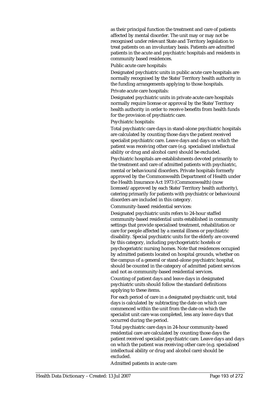as their principal function the treatment and care of patients affected by mental disorder. The unit may or may not be recognised under relevant State and Territory legislation to treat patients on an involuntary basis. Patients are admitted patients in the acute and psychiatric hospitals and residents in community based residences.

Public acute care hospitals:

Designated psychiatric units in public acute care hospitals are normally recognised by the State/Territory health authority in the funding arrangements applying to those hospitals. Private acute care hospitals:

Designated psychiatric units in private acute care hospitals normally require license or approval by the State/Territory health authority in order to receive benefits from health funds for the provision of psychiatric care.

Psychiatric hospitals:

Total psychiatric care days in stand-alone psychiatric hospitals are calculated by counting those days the patient received specialist psychiatric care. Leave days and days on which the patient was receiving other care (e.g. specialised intellectual ability or drug and alcohol care) should be excluded.

Psychiatric hospitals are establishments devoted primarily to the treatment and care of admitted patients with psychiatric, mental or behavioural disorders. Private hospitals formerly approved by the Commonwealth Department of Health under the Health Insurance Act 1973 (Commonwealth) (now licensed/approved by each State/Territory health authority), catering primarily for patients with psychiatric or behavioural disorders are included in this category.

Community-based residential services:

Designated psychiatric units refers to 24-hour staffed community-based residential units established in community settings that provide specialised treatment, rehabilitation or care for people affected by a mental illness or psychiatric disability. Special psychiatric units for the elderly are covered by this category, including psychogeriatric hostels or psychogeriatric nursing homes. Note that residences occupied by admitted patients located on hospital grounds, whether on the campus of a general or stand-alone psychiatric hospital, should be counted in the category of admitted patient services and not as community-based residential services.

Counting of patient days and leave days in designated psychiatric units should follow the standard definitions applying to these items.

For each period of care in a designated psychiatric unit, total days is calculated by subtracting the date on which care commenced within the unit from the date on which the specialist unit care was completed, less any leave days that occurred during the period.

Total psychiatric care days in 24-hour community-based residential care are calculated by counting those days the patient received specialist psychiatric care. Leave days and days on which the patient was receiving other care (e.g. specialised intellectual ability or drug and alcohol care) should be excluded.

Admitted patients in acute care: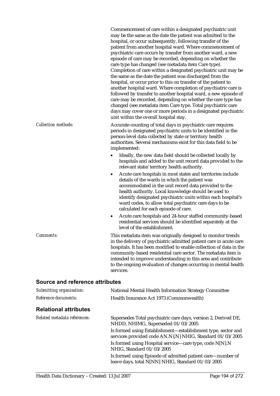|                                        | may be the same as the date the patient was admitted to the<br>hospital, or occur subsequently, following transfer of the<br>patient from another hospital ward. Where commencement of<br>psychiatric care occurs by transfer from another ward, a new<br>episode of care may be recorded, depending on whether the<br>care type has changed (see metadata item Care type).<br>Completion of care within a designated psychiatric unit may be<br>the same as the date the patient was discharged from the<br>hospital, or occur prior to this on transfer of the patient to<br>another hospital ward. Where completion of psychiatric care is<br>followed by transfer to another hospital ward, a new episode of<br>care may be recorded, depending on whether the care type has<br>changed (see metadata item Care type. Total psychiatric care<br>days may cover one or more periods in a designated psychiatric<br>unit within the overall hospital stay. |
|----------------------------------------|--------------------------------------------------------------------------------------------------------------------------------------------------------------------------------------------------------------------------------------------------------------------------------------------------------------------------------------------------------------------------------------------------------------------------------------------------------------------------------------------------------------------------------------------------------------------------------------------------------------------------------------------------------------------------------------------------------------------------------------------------------------------------------------------------------------------------------------------------------------------------------------------------------------------------------------------------------------|
| <b>Collection methods:</b>             | Accurate counting of total days in psychiatric care requires<br>periods in designated psychiatric units to be identified in the<br>person-level data collected by state or territory health<br>authorities. Several mechanisms exist for this data field to be<br>implemented:                                                                                                                                                                                                                                                                                                                                                                                                                                                                                                                                                                                                                                                                               |
|                                        | Ideally, the new data field should be collected locally by<br>hospitals and added to the unit record data provided to the<br>relevant state/territory health authority.                                                                                                                                                                                                                                                                                                                                                                                                                                                                                                                                                                                                                                                                                                                                                                                      |
|                                        | Acute care hospitals in most states and territories include<br>$\bullet$<br>details of the wards in which the patient was<br>accommodated in the unit record data provided to the                                                                                                                                                                                                                                                                                                                                                                                                                                                                                                                                                                                                                                                                                                                                                                            |
|                                        | health authority. Local knowledge should be used to<br>identify designated psychiatric units within each hospital's<br>ward codes, to allow total psychiatric care days to be<br>calculated for each episode of care.                                                                                                                                                                                                                                                                                                                                                                                                                                                                                                                                                                                                                                                                                                                                        |
|                                        | Acute care hospitals and 24-hour staffed community-based<br>٠<br>residential services should be identified separately at the<br>level of the establishment.                                                                                                                                                                                                                                                                                                                                                                                                                                                                                                                                                                                                                                                                                                                                                                                                  |
| <b>Comments:</b>                       | This metadata item was originally designed to monitor trends<br>in the delivery of psychiatric admitted patient care in acute care<br>hospitals. It has been modified to enable collection of data in the<br>community-based residential care sector. The metadata item is<br>intended to improve understanding in this area and contribute<br>to the ongoing evaluation of changes occurring in mental health<br>services.                                                                                                                                                                                                                                                                                                                                                                                                                                                                                                                                  |
| <b>Source and reference attributes</b> |                                                                                                                                                                                                                                                                                                                                                                                                                                                                                                                                                                                                                                                                                                                                                                                                                                                                                                                                                              |
| Submitting organisation:               | <b>National Mental Health Information Strategy Committee</b>                                                                                                                                                                                                                                                                                                                                                                                                                                                                                                                                                                                                                                                                                                                                                                                                                                                                                                 |
| Reference documents:                   | Health Insurance Act 1973 (Commonwealth)                                                                                                                                                                                                                                                                                                                                                                                                                                                                                                                                                                                                                                                                                                                                                                                                                                                                                                                     |
| <b>Relational attributes</b>           |                                                                                                                                                                                                                                                                                                                                                                                                                                                                                                                                                                                                                                                                                                                                                                                                                                                                                                                                                              |
| Related metadata references:           | Supersedes Total psychiatric care days, version 2, Derived DE,<br>NHDD, NHIMG, Superseded 01/03/2005                                                                                                                                                                                                                                                                                                                                                                                                                                                                                                                                                                                                                                                                                                                                                                                                                                                         |
|                                        | Is formed using Establishment-establishment type, sector and<br>services provided code AN.N{.N} NHIG, Standard 01/03/2005                                                                                                                                                                                                                                                                                                                                                                                                                                                                                                                                                                                                                                                                                                                                                                                                                                    |
|                                        | Is formed using Hospital service-care type, code N[N].N<br>NHIG, Standard 01/03/2005                                                                                                                                                                                                                                                                                                                                                                                                                                                                                                                                                                                                                                                                                                                                                                                                                                                                         |
|                                        | Is formed using Episode of admitted patient care—number of<br>leave days, total N[NN] NHIG, Standard 01/03/2005                                                                                                                                                                                                                                                                                                                                                                                                                                                                                                                                                                                                                                                                                                                                                                                                                                              |
|                                        |                                                                                                                                                                                                                                                                                                                                                                                                                                                                                                                                                                                                                                                                                                                                                                                                                                                                                                                                                              |

Commencement of care within a designated psychiatric unit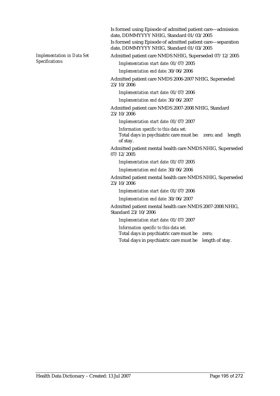*Implementation in Data Set Specifications:*

Is formed using Episode of admitted patient care—admission date, DDMMYYYY NHIG, Standard 01/03/2005 Is formed using Episode of admitted patient care—separation date, DDMMYYYY NHIG, Standard 01/03/2005

Admitted patient care NMDS NHIG, Superseded 07/12/2005

*Implementation start date:* 01/07/2005

*Implementation end date:* 30/06/2006

Admitted patient care NMDS 2006-2007 NHIG, Superseded 23/10/2006

*Implementation start date:* 01/07/2006

*Implementation end date:* 30/06/2007

Admitted patient care NMDS 2007-2008 NHIG, Standard 23/10/2006

*Implementation start date:* 01/07/2007

*Information specific to this data set:*

Total days in psychiatric care must be: zero; and length of stay.

Admitted patient mental health care NMDS NHIG, Superseded 07/12/2005

*Implementation start date:* 01/07/2005

*Implementation end date:* 30/06/2006

Admitted patient mental health care NMDS NHIG, Superseded 23/10/2006

*Implementation start date:* 01/07/2006

*Implementation end date:* 30/06/2007

Admitted patient mental health care NMDS 2007-2008 NHIG, Standard 23/10/2006

*Implementation start date:* 01/07/2007

*Information specific to this data set:*

Total days in psychiatric care must be zero;

Total days in psychiatric care must be length of stay.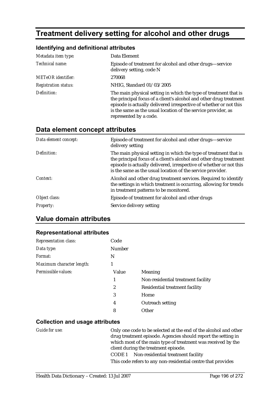# **Treatment delivery setting for alcohol and other drugs**

## **Identifying and definitional attributes**

| Metadata item type:         | Data Element                                                                                                                                                                                                                                                                                           |
|-----------------------------|--------------------------------------------------------------------------------------------------------------------------------------------------------------------------------------------------------------------------------------------------------------------------------------------------------|
| Technical name:             | Episode of treatment for alcohol and other drugs—service<br>delivery setting, code N                                                                                                                                                                                                                   |
| <b>METeOR</b> identifier:   | 270068                                                                                                                                                                                                                                                                                                 |
| <b>Registration status:</b> | NHIG, Standard 01/03/2005                                                                                                                                                                                                                                                                              |
| Definition:                 | The main physical setting in which the type of treatment that is<br>the principal focus of a client's alcohol and other drug treatment<br>episode is actually delivered irrespective of whether or not this<br>is the same as the usual location of the service provider, as<br>represented by a code. |

## **Data element concept attributes**

| Data element concept: | Episode of treatment for alcohol and other drugs—service<br>delivery setting                                                                                                                                                                                               |
|-----------------------|----------------------------------------------------------------------------------------------------------------------------------------------------------------------------------------------------------------------------------------------------------------------------|
| Definition:           | The main physical setting in which the type of treatment that is<br>the principal focus of a client's alcohol and other drug treatment<br>episode is actually delivered, irrespective of whether or not this<br>is the same as the usual location of the service provider. |
| Context:              | Alcohol and other drug treatment services. Required to identify<br>the settings in which treatment is occurring, allowing for trends<br>in treatment patterns to be monitored.                                                                                             |
| Object class:         | Episode of treatment for alcohol and other drugs                                                                                                                                                                                                                           |
| <b>Property:</b>      | Service delivery setting                                                                                                                                                                                                                                                   |

## **Value domain attributes**

#### **Representational attributes**

| <b>Representation class:</b> | Code          |                                    |
|------------------------------|---------------|------------------------------------|
| Data type:                   | <b>Number</b> |                                    |
| Format:                      | N             |                                    |
| Maximum character length:    | 1             |                                    |
| Permissible values:          | Value         | <b>Meaning</b>                     |
|                              | 1             | Non-residential treatment facility |
|                              | 2             | Residential treatment facility     |
|                              | 3             | Home                               |
|                              | 4             | Outreach setting                   |
|                              | 8             | Other                              |

### **Collection and usage attributes**

*Guide for use:* Only one code to be selected at the end of the alcohol and other drug treatment episode. Agencies should report the setting in which most of the main type of treatment was received by the client during the treatment episode. CODE 1 Non-residential treatment facility

This code refers to any non-residential centre that provides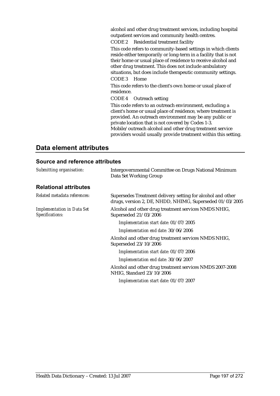alcohol and other drug treatment services, including hospital outpatient services and community health centres.

CODE 2 Residential treatment facility

This code refers to community-based settings in which clients reside either temporarily or long-term in a facility that is not their home or usual place of residence to receive alcohol and other drug treatment. This does not include ambulatory situations, but does include therapeutic community settings. CODE 3 Home

This code refers to the client's own home or usual place of residence.

CODE 4 Outreach setting

This code refers to an outreach environment, excluding a client's home or usual place of residence, where treatment is provided. An outreach environment may be any public or private location that is not covered by Codes 1-3. Mobile/outreach alcohol and other drug treatment service providers would usually provide treatment within this setting.

## **Data element attributes**

### **Source and reference attributes**

| Submitting organisation:                             | Intergovernmental Committee on Drugs National Minimum<br>Data Set Working Group                                         |
|------------------------------------------------------|-------------------------------------------------------------------------------------------------------------------------|
| <b>Relational attributes</b>                         |                                                                                                                         |
| Related metadata references:                         | Supersedes Treatment delivery setting for alcohol and other<br>drugs, version 2, DE, NHDD, NHIMG, Superseded 01/03/2005 |
| <b>Implementation in Data Set</b><br>Specifications: | Alcohol and other drug treatment services NMDS NHIG,<br>Superseded 21/03/2006                                           |
|                                                      | Implementation start date: 01/07/2005                                                                                   |
|                                                      | Implementation end date: 30/06/2006                                                                                     |
|                                                      | Alcohol and other drug treatment services NMDS NHIG,<br>Superseded 23/10/2006                                           |
|                                                      | Implementation start date: 01/07/2006                                                                                   |
|                                                      | Implementation end date: 30/06/2007                                                                                     |
|                                                      | Alcohol and other drug treatment services NMDS 2007-2008<br>NHIG, Standard 23/10/2006                                   |
|                                                      | Implementation start date: 01/07/2007                                                                                   |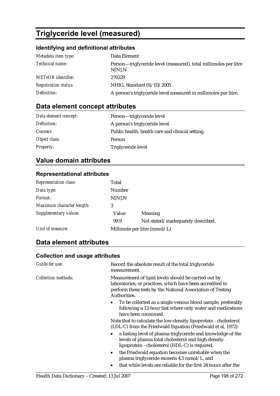# **Triglyceride level (measured)**

## **Identifying and definitional attributes**

| Metadata item type:         | Data Element                                                               |
|-----------------------------|----------------------------------------------------------------------------|
| Technical name:             | Person—triglyceride level (measured), total millimoles per litre<br>N[N].N |
| <b>METeOR</b> identifier:   | 270229                                                                     |
| <b>Registration status:</b> | NHIG, Standard 01/03/2005                                                  |
| Definition:                 | A person's triglyceride level measured in millimoles per litre.            |

# **Data element concept attributes**

| Data element concept: | Person—triglyceride level                        |
|-----------------------|--------------------------------------------------|
| Definition:           | A person's triglyceride level.                   |
| Context:              | Public health, health care and clinical setting. |
| Object class:         | Person                                           |
| <b>Property:</b>      | Triglyceride level                               |

# **Value domain attributes**

## **Representational attributes**

| <b>Representation class:</b> | Total  |                                    |
|------------------------------|--------|------------------------------------|
| Data type:                   | Number |                                    |
| Format:                      | N[N].N |                                    |
| Maximum character length:    | 3      |                                    |
| Supplementary values:        | Value  | <b>Meaning</b>                     |
|                              | 99.9   | Not stated/inadequately described. |
| Unit of measure:             |        | Millimole per litre (mmol/L)       |

# **Data element attributes**

## **Collection and usage attributes**

| Guide for use:             | Record the absolute result of the total triglyceride<br>measurement.                                                                                                                            |
|----------------------------|-------------------------------------------------------------------------------------------------------------------------------------------------------------------------------------------------|
| <b>Collection methods:</b> | Measurement of lipid levels should be carried out by<br>laboratories, or practices, which have been accredited to<br>perform these tests by the National Association of Testing<br>Authorities. |
|                            | To be collected as a single venous blood sample, preferably<br>following a 12-hour fast where only water and medications<br>have been consumed.                                                 |
|                            | Note that to calculate the low-density lipoprotein - cholesterol<br>(LDL-C) from the Friedwald Equation (Friedwald et al, 1972):                                                                |
|                            | a fasting level of plasma triglyceride and knowledge of the<br>levels of plasma total cholesterol and high-density<br>lipoprotein - cholesterol (HDL-C) is required,                            |
|                            | the Friedwald equation becomes unreliable when the<br>$\bullet$<br>plasma triglyceride exceeds 4.5 mmol/L, and                                                                                  |
|                            | that while levels are reliable for the first 24 hours after the                                                                                                                                 |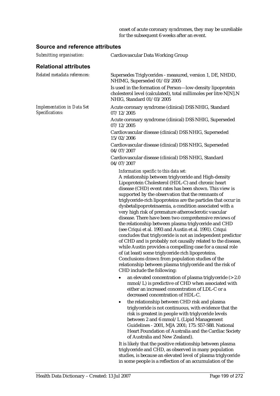onset of acute coronary syndromes, they may be unreliable for the subsequent 6 weeks after an event.

## **Source and reference attributes**

| Submitting organisation:                             | Cardiovascular Data Working Group                                                                                                                                                                                                                                                                                                                                                                                                                                                                                                                                                                                                                                                                                                                                                                                                                                                                                                                                                                                                 |
|------------------------------------------------------|-----------------------------------------------------------------------------------------------------------------------------------------------------------------------------------------------------------------------------------------------------------------------------------------------------------------------------------------------------------------------------------------------------------------------------------------------------------------------------------------------------------------------------------------------------------------------------------------------------------------------------------------------------------------------------------------------------------------------------------------------------------------------------------------------------------------------------------------------------------------------------------------------------------------------------------------------------------------------------------------------------------------------------------|
| <b>Relational attributes</b>                         |                                                                                                                                                                                                                                                                                                                                                                                                                                                                                                                                                                                                                                                                                                                                                                                                                                                                                                                                                                                                                                   |
| Related metadata references:                         | Supersedes Triglycerides - measured, version 1, DE, NHDD,<br>NHIMG, Superseded 01/03/2005                                                                                                                                                                                                                                                                                                                                                                                                                                                                                                                                                                                                                                                                                                                                                                                                                                                                                                                                         |
|                                                      | Is used in the formation of Person-low-density lipoprotein<br>cholesterol level (calculated), total millimoles per litre N[N].N<br>NHIG, Standard 01/03/2005                                                                                                                                                                                                                                                                                                                                                                                                                                                                                                                                                                                                                                                                                                                                                                                                                                                                      |
| <b>Implementation in Data Set</b><br>Specifications: | Acute coronary syndrome (clinical) DSS NHIG, Standard<br>07/12/2005                                                                                                                                                                                                                                                                                                                                                                                                                                                                                                                                                                                                                                                                                                                                                                                                                                                                                                                                                               |
|                                                      | Acute coronary syndrome (clinical) DSS NHIG, Superseded<br>07/12/2005                                                                                                                                                                                                                                                                                                                                                                                                                                                                                                                                                                                                                                                                                                                                                                                                                                                                                                                                                             |
|                                                      | Cardiovascular disease (clinical) DSS NHIG, Superseded<br>15/02/2006                                                                                                                                                                                                                                                                                                                                                                                                                                                                                                                                                                                                                                                                                                                                                                                                                                                                                                                                                              |
|                                                      | Cardiovascular disease (clinical) DSS NHIG, Superseded<br>04/07/2007                                                                                                                                                                                                                                                                                                                                                                                                                                                                                                                                                                                                                                                                                                                                                                                                                                                                                                                                                              |
|                                                      | Cardiovascular disease (clinical) DSS NHIG, Standard<br>04/07/2007                                                                                                                                                                                                                                                                                                                                                                                                                                                                                                                                                                                                                                                                                                                                                                                                                                                                                                                                                                |
|                                                      | Information specific to this data set:<br>A relationship between triglyceride and High-density<br>Lipoprotein Cholesterol (HDL-C) and chronic heart<br>disease (CHD) event rates has been shown. This view is<br>supported by the observation that the remnants of<br>triglyceride-rich lipoproteins are the particles that occur in<br>dysbetalipoproteinaemia, a condition associated with a<br>very high risk of premature atherosclerotic vascular<br>disease. There have been two comprehensive reviews of<br>the relationship between plasma triglyceride and CHD<br>(see Criqui et al. 1993 and Austin et al. 1991). Criqui<br>concludes that triglyceride is not an independent predictor<br>of CHD and is probably not causally related to the disease,<br>while Austin provides a compelling case for a causal role<br>of (at least) some triglyceride rich lipoproteins.<br>Conclusions drawn from population studies of the<br>relationship between plasma triglyceride and the risk of<br>CHD include the following: |
|                                                      | an elevated concentration of plasma triglyceride $(>2.0$<br>$\bullet$<br>mmol/L) is predictive of CHD when associated with<br>either an increased concentration of LDL-C or a<br>decreased concentration of HDL-C.                                                                                                                                                                                                                                                                                                                                                                                                                                                                                                                                                                                                                                                                                                                                                                                                                |
|                                                      | the relationship between CHD risk and plasma<br>$\bullet$<br>triglyceride is not continuous, with evidence that the<br>risk is greatest in people with triglyceride levels<br>between 2 and 6 mmol/L (Lipid Management<br>Guidelines - 2001, MJA 2001; 175: S57-S88. National<br>Heart Foundation of Australia and the Cardiac Society<br>of Australia and New Zealand).                                                                                                                                                                                                                                                                                                                                                                                                                                                                                                                                                                                                                                                          |
|                                                      | It is likely that the positive relationship between plasma<br>triglyceride and CHD, as observed in many population<br>studies, is because an elevated level of plasma triglyceride                                                                                                                                                                                                                                                                                                                                                                                                                                                                                                                                                                                                                                                                                                                                                                                                                                                |

in some people is a reflection of an accumulation of the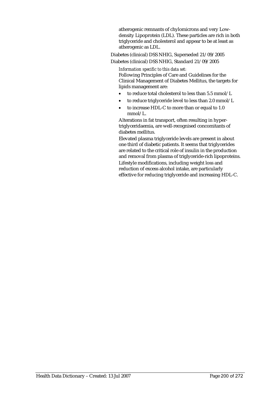atherogenic remnants of chylomicrons and very Lowdensity Lipoprotein (LDL). These particles are rich in both triglyceride and cholesterol and appear to be at least as atherogenic as LDL.

Diabetes (clinical) DSS NHIG, Superseded 21/09/2005 Diabetes (clinical) DSS NHIG, Standard 21/09/2005

*Information specific to this data set:* Following Principles of Care and Guidelines for the Clinical Management of Diabetes Mellitus, the targets for lipids management are:

- to reduce total cholesterol to less than 5.5 mmol/L
- to reduce triglyceride level to less than 2.0 mmol/L
- to increase HDL-C to more than or equal to 1.0 mmol/L.

Alterations in fat transport, often resulting in hypertriglyceridaemia, are well-recognised concomitants of diabetes mellitus.

Elevated plasma triglyceride levels are present in about one third of diabetic patients. It seems that triglycerides are related to the critical role of insulin in the production and removal from plasma of triglyceride-rich lipoproteins. Lifestyle modifications, including weight loss and reduction of excess alcohol intake, are particularly effective for reducing triglyceride and increasing HDL-C.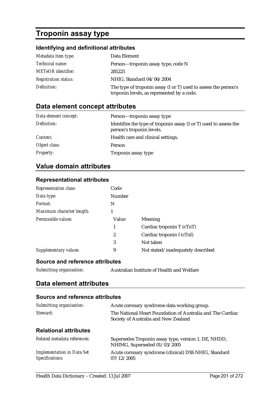# **Troponin assay type**

## **Identifying and definitional attributes**

| Metadata item type:         | Data Element                                                                                                  |
|-----------------------------|---------------------------------------------------------------------------------------------------------------|
| <i>Technical name:</i>      | Person-troponin assay type, code N                                                                            |
| <b>METeOR</b> identifier:   | 285225                                                                                                        |
| <b>Registration status:</b> | NHIG, Standard 04/06/2004                                                                                     |
| Definition:                 | The type of troponin assay (I or T) used to assess the person's<br>troponin levels, as represented by a code. |

## **Data element concept attributes**

| Data element concept: | Person-troponin assay type                                                                     |
|-----------------------|------------------------------------------------------------------------------------------------|
| Definition:           | Identifies the type of troponin assay (I or T) used to assess the<br>person's troponin levels. |
| Context:              | Health care and clinical settings.                                                             |
| Object class:         | Person                                                                                         |
| <b>Property:</b>      | Troponin assay type                                                                            |

# **Value domain attributes**

## **Representational attributes**

| <b>Representation class:</b> | Code   |                                   |
|------------------------------|--------|-----------------------------------|
| Data type:                   | Number |                                   |
| Format:                      | N      |                                   |
| Maximum character length:    |        |                                   |
| Permissible values:          | Value  | Meaning                           |
|                              |        | Cardiac troponin T (cTnT)         |
|                              | 2      | Cardiac troponin I (cTnI)         |
|                              | 3      | Not taken                         |
| Supplementary values:        | 9      | Not stated/inadequately described |

### **Source and reference attributes**

*Submitting organisation:* Australian Institute of Health and Welfare

## **Data element attributes**

## **Source and reference attributes**

| Submitting organisation:                             | Acute coronary syndrome data working group.                                                        |
|------------------------------------------------------|----------------------------------------------------------------------------------------------------|
| Steward:                                             | The National Heart Foundation of Australia and The Cardiac<br>Society of Australia and New Zealand |
| <b>Relational attributes</b>                         |                                                                                                    |
| Related metadata references:                         | Supersedes Troponin assay type, version 1, DE, NHDD,<br>NHIMG, Superseded 01/03/2005               |
| <b>Implementation in Data Set</b><br>Specifications: | Acute coronary syndrome (clinical) DSS NHIG, Standard<br>07/12/2005                                |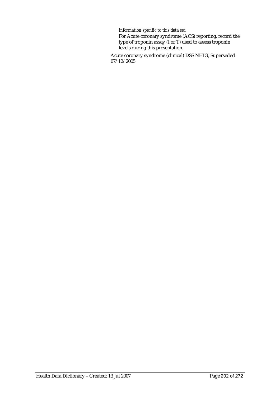#### *Information specific to this data set:*

For Acute coronary syndrome (ACS) reporting, record the type of troponin assay (I or T) used to assess troponin levels during this presentation.

Acute coronary syndrome (clinical) DSS NHIG, Superseded 07/12/2005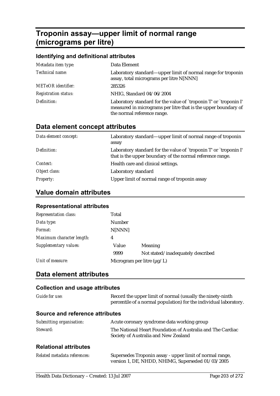# **Troponin assay—upper limit of normal range (micrograms per litre)**

## **Identifying and definitional attributes**  *Metadata item type:* Data Element *Technical name:* Laboratory standard—upper limit of normal range for troponin assay, total micrograms per litre N[NNN] *METeOR identifier:* 285326 *Registration status:* NHIG, Standard 04/06/2004 *Definition:* Laboratory standard for the value of `troponin T' or `troponin I' measured in micrograms per litre that is the upper boundary of the normal reference range.

# **Data element concept attributes**

| Data element concept: | Laboratory standard—upper limit of normal range of troponin<br>assay                                                           |
|-----------------------|--------------------------------------------------------------------------------------------------------------------------------|
| Definition:           | Laboratory standard for the value of `troponin T' or `troponin I'<br>that is the upper boundary of the normal reference range. |
| Context:              | Health care and clinical settings.                                                                                             |
| Object class:         | Laboratory standard                                                                                                            |
| <b>Property:</b>      | Upper limit of normal range of troponin assay                                                                                  |

## **Value domain attributes**

## **Representational attributes**

| <b>Representation class:</b> | Total                           |                                   |
|------------------------------|---------------------------------|-----------------------------------|
| Data type:                   | <b>Number</b>                   |                                   |
| Format:                      | N[NNN]                          |                                   |
| Maximum character length:    | 4                               |                                   |
| Supplementary values:        | Value                           | Meaning                           |
|                              | 9999                            | Not stated/inadequately described |
| Unit of measure:             | Microgram per litre $(\mu g/L)$ |                                   |

# **Data element attributes**

### **Collection and usage attributes**

| Guide for use:                  | Record the upper limit of normal (usually the ninety-ninth<br>percentile of a normal population) for the individual laboratory. |
|---------------------------------|---------------------------------------------------------------------------------------------------------------------------------|
| Source and reference attributes |                                                                                                                                 |
| Submitting organisation:        | Acute coronary syndrome data working group                                                                                      |
| Steward:                        | The National Heart Foundation of Australia and The Cardiac<br>Society of Australia and New Zealand                              |
| <b>Relational attributes</b>    |                                                                                                                                 |
| Related metadata references:    | Supersedes Troponin assay - upper limit of normal range,                                                                        |

version 1, DE, NHDD, NHIMG, Superseded 01/03/2005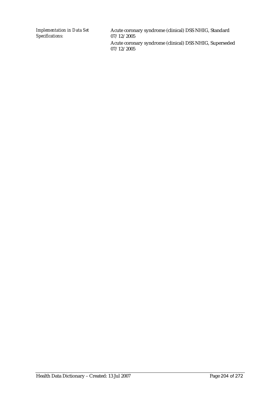*Implementation in Data Set Specifications:*

Acute coronary syndrome (clinical) DSS NHIG, Standard 07/12/2005 Acute coronary syndrome (clinical) DSS NHIG, Superseded 07/12/2005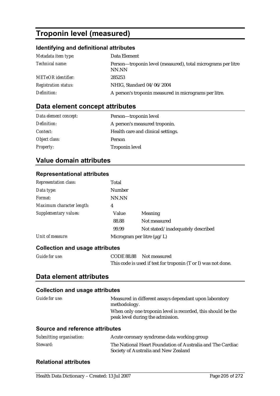# **Troponin level (measured)**

## **Identifying and definitional attributes**

| Metadata item type:         | Data Element                                                          |
|-----------------------------|-----------------------------------------------------------------------|
| <i>Technical name:</i>      | Person—troponin level (measured), total micrograms per litre<br>NN.NN |
| <b>METeOR</b> identifier:   | 285253                                                                |
| <b>Registration status:</b> | NHIG, Standard 04/06/2004                                             |
| Definition:                 | A person's troponin measured in micrograms per litre.                 |

# **Data element concept attributes**

| Data element concept: | Person-troponin level              |
|-----------------------|------------------------------------|
| Definition:           | A person's measured troponin.      |
| Context:              | Health care and clinical settings. |
| Object class:         | Person                             |
| <b>Property:</b>      | <b>Troponin level</b>              |

# **Value domain attributes**

## **Representational attributes**

| <b>Representation class:</b>           | Total               |                                   |
|----------------------------------------|---------------------|-----------------------------------|
| Data type:                             | Number              |                                   |
| Format:                                | NN.NN               |                                   |
| Maximum character length:              | 4                   |                                   |
| <b>Supplementary values:</b>           | Value               | Meaning                           |
|                                        | 88.88               | Not measured                      |
|                                        | 99.99               | Not stated/inadequately described |
| Unit of measure:                       |                     | Microgram per litre $(\mu g/L)$   |
| <b>Collection and usage attributes</b> |                     |                                   |
| $C$ uide for usei                      | $C\cap\Gamma$ 00.00 | Not monormal                      |

| <i>Guide for use:</i> | CODE 88.88 Not measured                                       |
|-----------------------|---------------------------------------------------------------|
|                       | This code is used if test for troponin (T or I) was not done. |

## **Data element attributes**

### **Collection and usage attributes**

| <i>Guide for use:</i> | Measured in different assays dependant upon laboratory       |
|-----------------------|--------------------------------------------------------------|
|                       | methodology.                                                 |
|                       | When only one troponin level is recorded, this should be the |
|                       | peak level during the admission.                             |
|                       |                                                              |

## **Source and reference attributes**

| Submitting organisation: | Acute coronary syndrome data working group                                                         |
|--------------------------|----------------------------------------------------------------------------------------------------|
| Steward:                 | The National Heart Foundation of Australia and The Cardiac<br>Society of Australia and New Zealand |

## **Relational attributes**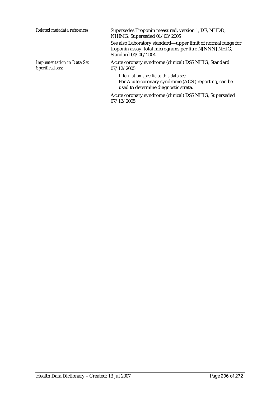| Related metadata references:                         | Supersedes Troponin measured, version 1, DE, NHDD,<br>NHIMG, Superseded 01/03/2005                                                             |
|------------------------------------------------------|------------------------------------------------------------------------------------------------------------------------------------------------|
|                                                      | See also Laboratory standard—upper limit of normal range for<br>troponin assay, total micrograms per litre N[NNN] NHIG,<br>Standard 04/06/2004 |
| <b>Implementation in Data Set</b><br>Specifications: | Acute coronary syndrome (clinical) DSS NHIG, Standard<br>07/12/2005                                                                            |
|                                                      | Information specific to this data set:<br>For Acute coronary syndrome (ACS) reporting, can be<br>used to determine diagnostic strata.          |

Acute coronary syndrome (clinical) DSS NHIG, Superseded 07/12/2005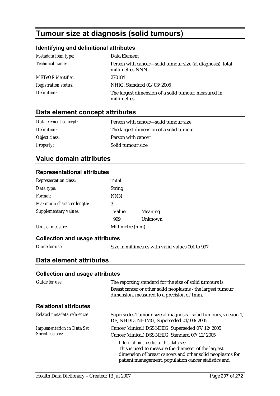# **Tumour size at diagnosis (solid tumours)**

## **Identifying and definitional attributes**

| Metadata item type:         | Data Element                                                                  |
|-----------------------------|-------------------------------------------------------------------------------|
| Technical name:             | Person with cancer—solid tumour size (at diagnosis), total<br>millimetres NNN |
| <b>METeOR</b> identifier:   | 270184                                                                        |
| <b>Registration status:</b> | NHIG, Standard 01/03/2005                                                     |
| Definition:                 | The largest dimension of a solid tumour, measured in<br>millimetres.          |

## **Data element concept attributes**

| Data element concept: | Person with cancer—solid tumour size     |
|-----------------------|------------------------------------------|
| Definition:           | The largest dimension of a solid tumour. |
| Object class:         | Person with cancer                       |
| <b>Property:</b>      | Solid tumour size                        |

# **Value domain attributes**

### **Representational attributes**

| <b>Representation class:</b> | Total           |         |
|------------------------------|-----------------|---------|
| Data type:                   | <b>String</b>   |         |
| Format:                      | <b>NNN</b>      |         |
| Maximum character length:    | 3               |         |
| Supplementary values:        | Value           | Meaning |
|                              | 999             | Unknown |
| Unit of measure:             | Millimetre (mm) |         |

## **Collection and usage attributes**

*Guide for use:* Size in millimetres with valid values 001 to 997.

## **Data element attributes**

### **Collection and usage attributes**

| Guide for use:                                       | The reporting standard for the size of solid tumours is:<br>Breast cancer or other solid neoplasms - the largest tumour<br>dimension, measured to a precision of 1mm.                                              |
|------------------------------------------------------|--------------------------------------------------------------------------------------------------------------------------------------------------------------------------------------------------------------------|
| <b>Relational attributes</b>                         |                                                                                                                                                                                                                    |
| Related metadata references:                         | Supersedes Tumour size at diagnosis - solid tumours, version 1,<br>DE, NHDD, NHIMG, Superseded 01/03/2005                                                                                                          |
| <b>Implementation in Data Set</b><br>Specifications: | Cancer (clinical) DSS NHIG, Superseded 07/12/2005<br>Cancer (clinical) DSS NHIG, Standard 07/12/2005                                                                                                               |
|                                                      | Information specific to this data set:<br>This is used to measure the diameter of the largest<br>dimension of breast cancers and other solid neoplasms for<br>patient management, population cancer statistics and |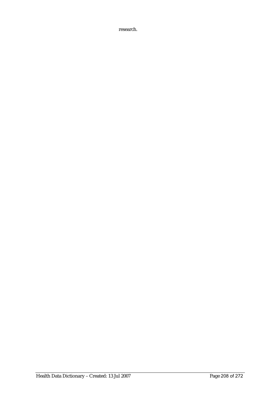research.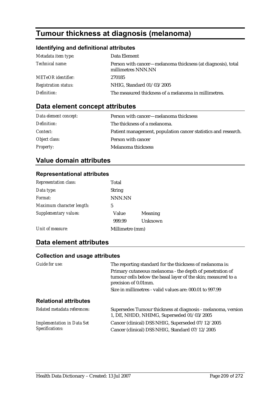# **Tumour thickness at diagnosis (melanoma)**

## **Identifying and definitional attributes**

| Metadata item type:         | Data Element                                                                      |
|-----------------------------|-----------------------------------------------------------------------------------|
| Technical name:             | Person with cancer-melanoma thickness (at diagnosis), total<br>millimetres NNN.NN |
| <b>METeOR</b> identifier:   | 270185                                                                            |
| <b>Registration status:</b> | NHIG, Standard 01/03/2005                                                         |
| Definition:                 | The measured thickness of a melanoma in millimetres.                              |

# **Data element concept attributes**

| Data element concept: | Person with cancer-melanoma thickness                          |
|-----------------------|----------------------------------------------------------------|
| Definition:           | The thickness of a melanoma.                                   |
| <i>Context:</i>       | Patient management, population cancer statistics and research. |
| Object class:         | Person with cancer                                             |
| <b>Property:</b>      | Melanoma thickness                                             |

# **Value domain attributes**

## **Representational attributes**

| Representation class:     | Total           |         |
|---------------------------|-----------------|---------|
| Data type:                | <b>String</b>   |         |
| Format:                   | NNN.NN          |         |
| Maximum character length: | 5               |         |
| Supplementary values:     | Value           | Meaning |
|                           | 999.99          | Unknown |
| Unit of measure:          | Millimetre (mm) |         |

# **Data element attributes**

## **Collection and usage attributes**

| <b>Guide for use:</b>                                | The reporting standard for the thickness of melanoma is:                                                                                          |  |
|------------------------------------------------------|---------------------------------------------------------------------------------------------------------------------------------------------------|--|
|                                                      | Primary cutaneous melanoma - the depth of penetration of<br>tumour cells below the basal layer of the skin; measured to a<br>precision of 0.01mm. |  |
|                                                      | Size in millimetres - valid values are: 000.01 to 997.99                                                                                          |  |
| <b>Relational attributes</b>                         |                                                                                                                                                   |  |
| Related metadata references:                         | Supersedes Tumour thickness at diagnosis - melanoma, version<br>1, DE, NHDD, NHIMG, Superseded 01/03/2005                                         |  |
| <b>Implementation in Data Set</b><br>Specifications: | Cancer (clinical) DSS NHIG, Superseded 07/12/2005<br>Cancer (clinical) DSS NHIG, Standard 07/12/2005                                              |  |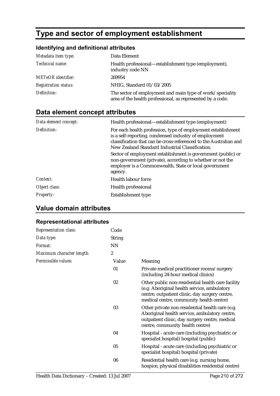# **Type and sector of employment establishment**

# **Identifying and definitional attributes**

| Metadata item type:         | Data Element                                                                                                            |
|-----------------------------|-------------------------------------------------------------------------------------------------------------------------|
| <i>Technical name:</i>      | Health professional—establishment type (employment),<br>industry code NN                                                |
| <b>METeOR</b> identifier:   | 269954                                                                                                                  |
| <b>Registration status:</b> | NHIG, Standard 01/03/2005                                                                                               |
| Definition:                 | The sector of employment and main type of work/speciality<br>area of the health professional, as represented by a code. |

# **Data element concept attributes**

| Data element concept: | Health professional—establishment type (employment)                                                                                                                                                                                           |
|-----------------------|-----------------------------------------------------------------------------------------------------------------------------------------------------------------------------------------------------------------------------------------------|
| Definition:           | For each health profession, type of employment establishment<br>is a self-reporting, condensed industry of employment<br>classification that can be cross-referenced to the Australian and<br>New Zealand Standard Industrial Classification. |
|                       | Sector of employment establishment is government (public) or<br>non-government (private), according to whether or not the<br>employer is a Commonwealth, State or local government<br>agency.                                                 |
| Context:              | Health labour force                                                                                                                                                                                                                           |
| Object class:         | Health professional                                                                                                                                                                                                                           |
| <i>Property:</i>      | Establishment type                                                                                                                                                                                                                            |

# **Value domain attributes**

## **Representational attributes**

| <b>Representation class:</b> | Code             |                                                                                                                                                                                                |
|------------------------------|------------------|------------------------------------------------------------------------------------------------------------------------------------------------------------------------------------------------|
| Data type:                   | <b>String</b>    |                                                                                                                                                                                                |
| <i>Format:</i>               | <b>NN</b>        |                                                                                                                                                                                                |
| Maximum character length:    | $\boldsymbol{2}$ |                                                                                                                                                                                                |
| Permissible values:          | Value            | Meaning                                                                                                                                                                                        |
|                              | 01               | Private medical practitioner rooms/surgery<br>(including 24-hour medical clinics)                                                                                                              |
|                              | 02               | Other public non-residential health care facility<br>(e.g. Aboriginal health service, ambulatory<br>centre, outpatient clinic, day surgery centre,<br>medical centre, community health centre) |
|                              | 03               | Other private non-residential health care (e.g.<br>Aboriginal health service, ambulatory centre,<br>outpatient clinic, day surgery centre, medical<br>centre, community health centre)         |
|                              | 04               | Hospital - acute care (including psychiatric or<br>specialist hospital) hospital (public)                                                                                                      |
|                              | 05               | Hospital - acute care (including psychiatric or<br>specialist hospital) hospital (private)                                                                                                     |
|                              | 06               | Residential health care (e.g. nursing home,<br>hospice, physical disabilities residential centre)                                                                                              |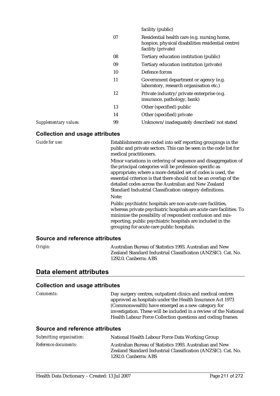| 07<br>Residential health care (e.g. nursing home,<br>hospice, physical disabilities residential centre)<br>facility (private)<br>08<br>Tertiary education institution (public)<br>09<br>Tertiary education institution (private)<br>Defence forces<br>10<br>11<br>Government department or agency (e.g.<br>laboratory, research organisation etc.)<br>12<br>Private industry/private enterprise (e.g.<br>insurance, pathology, bank)<br>13<br>Other (specified) public<br>14<br>Other (specified) private<br>99<br>Unknown/inadequately described/not stated<br>Supplementary values: |  | facility (public) |
|---------------------------------------------------------------------------------------------------------------------------------------------------------------------------------------------------------------------------------------------------------------------------------------------------------------------------------------------------------------------------------------------------------------------------------------------------------------------------------------------------------------------------------------------------------------------------------------|--|-------------------|
|                                                                                                                                                                                                                                                                                                                                                                                                                                                                                                                                                                                       |  |                   |
|                                                                                                                                                                                                                                                                                                                                                                                                                                                                                                                                                                                       |  |                   |
|                                                                                                                                                                                                                                                                                                                                                                                                                                                                                                                                                                                       |  |                   |
|                                                                                                                                                                                                                                                                                                                                                                                                                                                                                                                                                                                       |  |                   |
|                                                                                                                                                                                                                                                                                                                                                                                                                                                                                                                                                                                       |  |                   |
|                                                                                                                                                                                                                                                                                                                                                                                                                                                                                                                                                                                       |  |                   |
|                                                                                                                                                                                                                                                                                                                                                                                                                                                                                                                                                                                       |  |                   |
|                                                                                                                                                                                                                                                                                                                                                                                                                                                                                                                                                                                       |  |                   |
|                                                                                                                                                                                                                                                                                                                                                                                                                                                                                                                                                                                       |  |                   |

## **Collection and usage attributes**

| <b>Guide for use:</b>           | Establishments are coded into self reporting groupings in the<br>public and private sectors. This can be seen in the code list for<br>medical practitioners.                                                                                                                                                                                                                                |
|---------------------------------|---------------------------------------------------------------------------------------------------------------------------------------------------------------------------------------------------------------------------------------------------------------------------------------------------------------------------------------------------------------------------------------------|
|                                 | Minor variations in ordering of sequence and disaggregation of<br>the principal categories will be profession-specific as<br>appropriate; where a more detailed set of codes is used, the<br>essential criterion is that there should not be an overlap of the<br>detailed codes across the Australian and New Zealand<br>Standard Industrial Classification category definitions.<br>Note: |
|                                 | Public psychiatric hospitals are non-acute care facilities,<br>whereas private psychiatric hospitals are acute care facilities. To<br>minimise the possibility of respondent confusion and mis-<br>reporting, public psychiatric hospitals are included in the<br>grouping for acute care public hospitals.                                                                                 |
| Source and reference attributes |                                                                                                                                                                                                                                                                                                                                                                                             |
| Origin:                         | Australian Bureau of Statistics 1993. Australian and New                                                                                                                                                                                                                                                                                                                                    |

Zealand Standard Industrial Classification (ANZSIC). Cat. No.

Zealand Standard Industrial Classification (ANZSIC). Cat. No.

# **Data element attributes**

### **Collection and usage attributes**

| <i>Comments:</i>                | Day surgery centres, outpatient clinics and medical centres<br>approved as hospitals under the Health Insurance Act 1973<br>(Commonwealth) have emerged as a new category for<br>investigation. These will be included in a review of the National<br>Health Labour Force Collection questions and coding frames. |
|---------------------------------|-------------------------------------------------------------------------------------------------------------------------------------------------------------------------------------------------------------------------------------------------------------------------------------------------------------------|
| Source and reference attributes |                                                                                                                                                                                                                                                                                                                   |
| Submitting organisation:        | National Health Labour Force Data Working Group                                                                                                                                                                                                                                                                   |
| Reference documents:            | Australian Bureau of Statistics 1993. Australian and New                                                                                                                                                                                                                                                          |

1292.0. Canberra: ABS

1292.0. Canberra: ABS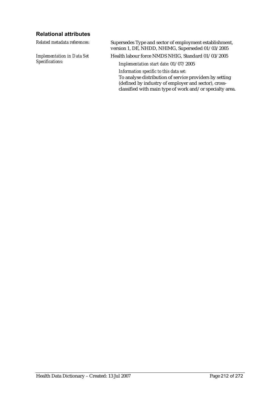## **Relational attributes**

*Implementation in Data Set Specifications:*

*Related metadata references:* Supersedes Type and sector of employment establishment, version 1, DE, NHDD, NHIMG, Superseded 01/03/2005

Health labour force NMDS NHIG, Standard 01/03/2005

*Implementation start date:* 01/07/2005

*Information specific to this data set:*

To analyse distribution of service providers by setting (defined by industry of employer and sector), crossclassified with main type of work and/or specialty area.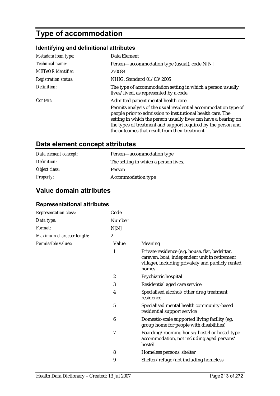# **Type of accommodation**

# **Identifying and definitional attributes**

| Metadata item type:         | Data Element                                                                                                                                                                                                                                                                                                                                                 |
|-----------------------------|--------------------------------------------------------------------------------------------------------------------------------------------------------------------------------------------------------------------------------------------------------------------------------------------------------------------------------------------------------------|
| Technical name:             | Person—accommodation type (usual), code N[N]                                                                                                                                                                                                                                                                                                                 |
| <b>METeOR</b> identifier:   | 270088                                                                                                                                                                                                                                                                                                                                                       |
| <b>Registration status:</b> | NHIG, Standard 01/03/2005                                                                                                                                                                                                                                                                                                                                    |
| Definition:                 | The type of accommodation setting in which a person usually<br>lives/lived, as represented by a code.                                                                                                                                                                                                                                                        |
| Context:                    | Admitted patient mental health care:<br>Permits analysis of the usual residential accommodation type of<br>people prior to admission to institutional health care. The<br>setting in which the person usually lives can have a bearing on<br>the types of treatment and support required by the person and<br>the outcomes that result from their treatment. |

# **Data element concept attributes**

| Data element concept: | Person—accommodation type            |
|-----------------------|--------------------------------------|
| Definition:           | The setting in which a person lives. |
| Object class:         | <b>Person</b>                        |
| <b>Property:</b>      | <b>Accommodation type</b>            |

# **Value domain attributes**

| Representation class:     | Code                    |                                                                                                                                                                |
|---------------------------|-------------------------|----------------------------------------------------------------------------------------------------------------------------------------------------------------|
| Data type:                | Number                  |                                                                                                                                                                |
| Format:                   | N[N]                    |                                                                                                                                                                |
| Maximum character length: | $\boldsymbol{2}$        |                                                                                                                                                                |
| Permissible values:       | Value                   | Meaning                                                                                                                                                        |
|                           | 1                       | Private residence (e.g. house, flat, bedsitter,<br>caravan, boat, independent unit in retirement<br>village), including privately and publicly rented<br>homes |
|                           | $\boldsymbol{2}$        | Psychiatric hospital                                                                                                                                           |
|                           | 3                       | Residential aged care service                                                                                                                                  |
|                           | $\overline{\mathbf{4}}$ | Specialised alcohol/other drug treatment<br>residence                                                                                                          |
|                           | 5                       | Specialised mental health community-based<br>residential support service                                                                                       |
|                           | 6                       | Domestic-scale supported living facility (eg.<br>group home for people with disabilities)                                                                      |
|                           | 7                       | Boarding/rooming house/hostel or hostel type<br>accommodation, not including aged persons'<br>hostel                                                           |
|                           | 8                       | Homeless persons' shelter                                                                                                                                      |
|                           | 9                       | Shelter/refuge (not including homeless                                                                                                                         |

## **Representational attributes**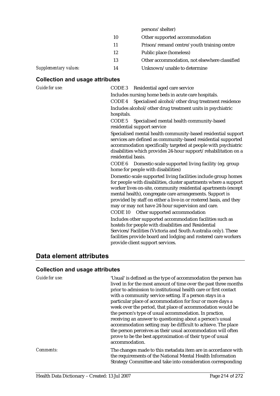|                       |    | persons' shelter)                             |
|-----------------------|----|-----------------------------------------------|
|                       | 10 | Other supported accommodation                 |
|                       | 11 | Prison/remand centre/youth training centre    |
|                       | 12 | Public place (homeless)                       |
|                       | 13 | Other accommodation, not elsewhere classified |
| Supplementary values: | 14 | Unknown/unable to determine                   |
|                       |    |                                               |

# **Collection and usage attributes**

| Guide for use: | Residential aged care service<br>CODE 3                                                                                                                                                                                                                                                                                                                                                                                             |  |  |
|----------------|-------------------------------------------------------------------------------------------------------------------------------------------------------------------------------------------------------------------------------------------------------------------------------------------------------------------------------------------------------------------------------------------------------------------------------------|--|--|
|                | Includes nursing home beds in acute care hospitals.                                                                                                                                                                                                                                                                                                                                                                                 |  |  |
|                | Specialised alcohol/other drug treatment residence<br>CODE 4                                                                                                                                                                                                                                                                                                                                                                        |  |  |
|                | Includes alcohol/other drug treatment units in psychiatric                                                                                                                                                                                                                                                                                                                                                                          |  |  |
|                | hospitals.                                                                                                                                                                                                                                                                                                                                                                                                                          |  |  |
|                | CODE <sub>5</sub><br>Specialised mental health community-based                                                                                                                                                                                                                                                                                                                                                                      |  |  |
|                | residential support service                                                                                                                                                                                                                                                                                                                                                                                                         |  |  |
|                | Specialised mental health community-based residential support<br>services are defined as community-based residential supported<br>accommodation specifically targeted at people with psychiatric<br>disabilities which provides 24-hour support/rehabilitation on a<br>residential basis.                                                                                                                                           |  |  |
|                | CODE 6 Domestic-scale supported living facility (eg. group<br>home for people with disabilities)                                                                                                                                                                                                                                                                                                                                    |  |  |
|                | Domestic-scale supported living facilities include group homes<br>for people with disabilities, cluster apartments where a support<br>worker lives on-site, community residential apartments (except<br>mental health), congregate care arrangements. Support is<br>provided by staff on either a live-in or rostered basis, and they<br>may or may not have 24-hour supervision and care.<br>CODE 10 Other supported accommodation |  |  |
|                | Includes other supported accommodation facilities such as<br>hostels for people with disabilities and Residential<br>Services/Facilities (Victoria and South Australia only). These<br>facilities provide board and lodging and rostered care workers<br>provide client support services.                                                                                                                                           |  |  |

# **Data element attributes**

# **Collection and usage attributes**

| <b>Guide for use:</b> | 'Usual' is defined as the type of accommodation the person has<br>lived in for the most amount of time over the past three months<br>prior to admission to institutional health care or first contact<br>with a community service setting. If a person stays in a<br>particular place of accommodation for four or more days a<br>week over the period, that place of accommodation would be<br>the person's type of usual accommodation. In practice,<br>receiving an answer to questioning about a person's usual<br>accommodation setting may be difficult to achieve. The place<br>the person perceives as their usual accommodation will often<br>prove to be the best approximation of their type of usual<br>accommodation. |
|-----------------------|------------------------------------------------------------------------------------------------------------------------------------------------------------------------------------------------------------------------------------------------------------------------------------------------------------------------------------------------------------------------------------------------------------------------------------------------------------------------------------------------------------------------------------------------------------------------------------------------------------------------------------------------------------------------------------------------------------------------------------|
| <i>Comments:</i>      | The changes made to this metadata item are in accordance with<br>the requirements of the National Mental Health Information<br>Strategy Committee and take into consideration corresponding                                                                                                                                                                                                                                                                                                                                                                                                                                                                                                                                        |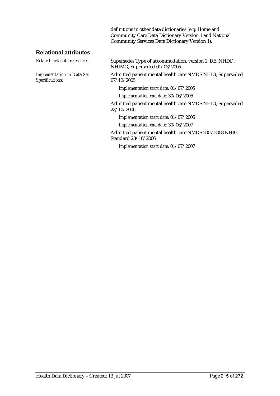definitions in other data dictionaries (e.g. Home and Community Care Data Dictionary Version 1 and National Community Services Data Dictionary Version 1).

## **Relational attributes**

*Implementation in Data Set Specifications:*

*Related metadata references:* Supersedes Type of accommodation, version 2, DE, NHDD, NHIMG, Superseded 01/03/2005

> Admitted patient mental health care NMDS NHIG, Superseded 07/12/2005

*Implementation start date:* 01/07/2005

*Implementation end date:* 30/06/2006

Admitted patient mental health care NMDS NHIG, Superseded 23/10/2006

*Implementation start date:* 01/07/2006

*Implementation end date:* 30/06/2007

Admitted patient mental health care NMDS 2007-2008 NHIG, Standard 23/10/2006

*Implementation start date:* 01/07/2007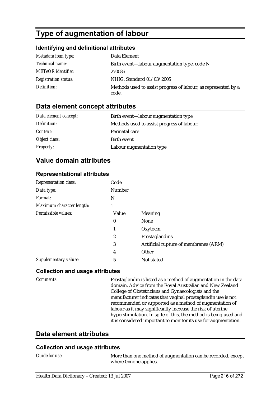# **Type of augmentation of labour**

## **Identifying and definitional attributes**

| Metadata item type:         | Data Element                                                            |
|-----------------------------|-------------------------------------------------------------------------|
| Technical name:             | Birth event—labour augmentation type, code N                            |
| <b>METeOR</b> identifier:   | 270036                                                                  |
| <b>Registration status:</b> | NHIG, Standard 01/03/2005                                               |
| Definition:                 | Methods used to assist progress of labour, as represented by a<br>code. |

## **Data element concept attributes**

| Data element concept: | Birth event—labour augmentation type       |
|-----------------------|--------------------------------------------|
| Definition:           | Methods used to assist progress of labour. |
| Context:              | Perinatal care                             |
| Object class:         | Birth event                                |
| <b>Property:</b>      | Labour augmentation type                   |

## **Value domain attributes**

### **Representational attributes**

| <b>Representation class:</b> | Code          |                                       |
|------------------------------|---------------|---------------------------------------|
| Data type:                   | <b>Number</b> |                                       |
| Format:                      | N             |                                       |
| Maximum character length:    |               |                                       |
| Permissible values:          | Value         | <b>Meaning</b>                        |
|                              | $\bf{0}$      | <b>None</b>                           |
|                              | 1             | Oxytocin                              |
|                              | 2             | Prostaglandins                        |
|                              | 3             | Artificial rupture of membranes (ARM) |
|                              | 4             | Other                                 |
| Supplementary values:        | 5             | Not stated                            |

### **Collection and usage attributes**

*Comments:* Prostaglandin is listed as a method of augmentation in the data domain. Advice from the Royal Australian and New Zealand College of Obstetricians and Gynaecologists and the manufacturer indicates that vaginal prostaglandin use is not recommended or supported as a method of augmentation of labour as it may significantly increase the risk of uterine hyperstimulation. In spite of this, the method is being used and it is considered important to monitor its use for augmentation.

## **Data element attributes**

### **Collection and usage attributes**

*Guide for use:* More than one method of augmentation can be recorded, except where 0=none applies.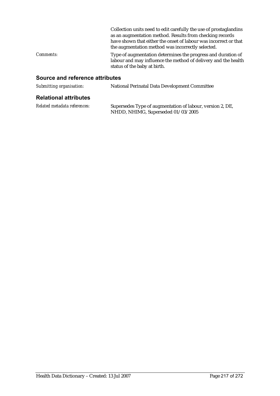|                  | Collection units need to edit carefully the use of prostaglandins<br>as an augmentation method. Results from checking records<br>have shown that either the onset of labour was incorrect or that<br>the augmentation method was incorrectly selected. |
|------------------|--------------------------------------------------------------------------------------------------------------------------------------------------------------------------------------------------------------------------------------------------------|
| <i>Comments:</i> | Type of augmentation determines the progress and duration of<br>labour and may influence the method of delivery and the health<br>status of the baby at birth.                                                                                         |

| Submitting organisation:     | National Perinatal Data Development Committee                                                   |
|------------------------------|-------------------------------------------------------------------------------------------------|
| <b>Relational attributes</b> |                                                                                                 |
| Related metadata references: | Supersedes Type of augmentation of labour, version 2, DE,<br>NHDD, NHIMG, Superseded 01/03/2005 |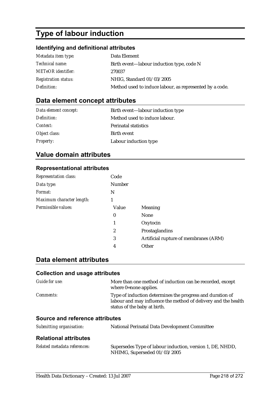# **Type of labour induction**

# **Identifying and definitional attributes**

| Metadata item type:         | Data Element                                            |
|-----------------------------|---------------------------------------------------------|
| Technical name:             | Birth event—labour induction type, code N               |
| <b>METeOR</b> identifier:   | 270037                                                  |
| <b>Registration status:</b> | NHIG, Standard 01/03/2005                               |
| Definition:                 | Method used to induce labour, as represented by a code. |

# **Data element concept attributes**

| Data element concept: | Birth event—labour induction type |
|-----------------------|-----------------------------------|
| Definition:           | Method used to induce labour.     |
| Context:              | <b>Perinatal statistics</b>       |
| Object class:         | Birth event                       |
| <b>Property:</b>      | Labour induction type             |

# **Value domain attributes**

## **Representational attributes**

| <b>Representation class:</b> | Code     |                                       |
|------------------------------|----------|---------------------------------------|
| Data type:                   | Number   |                                       |
| Format:                      | N        |                                       |
| Maximum character length:    | 1        |                                       |
| Permissible values:          | Value    | Meaning                               |
|                              | $\bf{0}$ | <b>None</b>                           |
|                              | 1        | Oxytocin                              |
|                              | 2        | Prostaglandins                        |
|                              | 3        | Artificial rupture of membranes (ARM) |
|                              | 4        | Other                                 |

#### **Data element attributes**

| <b>Collection and usage attributes</b> |                                                                                                                                                             |
|----------------------------------------|-------------------------------------------------------------------------------------------------------------------------------------------------------------|
| Guide for use:                         | More than one method of induction can be recorded, except<br>where 0=none applies.                                                                          |
| Comments:                              | Type of induction determines the progress and duration of<br>labour and may influence the method of delivery and the health<br>status of the baby at birth. |
| Source and reference attributes        |                                                                                                                                                             |
| Submitting organisation:               | National Perinatal Data Development Committee                                                                                                               |
| <b>Relational attributes</b>           |                                                                                                                                                             |

| Related metadata references: | Supersedes Type of labour induction, version 1, DE, NHDD, |
|------------------------------|-----------------------------------------------------------|
|                              | NHIMG, Superseded 01/03/2005                              |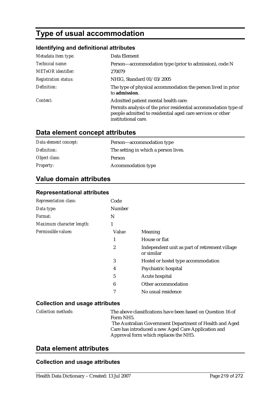# **Type of usual accommodation**

#### **Identifying and definitional attributes**

| Metadata item type:         | Data Element                                                                                                                                         |
|-----------------------------|------------------------------------------------------------------------------------------------------------------------------------------------------|
| Technical name:             | Person—accommodation type (prior to admission), code N                                                                                               |
| METeOR identifier:          | 270079                                                                                                                                               |
| <b>Registration status:</b> | NHIG, Standard 01/03/2005                                                                                                                            |
| Definition:                 | The type of physical accommodation the person lived in prior<br>to admission.                                                                        |
| Context:                    | Admitted patient mental health care:                                                                                                                 |
|                             | Permits analysis of the prior residential accommodation type of<br>people admitted to residential aged care services or other<br>institutional care. |

#### **Data element concept attributes**

| Data element concept: | Person-accommodation type            |
|-----------------------|--------------------------------------|
| Definition:           | The setting in which a person lives. |
| Object class:         | Person                               |
| <i>Property:</i>      | <b>Accommodation type</b>            |

#### **Value domain attributes**

#### **Representational attributes**

| Representation class:     | Code             |                                                              |
|---------------------------|------------------|--------------------------------------------------------------|
| Data type:                | <b>Number</b>    |                                                              |
| Format:                   | N                |                                                              |
| Maximum character length: | 1                |                                                              |
| Permissible values:       | Value            | Meaning                                                      |
|                           | 1                | House or flat                                                |
|                           | $\boldsymbol{2}$ | Independent unit as part of retirement village<br>or similar |
|                           | 3                | Hostel or hostel type accommodation                          |
|                           | 4                | Psychiatric hospital                                         |
|                           | 5                | Acute hospital                                               |
|                           | 6                | Other accommodation                                          |
|                           | 7                | No usual residence                                           |

#### **Collection and usage attributes**

*Collection methods:* The above classifications have been based on Question 16 of Form NH5. The Australian Government Department of Health and Aged Care has introduced a new Aged Care Application and Approval form which replaces the NH5.

# **Data element attributes**

#### **Collection and usage attributes**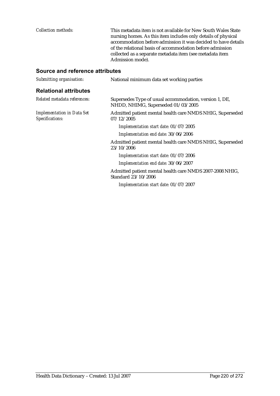*Collection methods:* This metadata item is not available for New South Wales State nursing homes. As this item includes only details of physical accommodation before admission it was decided to have details of the relational basis of accommodation before admission collected as a separate metadata item (see metadata item Admission mode).

| Submitting organisation:                             | National minimum data set working parties                                                    |
|------------------------------------------------------|----------------------------------------------------------------------------------------------|
| <b>Relational attributes</b>                         |                                                                                              |
| Related metadata references:                         | Supersedes Type of usual accommodation, version 1, DE,<br>NHDD, NHIMG, Superseded 01/03/2005 |
| <b>Implementation in Data Set</b><br>Specifications: | Admitted patient mental health care NMDS NHIG, Superseded<br>07/12/2005                      |
|                                                      | Implementation start date: 01/07/2005                                                        |
|                                                      | Implementation end date: 30/06/2006                                                          |
|                                                      | Admitted patient mental health care NMDS NHIG, Superseded<br>23/10/2006                      |
|                                                      | Implementation start date: 01/07/2006                                                        |
|                                                      | Implementation end date: 30/06/2007                                                          |
|                                                      | Admitted patient mental health care NMDS 2007-2008 NHIG,<br>Standard 23/10/2006              |
|                                                      | Implementation start date: 01/07/2007                                                        |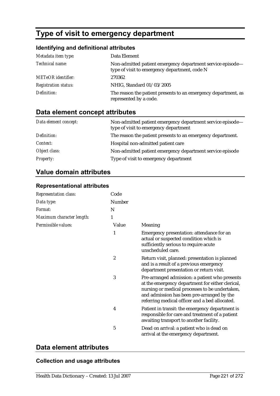# **Type of visit to emergency department**

#### **Identifying and definitional attributes**

| Metadata item type:         | Data Element                                                                                                |
|-----------------------------|-------------------------------------------------------------------------------------------------------------|
| Technical name:             | Non-admitted patient emergency department service episode-<br>type of visit to emergency department, code N |
| <b>METeOR</b> identifier:   | 270362                                                                                                      |
| <b>Registration status:</b> | NHIG, Standard 01/03/2005                                                                                   |
| Definition:                 | The reason the patient presents to an emergency department, as<br>represented by a code.                    |

# **Data element concept attributes**

| Data element concept: | Non-admitted patient emergency department service episode—<br>type of visit to emergency department |
|-----------------------|-----------------------------------------------------------------------------------------------------|
| Definition:           | The reason the patient presents to an emergency department.                                         |
| Context:              | Hospital non-admitted patient care                                                                  |
| Object class:         | Non-admitted patient emergency department service episode                                           |
| <b>Property:</b>      | Type of visit to emergency department                                                               |

# **Value domain attributes**

#### **Representational attributes**

| <b>Representation class:</b> | Code   |                                                                                                                                                                                                                                                      |
|------------------------------|--------|------------------------------------------------------------------------------------------------------------------------------------------------------------------------------------------------------------------------------------------------------|
| Data type:                   | Number |                                                                                                                                                                                                                                                      |
| Format:                      | N      |                                                                                                                                                                                                                                                      |
| Maximum character length:    | 1      |                                                                                                                                                                                                                                                      |
| Permissible values:          | Value  | Meaning                                                                                                                                                                                                                                              |
|                              | 1      | Emergency presentation: attendance for an<br>actual or suspected condition which is<br>sufficiently serious to require acute<br>unscheduled care.                                                                                                    |
|                              | 2      | Return visit, planned: presentation is planned<br>and is a result of a previous emergency<br>department presentation or return visit.                                                                                                                |
|                              | 3      | Pre-arranged admission: a patient who presents<br>at the emergency department for either clerical,<br>nursing or medical processes to be undertaken,<br>and admission has been pre-arranged by the<br>referring medical officer and a bed allocated. |
|                              | 4      | Patient in transit: the emergency department is<br>responsible for care and treatment of a patient<br>awaiting transport to another facility.                                                                                                        |
|                              | 5      | Dead on arrival: a patient who is dead on<br>arrival at the emergency department.                                                                                                                                                                    |

## **Data element attributes**

#### **Collection and usage attributes**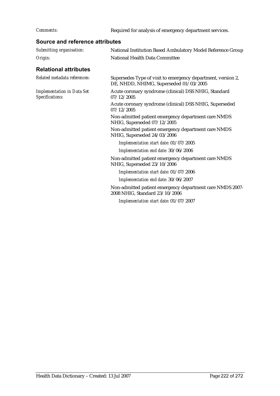*Comments:* Required for analysis of emergency department services.

| Source and reference attributes                      |                                                                                                        |  |
|------------------------------------------------------|--------------------------------------------------------------------------------------------------------|--|
| Submitting organisation:                             | National Institution Based Ambulatory Model Reference Group                                            |  |
| Origin:                                              | <b>National Health Data Committee</b>                                                                  |  |
| <b>Relational attributes</b>                         |                                                                                                        |  |
| Related metadata references:                         | Supersedes Type of visit to emergency department, version 2,<br>DE, NHDD, NHIMG, Superseded 01/03/2005 |  |
| <b>Implementation in Data Set</b><br>Specifications: | Acute coronary syndrome (clinical) DSS NHIG, Standard<br>07/12/2005                                    |  |
|                                                      | Acute coronary syndrome (clinical) DSS NHIG, Superseded<br>07/12/2005                                  |  |
|                                                      | Non-admitted patient emergency department care NMDS<br>NHIG, Superseded 07/12/2005                     |  |
|                                                      | Non-admitted patient emergency department care NMDS<br>NHIG, Superseded 24/03/2006                     |  |
|                                                      | Implementation start date: 01/07/2005                                                                  |  |
|                                                      | Implementation end date: 30/06/2006                                                                    |  |
|                                                      | Non-admitted patient emergency department care NMDS<br>NHIG, Superseded 23/10/2006                     |  |
|                                                      | Implementation start date: 01/07/2006                                                                  |  |
|                                                      | Implementation end date: 30/06/2007                                                                    |  |
|                                                      | Non-admitted patient emergency department care NMDS 2007-<br>2008 NHIG, Standard 23/10/2006            |  |
|                                                      | Implementation start date: 01/07/2007                                                                  |  |
|                                                      |                                                                                                        |  |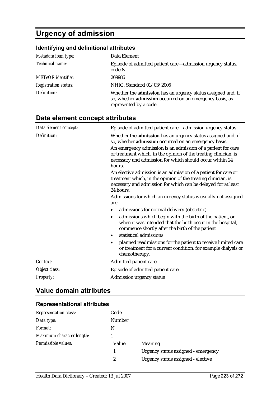# **Urgency of admission**

# **Identifying and definitional attributes**

| Metadata item type:         | Data Element                                                                                                                                       |
|-----------------------------|----------------------------------------------------------------------------------------------------------------------------------------------------|
| Technical name:             | Episode of admitted patient care—admission urgency status,<br>code N                                                                               |
| <b>METeOR</b> identifier:   | 269986                                                                                                                                             |
| <b>Registration status:</b> | NHIG, Standard 01/03/2005                                                                                                                          |
| Definition:                 | Whether the admission has an urgency status assigned and, if<br>so, whether admission occurred on an emergency basis, as<br>represented by a code. |

# **Data element concept attributes**

| Data element concept: | Episode of admitted patient care-admission urgency status                                                                                                                                                     |  |  |
|-----------------------|---------------------------------------------------------------------------------------------------------------------------------------------------------------------------------------------------------------|--|--|
| Definition:           | Whether the admission has an urgency status assigned and, if<br>so, whether admission occurred on an emergency basis.                                                                                         |  |  |
|                       | An emergency admission is an admission of a patient for care<br>or treatment which, in the opinion of the treating clinician, is<br>necessary and admission for which should occur within 24<br>hours.        |  |  |
|                       | An elective admission is an admission of a patient for care or<br>treatment which, in the opinion of the treating clinician, is<br>necessary and admission for which can be delayed for at least<br>24 hours. |  |  |
|                       | Admissions for which an urgency status is usually not assigned<br>are:                                                                                                                                        |  |  |
|                       | admissions for normal delivery (obstetric)<br>٠                                                                                                                                                               |  |  |
|                       | admissions which begin with the birth of the patient, or<br>٠<br>when it was intended that the birth occur in the hospital,<br>commence shortly after the birth of the patient                                |  |  |
|                       | statistical admissions<br>$\bullet$                                                                                                                                                                           |  |  |
|                       | planned readmissions for the patient to receive limited care<br>$\bullet$<br>or treatment for a current condition, for example dialysis or<br>chemotherapy.                                                   |  |  |
| Context:              | Admitted patient care.                                                                                                                                                                                        |  |  |
| Object class:         | Episode of admitted patient care                                                                                                                                                                              |  |  |
| Property:             | Admission urgency status                                                                                                                                                                                      |  |  |

## **Value domain attributes**

#### **Representational attributes**

| <b>Representation class:</b> | Code          |                                     |
|------------------------------|---------------|-------------------------------------|
| Data type:                   | <b>Number</b> |                                     |
| Format:                      | N             |                                     |
| Maximum character length:    |               |                                     |
| Permissible values:          | Value         | Meaning                             |
|                              |               | Urgency status assigned - emergency |
|                              | 2             | Urgency status assigned - elective  |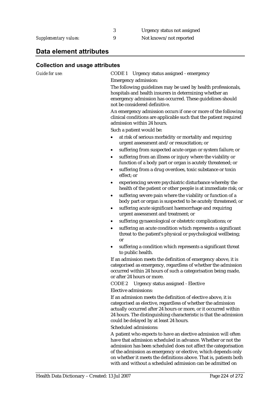#### **Data element attributes**

#### **Collection and usage attributes**

*Guide for use:* CODE 1 Urgency status assigned - emergency Emergency admission:

> The following guidelines may be used by health professionals, hospitals and health insurers in determining whether an emergency admission has occurred. These guidelines should not be considered definitive.

An emergency admission occurs if one or more of the following clinical conditions are applicable such that the patient required admission within 24 hours.

Such a patient would be:

- at risk of serious morbidity or mortality and requiring urgent assessment and/or resuscitation; or
- suffering from suspected acute organ or system failure; or
- suffering from an illness or injury where the viability or function of a body part or organ is acutely threatened; or
- suffering from a drug overdoes, toxic substance or toxin effect; or
- experiencing severe psychiatric disturbance whereby the health of the patient or other people is at immediate risk; or
- suffering severe pain where the viability or function of a body part or organ is suspected to be acutely threatened; or
- suffering acute significant haemorrhage and requiring urgent assessment and treatment; or
- suffering gynaecological or obstetric complications; or
- suffering an acute condition which represents a significant threat to the patient's physical or psychological wellbeing; or
- suffering a condition which represents a significant threat to public health.

If an admission meets the definition of emergency above, it is categorised as emergency, regardless of whether the admission occurred within 24 hours of such a categorisation being made, or after 24 hours or more.

CODE 2 Urgency status assigned - Elective Elective admissions:

If an admission meets the definition of elective above, it is categorised as elective, regardless of whether the admission actually occurred after 24 hours or more, or it occurred within 24 hours. The distinguishing characteristic is that the admission could be delayed by at least 24 hours.

Scheduled admissions:

A patient who expects to have an elective admission will often have that admission scheduled in advance. Whether or not the admission has been scheduled does not affect the categorisation of the admission as emergency or elective, which depends only on whether it meets the definitions above. That is, patients both with and without a scheduled admission can be admitted on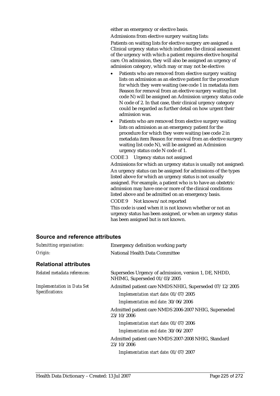either an emergency or elective basis.

Admissions from elective surgery waiting lists:

Patients on waiting lists for elective surgery are assigned a Clinical urgency status which indicates the clinical assessment of the urgency with which a patient requires elective hospital care. On admission, they will also be assigned an urgency of admission category, which may or may not be elective:

- Patients who are removed from elective surgery waiting lists on admission as an elective patient for the procedure for which they were waiting (see code 1 in metadata item Reason for removal from an elective surgery waiting list code N) will be assigned an Admission urgency status code N code of 2. In that case, their clinical urgency category could be regarded as further detail on how urgent their admission was.
- Patients who are removed from elective surgery waiting lists on admission as an emergency patient for the procedure for which they were waiting (see code 2 in metadata item Reason for removal from an elective surgery waiting list code N), will be assigned an Admission urgency status code N code of 1.

CODE 3 Urgency status not assigned

Admissions for which an urgency status is usually not assigned: An urgency status can be assigned for admissions of the types listed above for which an urgency status is not usually assigned. For example, a patient who is to have an obstetric admission may have one or more of the clinical conditions listed above and be admitted on an emergency basis. CODE 9 Not known/not reported

This code is used when it is not known whether or not an urgency status has been assigned, or when an urgency status has been assigned but is not known.

| Submitting organisation:                             | Emergency definition working party                                                                         |  |  |
|------------------------------------------------------|------------------------------------------------------------------------------------------------------------|--|--|
| Origin:                                              | <b>National Health Data Committee</b>                                                                      |  |  |
| <b>Relational attributes</b>                         |                                                                                                            |  |  |
| Related metadata references:                         | Supersedes Urgency of admission, version 1, DE, NHDD,<br>NHIMG, Superseded 01/03/2005                      |  |  |
| <b>Implementation in Data Set</b><br>Specifications: | Admitted patient care NMDS NHIG, Superseded 07/12/2005<br>Implementation start date: 01/07/2005            |  |  |
|                                                      | Implementation end date: 30/06/2006<br>Admitted patient care NMDS 2006-2007 NHIG, Superseded<br>23/10/2006 |  |  |
|                                                      | Implementation start date: 01/07/2006                                                                      |  |  |
|                                                      | Implementation end date: 30/06/2007                                                                        |  |  |
|                                                      | Admitted patient care NMDS 2007-2008 NHIG, Standard<br>23/10/2006                                          |  |  |
|                                                      | Implementation start date: 01/07/2007                                                                      |  |  |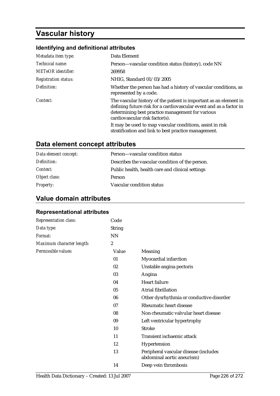# **Vascular history**

# **Identifying and definitional attributes**

| Metadata item type:         | Data Element                                                                                                                                                                                                                  |  |
|-----------------------------|-------------------------------------------------------------------------------------------------------------------------------------------------------------------------------------------------------------------------------|--|
| Technical name:             | Person—vascular condition status (history), code NN                                                                                                                                                                           |  |
| <b>METeOR</b> identifier:   | 269958                                                                                                                                                                                                                        |  |
| <b>Registration status:</b> | NHIG, Standard 01/03/2005                                                                                                                                                                                                     |  |
| Definition:                 | Whether the person has had a history of vascular conditions, as<br>represented by a code.                                                                                                                                     |  |
| Context:                    | The vascular history of the patient is important as an element in<br>defining future risk for a cardiovascular event and as a factor in<br>determining best practice management for various<br>cardiovascular risk factor(s). |  |
|                             | It may be used to map vascular conditions, assist in risk<br>stratification and link to best practice management.                                                                                                             |  |

# **Data element concept attributes**

| Data element concept: | Person-vascular condition status                 |
|-----------------------|--------------------------------------------------|
| Definition:           | Describes the vascular condition of the person.  |
| <i>Context:</i>       | Public health, health care and clinical settings |
| Object class:         | Person                                           |
| <b>Property:</b>      | Vascular condition status                        |

## **Value domain attributes**

#### **Representational attributes**

| <b>Representation class:</b> | Code             |                                                                     |
|------------------------------|------------------|---------------------------------------------------------------------|
| Data type:                   | <b>String</b>    |                                                                     |
| Format:                      | <b>NN</b>        |                                                                     |
| Maximum character length:    | $\boldsymbol{2}$ |                                                                     |
| Permissible values:          | Value            | Meaning                                                             |
|                              | 01               | Myocardial infarction                                               |
|                              | 02               | Unstable angina pectoris                                            |
|                              | 03               | Angina                                                              |
|                              | 04               | <b>Heart failure</b>                                                |
|                              | 05               | Atrial fibrillation                                                 |
|                              | 06               | Other dysrhythmia or conductive disorder                            |
|                              | 07               | <b>Rheumatic heart disease</b>                                      |
|                              | 08               | Non-rheumatic valvular heart disease                                |
|                              | 09               | Left ventricular hypertrophy                                        |
|                              | 10               | <b>Stroke</b>                                                       |
|                              | 11               | Transient ischaemic attack                                          |
|                              | 12               | Hypertension                                                        |
|                              | 13               | Peripheral vascular disease (includes<br>abdominal aortic aneurism) |
|                              | 14               | Deep vein thrombosis                                                |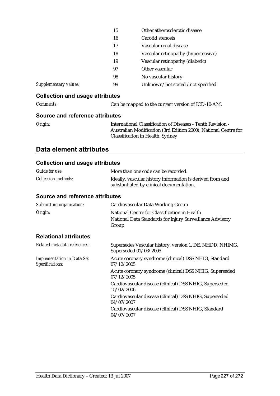|                       | 15 | Other atherosclerotic disease       |
|-----------------------|----|-------------------------------------|
|                       | 16 | Carotid stenosis                    |
|                       | 17 | Vascular renal disease              |
|                       | 18 | Vascular retinopathy (hypertensive) |
|                       | 19 | Vascular retinopathy (diabetic)     |
|                       | 97 | Other vascular                      |
|                       | 98 | No vascular history                 |
| Supplementary values: | 99 | Unknown/not stated /not specified   |

#### **Collection and usage attributes**

*Comments:* Can be mapped to the current version of ICD-10-AM.

#### **Source and reference attributes**

*Origin:* International Classification of Diseases - Tenth Revision - Australian Modification (3rd Edition 2000), National Centre for Classification in Health, Sydney

## **Data element attributes**

#### **Collection and usage attributes**

| <b>Guide for use:</b>                                | More than one code can be recorded.                                                                               |
|------------------------------------------------------|-------------------------------------------------------------------------------------------------------------------|
| <b>Collection methods:</b>                           | Ideally, vascular history information is derived from and<br>substantiated by clinical documentation.             |
| Source and reference attributes                      |                                                                                                                   |
| Submitting organisation:                             | Cardiovascular Data Working Group                                                                                 |
| Origin:                                              | National Centre for Classification in Health<br>National Data Standards for Injury Surveillance Advisory<br>Group |
| <b>Relational attributes</b>                         |                                                                                                                   |
| Related metadata references:                         | Supersedes Vascular history, version 1, DE, NHDD, NHIMG,<br>Superseded 01/03/2005                                 |
| <b>Implementation in Data Set</b><br>Specifications: | Acute coronary syndrome (clinical) DSS NHIG, Standard<br>07/12/2005                                               |
|                                                      | Acute coronary syndrome (clinical) DSS NHIG, Superseded<br>07/12/2005                                             |
|                                                      | Cardiovascular disease (clinical) DSS NHIG, Superseded<br>15/02/2006                                              |
|                                                      | Cardiovascular disease (clinical) DSS NHIG, Superseded<br>04/07/2007                                              |
|                                                      | Cardiovascular disease (clinical) DSS NHIG, Standard<br>04/07/2007                                                |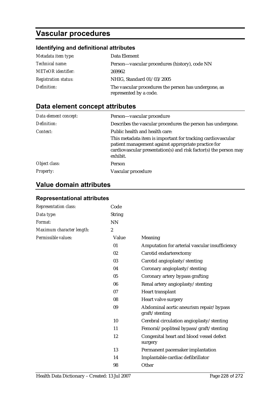# **Vascular procedures**

# **Identifying and definitional attributes**

| Metadata item type:         | Data Element                                                                   |
|-----------------------------|--------------------------------------------------------------------------------|
| Technical name:             | Person—vascular procedures (history), code NN                                  |
| <b>METeOR</b> identifier:   | 269962                                                                         |
| <b>Registration status:</b> | NHIG, Standard 01/03/2005                                                      |
| Definition:                 | The vascular procedures the person has undergone, as<br>represented by a code. |

# **Data element concept attributes**

| Data element concept: | Person-vascular procedure                                                                                                                                                                          |
|-----------------------|----------------------------------------------------------------------------------------------------------------------------------------------------------------------------------------------------|
| Definition:           | Describes the vascular procedures the person has undergone.                                                                                                                                        |
| Context:              | Public health and health care:                                                                                                                                                                     |
|                       | This metadata item is important for tracking cardiovascular<br>patient management against appropriate practice for<br>cardiovascular presentation(s) and risk factor(s) the person may<br>exhibit. |
| Object class:         | Person                                                                                                                                                                                             |
| <i>Property:</i>      | Vascular procedure                                                                                                                                                                                 |

# **Value domain attributes**

| <b>Representational attributes</b> |  |
|------------------------------------|--|
|------------------------------------|--|

| <b>Representation class:</b> | Code             |                                                           |
|------------------------------|------------------|-----------------------------------------------------------|
| Data type:                   | <b>String</b>    |                                                           |
| Format:                      | <b>NN</b>        |                                                           |
| Maximum character length:    | $\boldsymbol{2}$ |                                                           |
| Permissible values:          | Value            | Meaning                                                   |
|                              | 01               | Amputation for arterial vascular insufficiency            |
|                              | 02               | Carotid endarterectomy                                    |
|                              | 03               | Carotid angioplasty/stenting                              |
|                              | 04               | Coronary angioplasty/stenting                             |
|                              | 05               | Coronary artery bypass grafting                           |
|                              | 06               | Renal artery angioplasty/stenting                         |
|                              | 07               | Heart transplant                                          |
|                              | 08               | Heart valve surgery                                       |
|                              | 09               | Abdominal aortic aneurism repair/bypass<br>graft/stenting |
|                              | 10               | Cerebral circulation angioplasty/stenting                 |
|                              | 11               | Femoral/popliteal bypass/graft/stenting                   |
|                              | 12               | Congenital heart and blood vessel defect<br>surgery       |
|                              | 13               | Permanent pacemaker implantation                          |
|                              | 14               | Implantable cardiac defibrillator                         |
|                              | 98               | Other                                                     |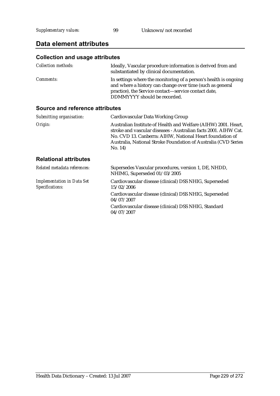# **Data element attributes**

# **Collection and usage attributes**

| <i>Collection methods:</i> | Ideally, Vascular procedure information is derived from and<br>substantiated by clinical documentation.                                                                                                               |
|----------------------------|-----------------------------------------------------------------------------------------------------------------------------------------------------------------------------------------------------------------------|
| <i>Comments:</i>           | In settings where the monitoring of a person's health is ongoing<br>and where a history can change over time (such as general<br>practice), the Service contact—service contact date,<br>DDMMYYYY should be recorded. |

| Submitting organisation:                             | Cardiovascular Data Working Group                                                                                                                                                                                                                                         |
|------------------------------------------------------|---------------------------------------------------------------------------------------------------------------------------------------------------------------------------------------------------------------------------------------------------------------------------|
| Origin:                                              | Australian Institute of Health and Welfare (AIHW) 2001. Heart,<br>stroke and vascular diseases - Australian facts 2001. AIHW Cat.<br>No. CVD 13. Canberra: AIHW, National Heart foundation of<br>Australia, National Stroke Foundation of Australia (CVD Series<br>No. 14 |
| <b>Relational attributes</b>                         |                                                                                                                                                                                                                                                                           |
| Related metadata references:                         | Supersedes Vascular procedures, version 1, DE, NHDD,<br>NHIMG, Superseded 01/03/2005                                                                                                                                                                                      |
| <b>Implementation in Data Set</b><br>Specifications: | Cardiovascular disease (clinical) DSS NHIG, Superseded<br>15/02/2006                                                                                                                                                                                                      |
|                                                      | Cardiovascular disease (clinical) DSS NHIG, Superseded<br>04/07/2007                                                                                                                                                                                                      |
|                                                      | Cardiovascular disease (clinical) DSS NHIG, Standard<br>04/07/2007                                                                                                                                                                                                        |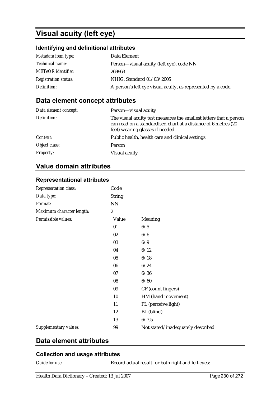# **Visual acuity (left eye)**

#### **Identifying and definitional attributes**

| Metadata item type:         | Data Element                                                 |
|-----------------------------|--------------------------------------------------------------|
| <i>Technical name:</i>      | Person—visual acuity (left eye), code NN                     |
| <b>METeOR</b> identifier:   | 269963                                                       |
| <b>Registration status:</b> | NHIG, Standard 01/03/2005                                    |
| Definition:                 | A person's left eye visual acuity, as represented by a code. |

## **Data element concept attributes**

| Data element concept: | Person-visual acuity                                                                                                                                                     |
|-----------------------|--------------------------------------------------------------------------------------------------------------------------------------------------------------------------|
| Definition:           | The visual acuity test measures the smallest letters that a person<br>can read on a standardised chart at a distance of 6 metres (20<br>feet) wearing glasses if needed. |
| Context:              | Public health, health care and clinical settings.                                                                                                                        |
| Object class:         | Person                                                                                                                                                                   |
| <b>Property:</b>      | Visual acuity                                                                                                                                                            |

# **Value domain attributes**

#### **Representational attributes**

| Representation class:        | Code             |                                   |
|------------------------------|------------------|-----------------------------------|
| Data type:                   | <b>String</b>    |                                   |
| Format:                      | <b>NN</b>        |                                   |
| Maximum character length:    | $\boldsymbol{2}$ |                                   |
| Permissible values:          | Value            | Meaning                           |
|                              | 01               | 6/5                               |
|                              | 02               | 6/6                               |
|                              | 03               | 6/9                               |
|                              | 04               | 6/12                              |
|                              | 05               | 6/18                              |
|                              | 06               | 6/24                              |
|                              | 07               | 6/36                              |
|                              | 08               | 6/60                              |
|                              | 09               | CF (count fingers)                |
|                              | 10               | HM (hand movement)                |
|                              | 11               | PL (perceive light)               |
|                              | 12               | BL (blind)                        |
|                              | 13               | 6/7.5                             |
| <b>Supplementary values:</b> | 99               | Not stated/inadequately described |

## **Data element attributes**

#### **Collection and usage attributes**

*Guide for use:* Record actual result for both right and left eyes: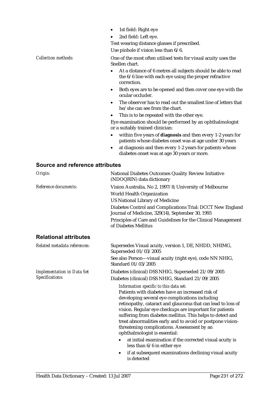- 1st field: Right eye
- 2nd field: Left eye.

Test wearing distance glasses if prescribed.

Use pinhole if vision less than 6/6.

*Collection methods:* One of the most often utilised tests for visual acuity uses the Snellen chart.

- At a distance of 6 metres all subjects should be able to read the 6/6 line with each eye using the proper refractive correction.
- Both eyes are to be opened and then cover one eye with the ocular occluder.
- The observer has to read out the smallest line of letters that he/she can see from the chart.
- This is to be repeated with the other eye.

Eye examination should be performed by an ophthalmologist or a suitably trained clinician:

- within five years of **diagnosis** and then every 1-2 years for patients whose diabetes onset was at age under 30 years
- at diagnosis and then every 1-2 years for patients whose diabetes onset was at age 30 years or more.

#### **Source and reference attributes**

| Origin:                           | National Diabetes Outcomes Quality Review Initiative<br>(NDOQRIN) data dictionary                                                                                                                                                                                                                                                                                                                                                                                                                                                                           |
|-----------------------------------|-------------------------------------------------------------------------------------------------------------------------------------------------------------------------------------------------------------------------------------------------------------------------------------------------------------------------------------------------------------------------------------------------------------------------------------------------------------------------------------------------------------------------------------------------------------|
| Reference documents:              | Vision Australia, No 2, 1997/8; University of Melbourne<br><b>World Health Organization</b><br><b>US National Library of Medicine</b><br>Diabetes Control and Complications Trial: DCCT New England<br>Journal of Medicine, 329(14), September 30, 1993<br>Principles of Care and Guidelines for the Clinical Management<br>of Diabetes Mellitus                                                                                                                                                                                                            |
| <b>Relational attributes</b>      |                                                                                                                                                                                                                                                                                                                                                                                                                                                                                                                                                             |
| Related metadata references:      | Supersedes Visual acuity, version 1, DE, NHDD, NHIMG,<br>Superseded 01/03/2005                                                                                                                                                                                                                                                                                                                                                                                                                                                                              |
|                                   | See also Person-visual acuity (right eye), code NN NHIG,<br>Standard 01/03/2005                                                                                                                                                                                                                                                                                                                                                                                                                                                                             |
| <b>Implementation in Data Set</b> | Diabetes (clinical) DSS NHIG, Superseded 21/09/2005                                                                                                                                                                                                                                                                                                                                                                                                                                                                                                         |
| Specifications:                   | Diabetes (clinical) DSS NHIG, Standard 21/09/2005                                                                                                                                                                                                                                                                                                                                                                                                                                                                                                           |
|                                   | Information specific to this data set:<br>Patients with diabetes have an increased risk of<br>developing several eye complications including<br>retinopathy, cataract and glaucoma that can lead to loss of<br>vision. Regular eye checkups are important for patients<br>suffering from diabetes mellitus. This helps to detect and<br>treat abnormalities early and to avoid or postpone vision-<br>threatening complications. Assessment by an<br>ophthalmologist is essential:<br>at initial examination if the corrected visual acuity is<br>$\bullet$ |
|                                   | less than 6/6 in either eye                                                                                                                                                                                                                                                                                                                                                                                                                                                                                                                                 |
|                                   | if at subsequent examinations declining visual acuity<br>$\bullet$                                                                                                                                                                                                                                                                                                                                                                                                                                                                                          |

is detected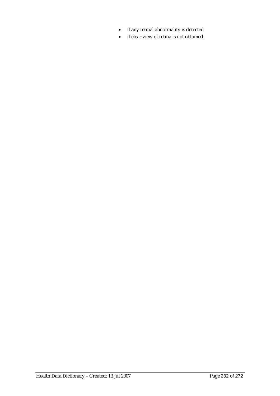- if any retinal abnormality is detected
- if clear view of retina is not obtained.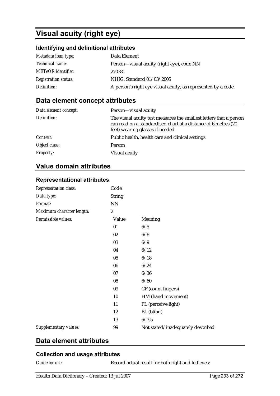# **Visual acuity (right eye)**

#### **Identifying and definitional attributes**

| Metadata item type:         | Data Element                                                  |
|-----------------------------|---------------------------------------------------------------|
| Technical name:             | Person—visual acuity (right eye), code NN                     |
| <b>METeOR</b> identifier:   | 270381                                                        |
| <b>Registration status:</b> | NHIG, Standard 01/03/2005                                     |
| Definition:                 | A person's right eye visual acuity, as represented by a code. |

## **Data element concept attributes**

| Data element concept: | Person-visual acuity                                                                                                                                                     |
|-----------------------|--------------------------------------------------------------------------------------------------------------------------------------------------------------------------|
| Definition:           | The visual acuity test measures the smallest letters that a person<br>can read on a standardised chart at a distance of 6 metres (20<br>feet) wearing glasses if needed. |
| Context:              | Public health, health care and clinical settings.                                                                                                                        |
| Object class:         | Person                                                                                                                                                                   |
| <b>Property:</b>      | Visual acuity                                                                                                                                                            |

# **Value domain attributes**

#### **Representational attributes**

| <b>Representation class:</b> | Code             |                                   |
|------------------------------|------------------|-----------------------------------|
| Data type:                   | <b>String</b>    |                                   |
| Format:                      | NN               |                                   |
| Maximum character length:    | $\boldsymbol{2}$ |                                   |
| Permissible values:          | Value            | <b>Meaning</b>                    |
|                              | 01               | 6/5                               |
|                              | 02               | 6/6                               |
|                              | 03               | 6/9                               |
|                              | 04               | 6/12                              |
|                              | 05               | 6/18                              |
|                              | 06               | 6/24                              |
|                              | 07               | 6/36                              |
|                              | 08               | 6/60                              |
|                              | 09               | CF (count fingers)                |
|                              | 10               | HM (hand movement)                |
|                              | 11               | PL (perceive light)               |
|                              | 12               | BL (blind)                        |
|                              | 13               | 6/7.5                             |
| Supplementary values:        | 99               | Not stated/inadequately described |

## **Data element attributes**

#### **Collection and usage attributes**

*Guide for use:* Record actual result for both right and left eyes: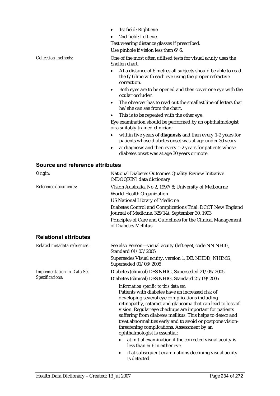- 1st field: Right eye
- 2nd field: Left eye.

Test wearing distance glasses if prescribed.

Use pinhole if vision less than 6/6.

*Collection methods:* One of the most often utilised tests for visual acuity uses the Snellen chart.

- At a distance of 6 metres all subjects should be able to read the 6/6 line with each eye using the proper refractive correction.
- Both eyes are to be opened and then cover one eye with the ocular occluder.
- The observer has to read out the smallest line of letters that he/she can see from the chart.
- This is to be repeated with the other eye.

Eye examination should be performed by an ophthalmologist or a suitably trained clinician:

- within five years of **diagnosis** and then every 1-2 years for patients whose diabetes onset was at age under 30 years
- at diagnosis and then every 1-2 years for patients whose diabetes onset was at age 30 years or more.

| Origin:                           | National Diabetes Outcomes Quality Review Initiative<br>(NDOQRIN) data dictionary                                                                                                                                                                                                                                                                                                                                                                                                                                                                                                                                                           |  |  |
|-----------------------------------|---------------------------------------------------------------------------------------------------------------------------------------------------------------------------------------------------------------------------------------------------------------------------------------------------------------------------------------------------------------------------------------------------------------------------------------------------------------------------------------------------------------------------------------------------------------------------------------------------------------------------------------------|--|--|
| Reference documents:              | Vision Australia, No 2, 1997/8; University of Melbourne<br><b>World Health Organization</b><br><b>US National Library of Medicine</b><br>Diabetes Control and Complications Trial: DCCT New England<br>Journal of Medicine, 329(14), September 30, 1993<br>Principles of Care and Guidelines for the Clinical Management<br>of Diabetes Mellitus                                                                                                                                                                                                                                                                                            |  |  |
| <b>Relational attributes</b>      |                                                                                                                                                                                                                                                                                                                                                                                                                                                                                                                                                                                                                                             |  |  |
| Related metadata references:      | See also Person-visual acuity (left eye), code NN NHIG,<br>Standard 01/03/2005                                                                                                                                                                                                                                                                                                                                                                                                                                                                                                                                                              |  |  |
|                                   | Supersedes Visual acuity, version 1, DE, NHDD, NHIMG,<br>Superseded 01/03/2005                                                                                                                                                                                                                                                                                                                                                                                                                                                                                                                                                              |  |  |
| <b>Implementation in Data Set</b> | Diabetes (clinical) DSS NHIG, Superseded 21/09/2005                                                                                                                                                                                                                                                                                                                                                                                                                                                                                                                                                                                         |  |  |
| Specifications:                   | Diabetes (clinical) DSS NHIG, Standard 21/09/2005                                                                                                                                                                                                                                                                                                                                                                                                                                                                                                                                                                                           |  |  |
|                                   | Information specific to this data set:<br>Patients with diabetes have an increased risk of<br>developing several eye complications including<br>retinopathy, cataract and glaucoma that can lead to loss of<br>vision. Regular eye checkups are important for patients<br>suffering from diabetes mellitus. This helps to detect and<br>treat abnormalities early and to avoid or postpone vision-<br>threatening complications. Assessment by an<br>ophthalmologist is essential:<br>at initial examination if the corrected visual acuity is<br>less than 6/6 in either eye<br>if at subsequent examinations declining visual acuity<br>٠ |  |  |
|                                   | is detected                                                                                                                                                                                                                                                                                                                                                                                                                                                                                                                                                                                                                                 |  |  |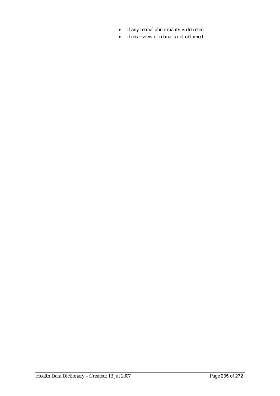- if any retinal abnormality is detected
- if clear view of retina is not obtained.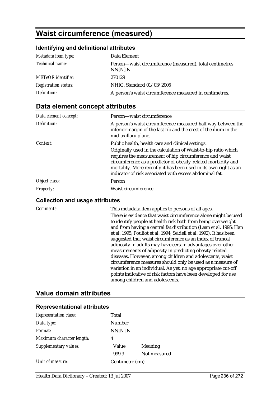# **Waist circumference (measured)**

# **Identifying and definitional attributes**

| Metadata item type:         | Data Element                                                        |
|-----------------------------|---------------------------------------------------------------------|
| <i>Technical name:</i>      | Person—waist circumference (measured), total centimetres<br>NN[N].N |
| <b>METeOR</b> identifier:   | 270129                                                              |
| <b>Registration status:</b> | NHIG, Standard 01/03/2005                                           |
| Definition:                 | A person's waist circumference measured in centimetres.             |

# **Data element concept attributes**

| Person—waist circumference                                                                                                                                                                                                                                                                                                |
|---------------------------------------------------------------------------------------------------------------------------------------------------------------------------------------------------------------------------------------------------------------------------------------------------------------------------|
| A person's waist circumference measured half way between the<br>inferior margin of the last rib and the crest of the ilium in the<br>mid-axillary plane.                                                                                                                                                                  |
| Public health, health care and clinical settings:                                                                                                                                                                                                                                                                         |
| Originally used in the calculation of Waist-to-hip ratio which<br>requires the measurement of hip circumference and waist<br>circumference as a predictor of obesity-related morbidity and<br>mortality. More recently it has been used in its own right as an<br>indicator of risk associated with excess abdominal fat. |
| Person                                                                                                                                                                                                                                                                                                                    |
| Waist circumference                                                                                                                                                                                                                                                                                                       |
|                                                                                                                                                                                                                                                                                                                           |

#### **Collection and usage attributes**

| Comments: | This metadata item applies to persons of all ages.                  |
|-----------|---------------------------------------------------------------------|
|           | There is evidence that waist circumference alone might be used      |
|           | to identify people at health risk both from being overweight        |
|           | and from having a central fat distribution (Lean et al. 1995; Han   |
|           | et al. 1995; Pouliot et al. 1994; Seidell et al. 1992). It has been |
|           | suggested that waist circumference as an index of truncal           |
|           | adiposity in adults may have certain advantages over other          |
|           | measurements of adiposity in predicting obesity related             |
|           | diseases. However, among children and adolescents, waist            |
|           | circumference measures should only be used as a measure of          |
|           | variation in an individual. As yet, no age appropriate cut-off      |
|           | points indicative of risk factors have been developed for use       |
|           | among children and adolescents.                                     |

#### **Value domain attributes**

#### **Representational attributes**

| <b>Representation class:</b> | Total           |              |
|------------------------------|-----------------|--------------|
| Data type:                   | Number          |              |
| Format:                      | NN[N].N         |              |
| Maximum character length:    | 4               |              |
| Supplementary values:        | Value           | Meaning      |
|                              | 999.9           | Not measured |
| Unit of measure:             | Centimetre (cm) |              |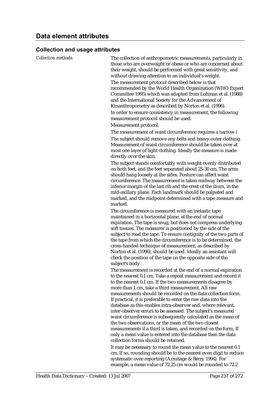#### **Collection and usage attributes**

*Collection methods:* The collection of anthropometric measurements, particularly in those who are overweight or obese or who are concerned about their weight, should be performed with great sensitivity, and without drawing attention to an individual's weight. The measurement protocol described below is that recommended by the World Health Organization (WHO Expert Committee 1995) which was adapted from Lohman et al. (1988) and the International Society for the Advancement of Kinanthropometry as described by Norton et al. (1996). In order to ensure consistency in measurement, the following measurement protocol should be used.

Measurement protocol:

The measurement of waist circumference requires a narrow ( The subject should remove any belts and heavy outer clothing. Measurement of waist circumference should be taken over at most one layer of light clothing. Ideally the measure is made directly over the skin.

The subject stands comfortably with weight evenly distributed on both feet, and the feet separated about 25-30 cm. The arms should hang loosely at the sides. Posture can affect waist circumference. The measurement is taken midway between the inferior margin of the last rib and the crest of the ilium, in the mid-axillary plane. Each landmark should be palpated and marked, and the midpoint determined with a tape measure and marked.

The circumference is measured with an inelastic tape maintained in a horizontal plane, at the end of normal expiration. The tape is snug, but does not compress underlying soft tissues. The measurer is positioned by the side of the subject to read the tape. To ensure contiguity of the two parts of the tape from which the circumference is to be determined, the cross-handed technique of measurement, as described by Norton et al. (1996), should be used. Ideally an assistant will check the position of the tape on the opposite side of the subject's body.

The measurement is recorded at the end of a normal expiration to the nearest 0.1 cm. Take a repeat measurement and record it to the nearest 0.1 cm. If the two measurements disagree by more than 1 cm, take a third measurement. All raw measurements should be recorded on the data collection form. If practical, it is preferable to enter the raw data into the database as this enables intra-observer and, where relevant, inter-observer errors to be assessed. The subject's measured waist circumference is subsequently calculated as the mean of the two observations, or the mean of the two closest measurements if a third is taken, and recorded on the form. If only a mean value is entered into the database then the data collection forms should be retained.

It may be necessary to round the mean value to the nearest 0.1 cm. If so, rounding should be to the nearest even digit to reduce systematic over-reporting (Armitage & Berry 1994). For example, a mean value of 72.25 cm would be rounded to 72.2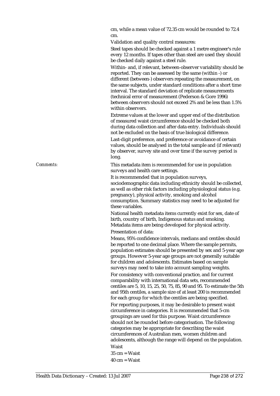cm, while a mean value of 72.35 cm would be rounded to 72.4 cm.

Validation and quality control measures:

Steel tapes should be checked against a 1 metre engineer's rule every 12 months. If tapes other than steel are used they should be checked daily against a steel rule.

Within- and, if relevant, between-observer variability should be reported. They can be assessed by the same (within -) or different (between-) observers repeating the measurement, on the same subjects, under standard conditions after a short time interval. The standard deviation of replicate measurements (technical error of measurement (Pederson & Gore 1996) between observers should not exceed 2% and be less than 1.5% within observers.

Extreme values at the lower and upper end of the distribution of measured waist circumference should be checked both during data collection and after data entry. Individuals should not be excluded on the basis of true biological difference.

Last-digit preference, and preference or avoidance of certain values, should be analysed in the total sample and (if relevant) by observer, survey site and over time if the survey period is long.

*Comments:* This metadata item is recommended for use in population surveys and health care settings.

> It is recommended that in population surveys, sociodemographic data including ethnicity should be collected, as well as other risk factors including physiological status (e.g. pregnancy), physical activity, smoking and alcohol consumption. Summary statistics may need to be adjusted for these variables.

National health metadata items currently exist for sex, date of birth, country of birth, Indigenous status and smoking. Metadata items are being developed for physical activity. Presentation of data:

Means, 95% confidence intervals, medians and centiles should be reported to one decimal place. Where the sample permits, population estimates should be presented by sex and 5-year age groups. However 5-year age groups are not generally suitable for children and adolescents. Estimates based on sample surveys may need to take into account sampling weights. For consistency with conventional practice, and for current comparability with international data sets, recommended centiles are 5, 10, 15, 25, 50, 75, 85, 90 and 95. To estimate the 5th and 95th centiles, a sample size of at least 200 is recommended for each group for which the centiles are being specified. For reporting purposes, it may be desirable to present waist circumference in categories. It is recommended that 5-cm groupings are used for this purpose. Waist circumference should not be rounded before categorisation. The following categories may be appropriate for describing the waist circumferences of Australian men, women children and adolescents, although the range will depend on the population. Waist

- $35 \text{ cm} = \text{W}$ aist
- $40 \text{ cm} = \text{Waist}$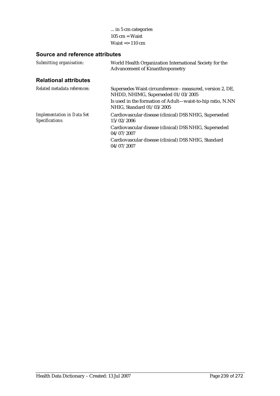... in 5 cm categories 105 cm = Waist Waist => 110 cm

| World Health Organization International Society for the<br><b>Advancement of Kinanthropometry</b> |
|---------------------------------------------------------------------------------------------------|
|                                                                                                   |
| Supersedes Waist circumference - measured, version 2, DE,<br>NHDD, NHIMG, Superseded 01/03/2005   |
| Is used in the formation of Adult—waist-to-hip ratio, N.NN<br>NHIG, Standard 01/03/2005           |
| Cardiovascular disease (clinical) DSS NHIG, Superseded<br>15/02/2006                              |
| Cardiovascular disease (clinical) DSS NHIG, Superseded<br>04/07/2007                              |
| Cardiovascular disease (clinical) DSS NHIG, Standard<br>04/07/2007                                |
|                                                                                                   |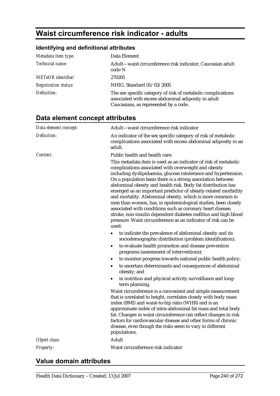# **Waist circumference risk indicator - adults**

# **Identifying and definitional attributes**

| Metadata item type:         | Data Element                                                                                                                                                 |
|-----------------------------|--------------------------------------------------------------------------------------------------------------------------------------------------------------|
| Technical name:             | Adult-waist circumference risk indicator, Caucasian adult<br>code N                                                                                          |
| <b>METeOR</b> identifier:   | 270205                                                                                                                                                       |
| <b>Registration status:</b> | NHIG, Standard 01/03/2005                                                                                                                                    |
| Definition:                 | The sex specific category of risk of metabolic complications<br>associated with excess abdominal adiposity in adult<br>Caucasians, as represented by a code. |

# **Data element concept attributes**

| Adult-waist circumference risk indicator                                                                                                                                                                                                                                                                                                                                                                                                                                                                                                                                                                                                                                                                                          |
|-----------------------------------------------------------------------------------------------------------------------------------------------------------------------------------------------------------------------------------------------------------------------------------------------------------------------------------------------------------------------------------------------------------------------------------------------------------------------------------------------------------------------------------------------------------------------------------------------------------------------------------------------------------------------------------------------------------------------------------|
| An indicator of the sex specific category of risk of metabolic<br>complications associated with excess abdominal adiposity in an<br>adult.                                                                                                                                                                                                                                                                                                                                                                                                                                                                                                                                                                                        |
| Public health and health care:                                                                                                                                                                                                                                                                                                                                                                                                                                                                                                                                                                                                                                                                                                    |
| This metadata item is used as an indicator of risk of metabolic<br>complications associated with overweight and obesity<br>including dyslipidaemia, glucose intolerance and hypertension.<br>On a population basis there is a strong association between<br>abdominal obesity and health risk. Body fat distribution has<br>emerged as an important predictor of obesity-related morbidity<br>and mortality. Abdominal obesity, which is more common in<br>men than women, has, in epidemiological studies, been closely<br>associated with conditions such as coronary heart disease,<br>stroke, non-insulin dependent diabetes mellitus and high blood<br>pressure. Waist circumference as an indicator of risk can be<br>used: |
| to indicate the prevalence of abdominal obesity and its<br>$\bullet$<br>sociodemographic distribution (problem identification);                                                                                                                                                                                                                                                                                                                                                                                                                                                                                                                                                                                                   |
| to evaluate health promotion and disease prevention<br>$\bullet$<br>programs (assessment of interventions);                                                                                                                                                                                                                                                                                                                                                                                                                                                                                                                                                                                                                       |
| to monitor progress towards national public health policy;<br>$\bullet$                                                                                                                                                                                                                                                                                                                                                                                                                                                                                                                                                                                                                                                           |
| to ascertain determinants and consequences of abdominal<br>$\bullet$<br>obesity; and                                                                                                                                                                                                                                                                                                                                                                                                                                                                                                                                                                                                                                              |
| in nutrition and physical activity surveillance and long-<br>$\bullet$<br>term planning.                                                                                                                                                                                                                                                                                                                                                                                                                                                                                                                                                                                                                                          |
| Waist circumference is a convenient and simple measurement<br>that is unrelated to height, correlates closely with body mass<br>index (BMI) and waist-to-hip ratio (WHR) and is an<br>approximate index of intra-abdominal fat mass and total body<br>fat. Changes in waist circumference can reflect changes in risk<br>factors for cardiovascular disease and other forms of chronic<br>disease, even though the risks seem to vary in different<br>populations.                                                                                                                                                                                                                                                                |
| Adult                                                                                                                                                                                                                                                                                                                                                                                                                                                                                                                                                                                                                                                                                                                             |
| Waist circumference risk indicator                                                                                                                                                                                                                                                                                                                                                                                                                                                                                                                                                                                                                                                                                                |
|                                                                                                                                                                                                                                                                                                                                                                                                                                                                                                                                                                                                                                                                                                                                   |

# **Value domain attributes**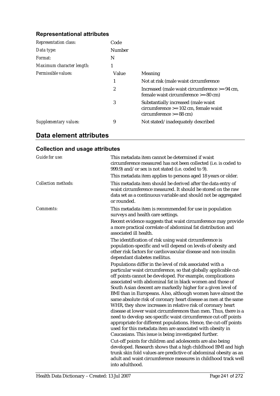#### **Representational attributes**

| <b>Representation class:</b> | Code   |                                                                                                             |
|------------------------------|--------|-------------------------------------------------------------------------------------------------------------|
| Data type:                   | Number |                                                                                                             |
| Format:                      | N      |                                                                                                             |
| Maximum character length:    |        |                                                                                                             |
| Permissible values:          | Value  | Meaning                                                                                                     |
|                              | 1      | Not at risk (male waist circumference                                                                       |
|                              | 2      | Increased (male waist circumference $> = 94$ cm,<br>female waist circumference $>= 80$ cm)                  |
|                              | 3      | Substantially increased (male waist<br>$circumference$ >= 102 cm, female waist<br>$circumference \ge 88 cm$ |
| Supplementary values:        | 9      | Not stated/inadequately described                                                                           |

# **Data element attributes**

# **Collection and usage attributes**

| <b>Guide for use:</b>      | This metadata item cannot be determined if waist<br>circumference measured has not been collected (i.e. is coded to<br>999.9) and/or sex is not stated (i.e. coded to 9).                                                                                                                                                                                                                                                                                                                                                                                                                                                                                                                                                                                                                                                                                   |
|----------------------------|-------------------------------------------------------------------------------------------------------------------------------------------------------------------------------------------------------------------------------------------------------------------------------------------------------------------------------------------------------------------------------------------------------------------------------------------------------------------------------------------------------------------------------------------------------------------------------------------------------------------------------------------------------------------------------------------------------------------------------------------------------------------------------------------------------------------------------------------------------------|
| <b>Collection methods:</b> | This metadata item applies to persons aged 18 years or older.<br>This metadata item should be derived after the data entry of<br>waist circumference measured. It should be stored on the raw<br>data set as a continuous variable and should not be aggregated<br>or rounded.                                                                                                                                                                                                                                                                                                                                                                                                                                                                                                                                                                              |
| Comments:                  | This metadata item is recommended for use in population<br>surveys and health care settings.                                                                                                                                                                                                                                                                                                                                                                                                                                                                                                                                                                                                                                                                                                                                                                |
|                            | Recent evidence suggests that waist circumference may provide<br>a more practical correlate of abdominal fat distribution and<br>associated ill health.                                                                                                                                                                                                                                                                                                                                                                                                                                                                                                                                                                                                                                                                                                     |
|                            | The identification of risk using waist circumference is<br>population-specific and will depend on levels of obesity and<br>other risk factors for cardiovascular disease and non-insulin<br>dependant diabetes mellitus.                                                                                                                                                                                                                                                                                                                                                                                                                                                                                                                                                                                                                                    |
|                            | Populations differ in the level of risk associated with a<br>particular waist circumference, so that globally applicable cut-<br>off points cannot be developed. For example, complications<br>associated with abdominal fat in black women and those of<br>South Asian descent are markedly higher for a given level of<br>BMI than in Europeans. Also, although women have almost the<br>same absolute risk of coronary heart disease as men at the same<br>WHR, they show increases in relative risk of coronary heart<br>disease at lower waist circumferences than men. Thus, there is a<br>need to develop sex-specific waist circumference cut-off points<br>appropriate for different populations. Hence, the cut-off points<br>used for this metadata item are associated with obesity in<br>Caucasians. This issue is being investigated further. |
|                            | Cut-off points for children and adolescents are also being<br>developed. Research shows that a high childhood BMI and high<br>trunk skin fold values are predictive of abdominal obesity as an<br>adult and waist circumference measures in childhood track well<br>into adulthood.                                                                                                                                                                                                                                                                                                                                                                                                                                                                                                                                                                         |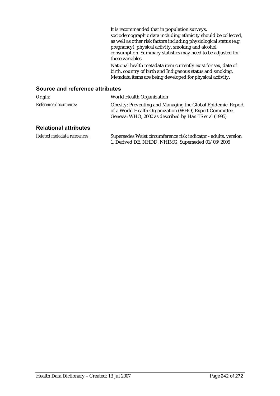| It is recommended that in population surveys,<br>sociodemographic data including ethnicity should be collected,<br>as well as other risk factors including physiological status (e.g.<br>pregnancy), physical activity, smoking and alcohol<br>consumption. Summary statistics may need to be adjusted for |
|------------------------------------------------------------------------------------------------------------------------------------------------------------------------------------------------------------------------------------------------------------------------------------------------------------|
| these variables.                                                                                                                                                                                                                                                                                           |
| National health metadata item currently exist for sex, date of<br>birth, country of birth and Indigenous status and smoking.<br>Metadata items are being developed for physical activity.                                                                                                                  |

| Origin:                      | World Health Organization                                                                                                                                                       |
|------------------------------|---------------------------------------------------------------------------------------------------------------------------------------------------------------------------------|
| <i>Reference documents:</i>  | Obesity: Preventing and Managing the Global Epidemic: Report<br>of a World Health Organization (WHO) Expert Committee.<br>Geneva: WHO, 2000 as described by Han TS et al (1995) |
| <b>Relational attributes</b> |                                                                                                                                                                                 |

| Related metadata references: | Supersedes Waist circumference risk indicator - adults, version |
|------------------------------|-----------------------------------------------------------------|
|                              | 1, Derived DE, NHDD, NHIMG, Superseded 01/03/2005               |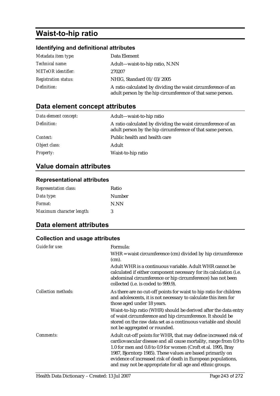# **Waist-to-hip ratio**

# **Identifying and definitional attributes**

| Metadata item type:         | Data Element                                                                                                               |
|-----------------------------|----------------------------------------------------------------------------------------------------------------------------|
| <i>Technical name:</i>      | Adult—waist-to-hip ratio, N.NN                                                                                             |
| <b>METeOR</b> identifier:   | 270207                                                                                                                     |
| <b>Registration status:</b> | NHIG, Standard 01/03/2005                                                                                                  |
| Definition:                 | A ratio calculated by dividing the waist circumference of an<br>adult person by the hip circumference of that same person. |

# **Data element concept attributes**

| Data element concept: | Adult-waist-to-hip ratio                                                                                                   |
|-----------------------|----------------------------------------------------------------------------------------------------------------------------|
| Definition:           | A ratio calculated by dividing the waist circumference of an<br>adult person by the hip circumference of that same person. |
| Context:              | Public health and health care                                                                                              |
| Object class:         | Adult                                                                                                                      |
| <b>Property:</b>      | Waist-to-hip ratio                                                                                                         |

## **Value domain attributes**

#### **Representational attributes**

| <b>Representation class:</b> | Ratio  |
|------------------------------|--------|
| Data type:                   | Number |
| <i>Format:</i>               | N.NN   |
| Maximum character length:    | 3      |

# **Data element attributes**

#### **Collection and usage attributes**

| <b>Guide for use:</b>      | Formula:                                                                                                                                                                                                                                                                                                                                                                                         |
|----------------------------|--------------------------------------------------------------------------------------------------------------------------------------------------------------------------------------------------------------------------------------------------------------------------------------------------------------------------------------------------------------------------------------------------|
|                            | $WHR = \text{waist circumference (cm) divided by hip circumference}$<br>(cm).                                                                                                                                                                                                                                                                                                                    |
|                            | Adult WHR is a continuous variable. Adult WHR cannot be<br>calculated if either component necessary for its calculation (i.e.<br>abdominal circumference or hip circumference) has not been<br>collected (i.e. is coded to 999.9).                                                                                                                                                               |
| <b>Collection methods:</b> | As there are no cut-off points for waist to hip ratio for children<br>and adolescents, it is not necessary to calculate this item for<br>those aged under 18 years.                                                                                                                                                                                                                              |
|                            | Waist-to-hip ratio (WHR) should be derived after the data entry<br>of waist circumference and hip circumference. It should be<br>stored on the raw data set as a continuous variable and should<br>not be aggregated or rounded.                                                                                                                                                                 |
| Comments:                  | Adult cut-off points for WHR, that may define increased risk of<br>cardiovascular disease and all cause mortality, range from 0.9 to<br>1.0 for men and 0.8 to 0.9 for women (Croft et al. 1995, Bray<br>1987, Bjorntorp 1985). These values are based primarily on<br>evidence of increased risk of death in European populations,<br>and may not be appropriate for all age and ethnic groups. |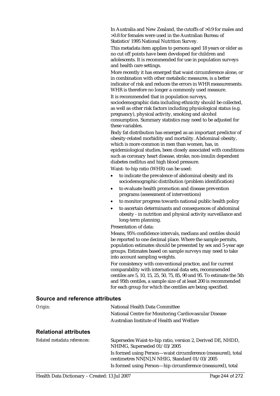In Australia and New Zealand, the cutoffs of >0.9 for males and >0.8 for females were used in the Australian Bureau of Statistics' 1995 National Nutrition Survey.

This metadata item applies to persons aged 18 years or older as no cut off points have been developed for children and adolescents. It is recommended for use in population surveys and health care settings.

More recently it has emerged that waist circumference alone, or in combination with other metabolic measures, is a better indicator of risk and reduces the errors in WHR measurements. WHR is therefore no longer a commonly used measure.

It is recommended that in population surveys, sociodemographic data including ethnicity should be collected, as well as other risk factors including physiological status (e.g. pregnancy), physical activity, smoking and alcohol consumption. Summary statistics may need to be adjusted for these variables.

Body fat distribution has emerged as an important predictor of obesity-related morbidity and mortality. Abdominal obesity, which is more common in men than women, has, in epidemiological studies, been closely associated with conditions such as coronary heart disease, stroke, non-insulin dependent diabetes mellitus and high blood pressure.

Waist- to-hip ratio (WHR) can be used:

- to indicate the prevalence of abdominal obesity and its sociodemographic distribution (problem identification)
- to evaluate health promotion and disease prevention programs (assessment of interventions)
- to monitor progress towards national public health policy
- to ascertain determinants and consequences of abdominal obesity - in nutrition and physical activity surveillance and long-term planning.

Presentation of data:

Means, 95% confidence intervals, medians and centiles should be reported to one decimal place. Where the sample permits, population estimates should be presented by sex and 5-year age groups. Estimates based on sample surveys may need to take into account sampling weights.

For consistency with conventional practice, and for current comparability with international data sets, recommended centiles are 5, 10, 15, 25, 50, 75, 85, 90 and 95. To estimate the 5th and 95th centiles, a sample size of at least 200 is recommended for each group for which the centiles are being specified.

| Origin:                      | National Health Data Committee                        |  |
|------------------------------|-------------------------------------------------------|--|
|                              | National Centre for Monitoring Cardiovascular Disease |  |
|                              | Australian Institute of Health and Welfare            |  |
| <b>Relational attributes</b> |                                                       |  |

| Related metadata references: | Supersedes Waist-to-hip ratio, version 2, Derived DE, NHDD,<br>NHIMG, Superseded 01/03/2005                                                                                 |
|------------------------------|-----------------------------------------------------------------------------------------------------------------------------------------------------------------------------|
|                              | Is formed using Person—waist circumference (measured), total<br>centimetres NN[N].N NHIG, Standard 01/03/2005<br>Is formed using Person-hip circumference (measured), total |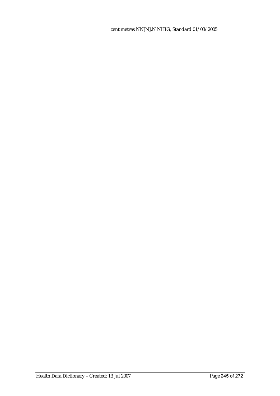centimetres NN[N].N NHIG, Standard 01/03/2005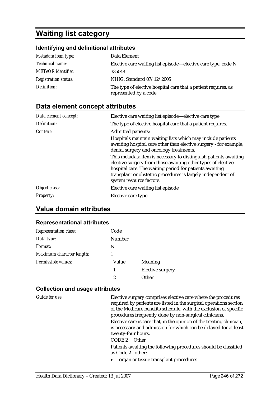# **Waiting list category**

#### **Identifying and definitional attributes**

| Metadata item type:         | Data Element                                                                             |
|-----------------------------|------------------------------------------------------------------------------------------|
| <i>Technical name:</i>      | Elective care waiting list episode-elective care type, code N                            |
| <b>METeOR</b> identifier:   | 335048                                                                                   |
| <b>Registration status:</b> | NHIG, Standard 07/12/2005                                                                |
| Definition:                 | The type of elective hospital care that a patient requires, as<br>represented by a code. |

## **Data element concept attributes**

| Data element concept: | Elective care waiting list episode—elective care type                                                                                                                                                                                                                                   |
|-----------------------|-----------------------------------------------------------------------------------------------------------------------------------------------------------------------------------------------------------------------------------------------------------------------------------------|
| Definition:           | The type of elective hospital care that a patient requires.                                                                                                                                                                                                                             |
| Context:              | <b>Admitted patients:</b>                                                                                                                                                                                                                                                               |
|                       | Hospitals maintain waiting lists which may include patients<br>awaiting hospital care other than elective surgery - for example,<br>dental surgery and oncology treatments.                                                                                                             |
|                       | This metadata item is necessary to distinguish patients awaiting<br>elective surgery from those awaiting other types of elective<br>hospital care. The waiting period for patients awaiting<br>transplant or obstetric procedures is largely independent of<br>system resource factors. |
| Object class:         | Elective care waiting list episode                                                                                                                                                                                                                                                      |
| <i>Property:</i>      | Elective care type                                                                                                                                                                                                                                                                      |

# **Value domain attributes**

#### **Representational attributes**

| <b>Representation class:</b> | Code          |                  |
|------------------------------|---------------|------------------|
| Data type:                   | <b>Number</b> |                  |
| Format:                      | N             |                  |
| Maximum character length:    |               |                  |
| Permissible values:          | Value         | <b>Meaning</b>   |
|                              | 1             | Elective surgery |
|                              | 2             | ∩ther            |

#### **Collection and usage attributes**

*Guide for use:* Elective surgery comprises elective care where the procedures required by patients are listed in the surgical operations section of the Medicare benefits schedule, with the exclusion of specific procedures frequently done by non-surgical clinicians.

> Elective care is care that, in the opinion of the treating clinician, is necessary and admission for which can be delayed for at least twenty-four hours.

CODE 2 Other

Patients awaiting the following procedures should be classified as Code 2 - other:

• organ or tissue transplant procedures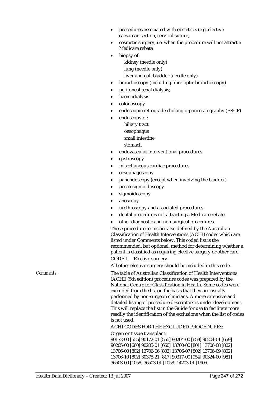- procedures associated with obstetrics (e.g. elective caesarean section, cervical suture)
- cosmetic surgery, i.e. when the procedure will not attract a Medicare rebate
	- biopsy of: kidney (needle only) lung (needle only)

liver and gall bladder (needle only)

- bronchoscopy (including fibre-optic bronchoscopy)
- peritoneal renal dialysis;
- haemodialysis
- colonoscopy
- endoscopic retrograde cholangio-pancreatography (ERCP)
- endoscopy of:
	- biliary tract oesophagus
	- small intestine
	- stomach
- endovascular interventional procedures
- gastroscopy
- miscellaneous cardiac procedures
- oesophagoscopy
- panendoscopy (except when involving the bladder)
- proctosigmoidoscopy
- sigmoidoscopy
- anoscopy
- urethroscopy and associated procedures
- dental procedures not attracting a Medicare rebate
- other diagnostic and non-surgical procedures.

These procedure terms are also defined by the Australian Classification of Health Interventions (ACHI) codes which are listed under Comments below. This coded list is the recommended, but optional, method for determining whether a patient is classified as requiring elective surgery or other care.

CODE 1 Elective surgery

All other elective surgery should be included in this code.

*Comments:* The table of Australian Classification of Health Interventions (ACHI) (5th edition) procedure codes was prepared by the National Centre for Classification in Health. Some codes were excluded from the list on the basis that they are usually performed by non-surgeon clinicians. A more extensive and detailed listing of procedure descriptors is under development. This will replace the list in the Guide for use to facilitate more readily the identification of the exclusions when the list of codes is not used.

ACHI CODES FOR THE EXCLUDED PROCEDURES:

Organ or tissue transplant: 90172-00 [555] 90172-01 [555] 90204-00 [659] 90204-01 [659] 90205-00 [660] 90205-01 [660] 13700-00 [801] 13706-08 [802] 13706-00 [802] 13706-06 [802] 13706-07 [802] 13706-09 [802] 13706-10 [802] 30375-21 [817] 90317-00 [954] 90324-00 [981] 36503-00 [1058] 36503-01 [1058] 14203-01 [1906]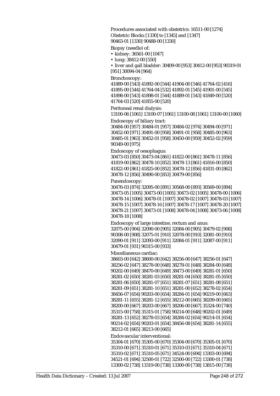Procedures associated with obstetrics: 16511-00 [1274] Obstetric Blocks [1330] to [1345] and [1347] 90463-01 [1330] 90488-00 [1330] Biopsy (needle) of: • kidney: 36561-00 [1047]

• lung: 38412-00 [550]

• liver and gall bladder: 30409-00 [953] 30412-00 [953] 90319-01 [951] 30094-04 [964]

Bronchoscopy:

41889-00 [543] 41892-00 [544] 41904-00 [546] 41764-02 [416] 41895-00 [544] 41764-04 [532] 41892-01 [545] 41901-00 [545] 41898-00 [543] 41898-01 [544] 41889-01 [543] 41849-00 [520] 41764-03 [520] 41855-00 [520]

Peritoneal renal dialysis:

13100-06 [1061] 13100-07 [1061] 13100-08 [1061] 13100-00 [1060]

Endoscopy of biliary tract: 30484-00 [957] 30484-01 [957] 30484-02 [974] 30494-00 [971] 30452-00 [971] 30491-00 [958] 30491-01 [958] 30485-00 [963] 30485-01 [963] 30452-01 [958] 30450-00 [959] 30452-02 [959] 90349-00 [975]

Endoscopy of oesophagus:

30473-03 [850] 30473-04 [861] 41822-00 [861] 30478-11 [856] 41819-00 [862] 30478-10 [852] 30478-13 [861] 41816-00 [850] 41822-00 [861] 41825-00 [852] 30478-12 [856] 41831-00 [862] 30478-12 [856] 30490-00 [853] 30479-00 [856]

Panendoscopy:

30476-03 [874] 32095-00 [891] 30568-00 [893] 30569-00 [894] 30473-05 [1005] 30473-00 [1005] 30473-02 [1005] 30478-00 [1006] 30478-14 [1006] 30478-01 [1007] 30478-02 [1007] 30478-03 [1007] 30478-15 [1007] 30478-16 [1007] 30478-17 [1007] 30478-20 [1007] 30478-21 [1007] 30473-01 [1008] 30478-04 [1008] 30473-06 [1008] 30478-18 [1008]

Endoscopy of large intestine, rectum and anus: 32075-00 [904] 32090-00 [905] 32084-00 [905] 30479-02 [908] 90308-00 [908] 32075-01 [910] 32078-00 [910] 32081-00 [910] 32090-01 [911] 32093-00 [911] 32084-01 [911] 32087-00 [911] 30479-01 [931] 90315-00 [933]

Miscellaneous cardiac:

38603-00 [642] 38600-00 [642] 38256-00 [647] 38256-01 [647] 38256-02 [647] 38278-00 [648] 38278-01 [648] 38284-00 [648] 90202-00 [649] 38470-00 [649] 38473-00 [649] 38281-01 [650] 38281-02 [650] 38281-03 [650] 38281-04 [650] 38281-05 [650] 38281-06 [650] 38281-07 [651] 38281-07 [651] 38281-08 [651] 38281-09 [651] 38281-10 [651] 38281-00 [652] 38278-02 [654] 38456-07 [654] 90203-00 [654] 38284-01 [654] 90219-00 [663] 38281-11 [655] 38281-12 [655] 38212-00 [665] 38209-00 [665] 38200-00 [667] 38203-00 [667] 38206-00 [667] 35324-00 [740] 35315-00 [758] 35315-01 [758] 90214-00 [648] 90202-01 [649] 38281-13 [652] 38278-03 [654] 38284-02 [654] 90214-01 [654] 90214-02 [654] 90203-01 [654] 38456-08 [654] 38281-14 [655] 38212-01 [665] 38213-00 [665] Endovascular interventional: 35304-01 [670] 35305-00 [670] 35304-00 [670] 35305-01 [670] 35310-00 [671] 35310-01 [671] 35310-03 [671] 35310-04 [671] 35310-02 [671] 35310-05 [671] 34524-00 [694] 13303-00 [694]

34521-01 [694] 32500-01 [722] 32500-00 [722] 13300-01 [738] 13300-02 [738] 13319-00 [738] 13300-00 [738] 13815-00 [738]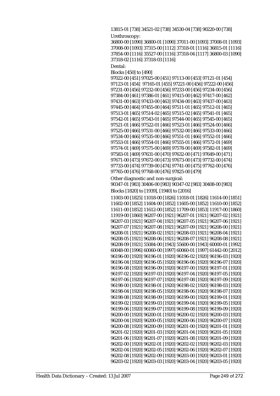```
13815-01 [738] 34521-02 [738] 34530-04 [738] 90220-00 [738] 
Urethroscopy: 
36800-00 [1090] 36800-01 [1090] 37011-00 [1093] 37008-01 [1093] 
37008-00 [1093] 37315-00 [1112] 37318-01 [1116] 36815-01 [1116] 
37854-00 [1116] 35527-00 [1116] 37318-04 [1117] 36800-03 [1090] 
37318-02 [1116] 37318-03 [1116] 
Dental: 
Blocks [450] to [490] 
97022-00 [451] 97025-00 [451] 97113-00 [453] 97121-01 [454] 
97123-01 [454] 97165-01 [455] 97221-00 [456] 97222-00 [456] 
97231-00 [456] 97232-00 [456] 97233-00 [456] 97234-00 [456] 
97384-00 [461] 97386-01 [461] 97415-00 [462] 97417-00 [462] 
97431-00 [463] 97433-00 [463] 97434-00 [463] 97437-00 [463] 
97445-00 [464] 97455-00 [464] 97511-01 [465] 97512-01 [465] 
97513-01 [465] 97514-02 [465] 97515-02 [465] 97541-01 [465] 
97542-01 [465] 97543-01 [465] 97544-00 [465] 97545-00 [465] 
97521-01 [466] 97522-01 [466] 97523-01 [466] 97524-00 [466] 
97525-00 [466] 97531-00 [466] 97532-00 [466] 97533-00 [466] 
97534-00 [466] 97535-00 [466] 97551-01 [466] 97552-01 [466] 
97553-01 [466] 97554-01 [466] 97555-01 [466] 97572-01 [469] 
97574-01 [469] 97575-00 [469] 97578-00 [469] 97582-01 [469] 
97583-01 [469] 97631-00 [470] 97632-00 [471] 97649-00 [471] 
97671-00 [473] 97672-00 [473] 97673-00 [473] 97732-00 [474] 
97733-00 [474] 97739-00 [474] 97741-00 [475] 97762-00 [476] 
97765-00 [476] 97768-00 [476] 97825-00 [479] 
Other diagnostic and non-surgical: 
90347-01 [983] 30406-00 [983] 90347-02 [983] 30408-00 [983] 
Blocks [1820] to [1939], [1940] to [2016] 
11003-00 [1825] 11018-00 [1826] 11018-01 [1826] 11614-00 [1851] 
11602-00 [1852] 11604-00 [1852] 11605-00 [1852] 11610-00 [1852] 
11611-00 [1852] 11612-00 [1852] 11709-00 [1853] 11917-00 [1860] 
11919-00 [1860] 96207-00 [1921] 96207-01 [1921] 96207-02 [1921] 
96207-03 [1921] 96207-04 [1921] 96207-05 [1921] 96207-06 [1921] 
96207-07 [1921] 96207-08 [1921] 96207-09 [1921] 96208-00 [1921] 
96208-01 [1921] 96208-02 [1921] 96208-03 [1921] 96208-04 [1921] 
96208-05 [1921] 96208-06 [1921] 96208-07 [1921] 96208-08 [1921] 
96208-09 [1921] 55084-00 [1943] 55600-00 [1943] 60000-01 [1992] 
60048-00 [1996] 60060-00 [1997] 60060-01 [1997] 61442-00 [2012] 
96196-00 [1920] 96196-01 [1920] 96196-02 [1920] 96196-03 [1920] 
96196-04 [1920] 96196-05 [1920] 96196-06 [1920] 96196-07 [1920] 
96196-08 [1920] 96196-09 [1920] 96197-00 [1920] 96197-01 [1920] 
96197-02 [1920] 96197-03 [1920] 96197-04 [1920] 96197-05 [1920] 
96197-06 [1920] 96197-07 [1920] 96197-08 [1920] 96197-09 [1920] 
96198-00 [1920] 96198-01 [1920] 96198-02 [1920] 96198-03 [1920] 
96198-04 [1920] 96198-05 [1920] 96198-06 [1920] 96198-07 [1920] 
96198-08 [1920] 96198-09 [1920] 96199-00 [1920] 96199-01 [1920] 
96199-02 [1920] 96199-03 [1920] 96199-04 [1920] 96199-05 [1920] 
96199-06 [1920] 96199-07 [1920] 96199-08 [1920] 96199-09 [1920] 
96200-00 [1920] 96200-01 [1920] 96200-02 [1920] 96200-03 [1920] 
96200-04 [1920] 96200-05 [1920] 96200-06 [1920] 96200-07 [1920] 
96200-08 [1920] 96200-09 [1920] 96201-00 [1920] 96201-01 [1920] 
96201-02 [1920] 96201-03 [1920] 96201-04 [1920] 96201-05 [1920] 
96201-06 [1920] 96201-07 [1920] 96201-08 [1920] 96201-09 [1920] 
96202-00 [1920] 96202-01 [1920] 96202-02 [1920] 96202-03 [1920] 
96202-04 [1920] 96202-05 [1920] 96202-06 [1920] 96202-07 [1920] 
96202-08 [1920] 96202-09 [1920] 96203-00 [1920] 96203-01 [1920] 
96203-02 [1920] 96203-03 [1920] 96203-04 [1920] 96203-05 [1920]
```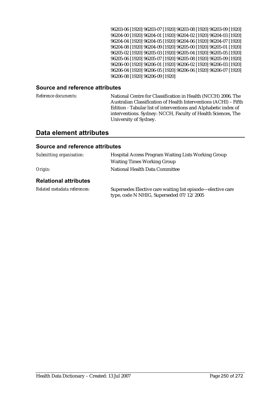96203-06 [1920] 96203-07 [1920] 96203-08 [1920] 96203-09 [1920] 96204-00 [1920] 96204-01 [1920] 96204-02 [1920] 96204-03 [1920] 96204-04 [1920] 96204-05 [1920] 96204-06 [1920] 96204-07 [1920] 96204-08 [1920] 96204-09 [1920] 96205-00 [1920] 96205-01 [1920] 96205-02 [1920] 96205-03 [1920] 96205-04 [1920] 96205-05 [1920] 96205-06 [1920] 96205-07 [1920] 96205-08 [1920] 96205-09 [1920] 96206-00 [1920] 96206-01 [1920] 96206-02 [1920] 96206-03 [1920] 96206-04 [1920] 96206-05 [1920] 96206-06 [1920] 96206-07 [1920] 96206-08 [1920] 96206-09 [1920]

#### **Source and reference attributes**

*Reference documents:* National Centre for Classification in Health (NCCH) 2006. The Australian Classification of Health Interventions (ACHI) – Fifth Edition - Tabular list of interventions and Alphabetic index of interventions. Sydney: NCCH, Faculty of Health Sciences, The University of Sydney.

#### **Data element attributes**

| Submitting organisation:     | <b>Hospital Access Program Waiting Lists Working Group</b><br><b>Waiting Times Working Group</b>        |
|------------------------------|---------------------------------------------------------------------------------------------------------|
| Origin:                      | National Health Data Committee                                                                          |
| <b>Relational attributes</b> |                                                                                                         |
| Related metadata references: | Supersedes Elective care waiting list episode—elective care<br>type, code N NHIG, Superseded 07/12/2005 |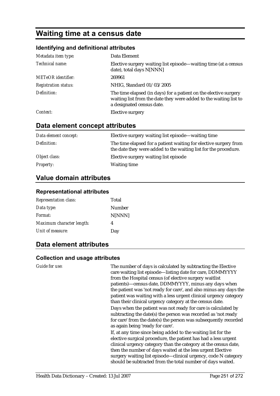# **Waiting time at a census date**

#### **Identifying and definitional attributes**

| Metadata item type:         | Data Element                                                                                                                                                       |
|-----------------------------|--------------------------------------------------------------------------------------------------------------------------------------------------------------------|
| Technical name:             | Elective surgery waiting list episode—waiting time (at a census<br>date), total days N[NNN]                                                                        |
| <b>METeOR</b> identifier:   | 269961                                                                                                                                                             |
| <b>Registration status:</b> | NHIG, Standard 01/03/2005                                                                                                                                          |
| Definition:                 | The time elapsed (in days) for a patient on the elective surgery<br>waiting list from the date they were added to the waiting list to<br>a designated census date. |
| Context:                    | Elective surgery                                                                                                                                                   |

# **Data element concept attributes**

| Data element concept: | Elective surgery waiting list episode—waiting time                                                                                  |
|-----------------------|-------------------------------------------------------------------------------------------------------------------------------------|
| Definition:           | The time elapsed for a patient waiting for elective surgery from<br>the date they were added to the waiting list for the procedure. |
| Object class:         | Elective surgery waiting list episode                                                                                               |
| <b>Property:</b>      | <b>Waiting time</b>                                                                                                                 |

## **Value domain attributes**

#### **Representational attributes**

| <b>Representation class:</b> | Total  |
|------------------------------|--------|
| Data type:                   | Number |
| Format:                      | N[NNN] |
| Maximum character length:    | 4      |
| Unit of measure:             | Day    |

# **Data element attributes**

#### **Collection and usage attributes**

*Guide for use:* The number of days is calculated by subtracting the Elective care waiting list episode—listing date for care, DDMMYYYY from the Hospital census (of elective surgery waitlist patients)—census date, DDMMYYYY, minus any days when the patient was 'not ready for care', and also minus any days the patient was waiting with a less urgent clinical urgency category than their clinical urgency category at the census date. Days when the patient was not ready for care is calculated by

subtracting the date(s) the person was recorded as 'not ready for care' from the date(s) the person was subsequently recorded as again being 'ready for care'.

If, at any time since being added to the waiting list for the elective surgical procedure, the patient has had a less urgent clinical urgency category than the category at the census date, then the number of days waited at the less urgent Elective surgery waiting list episode—clinical urgency, code N category should be subtracted from the total number of days waited.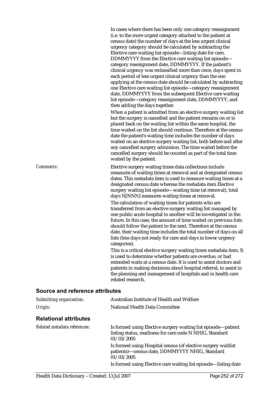In cases where there has been only one category reassignment (i.e. to the more urgent category attached to the patient at census date) the number of days at the less urgent clinical urgency category should be calculated by subtracting the Elective care waiting list episode—listing date for care, DDMMYYYY from the Elective care waiting list episode category reassignment date, DDMMYYYY. If the patient's clinical urgency was reclassified more than once, days spent in each period of less urgent clinical urgency than the one applying at the census date should be calculated by subtracting one Elective care waiting list episode—category reassignment date, DDMMYYYY from the subsequent Elective care waiting list episode—category reassignment date, DDMMYYYY, and then adding the days together.

When a patient is admitted from an elective surgery waiting list but the surgery is cancelled and the patient remains on or is placed back on the waiting list within the same hospital, the time waited on the list should continue. Therefore at the census date the patient's waiting time includes the number of days waited on an elective surgery waiting list, both before and after any cancelled surgery admission. The time waited before the cancelled surgery should be counted as part of the total time waited by the patient.

*Comments:* Elective surgery waiting times data collections include measures of waiting times at removal and at designated census dates. This metadata item is used to measure waiting times at a designated census date whereas the metadata item Elective surgery waiting list episode—waiting time (at removal), total days N[NNN] measures waiting times at removal.

> The calculation of waiting times for patients who are transferred from an elective surgery waiting list managed by one public acute hospital to another will be investigated in the future. In this case, the amount of time waited on previous lists should follow the patient to the next. Therefore at the census date, their waiting time includes the total number of days on all lists (less days not ready for care and days in lower urgency categories).

> This is a critical elective surgery waiting times metadata item. It is used to determine whether patients are overdue, or had extended waits at a census date. It is used to assist doctors and patients in making decisions about hospital referral, to assist in the planning and management of hospitals and in health care related research.

| Submitting organisation:     | Australian Institute of Health and Welfare                                                                                              |
|------------------------------|-----------------------------------------------------------------------------------------------------------------------------------------|
| Origin:                      | National Health Data Committee                                                                                                          |
| <b>Relational attributes</b> |                                                                                                                                         |
| Related metadata references: | Is formed using Elective surgery waiting list episode—patient<br>listing status, readiness for care code N NHIG, Standard<br>01/03/2005 |
|                              | Is formed using Hospital census (of elective surgery waitlist<br>patients)-census date, DDMMYYYY NHIG, Standard<br>01/03/2005           |
|                              | Is formed using Elective care waiting list episode—listing date                                                                         |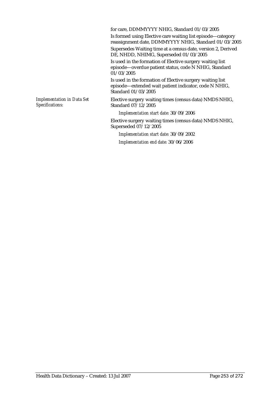for care, DDMMYYYY NHIG, Standard 01/03/2005

Is formed using Elective care waiting list episode—category reassignment date, DDMMYYYY NHIG, Standard 01/03/2005

Supersedes Waiting time at a census date, version 2, Derived DE, NHDD, NHIMG, Superseded 01/03/2005

Is used in the formation of Elective surgery waiting list episode—overdue patient status, code N NHIG, Standard 01/03/2005

Is used in the formation of Elective surgery waiting list episode—extended wait patient indicator, code N NHIG, Standard 01/03/2005

*Implementation in Data Set Specifications:*

Elective surgery waiting times (census data) NMDS NHIG, Standard 07/12/2005

*Implementation start date:* 30/09/2006

Elective surgery waiting times (census data) NMDS NHIG, Superseded 07/12/2005

*Implementation start date:* 30/09/2002 *Implementation end date:* 30/06/2006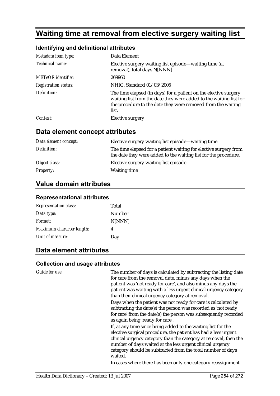# **Waiting time at removal from elective surgery waiting list**

#### **Identifying and definitional attributes**

| Metadata item type:         | Data Element                                                                                                                                                                                                    |
|-----------------------------|-----------------------------------------------------------------------------------------------------------------------------------------------------------------------------------------------------------------|
| Technical name:             | Elective surgery waiting list episode—waiting time (at<br>removal), total days N[NNN]                                                                                                                           |
| <b>METeOR</b> identifier:   | 269960                                                                                                                                                                                                          |
| <b>Registration status:</b> | NHIG, Standard 01/03/2005                                                                                                                                                                                       |
| Definition:                 | The time elapsed (in days) for a patient on the elective surgery<br>waiting list from the date they were added to the waiting list for<br>the procedure to the date they were removed from the waiting<br>list. |
| Context:                    | Elective surgery                                                                                                                                                                                                |

### **Data element concept attributes**

| Data element concept: | Elective surgery waiting list episode—waiting time                                                                                  |
|-----------------------|-------------------------------------------------------------------------------------------------------------------------------------|
| Definition:           | The time elapsed for a patient waiting for elective surgery from<br>the date they were added to the waiting list for the procedure. |
| Object class:         | Elective surgery waiting list episode                                                                                               |
| <i>Property:</i>      | <b>Waiting time</b>                                                                                                                 |

### **Value domain attributes**

#### **Representational attributes**

| <b>Representation class:</b> | Total  |
|------------------------------|--------|
| Data type:                   | Number |
| Format:                      | N[NNN] |
| Maximum character length:    | 4      |
| Unit of measure:             | Day    |

### **Data element attributes**

#### **Collection and usage attributes**

*Guide for use:* The number of days is calculated by subtracting the listing date for care from the removal date, minus any days when the patient was 'not ready for care', and also minus any days the patient was waiting with a less urgent clinical urgency category than their clinical urgency category at removal.

> Days when the patient was not ready for care is calculated by subtracting the date(s) the person was recorded as 'not ready for care' from the date(s) the person was subsequently recorded as again being 'ready for care'.

> If, at any time since being added to the waiting list for the elective surgical procedure, the patient has had a less urgent clinical urgency category than the category at removal, then the number of days waited at the less urgent clinical urgency category should be subtracted from the total number of days waited.

In cases where there has been only one category reassignment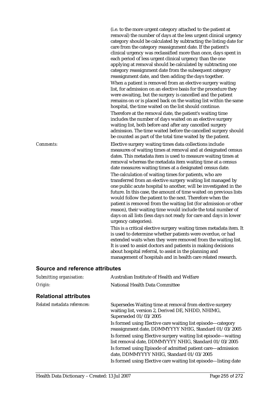(i.e. to the more urgent category attached to the patient at removal) the number of days at the less urgent clinical urgency category should be calculated by subtracting the listing date for care from the category reassignment date. If the patient's clinical urgency was reclassified more than once, days spent in each period of less urgent clinical urgency than the one applying at removal should be calculated by subtracting one category reassignment date from the subsequent category reassignment date, and then adding the days together. When a patient is removed from an elective surgery waiting list, for admission on an elective basis for the procedure they were awaiting, but the surgery is cancelled and the patient remains on or is placed back on the waiting list within the same hospital, the time waited on the list should continue. Therefore at the removal date, the patient's waiting time includes the number of days waited on an elective surgery waiting list, both before and after any cancelled surgery admission. The time waited before the cancelled surgery should be counted as part of the total time waited by the patient. *Comments:* Elective surgery waiting times data collections include measures of waiting times at removal and at designated census dates. This metadata item is used to measure waiting times at removal whereas the metadata item waiting time at a census date measures waiting times at a designated census date. The calculation of waiting times for patients, who are transferred from an elective surgery waiting list managed by one public acute hospital to another, will be investigated in the future. In this case, the amount of time waited on previous lists would follow the patient to the next. Therefore when the patient is removed from the waiting list (for admission or other reason), their waiting time would include the total number of days on all lists (less days not ready for care and days in lower urgency categories). This is a critical elective surgery waiting times metadata item. It is used to determine whether patients were overdue, or had extended waits when they were removed from the waiting list. It is used to assist doctors and patients in making decisions about hospital referral, to assist in the planning and

#### **Source and reference attributes**

| Submitting organisation:     | Australian Institute of Health and Welfare                                                                                             |
|------------------------------|----------------------------------------------------------------------------------------------------------------------------------------|
| Origin:                      | National Health Data Committee                                                                                                         |
| <b>Relational attributes</b> |                                                                                                                                        |
| Related metadata references: | Supersedes Waiting time at removal from elective surgery<br>waiting list, version 2, Derived DE, NHDD, NHIMG,<br>Superseded 01/03/2005 |
|                              | Is formed using Elective care waiting list episode—category<br>reassignment date, DDMMYYYY NHIG, Standard 01/03/2005                   |
|                              | Is formed using Elective surgery waiting list episode—waiting<br>list removal date, DDMMYYYY NHIG, Standard 01/03/2005                 |
|                              | Is formed using Episode of admitted patient care—admission<br>date, DDMMYYYY NHIG, Standard 01/03/2005                                 |
|                              | Is formed using Elective care waiting list episode—listing date                                                                        |
|                              |                                                                                                                                        |

management of hospitals and in health care related research.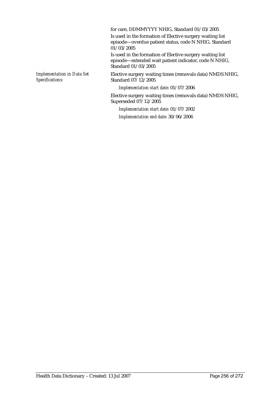for care, DDMMYYYY NHIG, Standard 01/03/2005 Is used in the formation of Elective surgery waiting list episode—overdue patient status, code N NHIG, Standard 01/03/2005 Is used in the formation of Elective surgery waiting list episode—extended wait patient indicator, code N NHIG, Standard 01/03/2005 *Implementation in Data Set Specifications:* Elective surgery waiting times (removals data) NMDS NHIG, Standard 07/12/2005 *Implementation start date:* 01/07/2006

Elective surgery waiting times (removals data) NMDS NHIG, Superseded 07/12/2005

*Implementation start date:* 01/07/2002 *Implementation end date:* 30/06/2006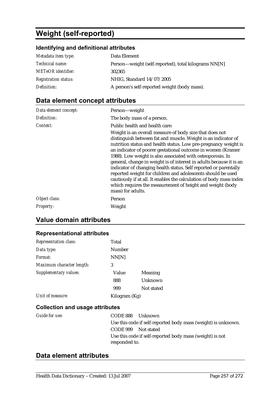# **Weight (self-reported)**

## **Identifying and definitional attributes**

| Metadata item type:         | Data Element                                         |
|-----------------------------|------------------------------------------------------|
| <i>Technical name:</i>      | Person—weight (self-reported), total kilograms NN[N] |
| <b>METeOR</b> identifier:   | 302365                                               |
| <b>Registration status:</b> | NHIG, Standard 14/07/2005                            |
| Definition:                 | A person's self-reported weight (body mass).         |

# **Data element concept attributes**

| Data element concept: | Person-weight                                                                                                                                                                                                                                                                                                                                                                                                                                                                                                                                                                                                                                                                                                                 |
|-----------------------|-------------------------------------------------------------------------------------------------------------------------------------------------------------------------------------------------------------------------------------------------------------------------------------------------------------------------------------------------------------------------------------------------------------------------------------------------------------------------------------------------------------------------------------------------------------------------------------------------------------------------------------------------------------------------------------------------------------------------------|
| Definition:           | The body mass of a person.                                                                                                                                                                                                                                                                                                                                                                                                                                                                                                                                                                                                                                                                                                    |
| Context:              | Public health and health care:<br>Weight is an overall measure of body size that does not<br>distinguish between fat and muscle. Weight is an indicator of<br>nutrition status and health status. Low pre-pregnancy weight is<br>an indicator of poorer gestational outcome in women (Kramer<br>1988). Low weight is also associated with osteoporosis. In<br>general, change in weight is of interest in adults because it is an<br>indicator of changing health status. Self reported or parentally<br>reported weight for children and adolescents should be used<br>cautiously if at all. It enables the calculation of body mass index<br>which requires the measurement of height and weight (body<br>mass) for adults. |
| Object class:         | Person                                                                                                                                                                                                                                                                                                                                                                                                                                                                                                                                                                                                                                                                                                                        |
| <b>Property:</b>      | Weight                                                                                                                                                                                                                                                                                                                                                                                                                                                                                                                                                                                                                                                                                                                        |

# **Value domain attributes**

### **Representational attributes**

| <b>Representation class:</b> | Total         |            |
|------------------------------|---------------|------------|
| Data type:                   | Number        |            |
| Format:                      | NN[N]         |            |
| Maximum character length:    | 3             |            |
| Supplementary values:        | Value         | Meaning    |
|                              | 888           | Unknown    |
|                              | 999           | Not stated |
| Unit of measure:             | Kilogram (Kg) |            |

### **Collection and usage attributes**

| Guide for use: | CODE 888 Unknown    |                                                               |
|----------------|---------------------|---------------------------------------------------------------|
|                |                     | Use this code if self-reported body mass (weight) is unknown. |
|                | CODE 999 Not stated |                                                               |
|                | responded to.       | Use this code if self-reported body mass (weight) is not      |
|                |                     |                                                               |

# **Data element attributes**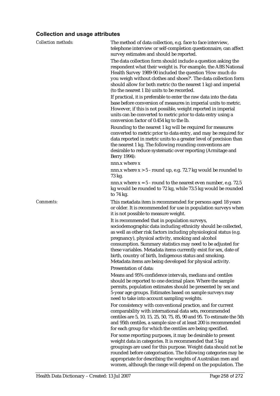## **Collection and usage attributes**

| <b>Collection methods:</b> | The method of data collection, e.g. face to face interview,<br>telephone interview or self-completion questionnaire, can affect<br>survey estimates and should be reported.                                                                                                                                                                                                                                                                                                                            |
|----------------------------|--------------------------------------------------------------------------------------------------------------------------------------------------------------------------------------------------------------------------------------------------------------------------------------------------------------------------------------------------------------------------------------------------------------------------------------------------------------------------------------------------------|
|                            | The data collection form should include a question asking the<br>respondent what their weight is. For example, the ABS National<br>Health Survey 1989-90 included the question 'How much do<br>you weigh without clothes and shoes?'. The data collection form<br>should allow for both metric (to the nearest 1 kg) and imperial<br>(to the nearest 1 lb) units to be recorded.                                                                                                                       |
|                            | If practical, it is preferable to enter the raw data into the data<br>base before conversion of measures in imperial units to metric.<br>However, if this is not possible, weight reported in imperial<br>units can be converted to metric prior to data entry using a<br>conversion factor of 0.454 kg to the lb.                                                                                                                                                                                     |
|                            | Rounding to the nearest 1 kg will be required for measures<br>converted to metric prior to data entry, and may be required for<br>data reported in metric units to a greater level of precision than<br>the nearest 1 kg. The following rounding conventions are<br>desirable to reduce systematic over reporting (Armitage and<br>Berry 1994):                                                                                                                                                        |
|                            | nnn.x where x                                                                                                                                                                                                                                                                                                                                                                                                                                                                                          |
|                            | nnn.x where $x > 5$ - round up, e.g. 72.7 kg would be rounded to<br>73 kg.                                                                                                                                                                                                                                                                                                                                                                                                                             |
|                            | nnn.x where $x = 5$ - round to the nearest even number, e.g. 72.5<br>kg would be rounded to 72 kg, while 73.5 kg would be rounded<br>to $74$ kg.                                                                                                                                                                                                                                                                                                                                                       |
| Comments:                  | This metadata item is recommended for persons aged 18 years<br>or older. It is recommended for use in population surveys when<br>it is not possible to measure weight.                                                                                                                                                                                                                                                                                                                                 |
|                            | It is recommended that in population surveys,<br>sociodemographic data including ethnicity should be collected,<br>as well as other risk factors including physiological status (e.g.<br>pregnancy), physical activity, smoking and alcohol<br>consumption. Summary statistics may need to be adjusted for<br>these variables. Metadata items currently exist for sex, date of<br>birth, country of birth, Indigenous status and smoking.<br>Metadata items are being developed for physical activity. |
|                            | Presentation of data:                                                                                                                                                                                                                                                                                                                                                                                                                                                                                  |
|                            | Means and 95% confidence intervals, medians and centiles<br>should be reported to one decimal place. Where the sample<br>permits, population estimates should be presented by sex and<br>5-year age groups. Estimates based on sample surveys may<br>need to take into account sampling weights.                                                                                                                                                                                                       |
|                            | For consistency with conventional practice, and for current<br>comparability with international data sets, recommended<br>centiles are 5, 10, 15, 25, 50, 75, 85, 90 and 95. To estimate the 5th<br>and 95th centiles, a sample size of at least 200 is recommended<br>for each group for which the centiles are being specified.                                                                                                                                                                      |
|                            | For some reporting purposes, it may be desirable to present<br>weight data in categories. It is recommended that 5 kg<br>groupings are used for this purpose. Weight data should not be<br>rounded before categorisation. The following categories may be<br>appropriate for describing the weights of Australian men and                                                                                                                                                                              |

women, although the range will depend on the population. The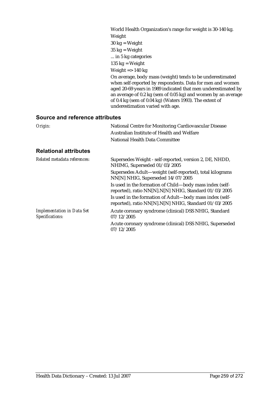| World Health Organization's range for weight is 30-140 kg.                                                                                                                                                                                                                                                                                              |
|---------------------------------------------------------------------------------------------------------------------------------------------------------------------------------------------------------------------------------------------------------------------------------------------------------------------------------------------------------|
| Weight                                                                                                                                                                                                                                                                                                                                                  |
| $30 \text{ kg} = \text{Weight}$                                                                                                                                                                                                                                                                                                                         |
| $35 \text{ kg} = \text{Weight}$                                                                                                                                                                                                                                                                                                                         |
| in 5 kg categories                                                                                                                                                                                                                                                                                                                                      |
| $135 \text{ kg} = \text{Weight}$                                                                                                                                                                                                                                                                                                                        |
| Weight $\Rightarrow$ 140 kg                                                                                                                                                                                                                                                                                                                             |
| On average, body mass (weight) tends to be underestimated<br>when self-reported by respondents. Data for men and women<br>aged 20-69 years in 1989 indicated that men underestimated by<br>an average of 0.2 kg (sem of 0.05 kg) and women by an average<br>of 0.4 kg (sem of 0.04 kg) (Waters 1993). The extent of<br>underestimation varied with age. |

| Origin:                                              | National Centre for Monitoring Cardiovascular Disease<br>Australian Institute of Health and Welfare<br>National Health Data Committee |
|------------------------------------------------------|---------------------------------------------------------------------------------------------------------------------------------------|
| <b>Relational attributes</b>                         |                                                                                                                                       |
| Related metadata references:                         | Supersedes Weight - self-reported, version 2, DE, NHDD,<br>NHIMG, Superseded 01/03/2005                                               |
|                                                      | Supersedes Adult-weight (self-reported), total kilograms<br>NN[N] NHIG, Superseded 14/07/2005                                         |
|                                                      | Is used in the formation of Child-body mass index (self-<br>reported), ratio NN[N].N[N] NHIG, Standard 01/03/2005                     |
|                                                      | Is used in the formation of Adult-body mass index (self-<br>reported), ratio NN[N].N[N] NHIG, Standard 01/03/2005                     |
| <b>Implementation in Data Set</b><br>Specifications: | Acute coronary syndrome (clinical) DSS NHIG, Standard<br>07/12/2005                                                                   |
|                                                      | Acute coronary syndrome (clinical) DSS NHIG, Superseded<br>07/12/2005                                                                 |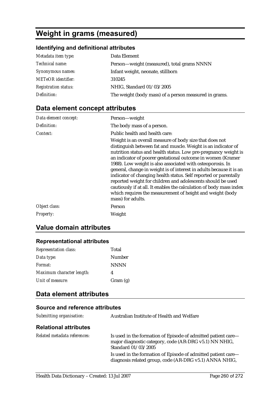# **Weight in grams (measured)**

## **Identifying and definitional attributes**

| Metadata item type:         | Data Element                                          |
|-----------------------------|-------------------------------------------------------|
| Technical name:             | Person-weight (measured), total grams NNNN            |
| Synonymous names:           | Infant weight, neonate, stillborn                     |
| <b>METeOR</b> identifier:   | 310245                                                |
| <b>Registration status:</b> | NHIG, Standard 01/03/2005                             |
| Definition:                 | The weight (body mass) of a person measured in grams. |

# **Data element concept attributes**

| Data element concept: | Person-weight                                                                                                                                                                                                                                                                                                                                                                                                                                                                                                                                                                                                                                                                                            |
|-----------------------|----------------------------------------------------------------------------------------------------------------------------------------------------------------------------------------------------------------------------------------------------------------------------------------------------------------------------------------------------------------------------------------------------------------------------------------------------------------------------------------------------------------------------------------------------------------------------------------------------------------------------------------------------------------------------------------------------------|
| Definition:           | The body mass of a person.                                                                                                                                                                                                                                                                                                                                                                                                                                                                                                                                                                                                                                                                               |
| Context:              | Public health and health care:<br>Weight is an overall measure of body size that does not<br>distinguish between fat and muscle. Weight is an indicator of<br>nutrition status and health status. Low pre-pregnancy weight is<br>an indicator of poorer gestational outcome in women (Kramer<br>1988). Low weight is also associated with osteoporosis. In<br>general, change in weight is of interest in adults because it is an<br>indicator of changing health status. Self reported or parentally<br>reported weight for children and adolescents should be used<br>cautiously if at all. It enables the calculation of body mass index<br>which requires the measurement of height and weight (body |
|                       | mass) for adults.                                                                                                                                                                                                                                                                                                                                                                                                                                                                                                                                                                                                                                                                                        |
| Object class:         | Person                                                                                                                                                                                                                                                                                                                                                                                                                                                                                                                                                                                                                                                                                                   |
| <b>Property:</b>      | Weight                                                                                                                                                                                                                                                                                                                                                                                                                                                                                                                                                                                                                                                                                                   |

## **Value domain attributes**

### **Representational attributes**

| <b>Representation class:</b> | Total       |
|------------------------------|-------------|
| Data type:                   | Number      |
| Format:                      | <b>NNNN</b> |
| Maximum character length:    | 4           |
| Unit of measure:             | Gram(g)     |

# **Data element attributes**

| Australian Institute of Health and Welfare                                                                                                     |
|------------------------------------------------------------------------------------------------------------------------------------------------|
|                                                                                                                                                |
| Is used in the formation of Episode of admitted patient care—<br>major diagnostic category, code (AR-DRG v5.1) NN NHIG,<br>Standard 01/03/2005 |
| Is used in the formation of Episode of admitted patient care—<br>diagnosis related group, code (AR-DRG v5.1) ANNA NHIG,                        |
|                                                                                                                                                |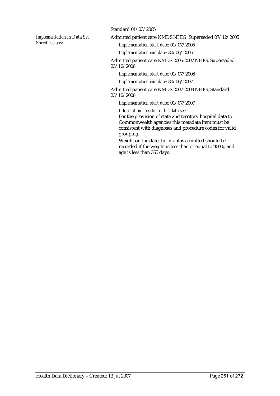*Implementation in Data Set Specifications:*

Standard 01/03/2005

Admitted patient care NMDS NHIG, Superseded 07/12/2005

*Implementation start date:* 01/07/2005

*Implementation end date:* 30/06/2006

Admitted patient care NMDS 2006-2007 NHIG, Superseded 23/10/2006

*Implementation start date:* 01/07/2006

*Implementation end date:* 30/06/2007

Admitted patient care NMDS 2007-2008 NHIG, Standard 23/10/2006

*Implementation start date:* 01/07/2007

*Information specific to this data set:*

For the provision of state and territory hospital data to Commonwealth agencies this metadata item must be consistent with diagnoses and procedure codes for valid grouping.

Weight on the date the infant is admitted should be recorded if the weight is less than or equal to 9000g and age is less than 365 days.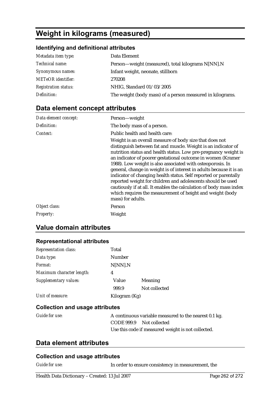# **Weight in kilograms (measured)**

### **Identifying and definitional attributes**

| Metadata item type:         | Data Element                                              |
|-----------------------------|-----------------------------------------------------------|
| Technical name:             | Person—weight (measured), total kilograms N[NN].N         |
| Synonymous names:           | Infant weight, neonate, stillborn                         |
| <b>METeOR</b> identifier:   | 270208                                                    |
| <b>Registration status:</b> | NHIG, Standard 01/03/2005                                 |
| Definition:                 | The weight (body mass) of a person measured in kilograms. |

# **Data element concept attributes**

| Data element concept: | Person-weight                                                                                                                                                                                                                                                                                                                                                                                                                                                                                                                                                                                                                                                                                            |
|-----------------------|----------------------------------------------------------------------------------------------------------------------------------------------------------------------------------------------------------------------------------------------------------------------------------------------------------------------------------------------------------------------------------------------------------------------------------------------------------------------------------------------------------------------------------------------------------------------------------------------------------------------------------------------------------------------------------------------------------|
| Definition:           | The body mass of a person.                                                                                                                                                                                                                                                                                                                                                                                                                                                                                                                                                                                                                                                                               |
| Context:              | Public health and health care:<br>Weight is an overall measure of body size that does not<br>distinguish between fat and muscle. Weight is an indicator of<br>nutrition status and health status. Low pre-pregnancy weight is<br>an indicator of poorer gestational outcome in women (Kramer<br>1988). Low weight is also associated with osteoporosis. In<br>general, change in weight is of interest in adults because it is an<br>indicator of changing health status. Self reported or parentally<br>reported weight for children and adolescents should be used<br>cautiously if at all. It enables the calculation of body mass index<br>which requires the measurement of height and weight (body |
| Object class:         | mass) for adults.<br>Person                                                                                                                                                                                                                                                                                                                                                                                                                                                                                                                                                                                                                                                                              |
|                       |                                                                                                                                                                                                                                                                                                                                                                                                                                                                                                                                                                                                                                                                                                          |
| <b>Property:</b>      | Weight                                                                                                                                                                                                                                                                                                                                                                                                                                                                                                                                                                                                                                                                                                   |

## **Value domain attributes**

### **Representational attributes**

| <b>Representation class:</b> | Total         |               |
|------------------------------|---------------|---------------|
| Data type:                   | Number        |               |
| Format:                      | N[NN].N       |               |
| Maximum character length:    | 4             |               |
| Supplementary values:        | Value         | Meaning       |
|                              | 999.9         | Not collected |
| Unit of measure:             | Kilogram (Kg) |               |

### **Collection and usage attributes**

| Guide for use: |                          | A continuous variable measured to the nearest 0.1 kg. |
|----------------|--------------------------|-------------------------------------------------------|
|                | CODE 999.9 Not collected |                                                       |
|                |                          | Use this code if measured weight is not collected.    |

### **Data element attributes**

#### **Collection and usage attributes**

*Guide for use:* In order to ensure consistency in measurement, the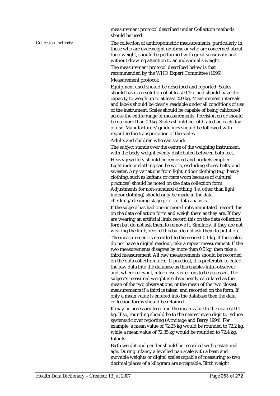measurement protocol described under Collection methods should be used.

*Collection methods:* The collection of anthropometric measurements, particularly in those who are overweight or obese or who are concerned about their weight, should be performed with great sensitivity and without drawing attention to an individual's weight. The measurement protocol described below is that recommended by the WHO Expert Committee (1995).

Measurement protocol:

Equipment used should be described and reported. Scales should have a resolution of at least 0.1kg and should have the capacity to weigh up to at least 200 kg. Measurement intervals and labels should be clearly readable under all conditions of use of the instrument. Scales should be capable of being calibrated across the entire range of measurements. Precision error should be no more than 0.1kg. Scales should be calibrated on each day of use. Manufacturers' guidelines should be followed with regard to the transportation of the scales.

Adults and children who can stand:

The subject stands over the centre of the weighing instrument, with the body weight evenly distributed between both feet.

Heavy jewellery should be removed and pockets emptied. Light indoor clothing can be worn, excluding shoes, belts, and sweater. Any variations from light indoor clothing (e.g. heavy clothing, such as kaftans or coats worn because of cultural practices) should be noted on the data collection form. Adjustments for non-standard clothing (i.e. other than light indoor clothing) should only be made in the data checking/cleaning stage prior to data analysis.

If the subject has had one or more limbs amputated, record this on the data collection form and weigh them as they are. If they are wearing an artificial limb, record this on the data collection form but do not ask them to remove it. Similarly, if they are not wearing the limb, record this but do not ask them to put it on.

The measurement is recorded to the nearest 0.1 kg. If the scales do not have a digital readout, take a repeat measurement. If the two measurements disagree by more than 0.5 kg, then take a third measurement. All raw measurements should be recorded on the data collection form. If practical, it is preferable to enter the raw data into the database as this enables intra-observer and, where relevant, inter-observer errors to be assessed. The subject's measured weight is subsequently calculated as the mean of the two observations, or the mean of the two closest measurements if a third is taken, and recorded on the form. If only a mean value is entered into the database then the data collection forms should be retained.

It may be necessary to round the mean value to the nearest 0.1 kg. If so, rounding should be to the nearest even digit to reduce systematic over reporting (Armitage and Berry 1994). For example, a mean value of 72.25 kg would be rounded to 72.2 kg, while a mean value of 72.35 kg would be rounded to 72.4 kg. Infants:

Birth weight and gender should be recorded with gestational age. During infancy a levelled pan scale with a bean and movable weights or digital scales capable of measuring to two decimal places of a kilogram are acceptable. Birth weight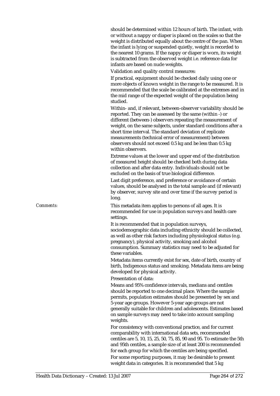should be determined within 12 hours of birth. The infant, with or without a nappy or diaper is placed on the scales so that the weight is distributed equally about the centre of the pan. When the infant is lying or suspended quietly, weight is recorded to the nearest 10 grams. If the nappy or diaper is worn, its weight is subtracted from the observed weight i.e. reference data for infants are based on nude weights.

Validation and quality control measures:

If practical, equipment should be checked daily using one or more objects of known weight in the range to be measured. It is recommended that the scale be calibrated at the extremes and in the mid range of the expected weight of the population being studied.

Within- and, if relevant, between-observer variability should be reported. They can be assessed by the same (within -) or different (between-) observers repeating the measurement of weight, on the same subjects, under standard conditions after a short time interval. The standard deviation of replicate measurements (technical error of measurement) between observers should not exceed 0.5 kg and be less than 0.5 kg within observers.

Extreme values at the lower and upper end of the distribution of measured height should be checked both during data collection and after data entry. Individuals should not be excluded on the basis of true biological difference.

Last digit preference, and preference or avoidance of certain values, should be analysed in the total sample and (if relevant) by observer, survey site and over time if the survey period is long.

*Comments:* This metadata item applies to persons of all ages. It is recommended for use in population surveys and health care settings.

> It is recommended that in population surveys, sociodemographic data including ethnicity should be collected, as well as other risk factors including physiological status (e.g. pregnancy), physical activity, smoking and alcohol consumption. Summary statistics may need to be adjusted for these variables.

Metadata items currently exist for sex, date of birth, country of birth, Indigenous status and smoking. Metadata items are being developed for physical activity.

Presentation of data:

Means and 95% confidence intervals, medians and centiles should be reported to one decimal place. Where the sample permits, population estimates should be presented by sex and 5-year age groups. However 5-year age groups are not generally suitable for children and adolescents. Estimates based on sample surveys may need to take into account sampling weights.

For consistency with conventional practice, and for current comparability with international data sets, recommended centiles are 5, 10, 15, 25, 50, 75, 85, 90 and 95. To estimate the 5th and 95th centiles, a sample size of at least 200 is recommended for each group for which the centiles are being specified. For some reporting purposes, it may be desirable to present weight data in categories. It is recommended that 5 kg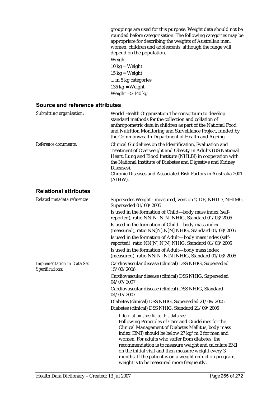groupings are used for this purpose. Weight data should not be rounded before categorisation. The following categories may be appropriate for describing the weights of Australian men, women, children and adolescents, although the range will depend on the population. Weight  $10 \text{ kg} = \text{Weight}$  $15 \text{ kg} = \text{Weight}$ ... in 5 kg categories 135  $kg = Weight$ Weight  $\approx$  140 kg

| Submitting organisation:                             | World Health Organization The consortium to develop<br>standard methods for the collection and collation of<br>anthropometric data in children as part of the National Food<br>and Nutrition Monitoring and Surveillance Project, funded by<br>the Commonwealth Department of Health and Ageing                                                                                                                                                                                        |
|------------------------------------------------------|----------------------------------------------------------------------------------------------------------------------------------------------------------------------------------------------------------------------------------------------------------------------------------------------------------------------------------------------------------------------------------------------------------------------------------------------------------------------------------------|
| Reference documents:                                 | Clinical Guidelines on the Identification. Evaluation and<br>Treatment of Overweight and Obesity in Adults (US National<br>Heart, Lung and Blood Institute (NHLBI) in cooperation with<br>the National Institute of Diabetes and Digestive and Kidney<br>Diseases).<br>Chronic Diseases and Associated Risk Factors in Australia 2001<br>(AIHW).                                                                                                                                       |
| <b>Relational attributes</b>                         |                                                                                                                                                                                                                                                                                                                                                                                                                                                                                        |
| Related metadata references:                         | Supersedes Weight - measured, version 2, DE, NHDD, NHIMG,<br>Superseded 01/03/2005                                                                                                                                                                                                                                                                                                                                                                                                     |
|                                                      | Is used in the formation of Child-body mass index (self-<br>reported), ratio NN[N].N[N] NHIG, Standard 01/03/2005                                                                                                                                                                                                                                                                                                                                                                      |
|                                                      | Is used in the formation of Child-body mass index<br>(measured), ratio NN[N].N[N] NHIG, Standard 01/03/2005                                                                                                                                                                                                                                                                                                                                                                            |
|                                                      | Is used in the formation of Adult-body mass index (self-<br>reported), ratio NN[N].N[N] NHIG, Standard 01/03/2005                                                                                                                                                                                                                                                                                                                                                                      |
|                                                      | Is used in the formation of Adult-body mass index<br>(measured), ratio NN[N].N[N] NHIG, Standard 01/03/2005                                                                                                                                                                                                                                                                                                                                                                            |
| <b>Implementation in Data Set</b><br>Specifications: | Cardiovascular disease (clinical) DSS NHIG, Superseded<br>15/02/2006                                                                                                                                                                                                                                                                                                                                                                                                                   |
|                                                      | Cardiovascular disease (clinical) DSS NHIG, Superseded<br>04/07/2007                                                                                                                                                                                                                                                                                                                                                                                                                   |
|                                                      | Cardiovascular disease (clinical) DSS NHIG, Standard<br>04/07/2007                                                                                                                                                                                                                                                                                                                                                                                                                     |
|                                                      | Diabetes (clinical) DSS NHIG, Superseded 21/09/2005                                                                                                                                                                                                                                                                                                                                                                                                                                    |
|                                                      | Diabetes (clinical) DSS NHIG, Standard 21/09/2005                                                                                                                                                                                                                                                                                                                                                                                                                                      |
|                                                      | Information specific to this data set:<br>Following Principles of Care and Guidelines for the<br>Clinical Management of Diabetes Mellitus, body mass<br>index (BMI) should be below 27 kg/m 2 for men and<br>women. For adults who suffer from diabetes, the<br>recommendation is to measure weight and calculate BMI<br>on the initial visit and then measure weight every 3<br>months. If the patient is on a weight reduction program,<br>weight is to be measured more frequently. |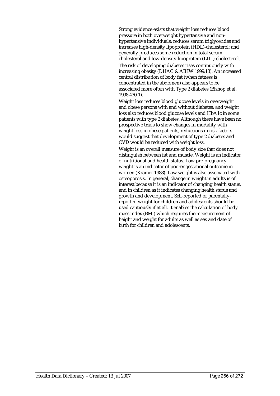Strong evidence exists that weight loss reduces blood pressure in both overweight hypertensive and nonhypertensive individuals; reduces serum triglycerides and increases high-density lipoprotein (HDL)-cholesterol; and generally produces some reduction in total serum cholesterol and low-density lipoprotein (LDL)-cholesterol.

The risk of developing diabetes rises continuously with increasing obesity (DHAC & AIHW 1999:13). An increased central distribution of body fat (when fatness is concentrated in the abdomen) also appears to be associated more often with Type 2 diabetes (Bishop et al. 1998:430-1).

Weight loss reduces blood glucose levels in overweight and obese persons with and without diabetes; and weight loss also reduces blood glucose levels and HbA1c in some patients with type 2 diabetes. Although there have been no prospective trials to show changes in mortality with weight loss in obese patients, reductions in risk factors would suggest that development of type 2 diabetes and CVD would be reduced with weight loss.

Weight is an overall measure of body size that does not distinguish between fat and muscle. Weight is an indicator of nutritional and health status. Low pre-pregnancy weight is an indicator of poorer gestational outcome in women (Kramer 1988). Low weight is also associated with osteoporosis. In general, change in weight in adults is of interest because it is an indicator of changing health status, and in children as it indicates changing health status and growth and development. Self-reported or parentallyreported weight for children and adolescents should be used cautiously if at all. It enables the calculation of body mass index (BMI) which requires the measurement of height and weight for adults as well as sex and date of birth for children and adolescents.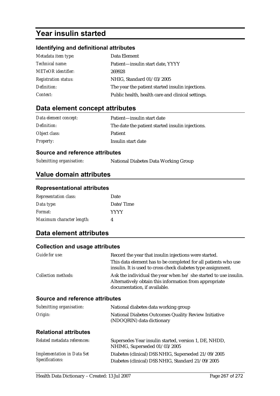# **Year insulin started**

### **Identifying and definitional attributes**

| Metadata item type:         | Data Element                                      |
|-----------------------------|---------------------------------------------------|
| <i>Technical name:</i>      | Patient—insulin start date, YYYY                  |
| <b>METeOR</b> identifier:   | 269928                                            |
| <b>Registration status:</b> | NHIG, Standard 01/03/2005                         |
| Definition:                 | The year the patient started insulin injections.  |
| Context:                    | Public health, health care and clinical settings. |

### **Data element concept attributes**

| Data element concept: | Patient—insulin start date                       |
|-----------------------|--------------------------------------------------|
| Definition:           | The date the patient started insulin injections. |
| Object class:         | <b>Patient</b>                                   |
| <b>Property:</b>      | Insulin start date                               |

#### **Source and reference attributes**

*Submitting organisation:* National Diabetes Data Working Group

## **Value domain attributes**

#### **Representational attributes**

| <b>Representation class:</b> | Date        |
|------------------------------|-------------|
| Data type:                   | Date/Time   |
| Format:                      | <b>YYYY</b> |
| Maximum character length:    | 4           |

## **Data element attributes**

### **Collection and usage attributes**

| Guide for use:             | Record the year that insulin injections were started.                                                                                                      |
|----------------------------|------------------------------------------------------------------------------------------------------------------------------------------------------------|
|                            | This data element has to be completed for all patients who use<br>insulin. It is used to cross check diabetes type assignment.                             |
| <i>Collection methods:</i> | Ask the individual the year when he/ she started to use insulin.<br>Alternatively obtain this information from appropriate<br>documentation, if available. |

### **Source and reference attributes**

| Submitting organisation: | National diabetes data working group                 |
|--------------------------|------------------------------------------------------|
| Origin:                  | National Diabetes Outcomes Quality Review Initiative |
|                          | (NDOQRIN) data dictionary                            |

### **Relational attributes**

| Related metadata references:      | Supersedes Year insulin started, version 1, DE, NHDD,<br>NHIMG, Superseded 01/03/2005 |
|-----------------------------------|---------------------------------------------------------------------------------------|
| <b>Implementation in Data Set</b> | Diabetes (clinical) DSS NHIG, Superseded 21/09/2005                                   |
| Specifications:                   | Diabetes (clinical) DSS NHIG, Standard 21/09/2005                                     |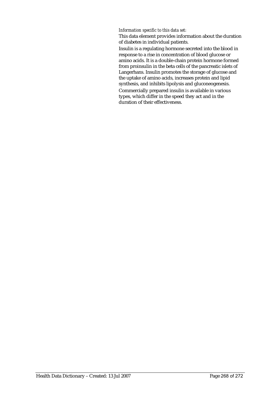#### *Information specific to this data set:*

This data element provides information about the duration of diabetes in individual patients.

Insulin is a regulating hormone secreted into the blood in response to a rise in concentration of blood glucose or amino acids. It is a double-chain protein hormone formed from proinsulin in the beta cells of the pancreatic islets of Langerhans. Insulin promotes the storage of glucose and the uptake of amino acids, increases protein and lipid synthesis, and inhibits lipolysis and gluconeogenesis.

Commercially prepared insulin is available in various types, which differ in the speed they act and in the duration of their effectiveness.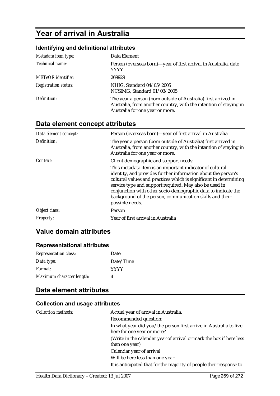# **Year of arrival in Australia**

### **Identifying and definitional attributes**

| Metadata item type:         | Data Element                                                                                                                                                           |
|-----------------------------|------------------------------------------------------------------------------------------------------------------------------------------------------------------------|
| Technical name:             | Person (overseas born)-year of first arrival in Australia, date<br>YYYY                                                                                                |
| <b>METeOR</b> identifier:   | 269929                                                                                                                                                                 |
| <b>Registration status:</b> | NHIG, Standard 04/05/2005<br>NCSIMG, Standard 01/03/2005                                                                                                               |
| Definition:                 | The year a person (born outside of Australia) first arrived in<br>Australia, from another country, with the intention of staying in<br>Australia for one year or more. |

# **Data element concept attributes**

| Data element concept: | Person (overseas born)—year of first arrival in Australia                                                                                                                                                                                                                                                                                                                                                |
|-----------------------|----------------------------------------------------------------------------------------------------------------------------------------------------------------------------------------------------------------------------------------------------------------------------------------------------------------------------------------------------------------------------------------------------------|
| Definition:           | The year a person (born outside of Australia) first arrived in<br>Australia, from another country, with the intention of staying in<br>Australia for one year or more.                                                                                                                                                                                                                                   |
| Context:              | Client demographic and support needs:                                                                                                                                                                                                                                                                                                                                                                    |
|                       | This metadata item is an important indicator of cultural<br>identity, and provides further information about the person's<br>cultural values and practices which is significant in determining<br>service type and support required. May also be used in<br>conjunction with other socio-demographic data to indicate the<br>background of the person, communication skills and their<br>possible needs. |
| Object class:         | Person                                                                                                                                                                                                                                                                                                                                                                                                   |
| Property:             | Year of first arrival in Australia                                                                                                                                                                                                                                                                                                                                                                       |

### **Value domain attributes**

### **Representational attributes**

| <b>Representation class:</b> | Date        |
|------------------------------|-------------|
| Data type:                   | Date/Time   |
| <i>Format:</i>               | <b>YYYY</b> |
| Maximum character length:    |             |

# **Data element attributes**

### **Collection and usage attributes**

| <b>Collection methods:</b> | Actual year of arrival in Australia.                                |
|----------------------------|---------------------------------------------------------------------|
|                            | Recommended question:                                               |
|                            | In what year did you/the person first arrive in Australia to live   |
|                            | here for one year or more?                                          |
|                            | (Write in the calendar year of arrival or mark the box if here less |
|                            | than one year)                                                      |
|                            | Calendar year of arrival                                            |
|                            | Will be here less than one year                                     |
|                            | It is anticipated that for the majority of people their response to |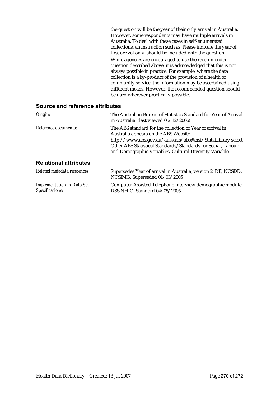the question will be the year of their only arrival in Australia. However, some respondents may have multiple arrivals in Australia. To deal with these cases in self-enumerated collections, an instruction such as 'Please indicate the year of first arrival only' should be included with the question. While agencies are encouraged to use the recommended question described above, it is acknowledged that this is not always possible in practice. For example, where the data collection is a by-product of the provision of a health or community service, the information may be ascertained using different means. However, the recommended question should be used wherever practically possible.

| Origin:                                              | The Australian Bureau of Statistics Standard for Year of Arrival<br>in Australia. (last viewed $05/12/2006$ )                                                                                                                                                                              |  |
|------------------------------------------------------|--------------------------------------------------------------------------------------------------------------------------------------------------------------------------------------------------------------------------------------------------------------------------------------------|--|
| Reference documents:                                 | The ABS standard for the collection of Year of arrival in<br>Australia appears on the ABS Website<br>http://www.abs.gov.au/ausstats/abs@.nsf/StatsLibrary select<br>Other ABS Statistical Standards/Standards for Social, Labour<br>and Demographic Variables/Cultural Diversity Variable. |  |
| <b>Relational attributes</b>                         |                                                                                                                                                                                                                                                                                            |  |
| Related metadata references:                         | Supersedes Year of arrival in Australia, version 2, DE, NCSDD,<br>NCSIMG, Superseded 01/03/2005                                                                                                                                                                                            |  |
| <b>Implementation in Data Set</b><br>Specifications: | Computer Assisted Telephone Interview demographic module<br>DSS NHIG, Standard 04/05/2005                                                                                                                                                                                                  |  |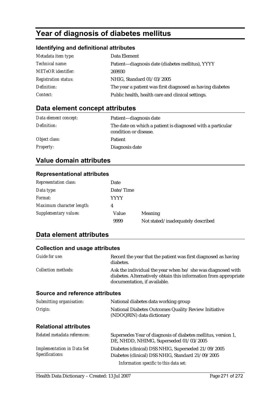# **Year of diagnosis of diabetes mellitus**

### **Identifying and definitional attributes**

| Metadata item type:         | Data Element                                              |
|-----------------------------|-----------------------------------------------------------|
| Technical name:             | Patient—diagnosis date (diabetes mellitus), YYYY          |
| <b>METeOR</b> identifier:   | 269930                                                    |
| <b>Registration status:</b> | NHIG, Standard 01/03/2005                                 |
| Definition:                 | The year a patient was first diagnosed as having diabetes |
| Context:                    | Public health, health care and clinical settings.         |

# **Data element concept attributes**

| Data element concept: | Patient—diagnosis date                                                              |
|-----------------------|-------------------------------------------------------------------------------------|
| Definition:           | The date on which a patient is diagnosed with a particular<br>condition or disease. |
| Object class:         | <b>Patient</b>                                                                      |
| <i>Property:</i>      | Diagnosis date                                                                      |

# **Value domain attributes**

### **Representational attributes**

| <b>Representation class:</b> | Date      |                                   |
|------------------------------|-----------|-----------------------------------|
| Data type:                   | Date/Time |                                   |
| <i>Format:</i>               | YYYY      |                                   |
| Maximum character length:    |           |                                   |
| Supplementary values:        | Value     | <b>Meaning</b>                    |
|                              | 9999      | Not stated/inadequately described |

### **Data element attributes**

### **Collection and usage attributes**

| <i>Guide for use:</i>                  | Record the year that the patient was first diagnosed as having<br>diabetes.                                                                                     |  |
|----------------------------------------|-----------------------------------------------------------------------------------------------------------------------------------------------------------------|--|
| <b>Collection methods:</b>             | Ask the individual the year when he/ she was diagnosed with<br>diabetes. Alternatively obtain this information from appropriate<br>documentation, if available. |  |
| <b>Source and reference attributes</b> |                                                                                                                                                                 |  |
| Submitting organisation:               | National diabetes data working group                                                                                                                            |  |
| Origin:                                | National Diabetes Outcomes Quality Review Initiative<br>(NDOQRIN) data dictionary                                                                               |  |

#### **Relational attributes**

| Related metadata references:                                | Supersedes Year of diagnosis of diabetes mellitus, version 1,<br>DE, NHDD, NHIMG, Superseded 01/03/2005  |
|-------------------------------------------------------------|----------------------------------------------------------------------------------------------------------|
| <b>Implementation in Data Set</b><br><b>Specifications:</b> | Diabetes (clinical) DSS NHIG, Superseded 21/09/2005<br>Diabetes (clinical) DSS NHIG, Standard 21/09/2005 |
|                                                             | Information specific to this data set:                                                                   |